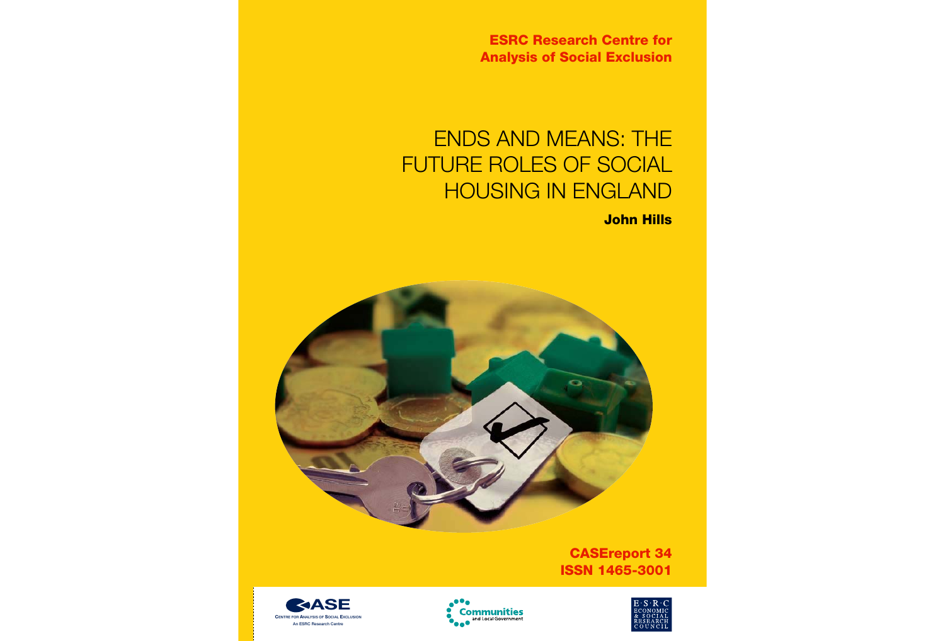**ESRC Research Centre for Analysis of Social Exclusion**

# ENDS AND MEANS: THE FUTURE ROLES OF SOCIAL HOUSING IN ENGLAND

**John Hills**



**CASEreport 34 ISSN 1465-3001**





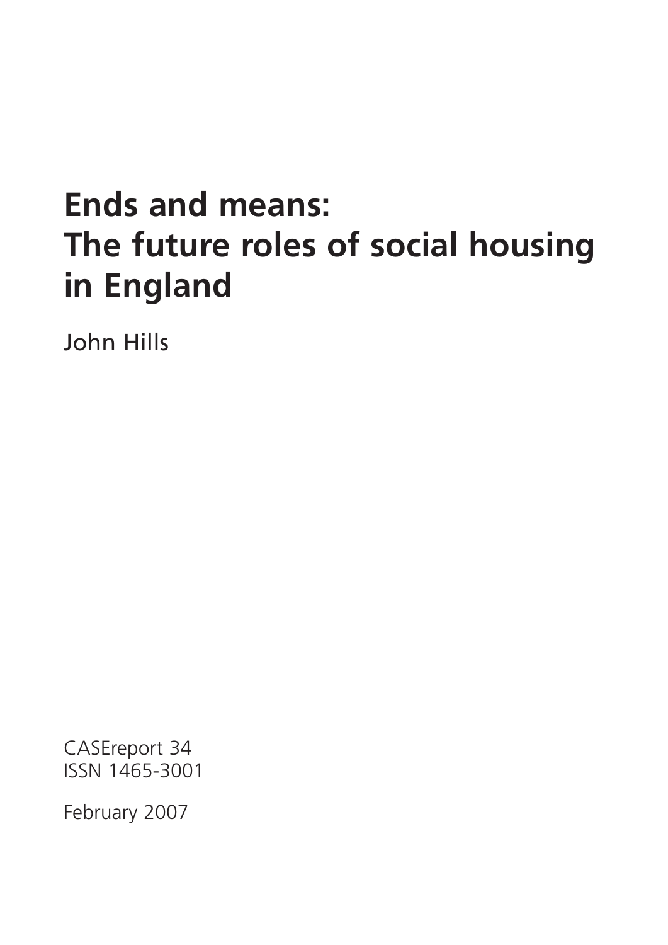# **Ends and means: The future roles of social housing in England**

John Hills

CASEreport 34 ISSN 1465-3001

February 2007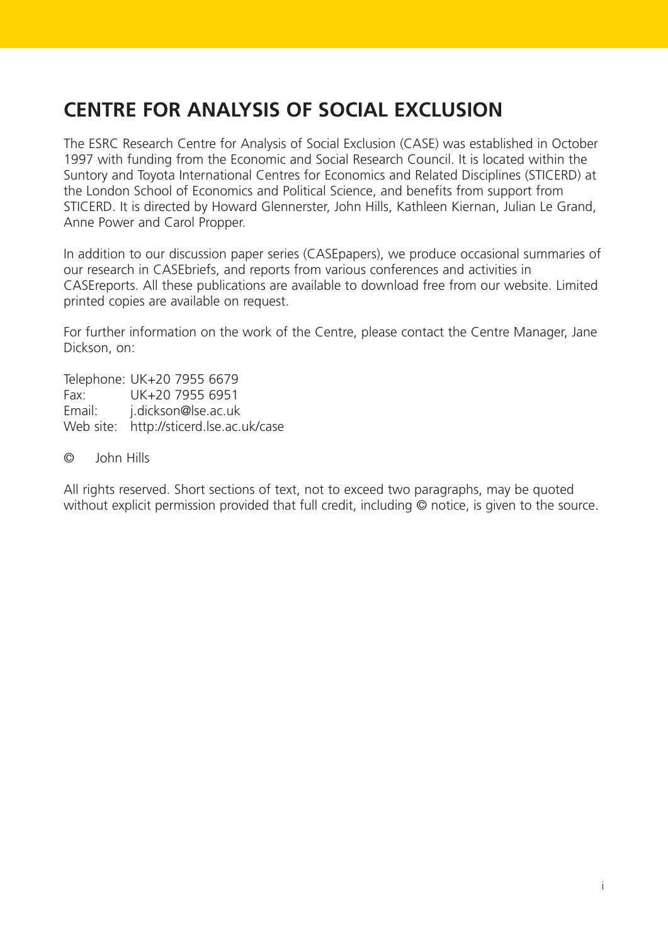# **CENTRE FOR ANALYSIS OF SOCIAL EXCLUSION**

The ESRC Research Centre for Analysis of Social Exclusion (CASE) was established in October 1997 with funding from the Economic and Social Research Council. It is located within the Suntory and Toyota International Centres for Economics and Related Disciplines (STICERD) at the London School of Economics and Political Science, and benefits from support from STICERD. It is directed by Howard Glennerster, John Hills, Kathleen Kiernan, Julian Le Grand, Anne Power and Carol Propper.

In addition to our discussion paper series (CASEpapers), we produce occasional summaries of our research in CASEbriefs, and reports from various conferences and activities in CASEreports. All these publications are available to download free from our website. Limited printed copies are available on request.

For further information on the work of the Centre, please contact the Centre Manager, Jane Dickson, on:

Telephone: UK+20 7955 6679 Fax: UK+20 7955 6951 Email: j.dickson@lse.ac.uk Web site: http://sticerd.lse.ac.uk/case

© John Hills

All rights reserved. Short sections of text, not to exceed two paragraphs, may be quoted without explicit permission provided that full credit, including  $\odot$  notice, is given to the source.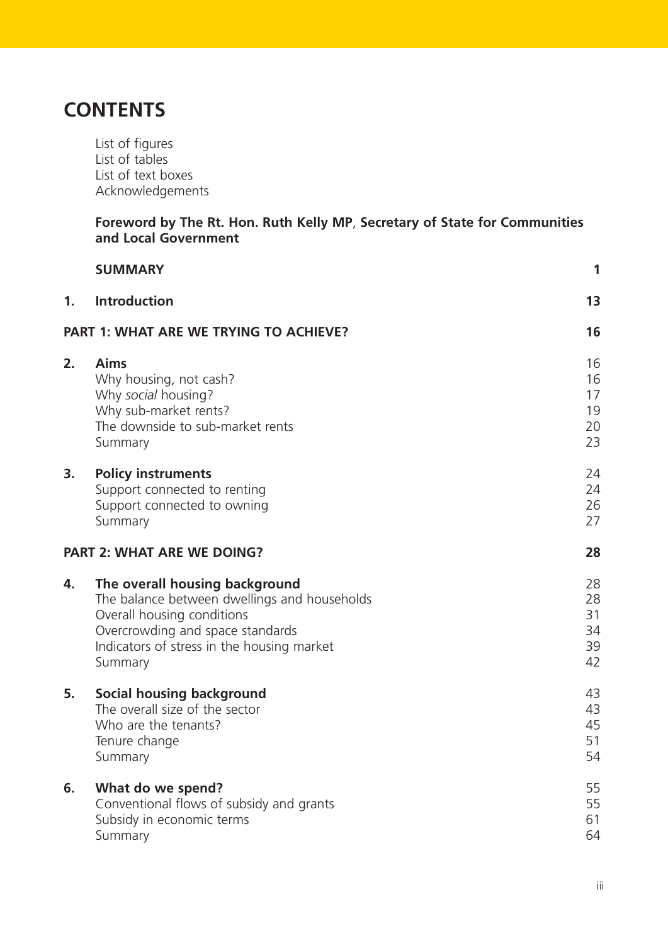## **CONTENTS**

List of figures List of tables List of text boxes Acknowledgements

**Foreword by The Rt. Hon. Ruth Kelly MP**, **Secretary of State for Communities and Local Government**

|                                        | <b>SUMMARY</b>                                                                                                                                                                                            | 1                                |
|----------------------------------------|-----------------------------------------------------------------------------------------------------------------------------------------------------------------------------------------------------------|----------------------------------|
| 1.                                     | <b>Introduction</b>                                                                                                                                                                                       | 13                               |
| PART 1: WHAT ARE WE TRYING TO ACHIEVE? |                                                                                                                                                                                                           |                                  |
| 2.                                     | <b>Aims</b><br>Why housing, not cash?<br>Why social housing?<br>Why sub-market rents?<br>The downside to sub-market rents<br>Summary                                                                      | 16<br>16<br>17<br>19<br>20<br>23 |
| 3.                                     | <b>Policy instruments</b><br>Support connected to renting<br>Support connected to owning<br>Summary                                                                                                       | 24<br>24<br>26<br>27             |
|                                        | <b>PART 2: WHAT ARE WE DOING?</b>                                                                                                                                                                         | 28                               |
| 4.                                     | The overall housing background<br>The balance between dwellings and households<br>Overall housing conditions<br>Overcrowding and space standards<br>Indicators of stress in the housing market<br>Summary | 28<br>28<br>31<br>34<br>39<br>42 |
| 5.                                     | <b>Social housing background</b><br>The overall size of the sector<br>Who are the tenants?<br>Tenure change<br>Summary                                                                                    | 43<br>43<br>45<br>51<br>54       |
| 6.                                     | What do we spend?<br>Conventional flows of subsidy and grants<br>Subsidy in economic terms<br>Summary                                                                                                     | 55<br>55<br>61<br>64             |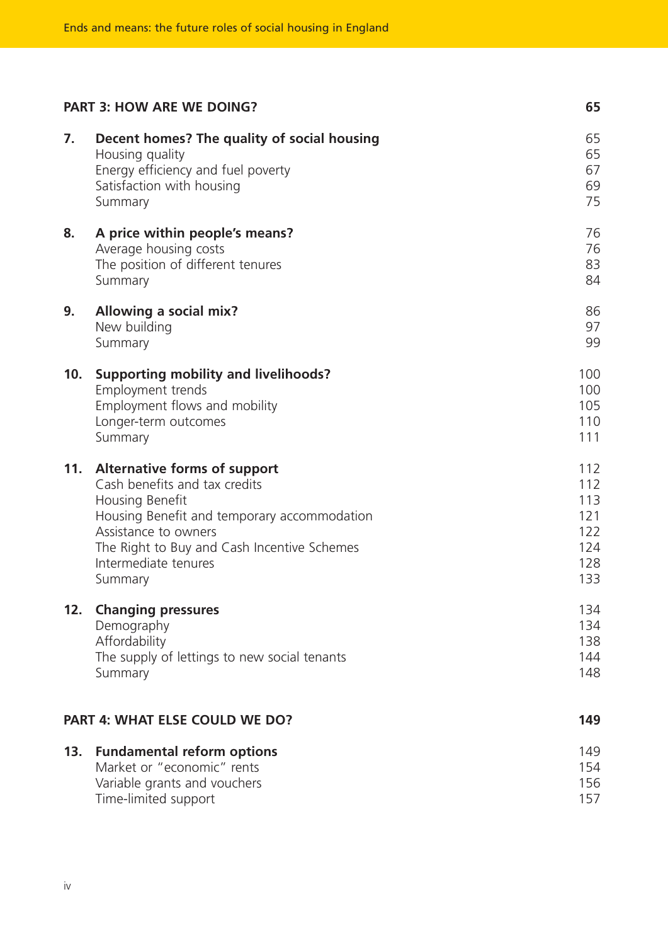| <b>PART 3: HOW ARE WE DOING?</b> |                                                                                                                                                                                                                                                  | 65                                                   |
|----------------------------------|--------------------------------------------------------------------------------------------------------------------------------------------------------------------------------------------------------------------------------------------------|------------------------------------------------------|
| 7.                               | Decent homes? The quality of social housing<br>Housing quality<br>Energy efficiency and fuel poverty<br>Satisfaction with housing<br>Summary                                                                                                     | 65<br>65<br>67<br>69<br>75                           |
| 8.                               | A price within people's means?<br>Average housing costs<br>The position of different tenures<br>Summary                                                                                                                                          | 76<br>76<br>83<br>84                                 |
| 9.                               | Allowing a social mix?<br>New building<br>Summary                                                                                                                                                                                                | 86<br>97<br>99                                       |
| 10.                              | <b>Supporting mobility and livelihoods?</b><br>Employment trends<br>Employment flows and mobility<br>Longer-term outcomes<br>Summary                                                                                                             | 100<br>100<br>105<br>110<br>111                      |
| 11.                              | <b>Alternative forms of support</b><br>Cash benefits and tax credits<br>Housing Benefit<br>Housing Benefit and temporary accommodation<br>Assistance to owners<br>The Right to Buy and Cash Incentive Schemes<br>Intermediate tenures<br>Summary | 112<br>112<br>113<br>121<br>122<br>124<br>128<br>133 |
| 12.                              | <b>Changing pressures</b><br>Demography<br>Affordability<br>The supply of lettings to new social tenants<br>Summary                                                                                                                              | 134<br>134<br>138<br>144<br>148                      |
|                                  | <b>PART 4: WHAT ELSE COULD WE DO?</b>                                                                                                                                                                                                            | 149                                                  |
| 13.                              | <b>Fundamental reform options</b><br>Market or "economic" rents<br>Variable grants and vouchers<br>Time-limited support                                                                                                                          | 149<br>154<br>156<br>157                             |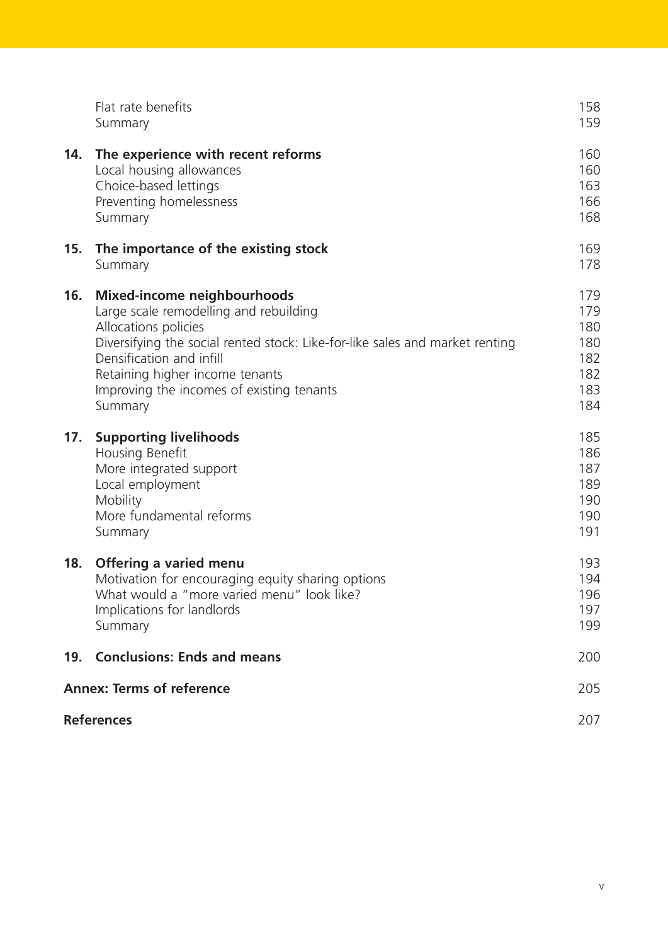|                                  | Flat rate benefits<br>Summary                                                                                                                                                                                                                                                                               | 158<br>159                                           |
|----------------------------------|-------------------------------------------------------------------------------------------------------------------------------------------------------------------------------------------------------------------------------------------------------------------------------------------------------------|------------------------------------------------------|
| 14.                              | The experience with recent reforms<br>Local housing allowances<br>Choice-based lettings<br>Preventing homelessness<br>Summary                                                                                                                                                                               | 160<br>160<br>163<br>166<br>168                      |
| 15.                              | The importance of the existing stock<br>Summary                                                                                                                                                                                                                                                             | 169<br>178                                           |
| 16.                              | <b>Mixed-income neighbourhoods</b><br>Large scale remodelling and rebuilding<br>Allocations policies<br>Diversifying the social rented stock: Like-for-like sales and market renting<br>Densification and infill<br>Retaining higher income tenants<br>Improving the incomes of existing tenants<br>Summary | 179<br>179<br>180<br>180<br>182<br>182<br>183<br>184 |
| 17.                              | <b>Supporting livelihoods</b><br>Housing Benefit<br>More integrated support<br>Local employment<br>Mobility<br>More fundamental reforms<br>Summary                                                                                                                                                          | 185<br>186<br>187<br>189<br>190<br>190<br>191        |
| 18.                              | Offering a varied menu<br>Motivation for encouraging equity sharing options<br>What would a "more varied menu" look like?<br>Implications for landlords<br>Summary                                                                                                                                          | 193<br>194<br>196<br>197<br>199                      |
| 19.                              | <b>Conclusions: Ends and means</b>                                                                                                                                                                                                                                                                          | 200                                                  |
| <b>Annex: Terms of reference</b> |                                                                                                                                                                                                                                                                                                             | 205                                                  |
| <b>References</b>                |                                                                                                                                                                                                                                                                                                             | 207                                                  |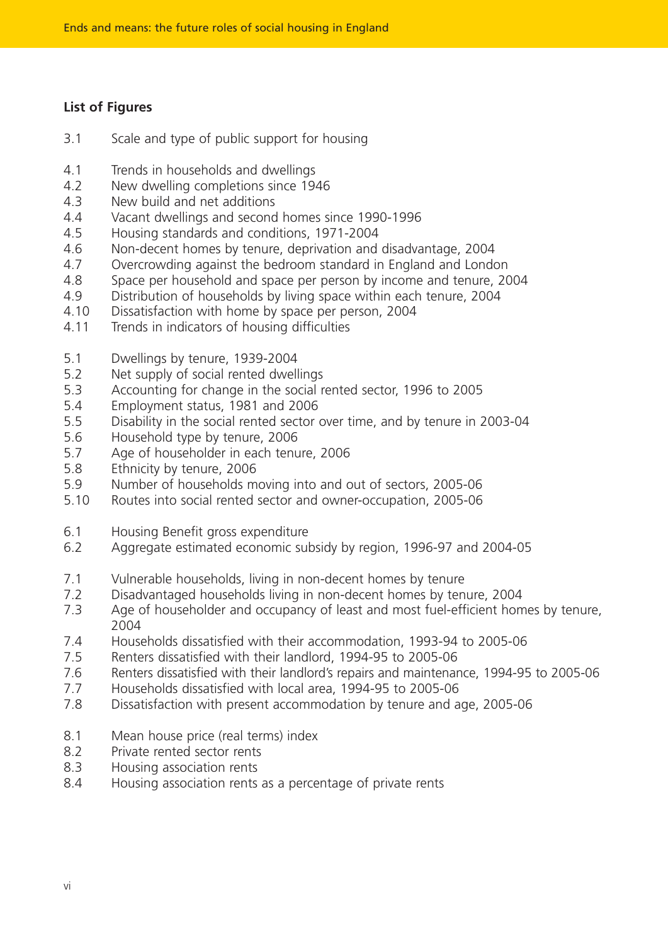#### **List of Figures**

- 3.1 Scale and type of public support for housing
- 4.1 Trends in households and dwellings
- 4.2 New dwelling completions since 1946
- 4.3 New build and net additions
- 4.4 Vacant dwellings and second homes since 1990-1996<br>4.5 Housing standards and conditions, 1971-2004
- 4.5 Housing standards and conditions, 1971-2004
- 4.6 Non-decent homes by tenure, deprivation and disadvantage, 2004
- 4.7 Overcrowding against the bedroom standard in England and London
- 4.8 Space per household and space per person by income and tenure, 2004<br>4.9 Distribution of households by living space within each tenure, 2004
- 4.9 Distribution of households by living space within each tenure, 2004
- 4.10 Dissatisfaction with home by space per person, 2004<br>4.11 Trends in indicators of housing difficulties
- Trends in indicators of housing difficulties
- 5.1 Dwellings by tenure, 1939-2004
- 5.2 Net supply of social rented dwellings<br>5.3 Accounting for change in the social re
- 5.3 Accounting for change in the social rented sector, 1996 to 2005
- 5.4 Employment status, 1981 and 2006
- 5.5 Disability in the social rented sector over time, and by tenure in 2003-04
- 5.6 Household type by tenure, 2006
- 5.7 Age of householder in each tenure, 2006
- 5.8 Ethnicity by tenure, 2006
- 5.9 Number of households moving into and out of sectors, 2005-06
- 5.10 Routes into social rented sector and owner-occupation, 2005-06
- 6.1 Housing Benefit gross expenditure
- 6.2 Aggregate estimated economic subsidy by region, 1996-97 and 2004-05
- 7.1 Vulnerable households, living in non-decent homes by tenure
- 7.2 Disadvantaged households living in non-decent homes by tenure, 2004
- 7.3 Age of householder and occupancy of least and most fuel-efficient homes by tenure, 2004
- 7.4 Households dissatisfied with their accommodation, 1993-94 to 2005-06
- 7.5 Renters dissatisfied with their landlord, 1994-95 to 2005-06
- 7.6 Renters dissatisfied with their landlord's repairs and maintenance, 1994-95 to 2005-06
- 7.7 Households dissatisfied with local area, 1994-95 to 2005-06
- 7.8 Dissatisfaction with present accommodation by tenure and age, 2005-06
- 8.1 Mean house price (real terms) index
- 8.2 Private rented sector rents
- 8.3 Housing association rents
- 8.4 Housing association rents as a percentage of private rents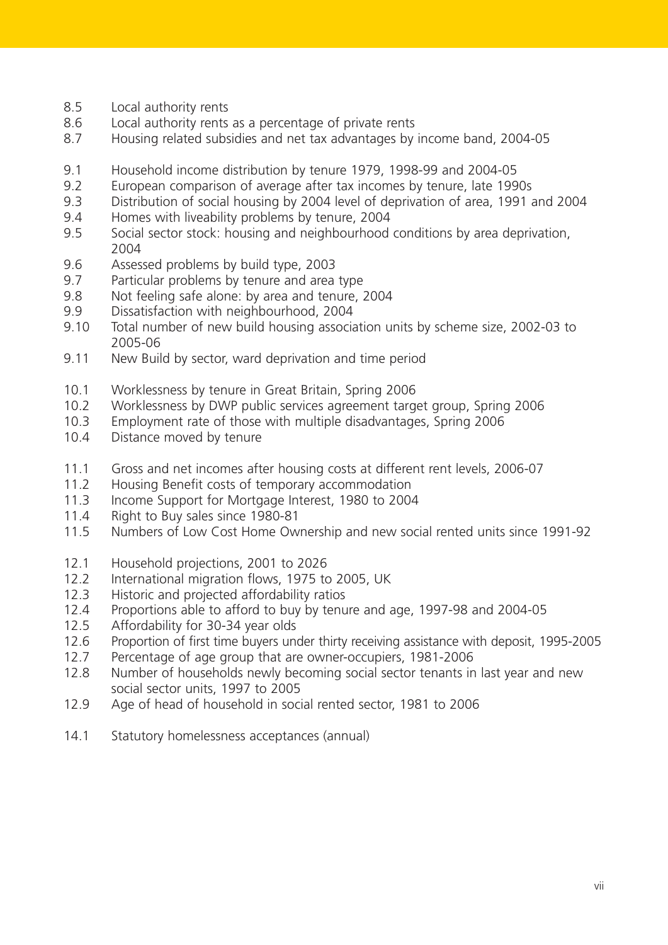- 8.5 Local authority rents
- 8.6 Local authority rents as a percentage of private rents
- 8.7 Housing related subsidies and net tax advantages by income band, 2004-05
- 9.1 Household income distribution by tenure 1979, 1998-99 and 2004-05
- 9.2 European comparison of average after tax incomes by tenure, late 1990s
- 9.3 Distribution of social housing by 2004 level of deprivation of area, 1991 and 2004
- 9.4 Homes with liveability problems by tenure, 2004
- 9.5 Social sector stock: housing and neighbourhood conditions by area deprivation, 2004
- 9.6 Assessed problems by build type, 2003
- 9.7 Particular problems by tenure and area type
- 9.8 Not feeling safe alone: by area and tenure, 2004
- 9.9 Dissatisfaction with neighbourhood, 2004
- 9.10 Total number of new build housing association units by scheme size, 2002-03 to 2005-06
- 9.11 New Build by sector, ward deprivation and time period
- 10.1 Worklessness by tenure in Great Britain, Spring 2006
- 10.2 Worklessness by DWP public services agreement target group, Spring 2006
- 10.3 Employment rate of those with multiple disadvantages, Spring 2006<br>10.4 Distance moved by tenure
- Distance moved by tenure
- 11.1 Gross and net incomes after housing costs at different rent levels, 2006-07
- 11.2 Housing Benefit costs of temporary accommodation
- 11.3 Income Support for Mortgage Interest, 1980 to 2004
- 11.4 Right to Buy sales since 1980-81
- 11.5 Numbers of Low Cost Home Ownership and new social rented units since 1991-92
- 12.1 Household projections, 2001 to 2026
- 12.2 International migration flows, 1975 to 2005, UK
- 12.3 Historic and projected affordability ratios
- 12.4 Proportions able to afford to buy by tenure and age, 1997-98 and 2004-05
- 12.5 Affordability for 30-34 year olds
- 12.6 Proportion of first time buyers under thirty receiving assistance with deposit, 1995-2005
- 12.7 Percentage of age group that are owner-occupiers, 1981-2006
- 12.8 Number of households newly becoming social sector tenants in last year and new social sector units, 1997 to 2005
- 12.9 Age of head of household in social rented sector, 1981 to 2006
- 14.1 Statutory homelessness acceptances (annual)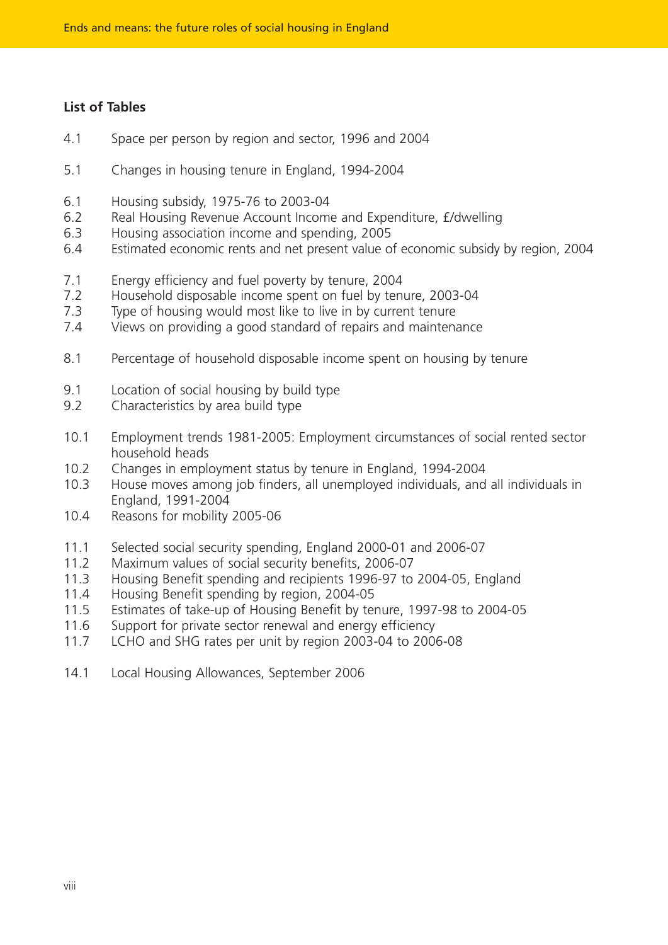#### **List of Tables**

- 4.1 Space per person by region and sector, 1996 and 2004
- 5.1 Changes in housing tenure in England, 1994-2004
- 6.1 Housing subsidy, 1975-76 to 2003-04
- 6.2 Real Housing Revenue Account Income and Expenditure, £/dwelling
- 6.3 Housing association income and spending, 2005
- 6.4 Estimated economic rents and net present value of economic subsidy by region, 2004
- 7.1 Energy efficiency and fuel poverty by tenure, 2004<br>7.2 Household disposable income spent on fuel by tenu
- Household disposable income spent on fuel by tenure, 2003-04
- 7.3 Type of housing would most like to live in by current tenure
- 7.4 Views on providing a good standard of repairs and maintenance
- 8.1 Percentage of household disposable income spent on housing by tenure
- 9.1 Location of social housing by build type
- 9.2 Characteristics by area build type
- 10.1 Employment trends 1981-2005: Employment circumstances of social rented sector household heads
- 10.2 Changes in employment status by tenure in England, 1994-2004
- 10.3 House moves among job finders, all unemployed individuals, and all individuals in England, 1991-2004
- 10.4 Reasons for mobility 2005-06
- 11.1 Selected social security spending, England 2000-01 and 2006-07
- 11.2 Maximum values of social security benefits, 2006-07
- 11.3 Housing Benefit spending and recipients 1996-97 to 2004-05, England
- 11.4 Housing Benefit spending by region, 2004-05
- 11.5 Estimates of take-up of Housing Benefit by tenure, 1997-98 to 2004-05
- 11.6 Support for private sector renewal and energy efficiency
- 11.7 LCHO and SHG rates per unit by region 2003-04 to 2006-08
- 14.1 Local Housing Allowances, September 2006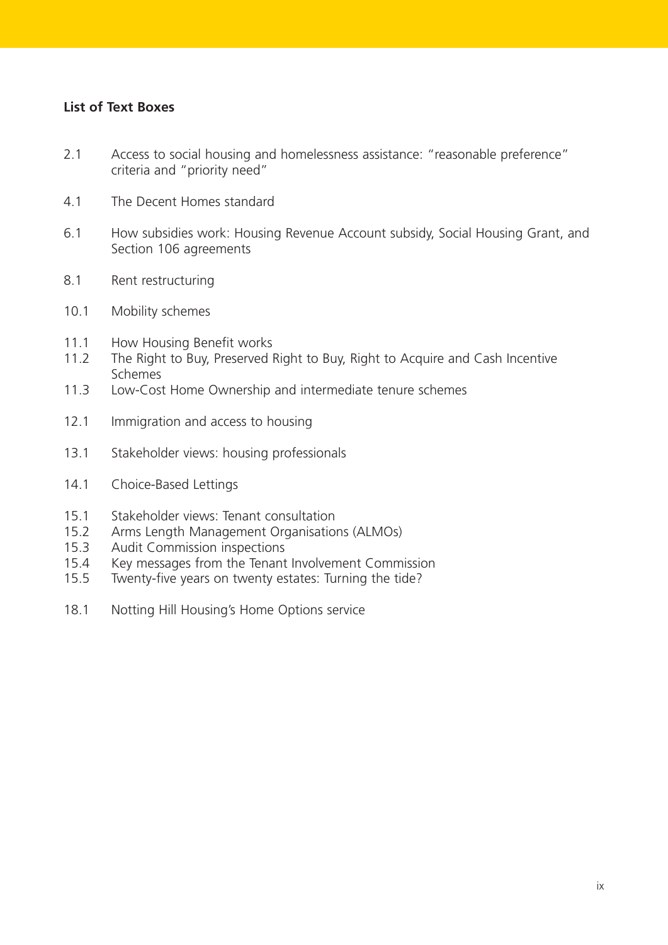#### **List of Text Boxes**

- 2.1 Access to social housing and homelessness assistance: "reasonable preference" criteria and "priority need"
- 4.1 The Decent Homes standard
- 6.1 How subsidies work: Housing Revenue Account subsidy, Social Housing Grant, and Section 106 agreements
- 8.1 Rent restructuring
- 10.1 Mobility schemes
- 11.1 How Housing Benefit works
- 11.2 The Right to Buy, Preserved Right to Buy, Right to Acquire and Cash Incentive Schemes
- 11.3 Low-Cost Home Ownership and intermediate tenure schemes
- 12.1 Immigration and access to housing
- 13.1 Stakeholder views: housing professionals
- 14.1 Choice-Based Lettings
- 15.1 Stakeholder views: Tenant consultation
- 15.2 Arms Length Management Organisations (ALMOs)
- 15.3 Audit Commission inspections
- 15.4 Key messages from the Tenant Involvement Commission
- 15.5 Twenty-five years on twenty estates: Turning the tide?
- 18.1 Notting Hill Housing's Home Options service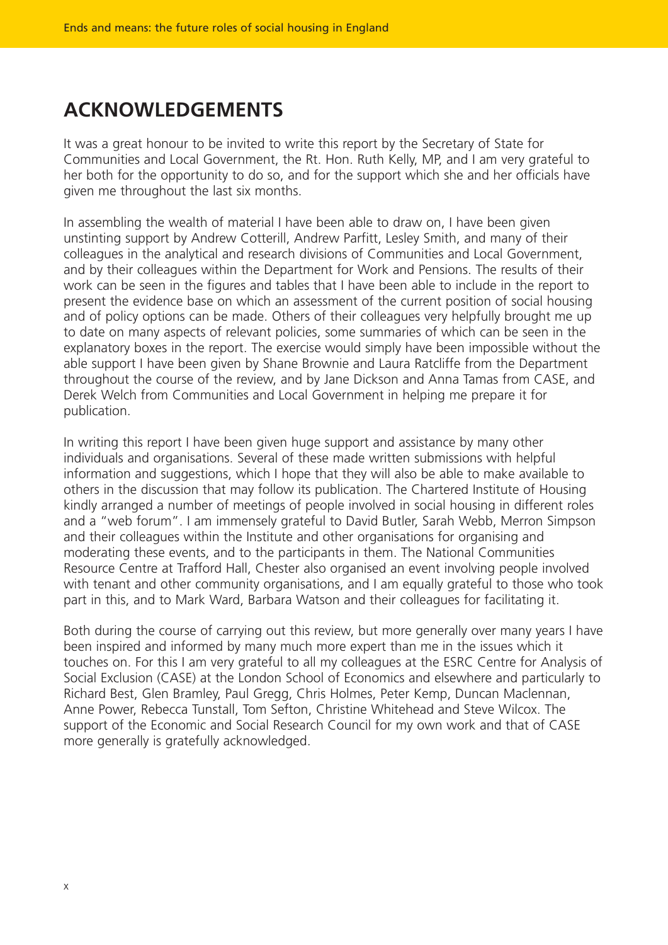## **ACKNOWLEDGEMENTS**

It was a great honour to be invited to write this report by the Secretary of State for Communities and Local Government, the Rt. Hon. Ruth Kelly, MP, and I am very grateful to her both for the opportunity to do so, and for the support which she and her officials have given me throughout the last six months.

In assembling the wealth of material I have been able to draw on, I have been given unstinting support by Andrew Cotterill, Andrew Parfitt, Lesley Smith, and many of their colleagues in the analytical and research divisions of Communities and Local Government, and by their colleagues within the Department for Work and Pensions. The results of their work can be seen in the figures and tables that I have been able to include in the report to present the evidence base on which an assessment of the current position of social housing and of policy options can be made. Others of their colleagues very helpfully brought me up to date on many aspects of relevant policies, some summaries of which can be seen in the explanatory boxes in the report. The exercise would simply have been impossible without the able support I have been given by Shane Brownie and Laura Ratcliffe from the Department throughout the course of the review, and by Jane Dickson and Anna Tamas from CASE, and Derek Welch from Communities and Local Government in helping me prepare it for publication.

In writing this report I have been given huge support and assistance by many other individuals and organisations. Several of these made written submissions with helpful information and suggestions, which I hope that they will also be able to make available to others in the discussion that may follow its publication. The Chartered Institute of Housing kindly arranged a number of meetings of people involved in social housing in different roles and a "web forum". I am immensely grateful to David Butler, Sarah Webb, Merron Simpson and their colleagues within the Institute and other organisations for organising and moderating these events, and to the participants in them. The National Communities Resource Centre at Trafford Hall, Chester also organised an event involving people involved with tenant and other community organisations, and I am equally grateful to those who took part in this, and to Mark Ward, Barbara Watson and their colleagues for facilitating it.

Both during the course of carrying out this review, but more generally over many years I have been inspired and informed by many much more expert than me in the issues which it touches on. For this I am very grateful to all my colleagues at the ESRC Centre for Analysis of Social Exclusion (CASE) at the London School of Economics and elsewhere and particularly to Richard Best, Glen Bramley, Paul Gregg, Chris Holmes, Peter Kemp, Duncan Maclennan, Anne Power, Rebecca Tunstall, Tom Sefton, Christine Whitehead and Steve Wilcox. The support of the Economic and Social Research Council for my own work and that of CASE more generally is gratefully acknowledged.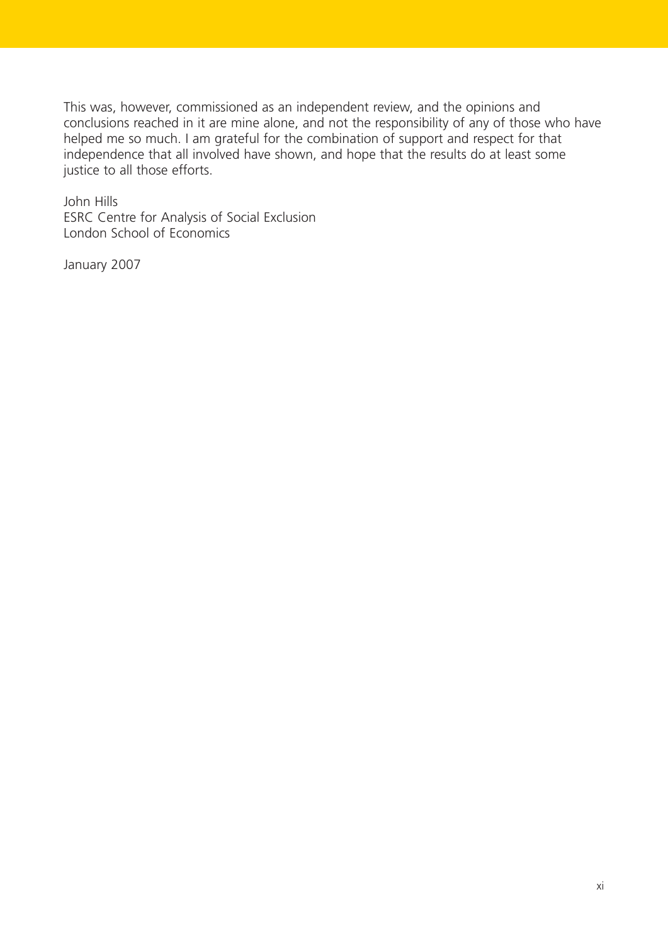This was, however, commissioned as an independent review, and the opinions and conclusions reached in it are mine alone, and not the responsibility of any of those who have helped me so much. I am grateful for the combination of support and respect for that independence that all involved have shown, and hope that the results do at least some justice to all those efforts.

John Hills ESRC Centre for Analysis of Social Exclusion London School of Economics

January 2007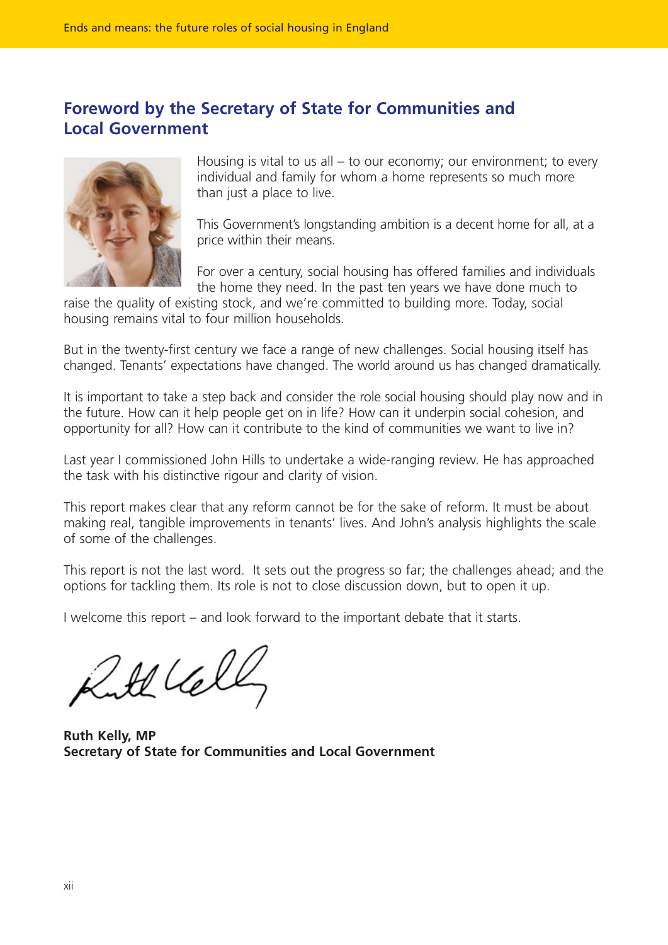### **Foreword by the Secretary of State for Communities and Local Government**



Housing is vital to us all  $-$  to our economy; our environment; to every individual and family for whom a home represents so much more than just a place to live.

This Government's longstanding ambition is a decent home for all, at a price within their means.

For over a century, social housing has offered families and individuals the home they need. In the past ten years we have done much to

raise the quality of existing stock, and we're committed to building more. Today, social housing remains vital to four million households.

But in the twenty-first century we face a range of new challenges. Social housing itself has changed. Tenants' expectations have changed. The world around us has changed dramatically.

It is important to take a step back and consider the role social housing should play now and in the future. How can it help people get on in life? How can it underpin social cohesion, and opportunity for all? How can it contribute to the kind of communities we want to live in?

Last year I commissioned John Hills to undertake a wide-ranging review. He has approached the task with his distinctive rigour and clarity of vision.

This report makes clear that any reform cannot be for the sake of reform. It must be about making real, tangible improvements in tenants' lives. And John's analysis highlights the scale of some of the challenges.

This report is not the last word. It sets out the progress so far; the challenges ahead; and the options for tackling them. Its role is not to close discussion down, but to open it up.

I welcome this report – and look forward to the important debate that it starts.

Ruth Vell

**Ruth Kelly, MP Secretary of State for Communities and Local Government**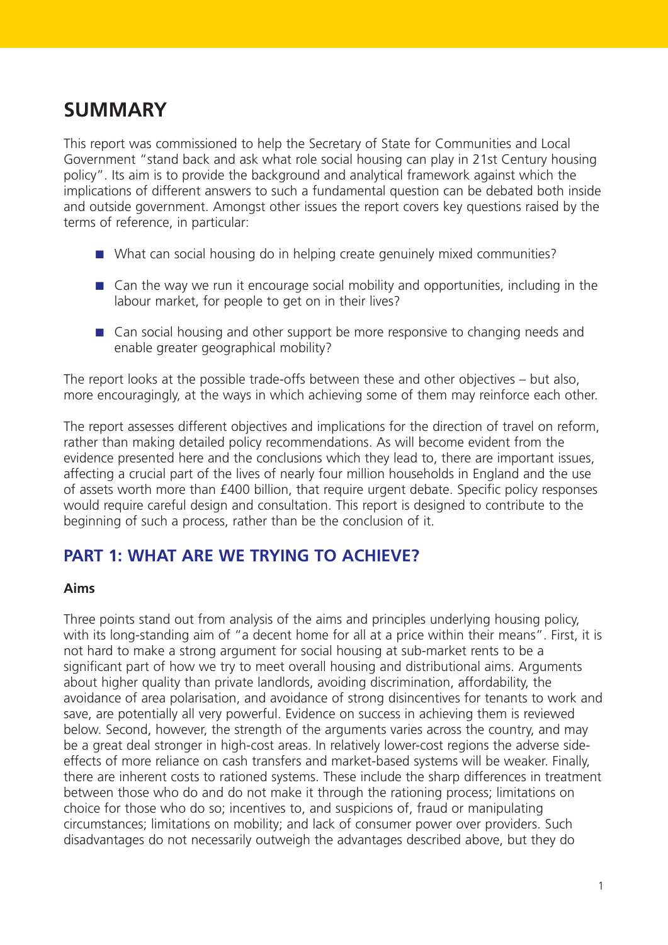# **SUMMARY**

This report was commissioned to help the Secretary of State for Communities and Local Government "stand back and ask what role social housing can play in 21st Century housing policy". Its aim is to provide the background and analytical framework against which the implications of different answers to such a fundamental question can be debated both inside and outside government. Amongst other issues the report covers key questions raised by the terms of reference, in particular:

- What can social housing do in helping create genuinely mixed communities?
- Can the way we run it encourage social mobility and opportunities, including in the labour market, for people to get on in their lives?
- Can social housing and other support be more responsive to changing needs and enable greater geographical mobility?

The report looks at the possible trade-offs between these and other objectives – but also, more encouragingly, at the ways in which achieving some of them may reinforce each other.

The report assesses different objectives and implications for the direction of travel on reform, rather than making detailed policy recommendations. As will become evident from the evidence presented here and the conclusions which they lead to, there are important issues, affecting a crucial part of the lives of nearly four million households in England and the use of assets worth more than £400 billion, that require urgent debate. Specific policy responses would require careful design and consultation. This report is designed to contribute to the beginning of such a process, rather than be the conclusion of it.

## **PART 1: WHAT ARE WE TRYING TO ACHIEVE?**

#### **Aims**

Three points stand out from analysis of the aims and principles underlying housing policy, with its long-standing aim of "a decent home for all at a price within their means". First, it is not hard to make a strong argument for social housing at sub-market rents to be a significant part of how we try to meet overall housing and distributional aims. Arguments about higher quality than private landlords, avoiding discrimination, affordability, the avoidance of area polarisation, and avoidance of strong disincentives for tenants to work and save, are potentially all very powerful. Evidence on success in achieving them is reviewed below. Second, however, the strength of the arguments varies across the country, and may be a great deal stronger in high-cost areas. In relatively lower-cost regions the adverse sideeffects of more reliance on cash transfers and market-based systems will be weaker. Finally, there are inherent costs to rationed systems. These include the sharp differences in treatment between those who do and do not make it through the rationing process; limitations on choice for those who do so; incentives to, and suspicions of, fraud or manipulating circumstances; limitations on mobility; and lack of consumer power over providers. Such disadvantages do not necessarily outweigh the advantages described above, but they do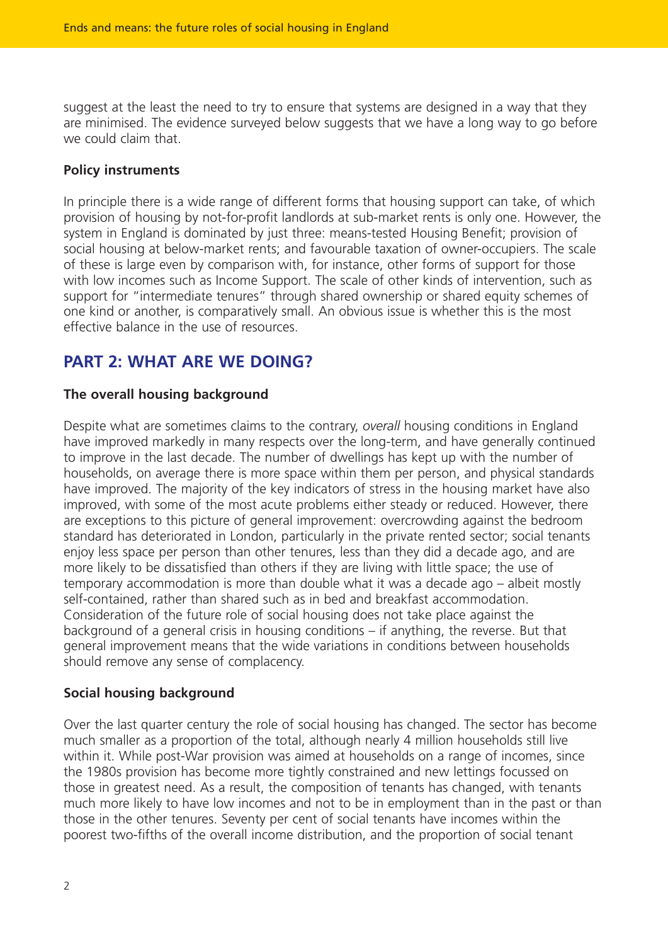suggest at the least the need to try to ensure that systems are designed in a way that they are minimised. The evidence surveyed below suggests that we have a long way to go before we could claim that.

#### **Policy instruments**

In principle there is a wide range of different forms that housing support can take, of which provision of housing by not-for-profit landlords at sub-market rents is only one. However, the system in England is dominated by just three: means-tested Housing Benefit; provision of social housing at below-market rents; and favourable taxation of owner-occupiers. The scale of these is large even by comparison with, for instance, other forms of support for those with low incomes such as Income Support. The scale of other kinds of intervention, such as support for "intermediate tenures" through shared ownership or shared equity schemes of one kind or another, is comparatively small. An obvious issue is whether this is the most effective balance in the use of resources.

## **PART 2: WHAT ARE WE DOING?**

#### **The overall housing background**

Despite what are sometimes claims to the contrary, *overall* housing conditions in England have improved markedly in many respects over the long-term, and have generally continued to improve in the last decade. The number of dwellings has kept up with the number of households, on average there is more space within them per person, and physical standards have improved. The majority of the key indicators of stress in the housing market have also improved, with some of the most acute problems either steady or reduced. However, there are exceptions to this picture of general improvement: overcrowding against the bedroom standard has deteriorated in London, particularly in the private rented sector; social tenants enjoy less space per person than other tenures, less than they did a decade ago, and are more likely to be dissatisfied than others if they are living with little space; the use of temporary accommodation is more than double what it was a decade ago – albeit mostly self-contained, rather than shared such as in bed and breakfast accommodation. Consideration of the future role of social housing does not take place against the background of a general crisis in housing conditions – if anything, the reverse. But that general improvement means that the wide variations in conditions between households should remove any sense of complacency.

#### **Social housing background**

Over the last quarter century the role of social housing has changed. The sector has become much smaller as a proportion of the total, although nearly 4 million households still live within it. While post-War provision was aimed at households on a range of incomes, since the 1980s provision has become more tightly constrained and new lettings focussed on those in greatest need. As a result, the composition of tenants has changed, with tenants much more likely to have low incomes and not to be in employment than in the past or than those in the other tenures. Seventy per cent of social tenants have incomes within the poorest two-fifths of the overall income distribution, and the proportion of social tenant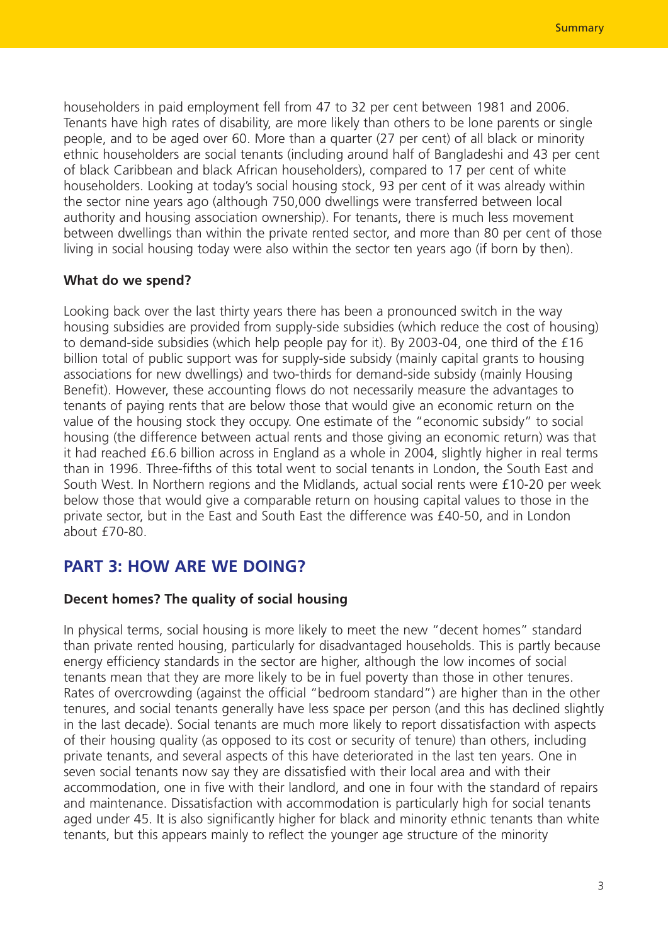householders in paid employment fell from 47 to 32 per cent between 1981 and 2006. Tenants have high rates of disability, are more likely than others to be lone parents or single people, and to be aged over 60. More than a quarter (27 per cent) of all black or minority ethnic householders are social tenants (including around half of Bangladeshi and 43 per cent of black Caribbean and black African householders), compared to 17 per cent of white householders. Looking at today's social housing stock, 93 per cent of it was already within the sector nine years ago (although 750,000 dwellings were transferred between local authority and housing association ownership). For tenants, there is much less movement between dwellings than within the private rented sector, and more than 80 per cent of those living in social housing today were also within the sector ten years ago (if born by then).

#### **What do we spend?**

Looking back over the last thirty years there has been a pronounced switch in the way housing subsidies are provided from supply-side subsidies (which reduce the cost of housing) to demand-side subsidies (which help people pay for it). By 2003-04, one third of the £16 billion total of public support was for supply-side subsidy (mainly capital grants to housing associations for new dwellings) and two-thirds for demand-side subsidy (mainly Housing Benefit). However, these accounting flows do not necessarily measure the advantages to tenants of paying rents that are below those that would give an economic return on the value of the housing stock they occupy. One estimate of the "economic subsidy" to social housing (the difference between actual rents and those giving an economic return) was that it had reached £6.6 billion across in England as a whole in 2004, slightly higher in real terms than in 1996. Three-fifths of this total went to social tenants in London, the South East and South West. In Northern regions and the Midlands, actual social rents were £10-20 per week below those that would give a comparable return on housing capital values to those in the private sector, but in the East and South East the difference was £40-50, and in London about £70-80.

### **PART 3: HOW ARE WE DOING?**

#### **Decent homes? The quality of social housing**

In physical terms, social housing is more likely to meet the new "decent homes" standard than private rented housing, particularly for disadvantaged households. This is partly because energy efficiency standards in the sector are higher, although the low incomes of social tenants mean that they are more likely to be in fuel poverty than those in other tenures. Rates of overcrowding (against the official "bedroom standard") are higher than in the other tenures, and social tenants generally have less space per person (and this has declined slightly in the last decade). Social tenants are much more likely to report dissatisfaction with aspects of their housing quality (as opposed to its cost or security of tenure) than others, including private tenants, and several aspects of this have deteriorated in the last ten years. One in seven social tenants now say they are dissatisfied with their local area and with their accommodation, one in five with their landlord, and one in four with the standard of repairs and maintenance. Dissatisfaction with accommodation is particularly high for social tenants aged under 45. It is also significantly higher for black and minority ethnic tenants than white tenants, but this appears mainly to reflect the younger age structure of the minority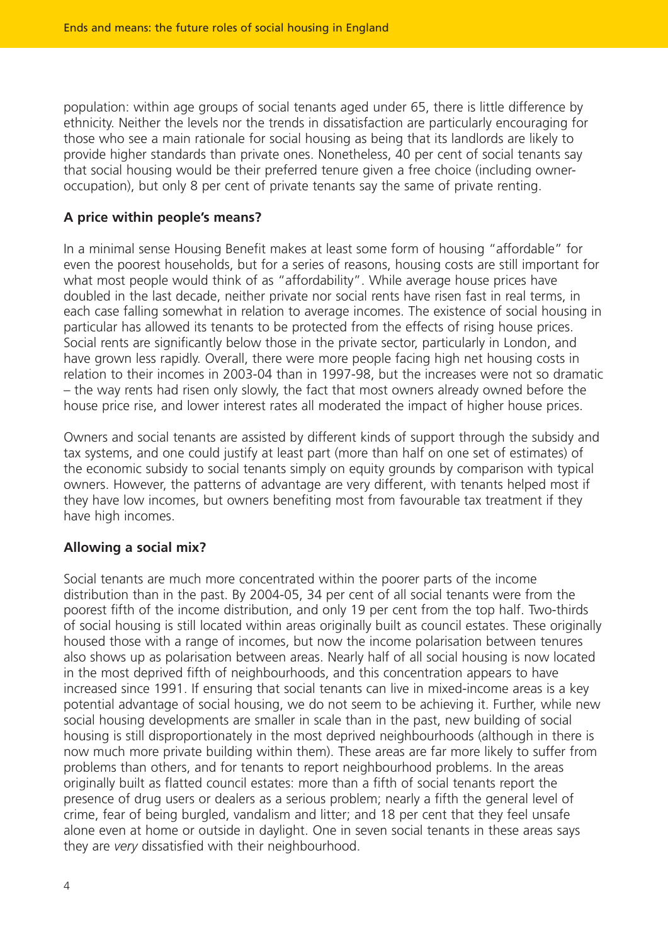population: within age groups of social tenants aged under 65, there is little difference by ethnicity. Neither the levels nor the trends in dissatisfaction are particularly encouraging for those who see a main rationale for social housing as being that its landlords are likely to provide higher standards than private ones. Nonetheless, 40 per cent of social tenants say that social housing would be their preferred tenure given a free choice (including owneroccupation), but only 8 per cent of private tenants say the same of private renting.

#### **A price within people's means?**

In a minimal sense Housing Benefit makes at least some form of housing "affordable" for even the poorest households, but for a series of reasons, housing costs are still important for what most people would think of as "affordability". While average house prices have doubled in the last decade, neither private nor social rents have risen fast in real terms, in each case falling somewhat in relation to average incomes. The existence of social housing in particular has allowed its tenants to be protected from the effects of rising house prices. Social rents are significantly below those in the private sector, particularly in London, and have grown less rapidly. Overall, there were more people facing high net housing costs in relation to their incomes in 2003-04 than in 1997-98, but the increases were not so dramatic – the way rents had risen only slowly, the fact that most owners already owned before the house price rise, and lower interest rates all moderated the impact of higher house prices.

Owners and social tenants are assisted by different kinds of support through the subsidy and tax systems, and one could justify at least part (more than half on one set of estimates) of the economic subsidy to social tenants simply on equity grounds by comparison with typical owners. However, the patterns of advantage are very different, with tenants helped most if they have low incomes, but owners benefiting most from favourable tax treatment if they have high incomes.

#### **Allowing a social mix?**

Social tenants are much more concentrated within the poorer parts of the income distribution than in the past. By 2004-05, 34 per cent of all social tenants were from the poorest fifth of the income distribution, and only 19 per cent from the top half. Two-thirds of social housing is still located within areas originally built as council estates. These originally housed those with a range of incomes, but now the income polarisation between tenures also shows up as polarisation between areas. Nearly half of all social housing is now located in the most deprived fifth of neighbourhoods, and this concentration appears to have increased since 1991. If ensuring that social tenants can live in mixed-income areas is a key potential advantage of social housing, we do not seem to be achieving it. Further, while new social housing developments are smaller in scale than in the past, new building of social housing is still disproportionately in the most deprived neighbourhoods (although in there is now much more private building within them). These areas are far more likely to suffer from problems than others, and for tenants to report neighbourhood problems. In the areas originally built as flatted council estates: more than a fifth of social tenants report the presence of drug users or dealers as a serious problem; nearly a fifth the general level of crime, fear of being burgled, vandalism and litter; and 18 per cent that they feel unsafe alone even at home or outside in daylight. One in seven social tenants in these areas says they are *very* dissatisfied with their neighbourhood.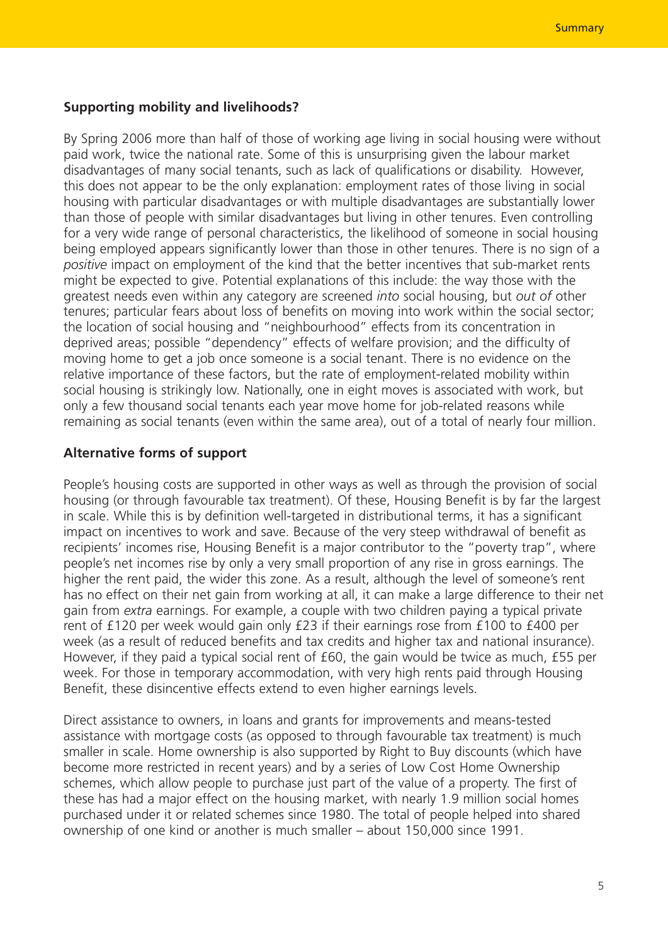#### **Supporting mobility and livelihoods?**

By Spring 2006 more than half of those of working age living in social housing were without paid work, twice the national rate. Some of this is unsurprising given the labour market disadvantages of many social tenants, such as lack of qualifications or disability. However, this does not appear to be the only explanation: employment rates of those living in social housing with particular disadvantages or with multiple disadvantages are substantially lower than those of people with similar disadvantages but living in other tenures. Even controlling for a very wide range of personal characteristics, the likelihood of someone in social housing being employed appears significantly lower than those in other tenures. There is no sign of a *positive* impact on employment of the kind that the better incentives that sub-market rents might be expected to give. Potential explanations of this include: the way those with the greatest needs even within any category are screened *into* social housing, but *out of* other tenures; particular fears about loss of benefits on moving into work within the social sector; the location of social housing and "neighbourhood" effects from its concentration in deprived areas; possible "dependency" effects of welfare provision; and the difficulty of moving home to get a job once someone is a social tenant. There is no evidence on the relative importance of these factors, but the rate of employment-related mobility within social housing is strikingly low. Nationally, one in eight moves is associated with work, but only a few thousand social tenants each year move home for job-related reasons while remaining as social tenants (even within the same area), out of a total of nearly four million.

#### **Alternative forms of support**

People's housing costs are supported in other ways as well as through the provision of social housing (or through favourable tax treatment). Of these, Housing Benefit is by far the largest in scale. While this is by definition well-targeted in distributional terms, it has a significant impact on incentives to work and save. Because of the very steep withdrawal of benefit as recipients' incomes rise, Housing Benefit is a major contributor to the "poverty trap", where people's net incomes rise by only a very small proportion of any rise in gross earnings. The higher the rent paid, the wider this zone. As a result, although the level of someone's rent has no effect on their net gain from working at all, it can make a large difference to their net gain from *extra* earnings. For example, a couple with two children paying a typical private rent of £120 per week would gain only £23 if their earnings rose from £100 to £400 per week (as a result of reduced benefits and tax credits and higher tax and national insurance). However, if they paid a typical social rent of £60, the gain would be twice as much, £55 per week. For those in temporary accommodation, with very high rents paid through Housing Benefit, these disincentive effects extend to even higher earnings levels.

Direct assistance to owners, in loans and grants for improvements and means-tested assistance with mortgage costs (as opposed to through favourable tax treatment) is much smaller in scale. Home ownership is also supported by Right to Buy discounts (which have become more restricted in recent years) and by a series of Low Cost Home Ownership schemes, which allow people to purchase just part of the value of a property. The first of these has had a major effect on the housing market, with nearly 1.9 million social homes purchased under it or related schemes since 1980. The total of people helped into shared ownership of one kind or another is much smaller – about 150,000 since 1991.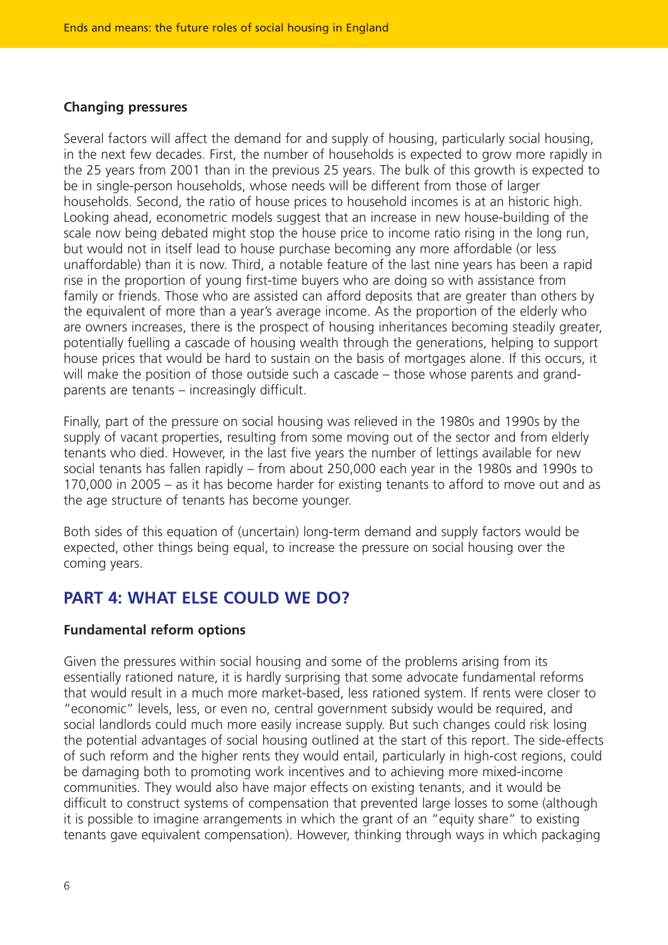#### **Changing pressures**

Several factors will affect the demand for and supply of housing, particularly social housing, in the next few decades. First, the number of households is expected to grow more rapidly in the 25 years from 2001 than in the previous 25 years. The bulk of this growth is expected to be in single-person households, whose needs will be different from those of larger households. Second, the ratio of house prices to household incomes is at an historic high. Looking ahead, econometric models suggest that an increase in new house-building of the scale now being debated might stop the house price to income ratio rising in the long run, but would not in itself lead to house purchase becoming any more affordable (or less unaffordable) than it is now. Third, a notable feature of the last nine years has been a rapid rise in the proportion of young first-time buyers who are doing so with assistance from family or friends. Those who are assisted can afford deposits that are greater than others by the equivalent of more than a year's average income. As the proportion of the elderly who are owners increases, there is the prospect of housing inheritances becoming steadily greater, potentially fuelling a cascade of housing wealth through the generations, helping to support house prices that would be hard to sustain on the basis of mortgages alone. If this occurs, it will make the position of those outside such a cascade – those whose parents and grandparents are tenants – increasingly difficult.

Finally, part of the pressure on social housing was relieved in the 1980s and 1990s by the supply of vacant properties, resulting from some moving out of the sector and from elderly tenants who died. However, in the last five years the number of lettings available for new social tenants has fallen rapidly – from about 250,000 each year in the 1980s and 1990s to 170,000 in 2005 – as it has become harder for existing tenants to afford to move out and as the age structure of tenants has become younger.

Both sides of this equation of (uncertain) long-term demand and supply factors would be expected, other things being equal, to increase the pressure on social housing over the coming years.

## **PART 4: WHAT ELSE COULD WE DO?**

#### **Fundamental reform options**

Given the pressures within social housing and some of the problems arising from its essentially rationed nature, it is hardly surprising that some advocate fundamental reforms that would result in a much more market-based, less rationed system. If rents were closer to "economic" levels, less, or even no, central government subsidy would be required, and social landlords could much more easily increase supply. But such changes could risk losing the potential advantages of social housing outlined at the start of this report. The side-effects of such reform and the higher rents they would entail, particularly in high-cost regions, could be damaging both to promoting work incentives and to achieving more mixed-income communities. They would also have major effects on existing tenants, and it would be difficult to construct systems of compensation that prevented large losses to some (although it is possible to imagine arrangements in which the grant of an "equity share" to existing tenants gave equivalent compensation). However, thinking through ways in which packaging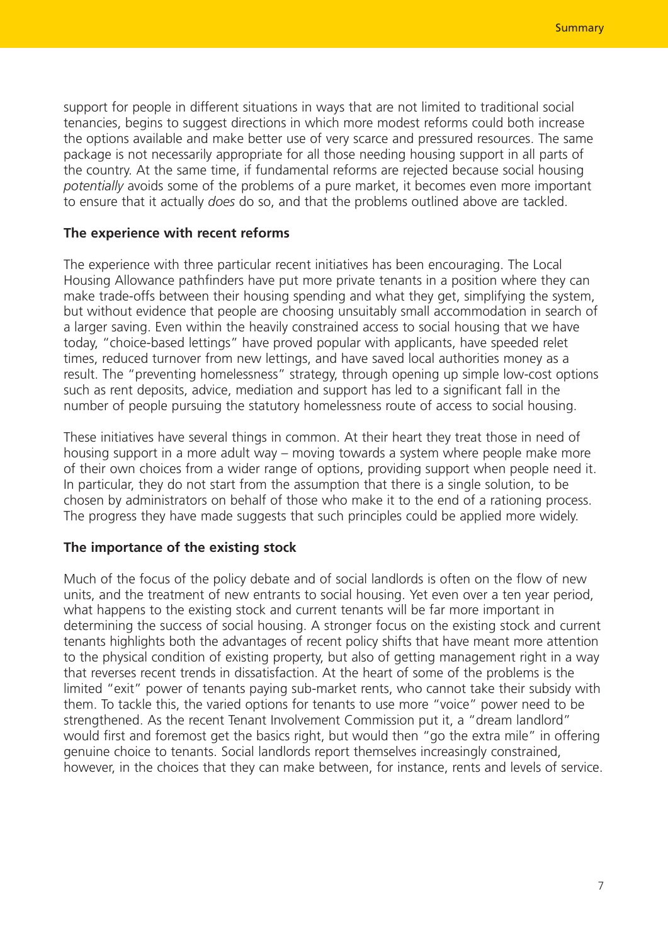support for people in different situations in ways that are not limited to traditional social tenancies, begins to suggest directions in which more modest reforms could both increase the options available and make better use of very scarce and pressured resources. The same package is not necessarily appropriate for all those needing housing support in all parts of the country. At the same time, if fundamental reforms are rejected because social housing *potentially* avoids some of the problems of a pure market, it becomes even more important to ensure that it actually *does* do so, and that the problems outlined above are tackled.

#### **The experience with recent reforms**

The experience with three particular recent initiatives has been encouraging. The Local Housing Allowance pathfinders have put more private tenants in a position where they can make trade-offs between their housing spending and what they get, simplifying the system, but without evidence that people are choosing unsuitably small accommodation in search of a larger saving. Even within the heavily constrained access to social housing that we have today, "choice-based lettings" have proved popular with applicants, have speeded relet times, reduced turnover from new lettings, and have saved local authorities money as a result. The "preventing homelessness" strategy, through opening up simple low-cost options such as rent deposits, advice, mediation and support has led to a significant fall in the number of people pursuing the statutory homelessness route of access to social housing.

These initiatives have several things in common. At their heart they treat those in need of housing support in a more adult way – moving towards a system where people make more of their own choices from a wider range of options, providing support when people need it. In particular, they do not start from the assumption that there is a single solution, to be chosen by administrators on behalf of those who make it to the end of a rationing process. The progress they have made suggests that such principles could be applied more widely.

#### **The importance of the existing stock**

Much of the focus of the policy debate and of social landlords is often on the flow of new units, and the treatment of new entrants to social housing. Yet even over a ten year period, what happens to the existing stock and current tenants will be far more important in determining the success of social housing. A stronger focus on the existing stock and current tenants highlights both the advantages of recent policy shifts that have meant more attention to the physical condition of existing property, but also of getting management right in a way that reverses recent trends in dissatisfaction. At the heart of some of the problems is the limited "exit" power of tenants paying sub-market rents, who cannot take their subsidy with them. To tackle this, the varied options for tenants to use more "voice" power need to be strengthened. As the recent Tenant Involvement Commission put it, a "dream landlord" would first and foremost get the basics right, but would then "go the extra mile" in offering genuine choice to tenants. Social landlords report themselves increasingly constrained, however, in the choices that they can make between, for instance, rents and levels of service.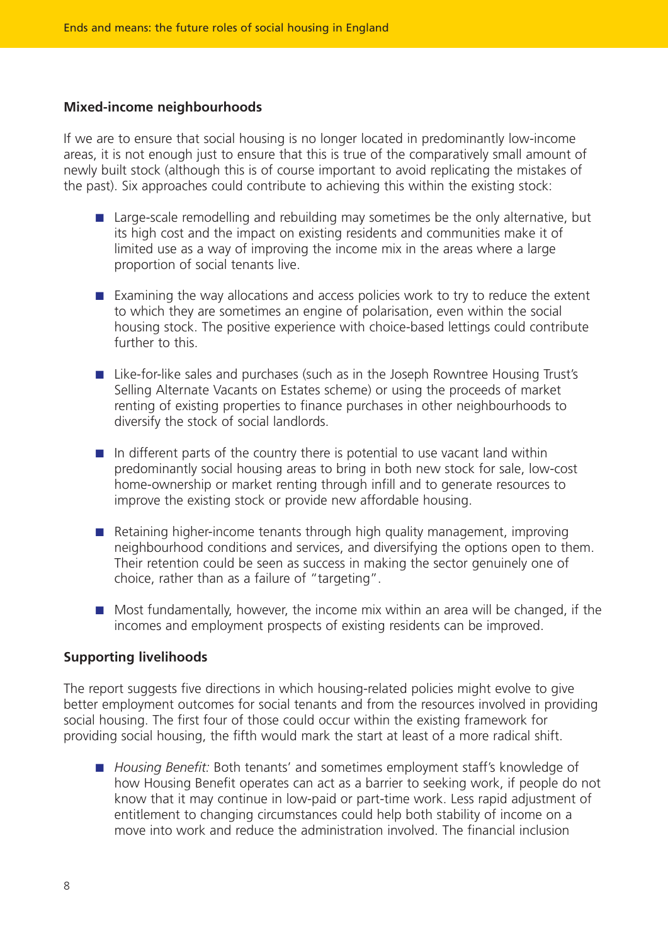#### **Mixed-income neighbourhoods**

If we are to ensure that social housing is no longer located in predominantly low-income areas, it is not enough just to ensure that this is true of the comparatively small amount of newly built stock (although this is of course important to avoid replicating the mistakes of the past). Six approaches could contribute to achieving this within the existing stock:

- Large-scale remodelling and rebuilding may sometimes be the only alternative, but its high cost and the impact on existing residents and communities make it of limited use as a way of improving the income mix in the areas where a large proportion of social tenants live.
- Examining the way allocations and access policies work to try to reduce the extent to which they are sometimes an engine of polarisation, even within the social housing stock. The positive experience with choice-based lettings could contribute further to this.
- Like-for-like sales and purchases (such as in the Joseph Rowntree Housing Trust's Selling Alternate Vacants on Estates scheme) or using the proceeds of market renting of existing properties to finance purchases in other neighbourhoods to diversify the stock of social landlords.
- In different parts of the country there is potential to use vacant land within predominantly social housing areas to bring in both new stock for sale, low-cost home-ownership or market renting through infill and to generate resources to improve the existing stock or provide new affordable housing.
- Retaining higher-income tenants through high quality management, improving neighbourhood conditions and services, and diversifying the options open to them. Their retention could be seen as success in making the sector genuinely one of choice, rather than as a failure of "targeting".
- Most fundamentally, however, the income mix within an area will be changed, if the incomes and employment prospects of existing residents can be improved.

#### **Supporting livelihoods**

The report suggests five directions in which housing-related policies might evolve to give better employment outcomes for social tenants and from the resources involved in providing social housing. The first four of those could occur within the existing framework for providing social housing, the fifth would mark the start at least of a more radical shift.

■ *Housing Benefit:* Both tenants' and sometimes employment staff's knowledge of how Housing Benefit operates can act as a barrier to seeking work, if people do not know that it may continue in low-paid or part-time work. Less rapid adjustment of entitlement to changing circumstances could help both stability of income on a move into work and reduce the administration involved. The financial inclusion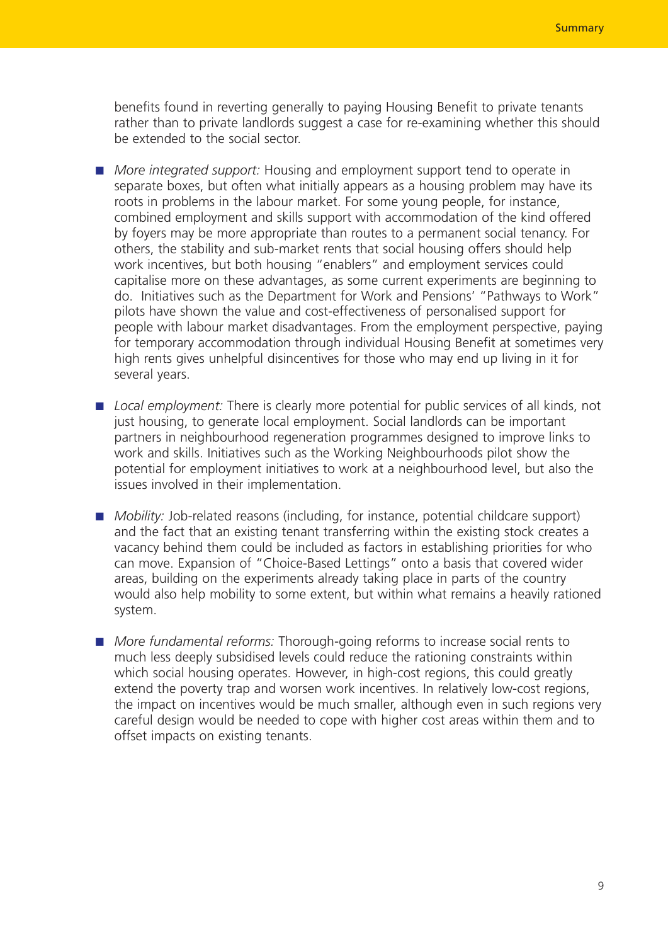benefits found in reverting generally to paying Housing Benefit to private tenants rather than to private landlords suggest a case for re-examining whether this should be extended to the social sector.

- *More integrated support:* Housing and employment support tend to operate in separate boxes, but often what initially appears as a housing problem may have its roots in problems in the labour market. For some young people, for instance, combined employment and skills support with accommodation of the kind offered by foyers may be more appropriate than routes to a permanent social tenancy. For others, the stability and sub-market rents that social housing offers should help work incentives, but both housing "enablers" and employment services could capitalise more on these advantages, as some current experiments are beginning to do. Initiatives such as the Department for Work and Pensions' "Pathways to Work" pilots have shown the value and cost-effectiveness of personalised support for people with labour market disadvantages. From the employment perspective, paying for temporary accommodation through individual Housing Benefit at sometimes very high rents gives unhelpful disincentives for those who may end up living in it for several years.
- *Local employment:* There is clearly more potential for public services of all kinds, not just housing, to generate local employment. Social landlords can be important partners in neighbourhood regeneration programmes designed to improve links to work and skills. Initiatives such as the Working Neighbourhoods pilot show the potential for employment initiatives to work at a neighbourhood level, but also the issues involved in their implementation.
- *Mobility:* Job-related reasons (including, for instance, potential childcare support) and the fact that an existing tenant transferring within the existing stock creates a vacancy behind them could be included as factors in establishing priorities for who can move. Expansion of "Choice-Based Lettings" onto a basis that covered wider areas, building on the experiments already taking place in parts of the country would also help mobility to some extent, but within what remains a heavily rationed system.
- *More fundamental reforms:* Thorough-going reforms to increase social rents to much less deeply subsidised levels could reduce the rationing constraints within which social housing operates. However, in high-cost regions, this could greatly extend the poverty trap and worsen work incentives. In relatively low-cost regions, the impact on incentives would be much smaller, although even in such regions very careful design would be needed to cope with higher cost areas within them and to offset impacts on existing tenants.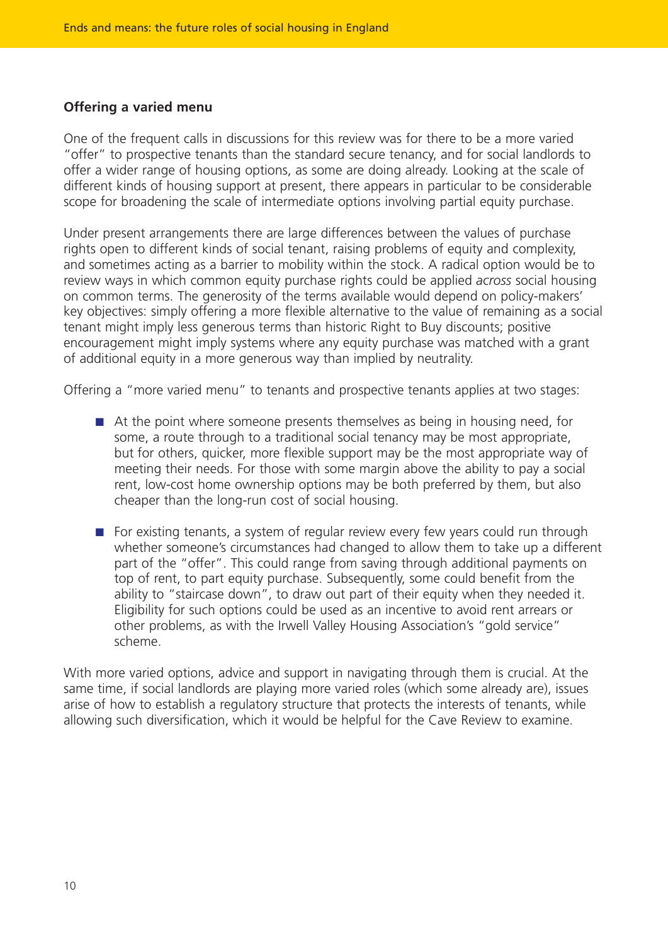#### **Offering a varied menu**

One of the frequent calls in discussions for this review was for there to be a more varied "offer" to prospective tenants than the standard secure tenancy, and for social landlords to offer a wider range of housing options, as some are doing already. Looking at the scale of different kinds of housing support at present, there appears in particular to be considerable scope for broadening the scale of intermediate options involving partial equity purchase.

Under present arrangements there are large differences between the values of purchase rights open to different kinds of social tenant, raising problems of equity and complexity, and sometimes acting as a barrier to mobility within the stock. A radical option would be to review ways in which common equity purchase rights could be applied *across* social housing on common terms. The generosity of the terms available would depend on policy-makers' key objectives: simply offering a more flexible alternative to the value of remaining as a social tenant might imply less generous terms than historic Right to Buy discounts; positive encouragement might imply systems where any equity purchase was matched with a grant of additional equity in a more generous way than implied by neutrality.

Offering a "more varied menu" to tenants and prospective tenants applies at two stages:

- At the point where someone presents themselves as being in housing need, for some, a route through to a traditional social tenancy may be most appropriate, but for others, quicker, more flexible support may be the most appropriate way of meeting their needs. For those with some margin above the ability to pay a social rent, low-cost home ownership options may be both preferred by them, but also cheaper than the long-run cost of social housing.
- For existing tenants, a system of regular review every few years could run through whether someone's circumstances had changed to allow them to take up a different part of the "offer". This could range from saving through additional payments on top of rent, to part equity purchase. Subsequently, some could benefit from the ability to "staircase down", to draw out part of their equity when they needed it. Eligibility for such options could be used as an incentive to avoid rent arrears or other problems, as with the Irwell Valley Housing Association's "gold service" scheme.

With more varied options, advice and support in navigating through them is crucial. At the same time, if social landlords are playing more varied roles (which some already are), issues arise of how to establish a regulatory structure that protects the interests of tenants, while allowing such diversification, which it would be helpful for the Cave Review to examine.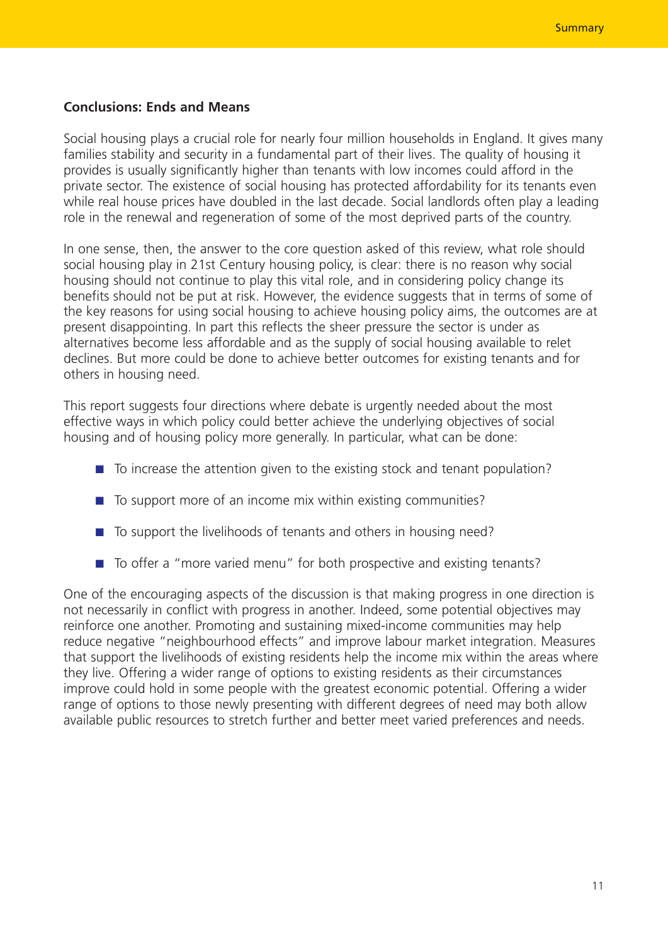#### **Conclusions: Ends and Means**

Social housing plays a crucial role for nearly four million households in England. It gives many families stability and security in a fundamental part of their lives. The quality of housing it provides is usually significantly higher than tenants with low incomes could afford in the private sector. The existence of social housing has protected affordability for its tenants even while real house prices have doubled in the last decade. Social landlords often play a leading role in the renewal and regeneration of some of the most deprived parts of the country.

In one sense, then, the answer to the core question asked of this review, what role should social housing play in 21st Century housing policy, is clear: there is no reason why social housing should not continue to play this vital role, and in considering policy change its benefits should not be put at risk. However, the evidence suggests that in terms of some of the key reasons for using social housing to achieve housing policy aims, the outcomes are at present disappointing. In part this reflects the sheer pressure the sector is under as alternatives become less affordable and as the supply of social housing available to relet declines. But more could be done to achieve better outcomes for existing tenants and for others in housing need.

This report suggests four directions where debate is urgently needed about the most effective ways in which policy could better achieve the underlying objectives of social housing and of housing policy more generally. In particular, what can be done:

- To increase the attention given to the existing stock and tenant population?
- $\blacksquare$  To support more of an income mix within existing communities?
- To support the livelihoods of tenants and others in housing need?
- To offer a "more varied menu" for both prospective and existing tenants?

One of the encouraging aspects of the discussion is that making progress in one direction is not necessarily in conflict with progress in another. Indeed, some potential objectives may reinforce one another. Promoting and sustaining mixed-income communities may help reduce negative "neighbourhood effects" and improve labour market integration. Measures that support the livelihoods of existing residents help the income mix within the areas where they live. Offering a wider range of options to existing residents as their circumstances improve could hold in some people with the greatest economic potential. Offering a wider range of options to those newly presenting with different degrees of need may both allow available public resources to stretch further and better meet varied preferences and needs.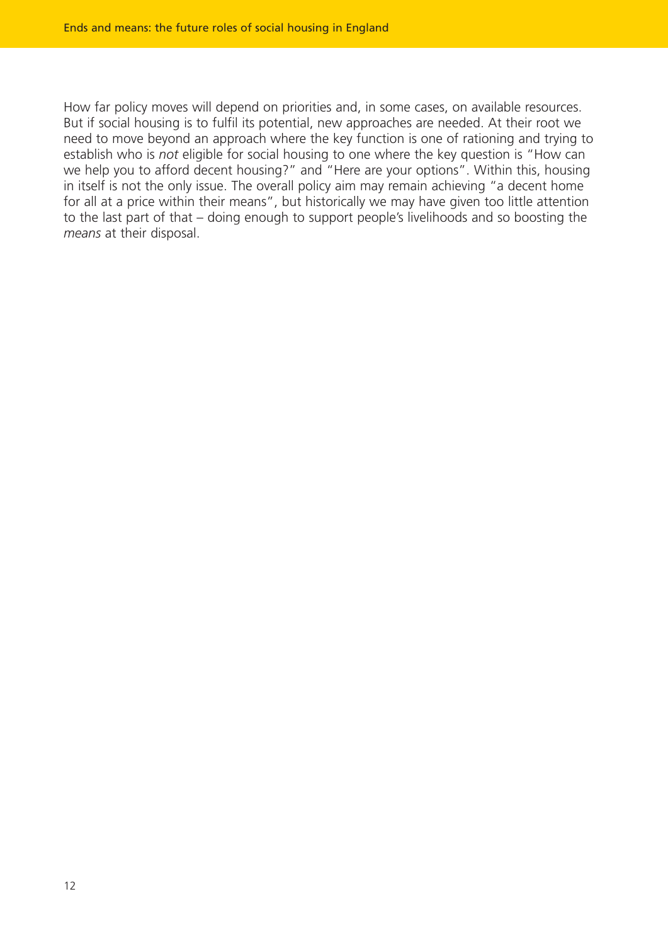How far policy moves will depend on priorities and, in some cases, on available resources. But if social housing is to fulfil its potential, new approaches are needed. At their root we need to move beyond an approach where the key function is one of rationing and trying to establish who is *not* eligible for social housing to one where the key question is "How can we help you to afford decent housing?" and "Here are your options". Within this, housing in itself is not the only issue. The overall policy aim may remain achieving "a decent home for all at a price within their means", but historically we may have given too little attention to the last part of that – doing enough to support people's livelihoods and so boosting the *means* at their disposal.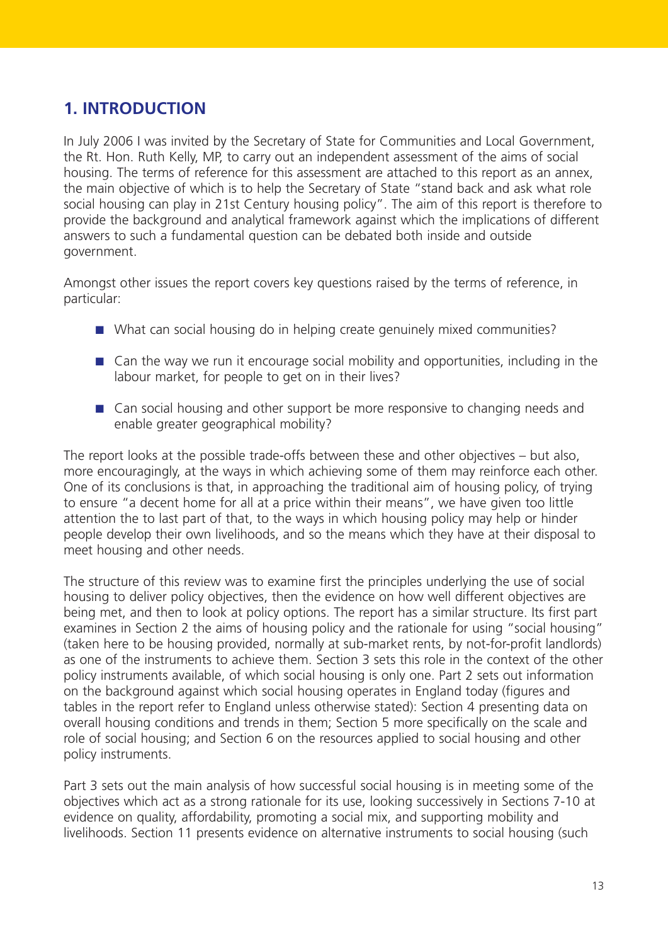## **1. INTRODUCTION**

In July 2006 I was invited by the Secretary of State for Communities and Local Government, the Rt. Hon. Ruth Kelly, MP, to carry out an independent assessment of the aims of social housing. The terms of reference for this assessment are attached to this report as an annex, the main objective of which is to help the Secretary of State "stand back and ask what role social housing can play in 21st Century housing policy". The aim of this report is therefore to provide the background and analytical framework against which the implications of different answers to such a fundamental question can be debated both inside and outside government.

Amongst other issues the report covers key questions raised by the terms of reference, in particular:

- What can social housing do in helping create genuinely mixed communities?
- Can the way we run it encourage social mobility and opportunities, including in the labour market, for people to get on in their lives?
- Can social housing and other support be more responsive to changing needs and enable greater geographical mobility?

The report looks at the possible trade-offs between these and other objectives – but also, more encouragingly, at the ways in which achieving some of them may reinforce each other. One of its conclusions is that, in approaching the traditional aim of housing policy, of trying to ensure "a decent home for all at a price within their means", we have given too little attention the to last part of that, to the ways in which housing policy may help or hinder people develop their own livelihoods, and so the means which they have at their disposal to meet housing and other needs.

The structure of this review was to examine first the principles underlying the use of social housing to deliver policy objectives, then the evidence on how well different objectives are being met, and then to look at policy options. The report has a similar structure. Its first part examines in Section 2 the aims of housing policy and the rationale for using "social housing" (taken here to be housing provided, normally at sub-market rents, by not-for-profit landlords) as one of the instruments to achieve them. Section 3 sets this role in the context of the other policy instruments available, of which social housing is only one. Part 2 sets out information on the background against which social housing operates in England today (figures and tables in the report refer to England unless otherwise stated): Section 4 presenting data on overall housing conditions and trends in them; Section 5 more specifically on the scale and role of social housing; and Section 6 on the resources applied to social housing and other policy instruments.

Part 3 sets out the main analysis of how successful social housing is in meeting some of the objectives which act as a strong rationale for its use, looking successively in Sections 7-10 at evidence on quality, affordability, promoting a social mix, and supporting mobility and livelihoods. Section 11 presents evidence on alternative instruments to social housing (such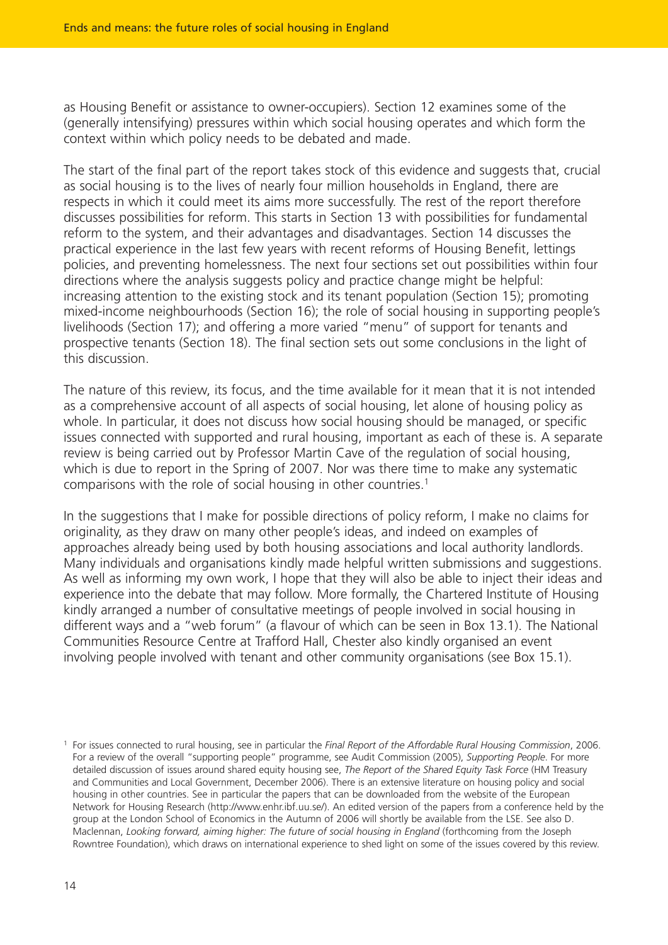as Housing Benefit or assistance to owner-occupiers). Section 12 examines some of the (generally intensifying) pressures within which social housing operates and which form the context within which policy needs to be debated and made.

The start of the final part of the report takes stock of this evidence and suggests that, crucial as social housing is to the lives of nearly four million households in England, there are respects in which it could meet its aims more successfully. The rest of the report therefore discusses possibilities for reform. This starts in Section 13 with possibilities for fundamental reform to the system, and their advantages and disadvantages. Section 14 discusses the practical experience in the last few years with recent reforms of Housing Benefit, lettings policies, and preventing homelessness. The next four sections set out possibilities within four directions where the analysis suggests policy and practice change might be helpful: increasing attention to the existing stock and its tenant population (Section 15); promoting mixed-income neighbourhoods (Section 16); the role of social housing in supporting people's livelihoods (Section 17); and offering a more varied "menu" of support for tenants and prospective tenants (Section 18). The final section sets out some conclusions in the light of this discussion.

The nature of this review, its focus, and the time available for it mean that it is not intended as a comprehensive account of all aspects of social housing, let alone of housing policy as whole. In particular, it does not discuss how social housing should be managed, or specific issues connected with supported and rural housing, important as each of these is. A separate review is being carried out by Professor Martin Cave of the regulation of social housing, which is due to report in the Spring of 2007. Nor was there time to make any systematic comparisons with the role of social housing in other countries.1

In the suggestions that I make for possible directions of policy reform, I make no claims for originality, as they draw on many other people's ideas, and indeed on examples of approaches already being used by both housing associations and local authority landlords. Many individuals and organisations kindly made helpful written submissions and suggestions. As well as informing my own work, I hope that they will also be able to inject their ideas and experience into the debate that may follow. More formally, the Chartered Institute of Housing kindly arranged a number of consultative meetings of people involved in social housing in different ways and a "web forum" (a flavour of which can be seen in Box 13.1). The National Communities Resource Centre at Trafford Hall, Chester also kindly organised an event involving people involved with tenant and other community organisations (see Box 15.1).

<sup>1</sup> For issues connected to rural housing, see in particular the *Final Report of the Affordable Rural Housing Commission*, 2006. For a review of the overall "supporting people" programme, see Audit Commission (2005), *Supporting People*. For more detailed discussion of issues around shared equity housing see, *The Report of the Shared Equity Task Force* (HM Treasury and Communities and Local Government, December 2006). There is an extensive literature on housing policy and social housing in other countries. See in particular the papers that can be downloaded from the website of the European Network for Housing Research (http://www.enhr.ibf.uu.se/). An edited version of the papers from a conference held by the group at the London School of Economics in the Autumn of 2006 will shortly be available from the LSE. See also D. Maclennan, *Looking forward, aiming higher: The future of social housing in England* (forthcoming from the Joseph Rowntree Foundation), which draws on international experience to shed light on some of the issues covered by this review.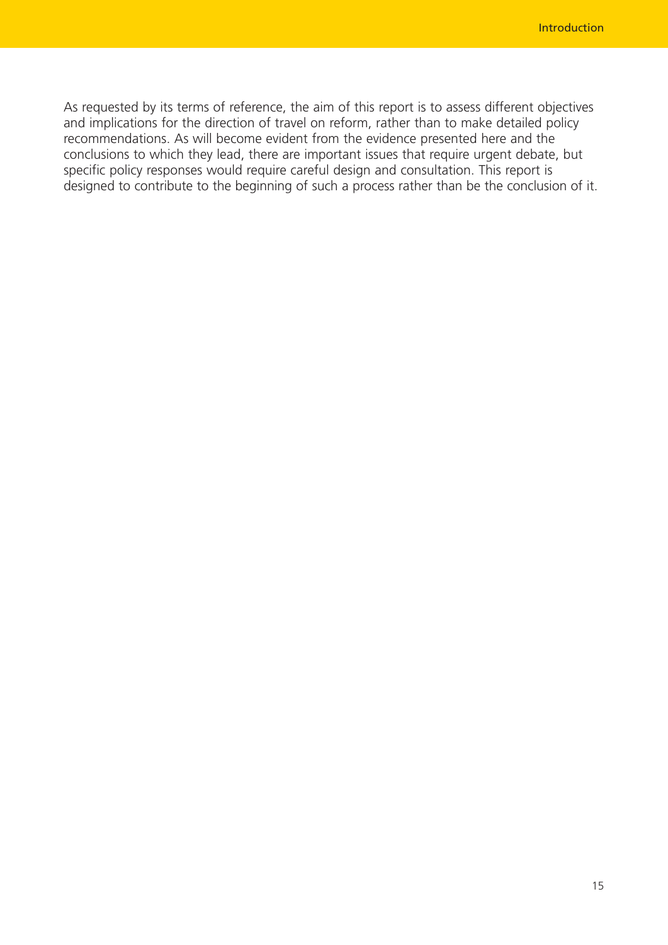As requested by its terms of reference, the aim of this report is to assess different objectives and implications for the direction of travel on reform, rather than to make detailed policy recommendations. As will become evident from the evidence presented here and the conclusions to which they lead, there are important issues that require urgent debate, but specific policy responses would require careful design and consultation. This report is designed to contribute to the beginning of such a process rather than be the conclusion of it.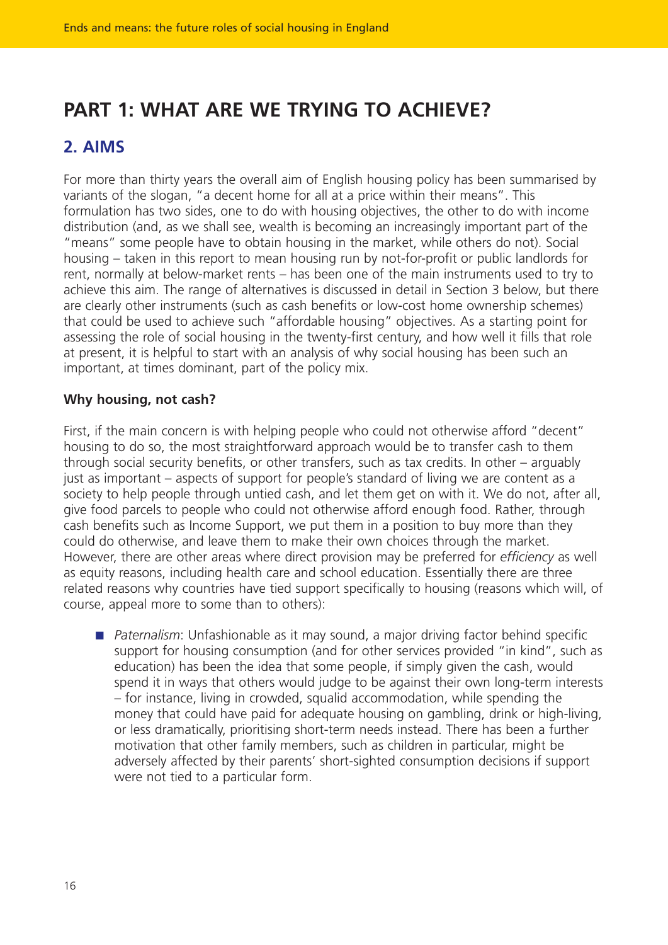# **PART 1: WHAT ARE WE TRYING TO ACHIEVE?**

## **2. AIMS**

For more than thirty years the overall aim of English housing policy has been summarised by variants of the slogan, "a decent home for all at a price within their means". This formulation has two sides, one to do with housing objectives, the other to do with income distribution (and, as we shall see, wealth is becoming an increasingly important part of the "means" some people have to obtain housing in the market, while others do not). Social housing – taken in this report to mean housing run by not-for-profit or public landlords for rent, normally at below-market rents – has been one of the main instruments used to try to achieve this aim. The range of alternatives is discussed in detail in Section 3 below, but there are clearly other instruments (such as cash benefits or low-cost home ownership schemes) that could be used to achieve such "affordable housing" objectives. As a starting point for assessing the role of social housing in the twenty-first century, and how well it fills that role at present, it is helpful to start with an analysis of why social housing has been such an important, at times dominant, part of the policy mix.

#### **Why housing, not cash?**

First, if the main concern is with helping people who could not otherwise afford "decent" housing to do so, the most straightforward approach would be to transfer cash to them through social security benefits, or other transfers, such as tax credits. In other – arguably just as important – aspects of support for people's standard of living we are content as a society to help people through untied cash, and let them get on with it. We do not, after all, give food parcels to people who could not otherwise afford enough food. Rather, through cash benefits such as Income Support, we put them in a position to buy more than they could do otherwise, and leave them to make their own choices through the market. However, there are other areas where direct provision may be preferred for *efficiency* as well as equity reasons, including health care and school education. Essentially there are three related reasons why countries have tied support specifically to housing (reasons which will, of course, appeal more to some than to others):

■ *Paternalism*: Unfashionable as it may sound, a major driving factor behind specific support for housing consumption (and for other services provided "in kind", such as education) has been the idea that some people, if simply given the cash, would spend it in ways that others would judge to be against their own long-term interests – for instance, living in crowded, squalid accommodation, while spending the money that could have paid for adequate housing on gambling, drink or high-living, or less dramatically, prioritising short-term needs instead. There has been a further motivation that other family members, such as children in particular, might be adversely affected by their parents' short-sighted consumption decisions if support were not tied to a particular form.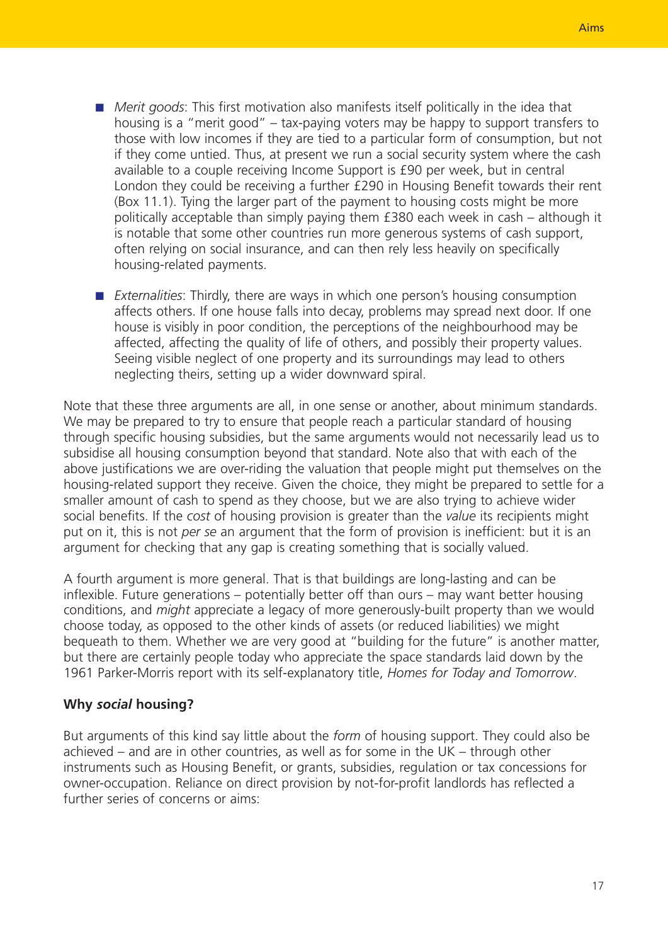- *Merit goods*: This first motivation also manifests itself politically in the idea that housing is a "merit good" – tax-paying voters may be happy to support transfers to those with low incomes if they are tied to a particular form of consumption, but not if they come untied. Thus, at present we run a social security system where the cash available to a couple receiving Income Support is £90 per week, but in central London they could be receiving a further £290 in Housing Benefit towards their rent (Box 11.1). Tying the larger part of the payment to housing costs might be more politically acceptable than simply paying them £380 each week in cash – although it is notable that some other countries run more generous systems of cash support, often relying on social insurance, and can then rely less heavily on specifically housing-related payments.
- *Externalities*: Thirdly, there are ways in which one person's housing consumption affects others. If one house falls into decay, problems may spread next door. If one house is visibly in poor condition, the perceptions of the neighbourhood may be affected, affecting the quality of life of others, and possibly their property values. Seeing visible neglect of one property and its surroundings may lead to others neglecting theirs, setting up a wider downward spiral.

Note that these three arguments are all, in one sense or another, about minimum standards. We may be prepared to try to ensure that people reach a particular standard of housing through specific housing subsidies, but the same arguments would not necessarily lead us to subsidise all housing consumption beyond that standard. Note also that with each of the above justifications we are over-riding the valuation that people might put themselves on the housing-related support they receive. Given the choice, they might be prepared to settle for a smaller amount of cash to spend as they choose, but we are also trying to achieve wider social benefits. If the *cost* of housing provision is greater than the *value* its recipients might put on it, this is not *per se* an argument that the form of provision is inefficient: but it is an argument for checking that any gap is creating something that is socially valued.

A fourth argument is more general. That is that buildings are long-lasting and can be inflexible. Future generations – potentially better off than ours – may want better housing conditions, and *might* appreciate a legacy of more generously-built property than we would choose today, as opposed to the other kinds of assets (or reduced liabilities) we might bequeath to them. Whether we are very good at "building for the future" is another matter, but there are certainly people today who appreciate the space standards laid down by the 1961 Parker-Morris report with its self-explanatory title, *Homes for Today and Tomorrow*.

#### **Why** *social* **housing?**

But arguments of this kind say little about the *form* of housing support. They could also be achieved – and are in other countries, as well as for some in the UK – through other instruments such as Housing Benefit, or grants, subsidies, regulation or tax concessions for owner-occupation. Reliance on direct provision by not-for-profit landlords has reflected a further series of concerns or aims: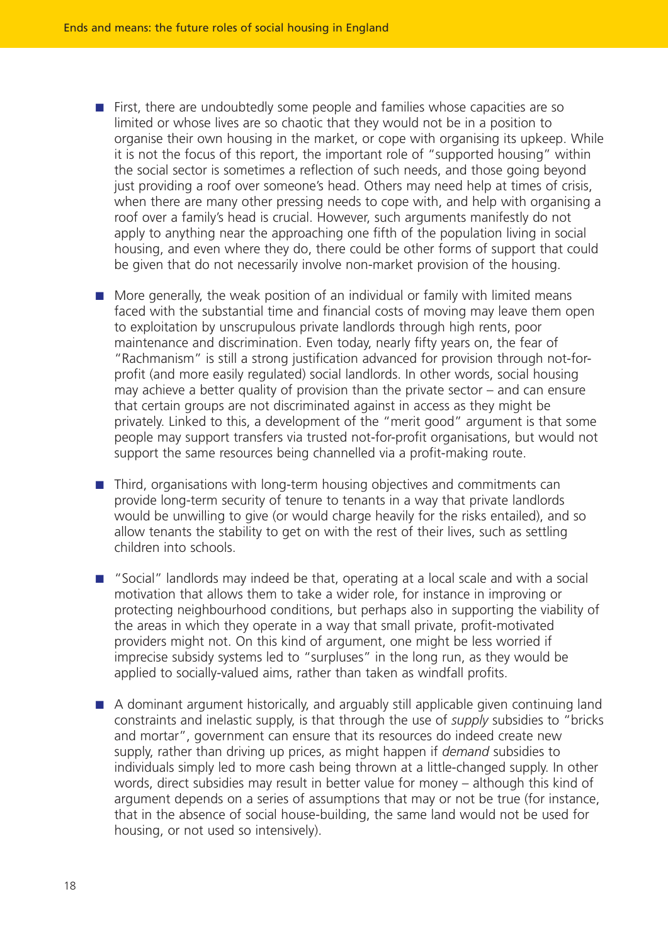- First, there are undoubtedly some people and families whose capacities are so limited or whose lives are so chaotic that they would not be in a position to organise their own housing in the market, or cope with organising its upkeep. While it is not the focus of this report, the important role of "supported housing" within the social sector is sometimes a reflection of such needs, and those going beyond just providing a roof over someone's head. Others may need help at times of crisis, when there are many other pressing needs to cope with, and help with organising a roof over a family's head is crucial. However, such arguments manifestly do not apply to anything near the approaching one fifth of the population living in social housing, and even where they do, there could be other forms of support that could be given that do not necessarily involve non-market provision of the housing.
- More generally, the weak position of an individual or family with limited means faced with the substantial time and financial costs of moving may leave them open to exploitation by unscrupulous private landlords through high rents, poor maintenance and discrimination. Even today, nearly fifty years on, the fear of "Rachmanism" is still a strong justification advanced for provision through not-forprofit (and more easily regulated) social landlords. In other words, social housing may achieve a better quality of provision than the private sector – and can ensure that certain groups are not discriminated against in access as they might be privately. Linked to this, a development of the "merit good" argument is that some people may support transfers via trusted not-for-profit organisations, but would not support the same resources being channelled via a profit-making route.
- Third, organisations with long-term housing objectives and commitments can provide long-term security of tenure to tenants in a way that private landlords would be unwilling to give (or would charge heavily for the risks entailed), and so allow tenants the stability to get on with the rest of their lives, such as settling children into schools.
- "Social" landlords may indeed be that, operating at a local scale and with a social motivation that allows them to take a wider role, for instance in improving or protecting neighbourhood conditions, but perhaps also in supporting the viability of the areas in which they operate in a way that small private, profit-motivated providers might not. On this kind of argument, one might be less worried if imprecise subsidy systems led to "surpluses" in the long run, as they would be applied to socially-valued aims, rather than taken as windfall profits.
- A dominant argument historically, and arguably still applicable given continuing land constraints and inelastic supply, is that through the use of *supply* subsidies to "bricks and mortar", government can ensure that its resources do indeed create new supply, rather than driving up prices, as might happen if *demand* subsidies to individuals simply led to more cash being thrown at a little-changed supply. In other words, direct subsidies may result in better value for money – although this kind of argument depends on a series of assumptions that may or not be true (for instance, that in the absence of social house-building, the same land would not be used for housing, or not used so intensively).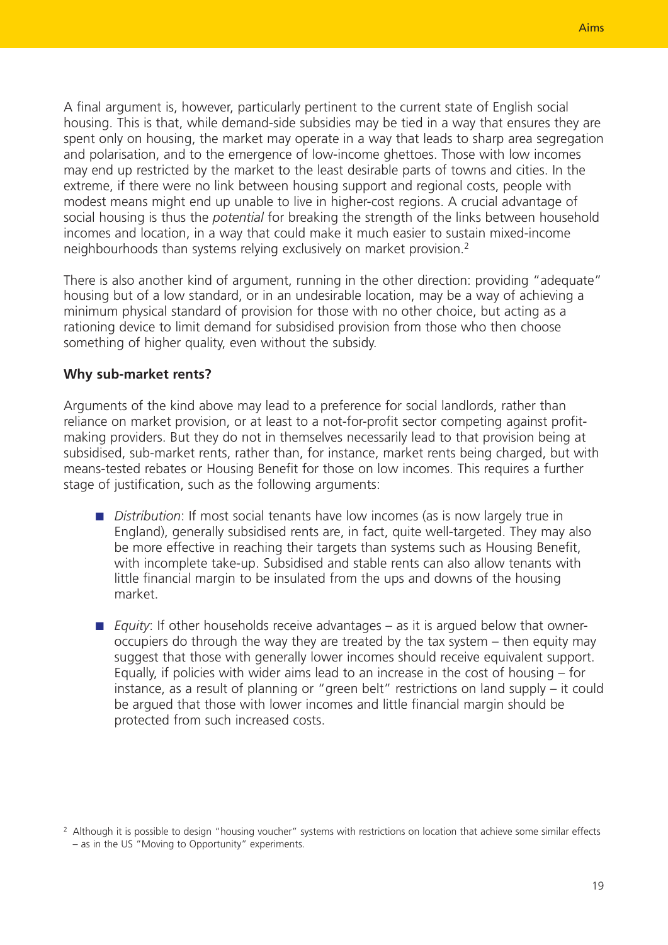A final argument is, however, particularly pertinent to the current state of English social housing. This is that, while demand-side subsidies may be tied in a way that ensures they are spent only on housing, the market may operate in a way that leads to sharp area segregation and polarisation, and to the emergence of low-income ghettoes. Those with low incomes may end up restricted by the market to the least desirable parts of towns and cities. In the extreme, if there were no link between housing support and regional costs, people with modest means might end up unable to live in higher-cost regions. A crucial advantage of social housing is thus the *potential* for breaking the strength of the links between household incomes and location, in a way that could make it much easier to sustain mixed-income neighbourhoods than systems relying exclusively on market provision.2

There is also another kind of argument, running in the other direction: providing "adequate" housing but of a low standard, or in an undesirable location, may be a way of achieving a minimum physical standard of provision for those with no other choice, but acting as a rationing device to limit demand for subsidised provision from those who then choose something of higher quality, even without the subsidy.

#### **Why sub-market rents?**

Arguments of the kind above may lead to a preference for social landlords, rather than reliance on market provision, or at least to a not-for-profit sector competing against profitmaking providers. But they do not in themselves necessarily lead to that provision being at subsidised, sub-market rents, rather than, for instance, market rents being charged, but with means-tested rebates or Housing Benefit for those on low incomes. This requires a further stage of justification, such as the following arguments:

- *Distribution*: If most social tenants have low incomes (as is now largely true in England), generally subsidised rents are, in fact, quite well-targeted. They may also be more effective in reaching their targets than systems such as Housing Benefit, with incomplete take-up. Subsidised and stable rents can also allow tenants with little financial margin to be insulated from the ups and downs of the housing market.
- *Equity*: If other households receive advantages as it is argued below that owneroccupiers do through the way they are treated by the tax system – then equity may suggest that those with generally lower incomes should receive equivalent support. Equally, if policies with wider aims lead to an increase in the cost of housing – for instance, as a result of planning or "green belt" restrictions on land supply – it could be argued that those with lower incomes and little financial margin should be protected from such increased costs.

<sup>&</sup>lt;sup>2</sup> Although it is possible to design "housing voucher" systems with restrictions on location that achieve some similar effects – as in the US "Moving to Opportunity" experiments.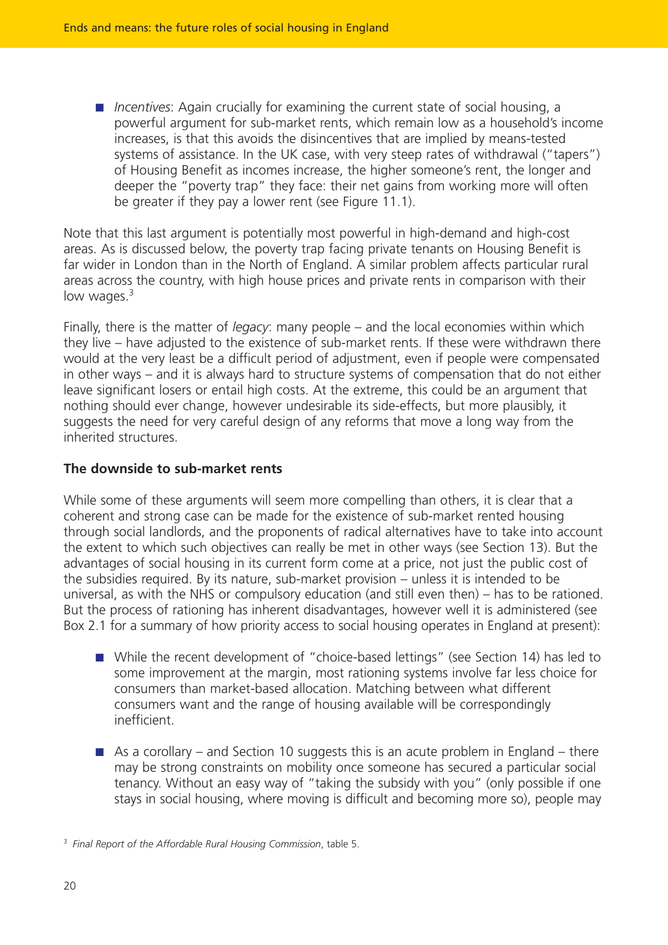■ *Incentives*: Again crucially for examining the current state of social housing, a powerful argument for sub-market rents, which remain low as a household's income increases, is that this avoids the disincentives that are implied by means-tested systems of assistance. In the UK case, with very steep rates of withdrawal ("tapers") of Housing Benefit as incomes increase, the higher someone's rent, the longer and deeper the "poverty trap" they face: their net gains from working more will often be greater if they pay a lower rent (see Figure 11.1).

Note that this last argument is potentially most powerful in high-demand and high-cost areas. As is discussed below, the poverty trap facing private tenants on Housing Benefit is far wider in London than in the North of England. A similar problem affects particular rural areas across the country, with high house prices and private rents in comparison with their low wages.<sup>3</sup>

Finally, there is the matter of *legacy*: many people – and the local economies within which they live – have adjusted to the existence of sub-market rents. If these were withdrawn there would at the very least be a difficult period of adjustment, even if people were compensated in other ways – and it is always hard to structure systems of compensation that do not either leave significant losers or entail high costs. At the extreme, this could be an argument that nothing should ever change, however undesirable its side-effects, but more plausibly, it suggests the need for very careful design of any reforms that move a long way from the inherited structures.

#### **The downside to sub-market rents**

While some of these arguments will seem more compelling than others, it is clear that a coherent and strong case can be made for the existence of sub-market rented housing through social landlords, and the proponents of radical alternatives have to take into account the extent to which such objectives can really be met in other ways (see Section 13). But the advantages of social housing in its current form come at a price, not just the public cost of the subsidies required. By its nature, sub-market provision – unless it is intended to be universal, as with the NHS or compulsory education (and still even then) – has to be rationed. But the process of rationing has inherent disadvantages, however well it is administered (see Box 2.1 for a summary of how priority access to social housing operates in England at present):

- While the recent development of "choice-based lettings" (see Section 14) has led to some improvement at the margin, most rationing systems involve far less choice for consumers than market-based allocation. Matching between what different consumers want and the range of housing available will be correspondingly inefficient.
- $\blacksquare$  As a corollary and Section 10 suggests this is an acute problem in England there may be strong constraints on mobility once someone has secured a particular social tenancy. Without an easy way of "taking the subsidy with you" (only possible if one stays in social housing, where moving is difficult and becoming more so), people may

<sup>3</sup> *Final Report of the Affordable Rural Housing Commission*, table 5.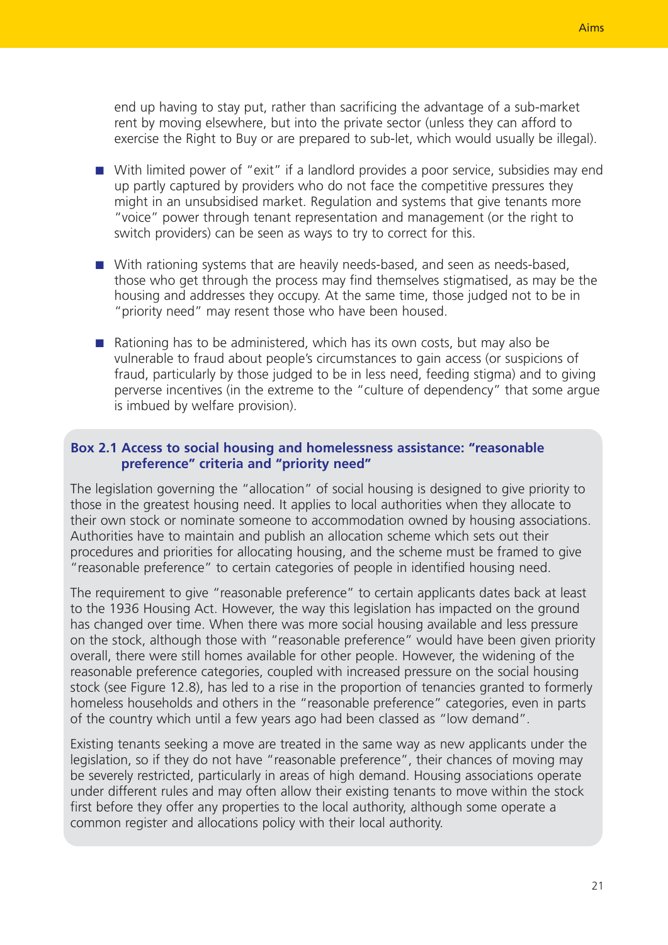end up having to stay put, rather than sacrificing the advantage of a sub-market rent by moving elsewhere, but into the private sector (unless they can afford to exercise the Right to Buy or are prepared to sub-let, which would usually be illegal).

- With limited power of "exit" if a landlord provides a poor service, subsidies may end up partly captured by providers who do not face the competitive pressures they might in an unsubsidised market. Regulation and systems that give tenants more "voice" power through tenant representation and management (or the right to switch providers) can be seen as ways to try to correct for this.
- With rationing systems that are heavily needs-based, and seen as needs-based, those who get through the process may find themselves stigmatised, as may be the housing and addresses they occupy. At the same time, those judged not to be in "priority need" may resent those who have been housed.
- Rationing has to be administered, which has its own costs, but may also be vulnerable to fraud about people's circumstances to gain access (or suspicions of fraud, particularly by those judged to be in less need, feeding stigma) and to giving perverse incentives (in the extreme to the "culture of dependency" that some argue is imbued by welfare provision).

#### **Box 2.1 Access to social housing and homelessness assistance: "reasonable preference" criteria and "priority need"**

The legislation governing the "allocation" of social housing is designed to give priority to those in the greatest housing need. It applies to local authorities when they allocate to their own stock or nominate someone to accommodation owned by housing associations. Authorities have to maintain and publish an allocation scheme which sets out their procedures and priorities for allocating housing, and the scheme must be framed to give "reasonable preference" to certain categories of people in identified housing need.

The requirement to give "reasonable preference" to certain applicants dates back at least to the 1936 Housing Act. However, the way this legislation has impacted on the ground has changed over time. When there was more social housing available and less pressure on the stock, although those with "reasonable preference" would have been given priority overall, there were still homes available for other people. However, the widening of the reasonable preference categories, coupled with increased pressure on the social housing stock (see Figure 12.8), has led to a rise in the proportion of tenancies granted to formerly homeless households and others in the "reasonable preference" categories, even in parts of the country which until a few years ago had been classed as "low demand".

Existing tenants seeking a move are treated in the same way as new applicants under the legislation, so if they do not have "reasonable preference", their chances of moving may be severely restricted, particularly in areas of high demand. Housing associations operate under different rules and may often allow their existing tenants to move within the stock first before they offer any properties to the local authority, although some operate a common register and allocations policy with their local authority.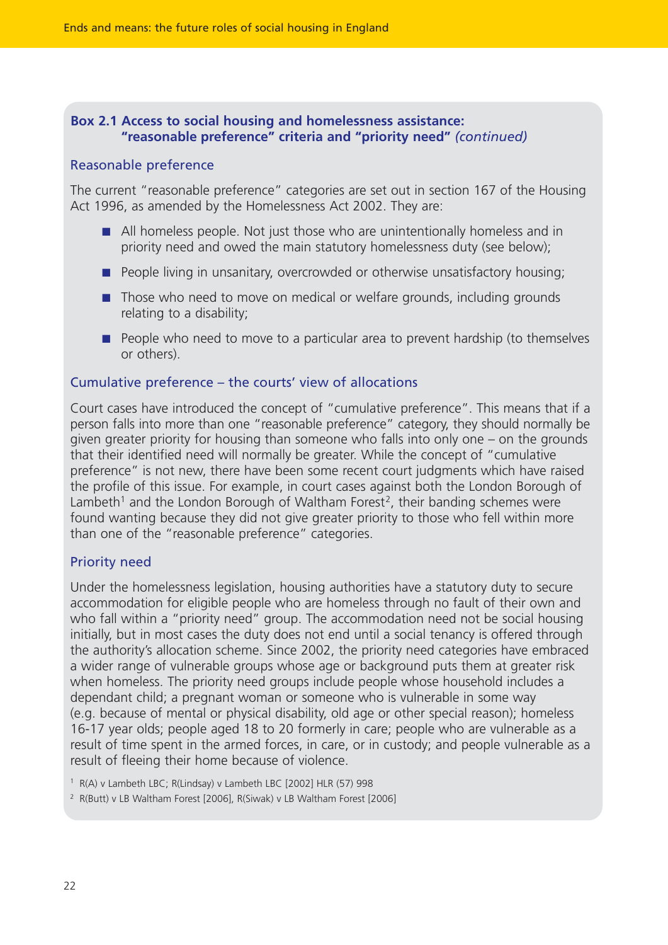## **Box 2.1 Access to social housing and homelessness assistance: "reasonable preference" criteria and "priority need"** *(continued)*

#### Reasonable preference

The current "reasonable preference" categories are set out in section 167 of the Housing Act 1996, as amended by the Homelessness Act 2002. They are:

- All homeless people. Not just those who are unintentionally homeless and in priority need and owed the main statutory homelessness duty (see below);
- People living in unsanitary, overcrowded or otherwise unsatisfactory housing;
- Those who need to move on medical or welfare grounds, including grounds relating to a disability;
- People who need to move to a particular area to prevent hardship (to themselves or others).

#### Cumulative preference – the courts' view of allocations

Court cases have introduced the concept of "cumulative preference". This means that if a person falls into more than one "reasonable preference" category, they should normally be given greater priority for housing than someone who falls into only one – on the grounds that their identified need will normally be greater. While the concept of "cumulative preference" is not new, there have been some recent court judgments which have raised the profile of this issue. For example, in court cases against both the London Borough of Lambeth<sup>1</sup> and the London Borough of Waltham Forest<sup>2</sup>, their banding schemes were found wanting because they did not give greater priority to those who fell within more than one of the "reasonable preference" categories.

#### Priority need

Under the homelessness legislation, housing authorities have a statutory duty to secure accommodation for eligible people who are homeless through no fault of their own and who fall within a "priority need" group. The accommodation need not be social housing initially, but in most cases the duty does not end until a social tenancy is offered through the authority's allocation scheme. Since 2002, the priority need categories have embraced a wider range of vulnerable groups whose age or background puts them at greater risk when homeless. The priority need groups include people whose household includes a dependant child; a pregnant woman or someone who is vulnerable in some way (e.g. because of mental or physical disability, old age or other special reason); homeless 16-17 year olds; people aged 18 to 20 formerly in care; people who are vulnerable as a result of time spent in the armed forces, in care, or in custody; and people vulnerable as a result of fleeing their home because of violence.

<sup>1</sup> R(A) v Lambeth LBC; R(Lindsay) v Lambeth LBC [2002] HLR (57) 998

<sup>2</sup> R(Butt) v LB Waltham Forest [2006], R(Siwak) v LB Waltham Forest [2006]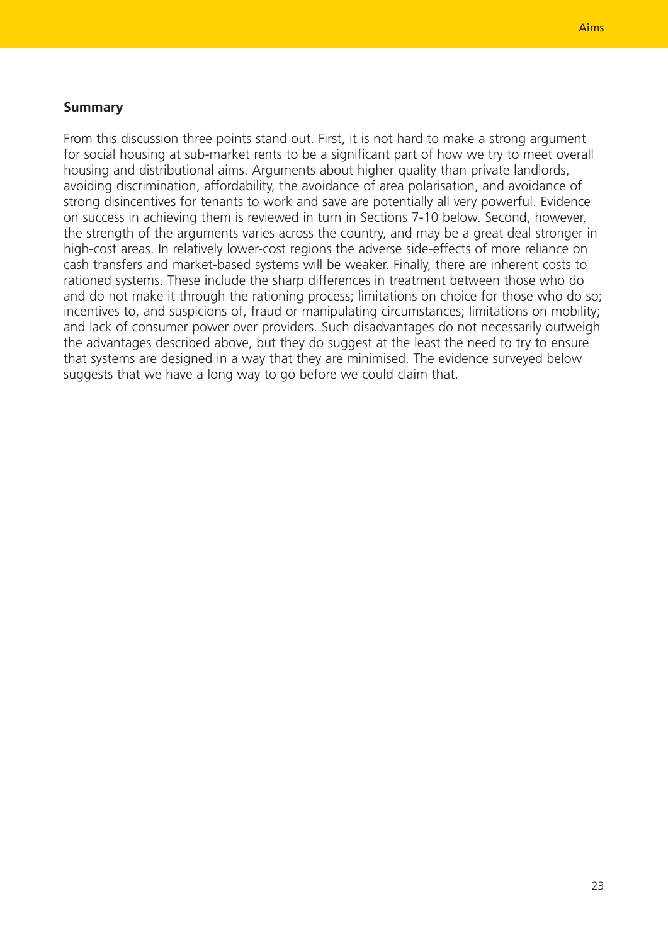#### **Summary**

From this discussion three points stand out. First, it is not hard to make a strong argument for social housing at sub-market rents to be a significant part of how we try to meet overall housing and distributional aims. Arguments about higher quality than private landlords, avoiding discrimination, affordability, the avoidance of area polarisation, and avoidance of strong disincentives for tenants to work and save are potentially all very powerful. Evidence on success in achieving them is reviewed in turn in Sections 7-10 below. Second, however, the strength of the arguments varies across the country, and may be a great deal stronger in high-cost areas. In relatively lower-cost regions the adverse side-effects of more reliance on cash transfers and market-based systems will be weaker. Finally, there are inherent costs to rationed systems. These include the sharp differences in treatment between those who do and do not make it through the rationing process; limitations on choice for those who do so; incentives to, and suspicions of, fraud or manipulating circumstances; limitations on mobility; and lack of consumer power over providers. Such disadvantages do not necessarily outweigh the advantages described above, but they do suggest at the least the need to try to ensure that systems are designed in a way that they are minimised. The evidence surveyed below suggests that we have a long way to go before we could claim that.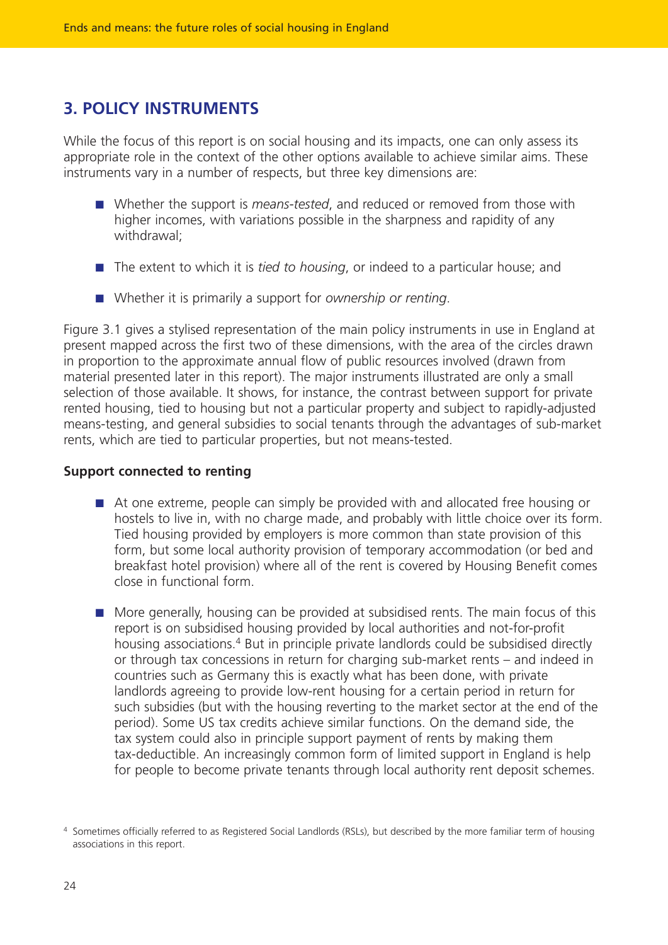# **3. POLICY INSTRUMENTS**

While the focus of this report is on social housing and its impacts, one can only assess its appropriate role in the context of the other options available to achieve similar aims. These instruments vary in a number of respects, but three key dimensions are:

- Whether the support is *means-tested*, and reduced or removed from those with higher incomes, with variations possible in the sharpness and rapidity of any withdrawal;
- The extent to which it is *tied to housing*, or indeed to a particular house; and
- Whether it is primarily a support for *ownership or renting*.

Figure 3.1 gives a stylised representation of the main policy instruments in use in England at present mapped across the first two of these dimensions, with the area of the circles drawn in proportion to the approximate annual flow of public resources involved (drawn from material presented later in this report). The major instruments illustrated are only a small selection of those available. It shows, for instance, the contrast between support for private rented housing, tied to housing but not a particular property and subject to rapidly-adjusted means-testing, and general subsidies to social tenants through the advantages of sub-market rents, which are tied to particular properties, but not means-tested.

#### **Support connected to renting**

- At one extreme, people can simply be provided with and allocated free housing or hostels to live in, with no charge made, and probably with little choice over its form. Tied housing provided by employers is more common than state provision of this form, but some local authority provision of temporary accommodation (or bed and breakfast hotel provision) where all of the rent is covered by Housing Benefit comes close in functional form.
- More generally, housing can be provided at subsidised rents. The main focus of this report is on subsidised housing provided by local authorities and not-for-profit housing associations.<sup>4</sup> But in principle private landlords could be subsidised directly or through tax concessions in return for charging sub-market rents – and indeed in countries such as Germany this is exactly what has been done, with private landlords agreeing to provide low-rent housing for a certain period in return for such subsidies (but with the housing reverting to the market sector at the end of the period). Some US tax credits achieve similar functions. On the demand side, the tax system could also in principle support payment of rents by making them tax-deductible. An increasingly common form of limited support in England is help for people to become private tenants through local authority rent deposit schemes.

<sup>4</sup> Sometimes officially referred to as Registered Social Landlords (RSLs), but described by the more familiar term of housing associations in this report.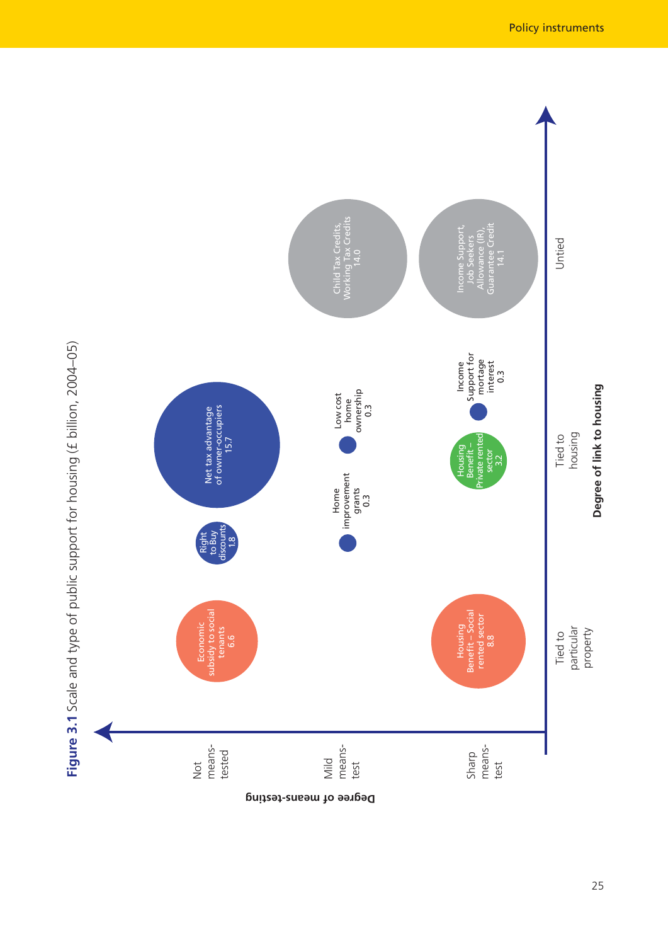

**Degree of means-testing**

25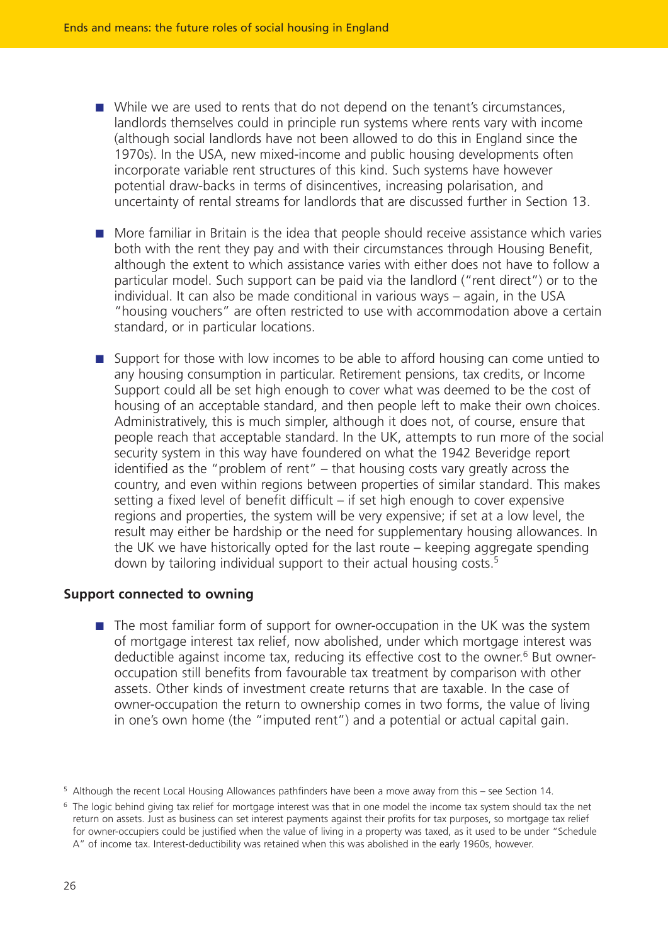- While we are used to rents that do not depend on the tenant's circumstances, landlords themselves could in principle run systems where rents vary with income (although social landlords have not been allowed to do this in England since the 1970s). In the USA, new mixed-income and public housing developments often incorporate variable rent structures of this kind. Such systems have however potential draw-backs in terms of disincentives, increasing polarisation, and uncertainty of rental streams for landlords that are discussed further in Section 13.
- More familiar in Britain is the idea that people should receive assistance which varies both with the rent they pay and with their circumstances through Housing Benefit, although the extent to which assistance varies with either does not have to follow a particular model. Such support can be paid via the landlord ("rent direct") or to the individual. It can also be made conditional in various ways – again, in the USA "housing vouchers" are often restricted to use with accommodation above a certain standard, or in particular locations.
- Support for those with low incomes to be able to afford housing can come untied to any housing consumption in particular. Retirement pensions, tax credits, or Income Support could all be set high enough to cover what was deemed to be the cost of housing of an acceptable standard, and then people left to make their own choices. Administratively, this is much simpler, although it does not, of course, ensure that people reach that acceptable standard. In the UK, attempts to run more of the social security system in this way have foundered on what the 1942 Beveridge report identified as the "problem of rent" – that housing costs vary greatly across the country, and even within regions between properties of similar standard. This makes setting a fixed level of benefit difficult – if set high enough to cover expensive regions and properties, the system will be very expensive; if set at a low level, the result may either be hardship or the need for supplementary housing allowances. In the UK we have historically opted for the last route – keeping aggregate spending down by tailoring individual support to their actual housing costs.<sup>5</sup>

#### **Support connected to owning**

■ The most familiar form of support for owner-occupation in the UK was the system of mortgage interest tax relief, now abolished, under which mortgage interest was deductible against income tax, reducing its effective cost to the owner.<sup>6</sup> But owneroccupation still benefits from favourable tax treatment by comparison with other assets. Other kinds of investment create returns that are taxable. In the case of owner-occupation the return to ownership comes in two forms, the value of living in one's own home (the "imputed rent") and a potential or actual capital gain.

<sup>5</sup> Although the recent Local Housing Allowances pathfinders have been a move away from this – see Section 14.

 $6$  The logic behind giving tax relief for mortgage interest was that in one model the income tax system should tax the net return on assets. Just as business can set interest payments against their profits for tax purposes, so mortgage tax relief for owner-occupiers could be justified when the value of living in a property was taxed, as it used to be under "Schedule A" of income tax. Interest-deductibility was retained when this was abolished in the early 1960s, however.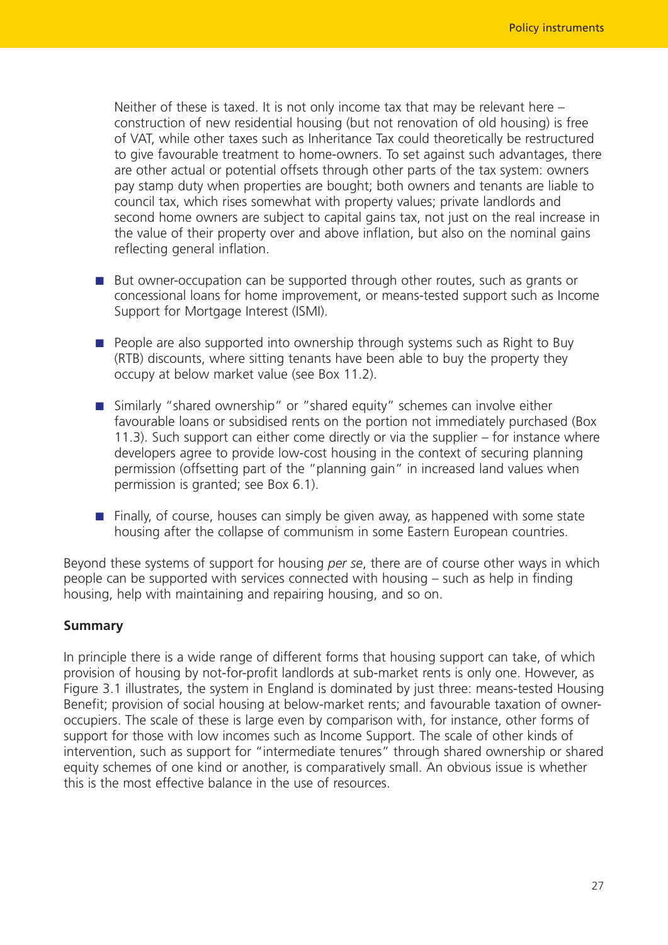Neither of these is taxed. It is not only income tax that may be relevant here – construction of new residential housing (but not renovation of old housing) is free of VAT, while other taxes such as Inheritance Tax could theoretically be restructured to give favourable treatment to home-owners. To set against such advantages, there are other actual or potential offsets through other parts of the tax system: owners pay stamp duty when properties are bought; both owners and tenants are liable to council tax, which rises somewhat with property values; private landlords and second home owners are subject to capital gains tax, not just on the real increase in the value of their property over and above inflation, but also on the nominal gains reflecting general inflation.

- But owner-occupation can be supported through other routes, such as grants or concessional loans for home improvement, or means-tested support such as Income Support for Mortgage Interest (ISMI).
- People are also supported into ownership through systems such as Right to Buy (RTB) discounts, where sitting tenants have been able to buy the property they occupy at below market value (see Box 11.2).
- Similarly "shared ownership" or "shared equity" schemes can involve either favourable loans or subsidised rents on the portion not immediately purchased (Box 11.3). Such support can either come directly or via the supplier – for instance where developers agree to provide low-cost housing in the context of securing planning permission (offsetting part of the "planning gain" in increased land values when permission is granted; see Box 6.1).
- Finally, of course, houses can simply be given away, as happened with some state housing after the collapse of communism in some Eastern European countries.

Beyond these systems of support for housing *per se*, there are of course other ways in which people can be supported with services connected with housing – such as help in finding housing, help with maintaining and repairing housing, and so on.

#### **Summary**

In principle there is a wide range of different forms that housing support can take, of which provision of housing by not-for-profit landlords at sub-market rents is only one. However, as Figure 3.1 illustrates, the system in England is dominated by just three: means-tested Housing Benefit; provision of social housing at below-market rents; and favourable taxation of owneroccupiers. The scale of these is large even by comparison with, for instance, other forms of support for those with low incomes such as Income Support. The scale of other kinds of intervention, such as support for "intermediate tenures" through shared ownership or shared equity schemes of one kind or another, is comparatively small. An obvious issue is whether this is the most effective balance in the use of resources.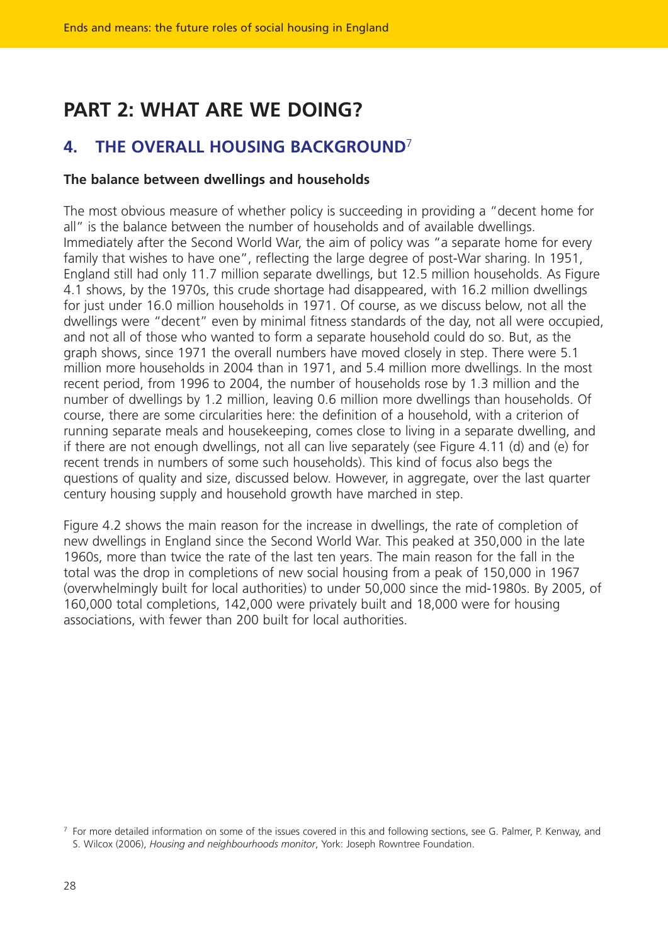# **PART 2: WHAT ARE WE DOING?**

# **4. THE OVERALL HOUSING BACKGROUND**<sup>7</sup>

## **The balance between dwellings and households**

The most obvious measure of whether policy is succeeding in providing a "decent home for all" is the balance between the number of households and of available dwellings. Immediately after the Second World War, the aim of policy was "a separate home for every family that wishes to have one", reflecting the large degree of post-War sharing. In 1951, England still had only 11.7 million separate dwellings, but 12.5 million households. As Figure 4.1 shows, by the 1970s, this crude shortage had disappeared, with 16.2 million dwellings for just under 16.0 million households in 1971. Of course, as we discuss below, not all the dwellings were "decent" even by minimal fitness standards of the day, not all were occupied, and not all of those who wanted to form a separate household could do so. But, as the graph shows, since 1971 the overall numbers have moved closely in step. There were 5.1 million more households in 2004 than in 1971, and 5.4 million more dwellings. In the most recent period, from 1996 to 2004, the number of households rose by 1.3 million and the number of dwellings by 1.2 million, leaving 0.6 million more dwellings than households. Of course, there are some circularities here: the definition of a household, with a criterion of running separate meals and housekeeping, comes close to living in a separate dwelling, and if there are not enough dwellings, not all can live separately (see Figure 4.11 (d) and (e) for recent trends in numbers of some such households). This kind of focus also begs the questions of quality and size, discussed below. However, in aggregate, over the last quarter century housing supply and household growth have marched in step.

Figure 4.2 shows the main reason for the increase in dwellings, the rate of completion of new dwellings in England since the Second World War. This peaked at 350,000 in the late 1960s, more than twice the rate of the last ten years. The main reason for the fall in the total was the drop in completions of new social housing from a peak of 150,000 in 1967 (overwhelmingly built for local authorities) to under 50,000 since the mid-1980s. By 2005, of 160,000 total completions, 142,000 were privately built and 18,000 were for housing associations, with fewer than 200 built for local authorities.

<sup>7</sup> For more detailed information on some of the issues covered in this and following sections, see G. Palmer, P. Kenway, and S. Wilcox (2006), *Housing and neighbourhoods monitor*, York: Joseph Rowntree Foundation.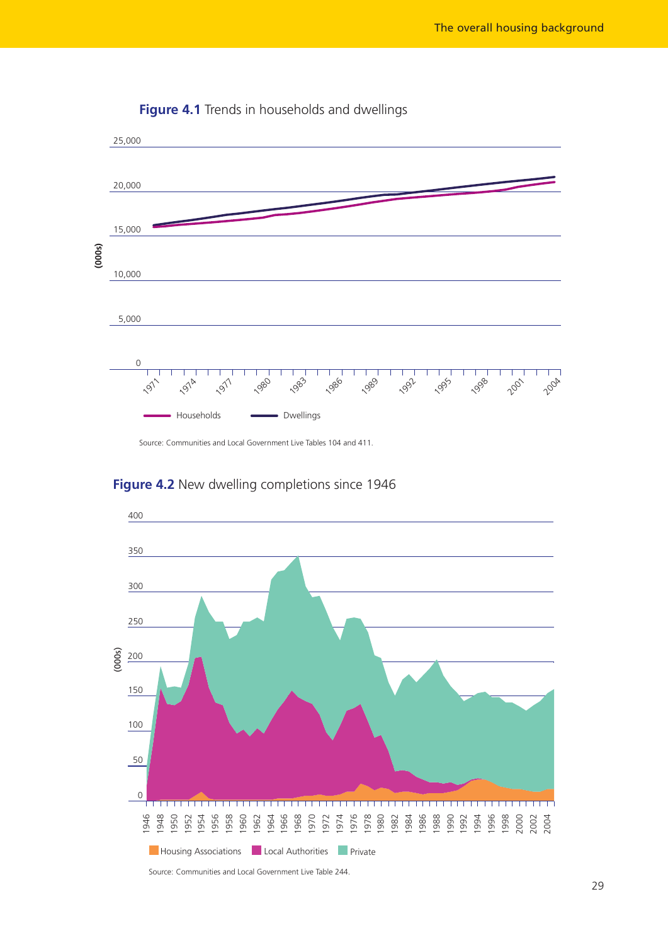

**Figure 4.1** Trends in households and dwellings

Source: Communities and Local Government Live Tables 104 and 411.



## **Figure 4.2** New dwelling completions since 1946

Source: Communities and Local Government Live Table 244.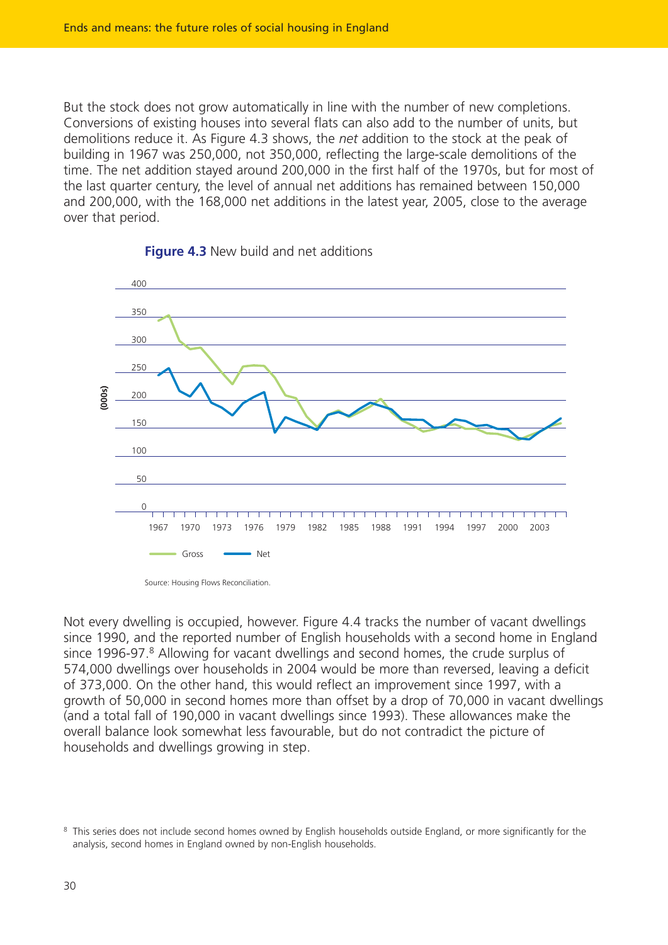But the stock does not grow automatically in line with the number of new completions. Conversions of existing houses into several flats can also add to the number of units, but demolitions reduce it. As Figure 4.3 shows, the *net* addition to the stock at the peak of building in 1967 was 250,000, not 350,000, reflecting the large-scale demolitions of the time. The net addition stayed around 200,000 in the first half of the 1970s, but for most of the last quarter century, the level of annual net additions has remained between 150,000 and 200,000, with the 168,000 net additions in the latest year, 2005, close to the average over that period.



#### **Figure 4.3** New build and net additions

Not every dwelling is occupied, however. Figure 4.4 tracks the number of vacant dwellings since 1990, and the reported number of English households with a second home in England since 1996-97.<sup>8</sup> Allowing for vacant dwellings and second homes, the crude surplus of 574,000 dwellings over households in 2004 would be more than reversed, leaving a deficit of 373,000. On the other hand, this would reflect an improvement since 1997, with a growth of 50,000 in second homes more than offset by a drop of 70,000 in vacant dwellings (and a total fall of 190,000 in vacant dwellings since 1993). These allowances make the overall balance look somewhat less favourable, but do not contradict the picture of households and dwellings growing in step.

<sup>&</sup>lt;sup>8</sup> This series does not include second homes owned by English households outside England, or more significantly for the analysis, second homes in England owned by non-English households.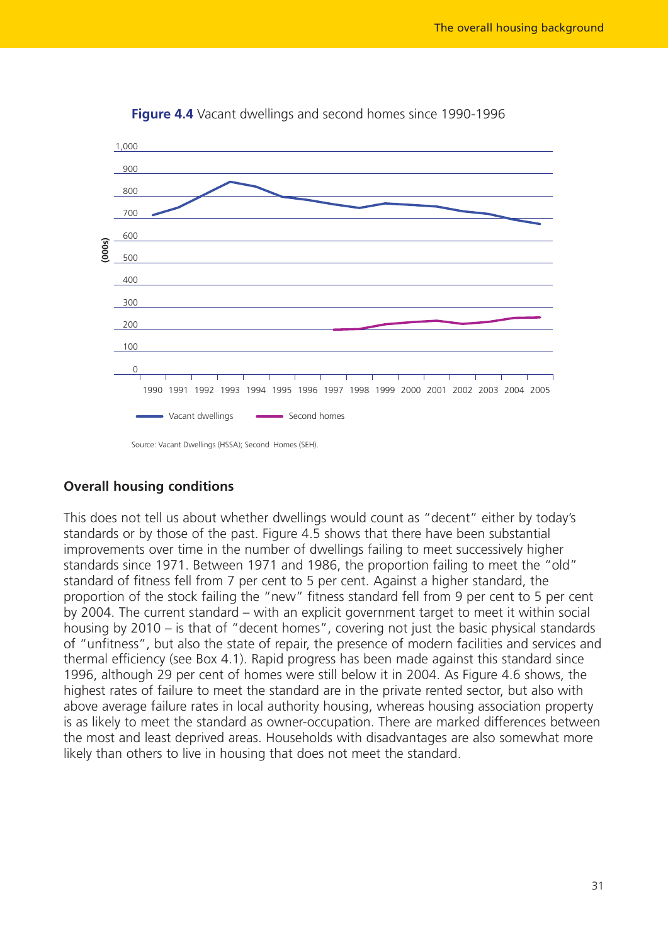

**Figure 4.4** Vacant dwellings and second homes since 1990-1996

Source: Vacant Dwellings (HSSA); Second Homes (SEH).

# **Overall housing conditions**

This does not tell us about whether dwellings would count as "decent" either by today's standards or by those of the past. Figure 4.5 shows that there have been substantial improvements over time in the number of dwellings failing to meet successively higher standards since 1971. Between 1971 and 1986, the proportion failing to meet the "old" standard of fitness fell from 7 per cent to 5 per cent. Against a higher standard, the proportion of the stock failing the "new" fitness standard fell from 9 per cent to 5 per cent by 2004. The current standard – with an explicit government target to meet it within social housing by 2010 – is that of "decent homes", covering not just the basic physical standards of "unfitness", but also the state of repair, the presence of modern facilities and services and thermal efficiency (see Box 4.1). Rapid progress has been made against this standard since 1996, although 29 per cent of homes were still below it in 2004. As Figure 4.6 shows, the highest rates of failure to meet the standard are in the private rented sector, but also with above average failure rates in local authority housing, whereas housing association property is as likely to meet the standard as owner-occupation. There are marked differences between the most and least deprived areas. Households with disadvantages are also somewhat more likely than others to live in housing that does not meet the standard.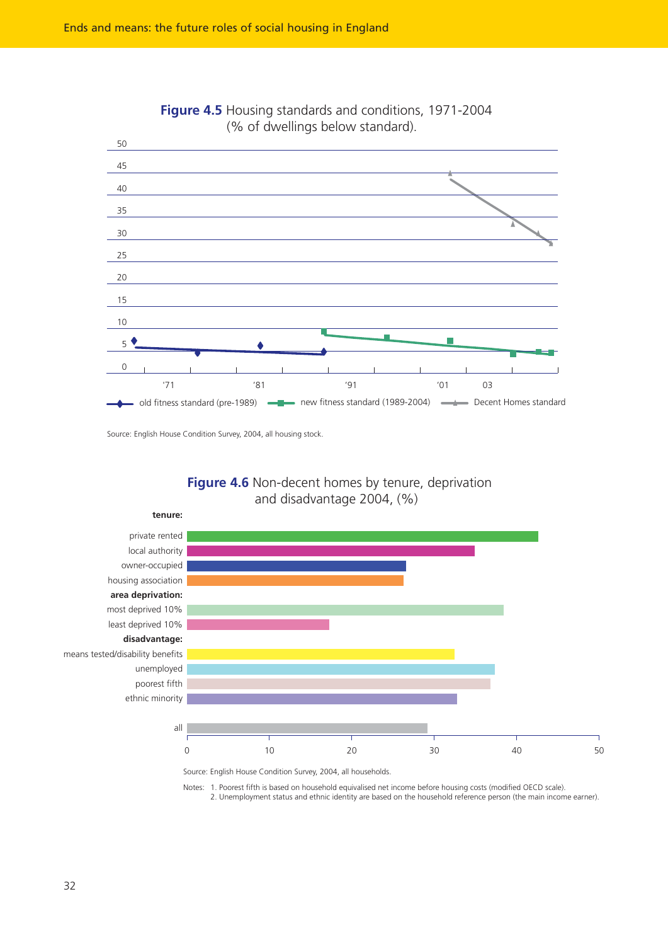

## **Figure 4.5** Housing standards and conditions, 1971-2004 (% of dwellings below standard).

Source: English House Condition Survey, 2004, all housing stock.







Notes: 1. Poorest fifth is based on household equivalised net income before housing costs (modified OECD scale). 2. Unemployment status and ethnic identity are based on the household reference person (the main income earner).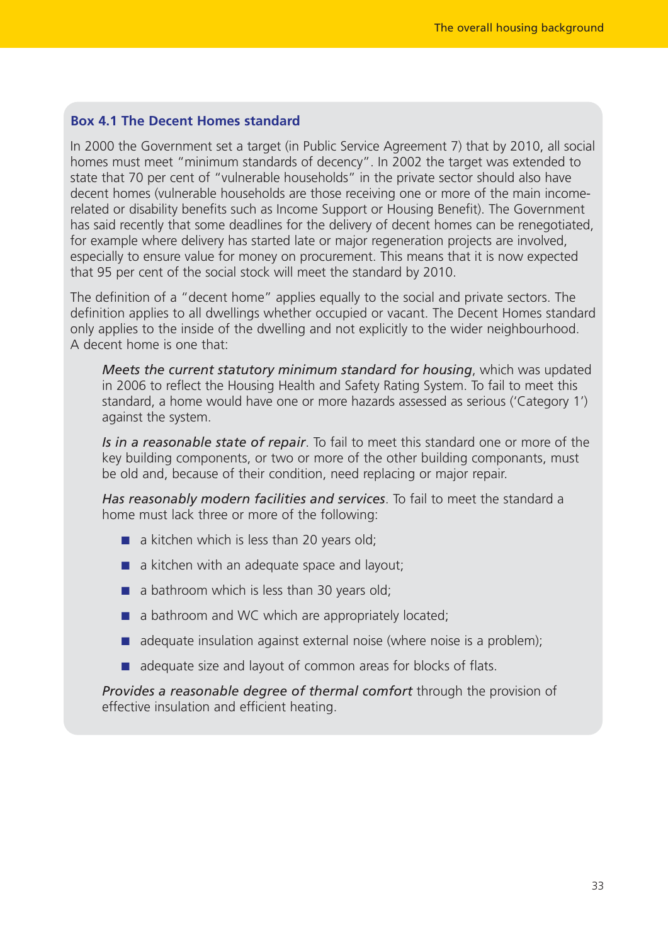#### **Box 4.1 The Decent Homes standard**

In 2000 the Government set a target (in Public Service Agreement 7) that by 2010, all social homes must meet "minimum standards of decency". In 2002 the target was extended to state that 70 per cent of "vulnerable households" in the private sector should also have decent homes (vulnerable households are those receiving one or more of the main incomerelated or disability benefits such as Income Support or Housing Benefit). The Government has said recently that some deadlines for the delivery of decent homes can be renegotiated, for example where delivery has started late or major regeneration projects are involved, especially to ensure value for money on procurement. This means that it is now expected that 95 per cent of the social stock will meet the standard by 2010.

The definition of a "decent home" applies equally to the social and private sectors. The definition applies to all dwellings whether occupied or vacant. The Decent Homes standard only applies to the inside of the dwelling and not explicitly to the wider neighbourhood. A decent home is one that:

*Meets the current statutory minimum standard for housing*, which was updated in 2006 to reflect the Housing Health and Safety Rating System. To fail to meet this standard, a home would have one or more hazards assessed as serious ('Category 1') against the system.

*Is in a reasonable state of repair*. To fail to meet this standard one or more of the key building components, or two or more of the other building componants, must be old and, because of their condition, need replacing or major repair.

*Has reasonably modern facilities and services*. To fail to meet the standard a home must lack three or more of the following:

- a kitchen which is less than 20 years old;
- $\blacksquare$  a kitchen with an adequate space and layout;
- a bathroom which is less than 30 years old;
- a bathroom and WC which are appropriately located;
- adequate insulation against external noise (where noise is a problem);
- adequate size and layout of common areas for blocks of flats.

*Provides a reasonable degree of thermal comfort* through the provision of effective insulation and efficient heating.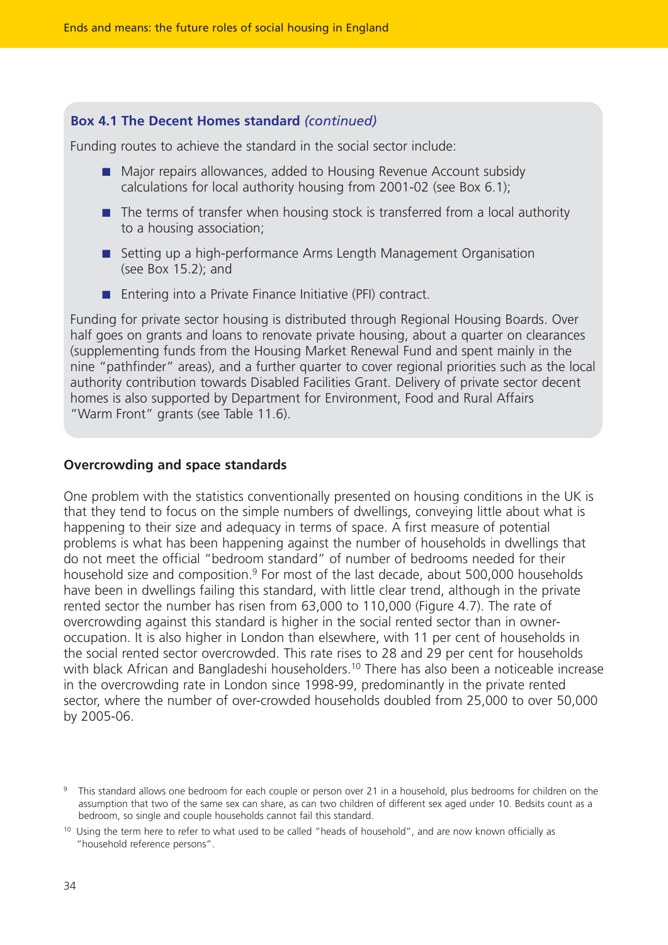#### **Box 4.1 The Decent Homes standard** *(continued)*

Funding routes to achieve the standard in the social sector include:

- Major repairs allowances, added to Housing Revenue Account subsidy calculations for local authority housing from 2001-02 (see Box 6.1);
- The terms of transfer when housing stock is transferred from a local authority to a housing association;
- Setting up a high-performance Arms Length Management Organisation (see Box 15.2); and
- Entering into a Private Finance Initiative (PFI) contract.

Funding for private sector housing is distributed through Regional Housing Boards. Over half goes on grants and loans to renovate private housing, about a quarter on clearances (supplementing funds from the Housing Market Renewal Fund and spent mainly in the nine "pathfinder" areas), and a further quarter to cover regional priorities such as the local authority contribution towards Disabled Facilities Grant. Delivery of private sector decent homes is also supported by Department for Environment, Food and Rural Affairs "Warm Front" grants (see Table 11.6).

#### **Overcrowding and space standards**

One problem with the statistics conventionally presented on housing conditions in the UK is that they tend to focus on the simple numbers of dwellings, conveying little about what is happening to their size and adequacy in terms of space. A first measure of potential problems is what has been happening against the number of households in dwellings that do not meet the official "bedroom standard" of number of bedrooms needed for their household size and composition.<sup>9</sup> For most of the last decade, about 500,000 households have been in dwellings failing this standard, with little clear trend, although in the private rented sector the number has risen from 63,000 to 110,000 (Figure 4.7). The rate of overcrowding against this standard is higher in the social rented sector than in owneroccupation. It is also higher in London than elsewhere, with 11 per cent of households in the social rented sector overcrowded. This rate rises to 28 and 29 per cent for households with black African and Bangladeshi householders.<sup>10</sup> There has also been a noticeable increase in the overcrowding rate in London since 1998-99, predominantly in the private rented sector, where the number of over-crowded households doubled from 25,000 to over 50,000 by 2005-06.

This standard allows one bedroom for each couple or person over 21 in a household, plus bedrooms for children on the assumption that two of the same sex can share, as can two children of different sex aged under 10. Bedsits count as a bedroom, so single and couple households cannot fail this standard.

<sup>&</sup>lt;sup>10</sup> Using the term here to refer to what used to be called "heads of household", and are now known officially as "household reference persons".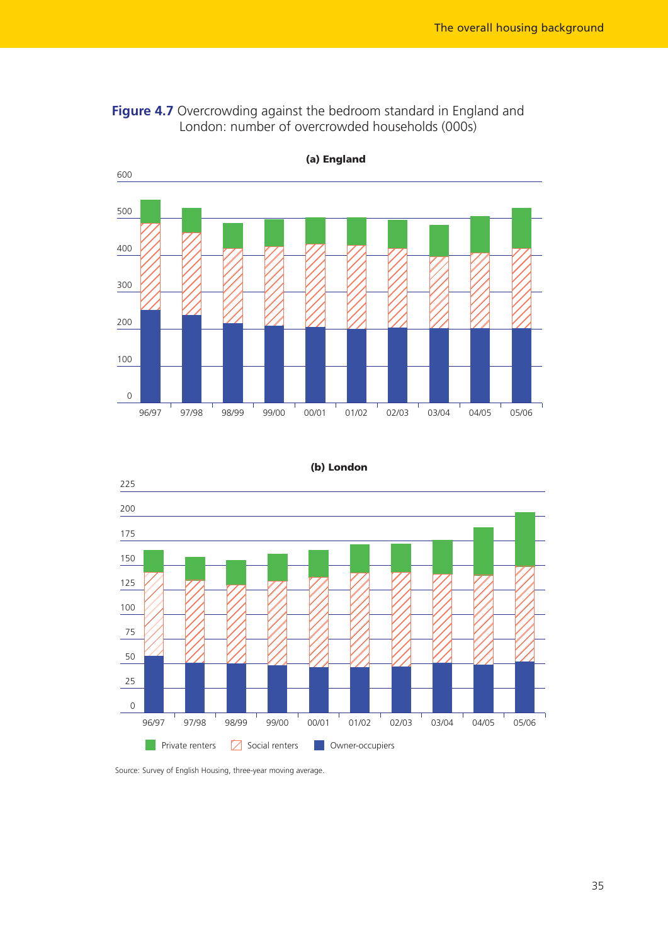

#### **Figure 4.7** Overcrowding against the bedroom standard in England and London: number of overcrowded households (000s)



**(b) London**

Source: Survey of English Housing, three-year moving average.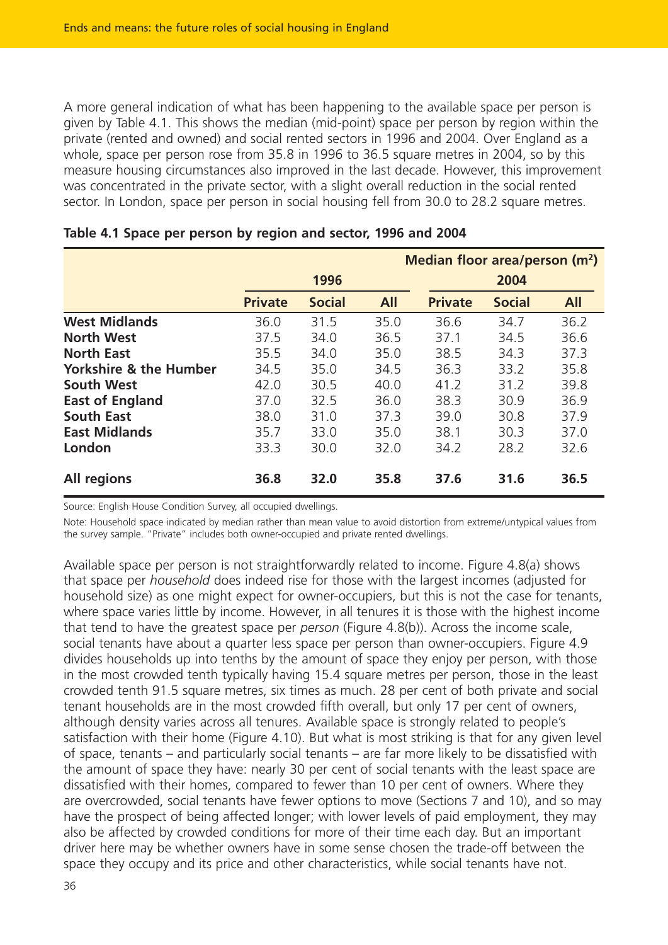A more general indication of what has been happening to the available space per person is given by Table 4.1. This shows the median (mid-point) space per person by region within the private (rented and owned) and social rented sectors in 1996 and 2004. Over England as a whole, space per person rose from 35.8 in 1996 to 36.5 square metres in 2004, so by this measure housing circumstances also improved in the last decade. However, this improvement was concentrated in the private sector, with a slight overall reduction in the social rented sector. In London, space per person in social housing fell from 30.0 to 28.2 square metres.

|                                   |                |               |            | Median floor area/person $(m^2)$ |               |            |
|-----------------------------------|----------------|---------------|------------|----------------------------------|---------------|------------|
|                                   |                | 1996          |            |                                  | 2004          |            |
|                                   | <b>Private</b> | <b>Social</b> | <b>All</b> | <b>Private</b>                   | <b>Social</b> | <b>All</b> |
| <b>West Midlands</b>              | 36.0           | 31.5          | 35.0       | 36.6                             | 34.7          | 36.2       |
| <b>North West</b>                 | 37.5           | 34.0          | 36.5       | 37.1                             | 34.5          | 36.6       |
| <b>North East</b>                 | 35.5           | 34.0          | 35.0       | 38.5                             | 34.3          | 37.3       |
| <b>Yorkshire &amp; the Humber</b> | 34.5           | 35.0          | 34.5       | 36.3                             | 33.2          | 35.8       |
| <b>South West</b>                 | 42.0           | 30.5          | 40.0       | 41.2                             | 31.2          | 39.8       |
| <b>East of England</b>            | 37.0           | 32.5          | 36.0       | 38.3                             | 30.9          | 36.9       |
| <b>South East</b>                 | 38.0           | 31.0          | 37.3       | 39.0                             | 30.8          | 37.9       |
| <b>East Midlands</b>              | 35.7           | 33.0          | 35.0       | 38.1                             | 30.3          | 37.0       |
| London                            | 33.3           | 30.0          | 32.0       | 34.2                             | 28.2          | 32.6       |
| <b>All regions</b>                | 36.8           | 32.0          | 35.8       | 37.6                             | 31.6          | 36.5       |

#### **Table 4.1 Space per person by region and sector, 1996 and 2004**

Source: English House Condition Survey, all occupied dwellings.

Note: Household space indicated by median rather than mean value to avoid distortion from extreme/untypical values from the survey sample. "Private" includes both owner-occupied and private rented dwellings.

Available space per person is not straightforwardly related to income. Figure 4.8(a) shows that space per *household* does indeed rise for those with the largest incomes (adjusted for household size) as one might expect for owner-occupiers, but this is not the case for tenants, where space varies little by income. However, in all tenures it is those with the highest income that tend to have the greatest space per *person* (Figure 4.8(b)). Across the income scale, social tenants have about a quarter less space per person than owner-occupiers. Figure 4.9 divides households up into tenths by the amount of space they enjoy per person, with those in the most crowded tenth typically having 15.4 square metres per person, those in the least crowded tenth 91.5 square metres, six times as much. 28 per cent of both private and social tenant households are in the most crowded fifth overall, but only 17 per cent of owners, although density varies across all tenures. Available space is strongly related to people's satisfaction with their home (Figure 4.10). But what is most striking is that for any given level of space, tenants – and particularly social tenants – are far more likely to be dissatisfied with the amount of space they have: nearly 30 per cent of social tenants with the least space are dissatisfied with their homes, compared to fewer than 10 per cent of owners. Where they are overcrowded, social tenants have fewer options to move (Sections 7 and 10), and so may have the prospect of being affected longer; with lower levels of paid employment, they may also be affected by crowded conditions for more of their time each day. But an important driver here may be whether owners have in some sense chosen the trade-off between the space they occupy and its price and other characteristics, while social tenants have not.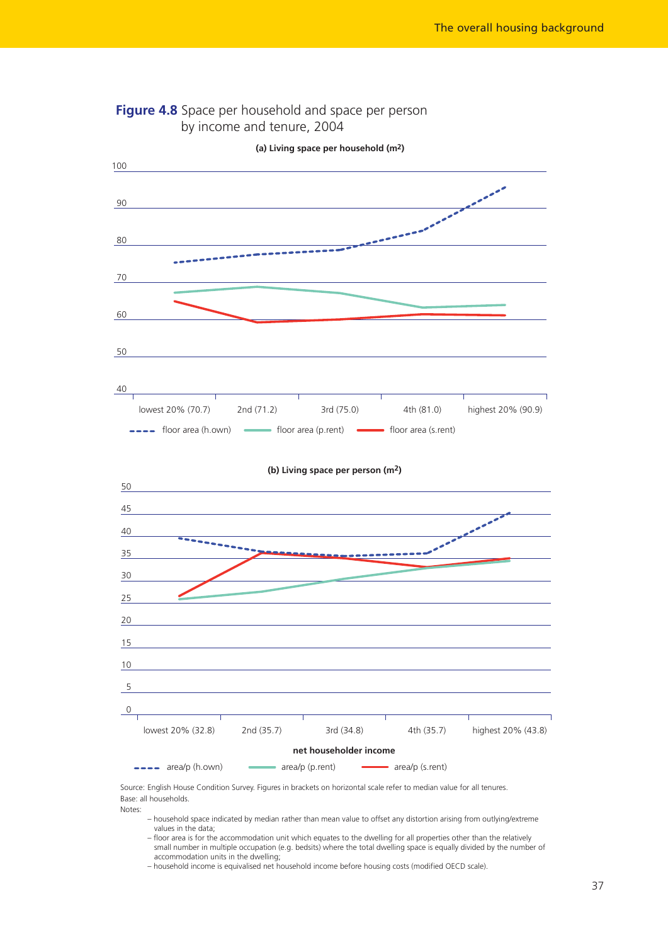

## **Figure 4.8** Space per household and space per person by income and tenure, 2004

Source: English House Condition Survey. Figures in brackets on horizontal scale refer to median value for all tenures. **area/p** (h.own) area/p (p.rent) area/p (s.rent)

Base: all households.

Notes:

 – household space indicated by median rather than mean value to offset any distortion arising from outlying/extreme values in the data;

**net householder income**

lowest 20% (32.8) 2nd (35.7) 3rd (34.8) 4th (35.7) highest 20% (43.8)

- floor area is for the accommodation unit which equates to the dwelling for all properties other than the relatively small number in multiple occupation (e.g. bedsits) where the total dwelling space is equally divided by the number of accommodation units in the dwelling;
- household income is equivalised net household income before housing costs (modified OECD scale).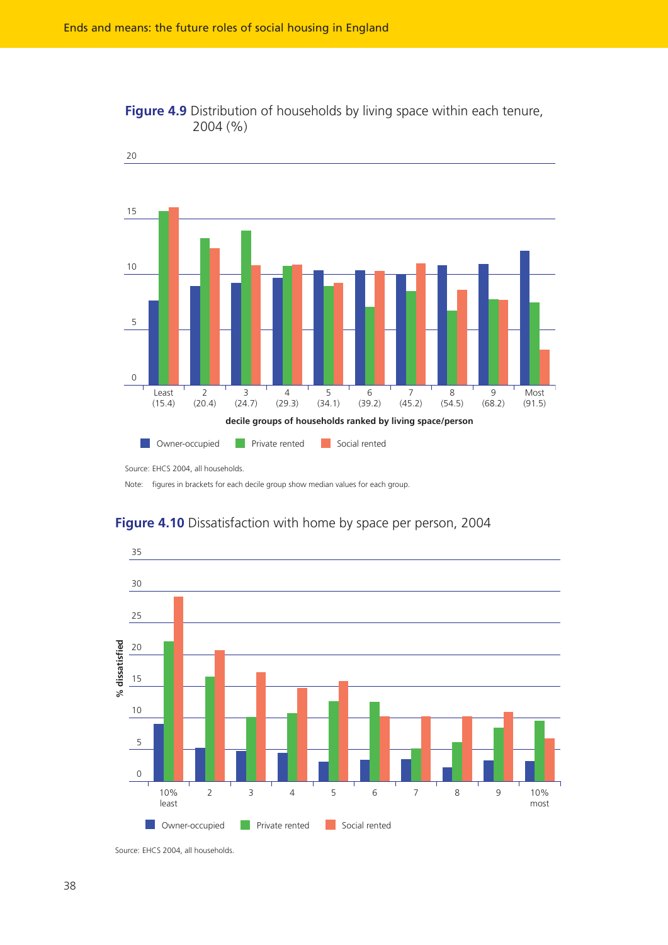

**Figure 4.9** Distribution of households by living space within each tenure, 2004 (%)

Source: EHCS 2004, all households.

Note: figures in brackets for each decile group show median values for each group.



#### **Figure 4.10** Dissatisfaction with home by space per person, 2004

Source: EHCS 2004, all households.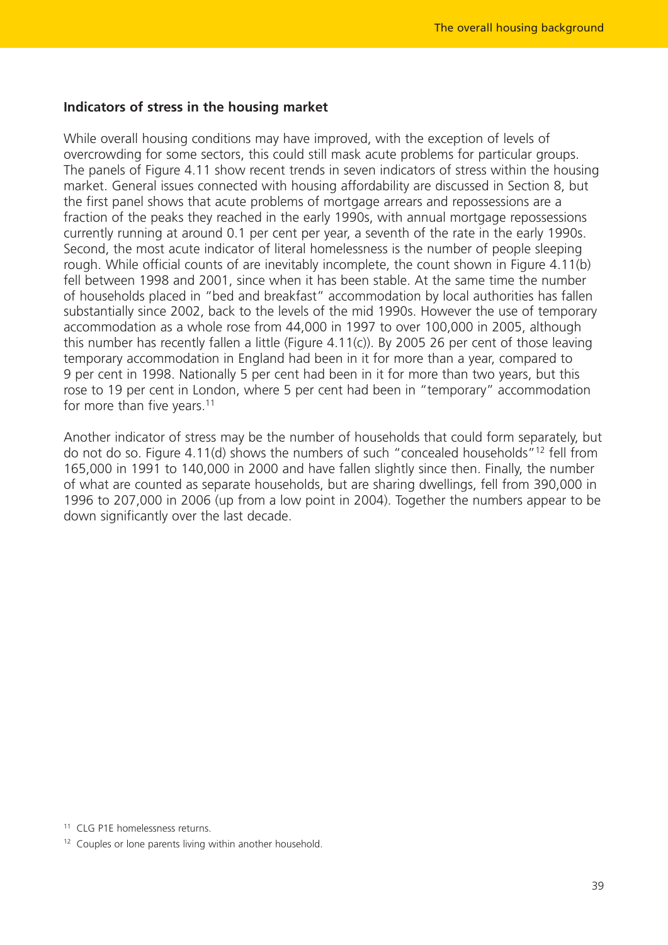#### **Indicators of stress in the housing market**

While overall housing conditions may have improved, with the exception of levels of overcrowding for some sectors, this could still mask acute problems for particular groups. The panels of Figure 4.11 show recent trends in seven indicators of stress within the housing market. General issues connected with housing affordability are discussed in Section 8, but the first panel shows that acute problems of mortgage arrears and repossessions are a fraction of the peaks they reached in the early 1990s, with annual mortgage repossessions currently running at around 0.1 per cent per year, a seventh of the rate in the early 1990s. Second, the most acute indicator of literal homelessness is the number of people sleeping rough. While official counts of are inevitably incomplete, the count shown in Figure 4.11(b) fell between 1998 and 2001, since when it has been stable. At the same time the number of households placed in "bed and breakfast" accommodation by local authorities has fallen substantially since 2002, back to the levels of the mid 1990s. However the use of temporary accommodation as a whole rose from 44,000 in 1997 to over 100,000 in 2005, although this number has recently fallen a little (Figure 4.11(c)). By 2005 26 per cent of those leaving temporary accommodation in England had been in it for more than a year, compared to 9 per cent in 1998. Nationally 5 per cent had been in it for more than two years, but this rose to 19 per cent in London, where 5 per cent had been in "temporary" accommodation for more than five years.<sup>11</sup>

Another indicator of stress may be the number of households that could form separately, but do not do so. Figure 4.11(d) shows the numbers of such "concealed households"12 fell from 165,000 in 1991 to 140,000 in 2000 and have fallen slightly since then. Finally, the number of what are counted as separate households, but are sharing dwellings, fell from 390,000 in 1996 to 207,000 in 2006 (up from a low point in 2004). Together the numbers appear to be down significantly over the last decade.

<sup>&</sup>lt;sup>11</sup> CLG P1E homelessness returns.

<sup>&</sup>lt;sup>12</sup> Couples or lone parents living within another household.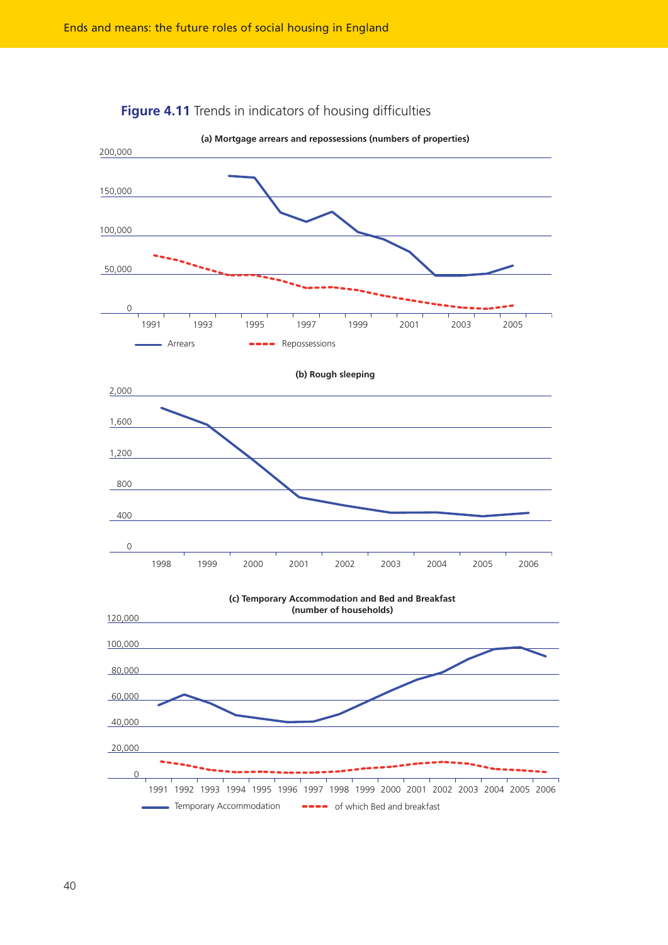

**Figure 4.11** Trends in indicators of housing difficulties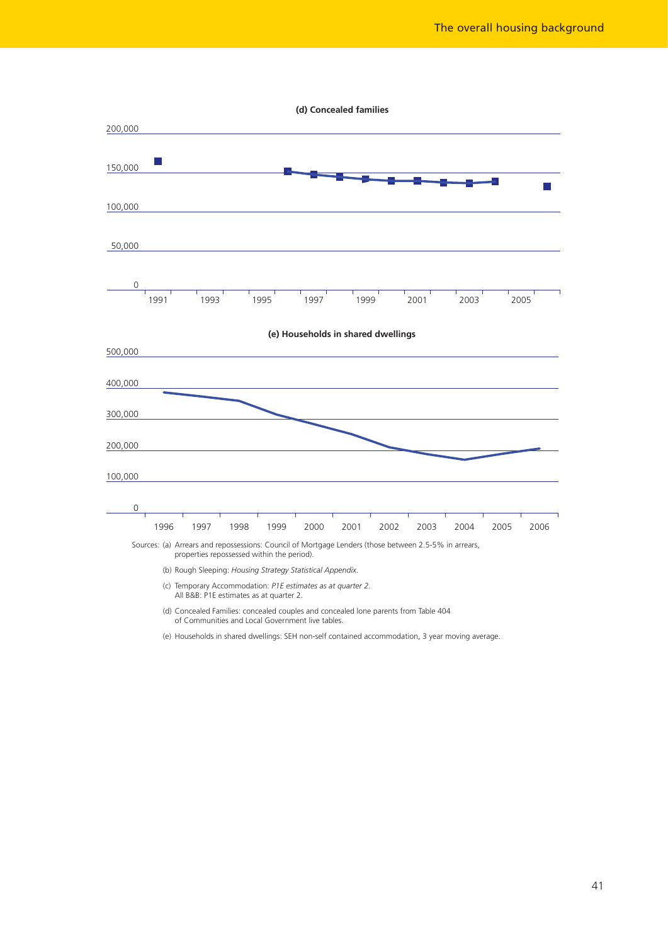

(e) Households in shared dwellings: SEH non-self contained accommodation, 3 year moving average.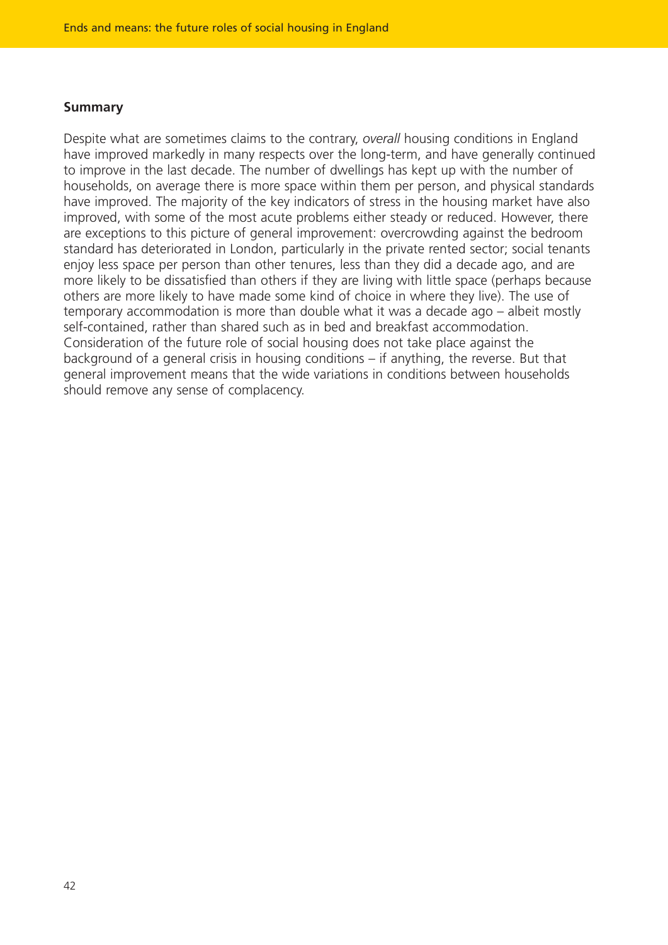#### **Summary**

Despite what are sometimes claims to the contrary, *overall* housing conditions in England have improved markedly in many respects over the long-term, and have generally continued to improve in the last decade. The number of dwellings has kept up with the number of households, on average there is more space within them per person, and physical standards have improved. The majority of the key indicators of stress in the housing market have also improved, with some of the most acute problems either steady or reduced. However, there are exceptions to this picture of general improvement: overcrowding against the bedroom standard has deteriorated in London, particularly in the private rented sector; social tenants enjoy less space per person than other tenures, less than they did a decade ago, and are more likely to be dissatisfied than others if they are living with little space (perhaps because others are more likely to have made some kind of choice in where they live). The use of temporary accommodation is more than double what it was a decade ago – albeit mostly self-contained, rather than shared such as in bed and breakfast accommodation. Consideration of the future role of social housing does not take place against the background of a general crisis in housing conditions – if anything, the reverse. But that general improvement means that the wide variations in conditions between households should remove any sense of complacency.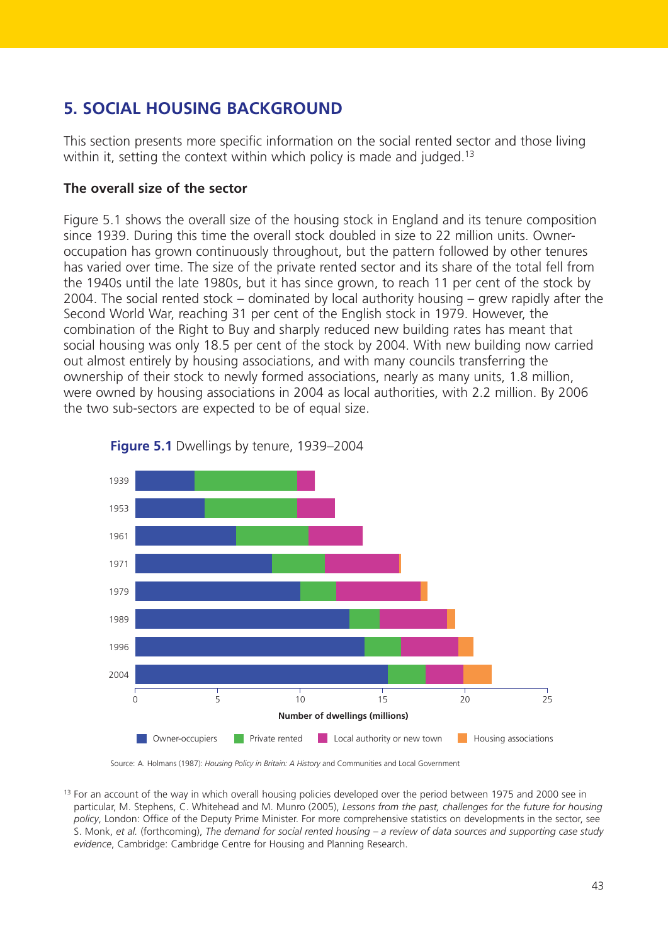# **5. SOCIAL HOUSING BACKGROUND**

This section presents more specific information on the social rented sector and those living within it, setting the context within which policy is made and judged.<sup>13</sup>

# **The overall size of the sector**

Figure 5.1 shows the overall size of the housing stock in England and its tenure composition since 1939. During this time the overall stock doubled in size to 22 million units. Owneroccupation has grown continuously throughout, but the pattern followed by other tenures has varied over time. The size of the private rented sector and its share of the total fell from the 1940s until the late 1980s, but it has since grown, to reach 11 per cent of the stock by 2004. The social rented stock – dominated by local authority housing – grew rapidly after the Second World War, reaching 31 per cent of the English stock in 1979. However, the combination of the Right to Buy and sharply reduced new building rates has meant that social housing was only 18.5 per cent of the stock by 2004. With new building now carried out almost entirely by housing associations, and with many councils transferring the ownership of their stock to newly formed associations, nearly as many units, 1.8 million, were owned by housing associations in 2004 as local authorities, with 2.2 million. By 2006 the two sub-sectors are expected to be of equal size.





Source: A. Holmans (1987): *Housing Policy in Britain: A History* and Communities and Local Government

<sup>&</sup>lt;sup>13</sup> For an account of the way in which overall housing policies developed over the period between 1975 and 2000 see in particular, M. Stephens, C. Whitehead and M. Munro (2005), *Lessons from the past, challenges for the future for housing policy*, London: Office of the Deputy Prime Minister. For more comprehensive statistics on developments in the sector, see S. Monk, *et al.* (forthcoming), *The demand for social rented housing – a review of data sources and supporting case study evidence*, Cambridge: Cambridge Centre for Housing and Planning Research.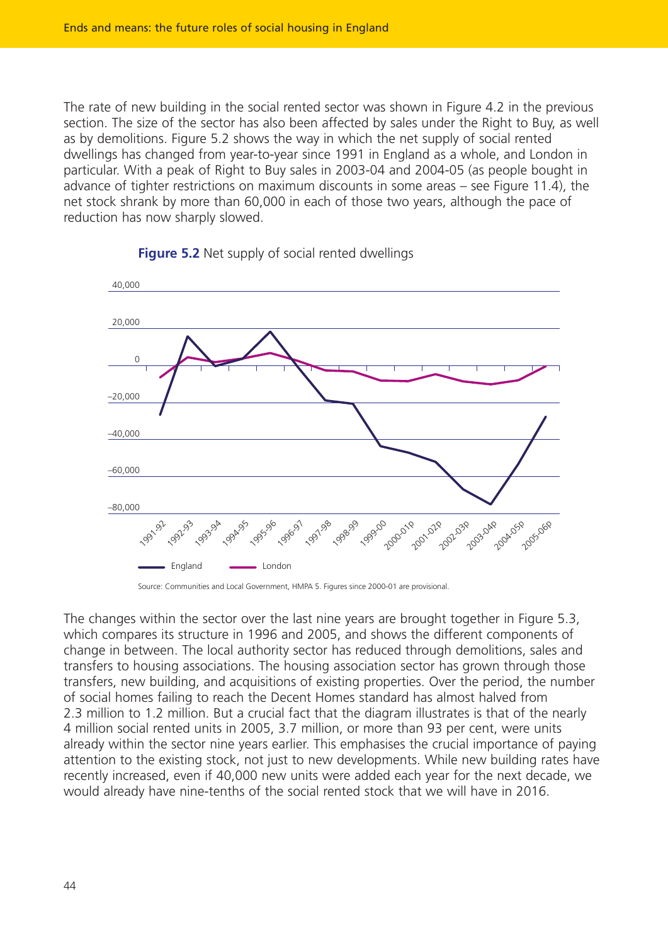The rate of new building in the social rented sector was shown in Figure 4.2 in the previous section. The size of the sector has also been affected by sales under the Right to Buy, as well as by demolitions. Figure 5.2 shows the way in which the net supply of social rented dwellings has changed from year-to-year since 1991 in England as a whole, and London in particular. With a peak of Right to Buy sales in 2003-04 and 2004-05 (as people bought in advance of tighter restrictions on maximum discounts in some areas – see Figure 11.4), the net stock shrank by more than 60,000 in each of those two years, although the pace of reduction has now sharply slowed.



#### **Figure 5.2** Net supply of social rented dwellings



The changes within the sector over the last nine years are brought together in Figure 5.3, which compares its structure in 1996 and 2005, and shows the different components of change in between. The local authority sector has reduced through demolitions, sales and transfers to housing associations. The housing association sector has grown through those transfers, new building, and acquisitions of existing properties. Over the period, the number of social homes failing to reach the Decent Homes standard has almost halved from 2.3 million to 1.2 million. But a crucial fact that the diagram illustrates is that of the nearly 4 million social rented units in 2005, 3.7 million, or more than 93 per cent, were units already within the sector nine years earlier. This emphasises the crucial importance of paying attention to the existing stock, not just to new developments. While new building rates have recently increased, even if 40,000 new units were added each year for the next decade, we would already have nine-tenths of the social rented stock that we will have in 2016.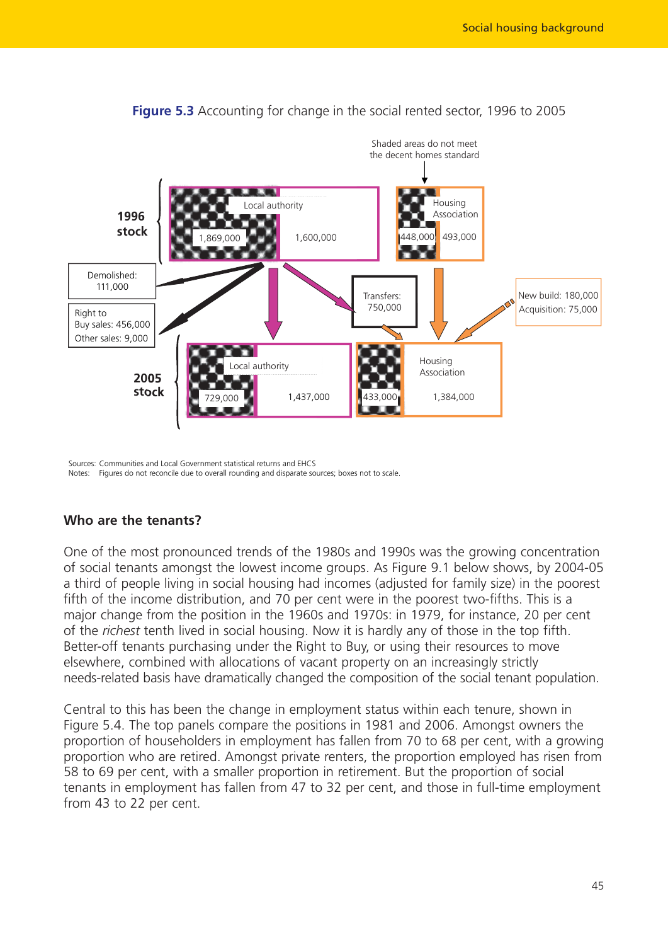

# **Figure 5.3** Accounting for change in the social rented sector, 1996 to 2005

Sources: Communities and Local Government statistical returns and EHCS Notes: Figures do not reconcile due to overall rounding and disparate sources; boxes not to scale.

# **Who are the tenants?**

One of the most pronounced trends of the 1980s and 1990s was the growing concentration of social tenants amongst the lowest income groups. As Figure 9.1 below shows, by 2004-05 a third of people living in social housing had incomes (adjusted for family size) in the poorest fifth of the income distribution, and 70 per cent were in the poorest two-fifths. This is a major change from the position in the 1960s and 1970s: in 1979, for instance, 20 per cent of the *richest* tenth lived in social housing. Now it is hardly any of those in the top fifth. Better-off tenants purchasing under the Right to Buy, or using their resources to move elsewhere, combined with allocations of vacant property on an increasingly strictly needs-related basis have dramatically changed the composition of the social tenant population.

Central to this has been the change in employment status within each tenure, shown in Figure 5.4. The top panels compare the positions in 1981 and 2006. Amongst owners the proportion of householders in employment has fallen from 70 to 68 per cent, with a growing proportion who are retired. Amongst private renters, the proportion employed has risen from 58 to 69 per cent, with a smaller proportion in retirement. But the proportion of social tenants in employment has fallen from 47 to 32 per cent, and those in full-time employment from 43 to 22 per cent.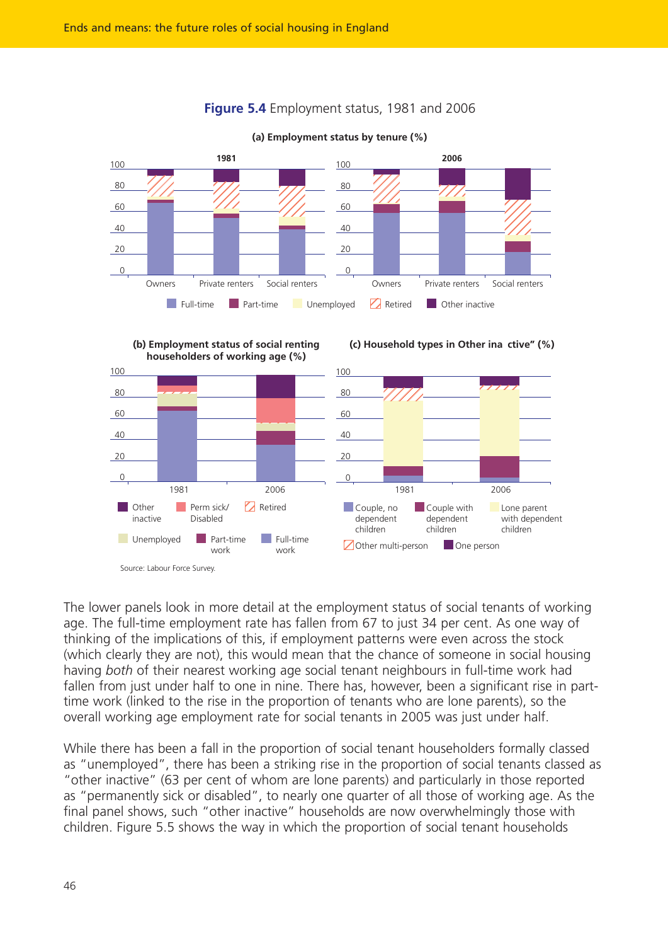

#### **Figure 5.4** Employment status, 1981 and 2006



**(a) Employment status by tenure (%)**

The lower panels look in more detail at the employment status of social tenants of working age. The full-time employment rate has fallen from 67 to just 34 per cent. As one way of thinking of the implications of this, if employment patterns were even across the stock (which clearly they are not), this would mean that the chance of someone in social housing having *both* of their nearest working age social tenant neighbours in full-time work had fallen from just under half to one in nine. There has, however, been a significant rise in parttime work (linked to the rise in the proportion of tenants who are lone parents), so the overall working age employment rate for social tenants in 2005 was just under half.

While there has been a fall in the proportion of social tenant householders formally classed as "unemployed", there has been a striking rise in the proportion of social tenants classed as "other inactive" (63 per cent of whom are lone parents) and particularly in those reported as "permanently sick or disabled", to nearly one quarter of all those of working age. As the final panel shows, such "other inactive" households are now overwhelmingly those with children. Figure 5.5 shows the way in which the proportion of social tenant households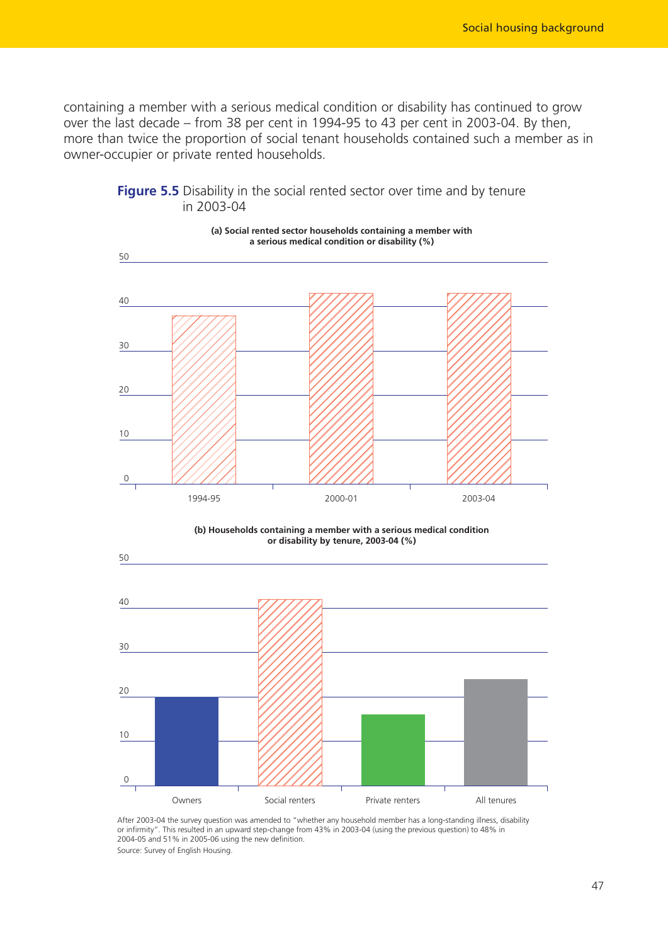containing a member with a serious medical condition or disability has continued to grow over the last decade – from 38 per cent in 1994-95 to 43 per cent in 2003-04. By then, more than twice the proportion of social tenant households contained such a member as in owner-occupier or private rented households.



**Figure 5.5** Disability in the social rented sector over time and by tenure in 2003-04





After 2003-04 the survey question was amended to "whether any household member has a long-standing illness, disability or infirmity". This resulted in an upward step-change from 43% in 2003-04 (using the previous question) to 48% in 2004-05 and 51% in 2005-06 using the new definition. Source: Survey of English Housing.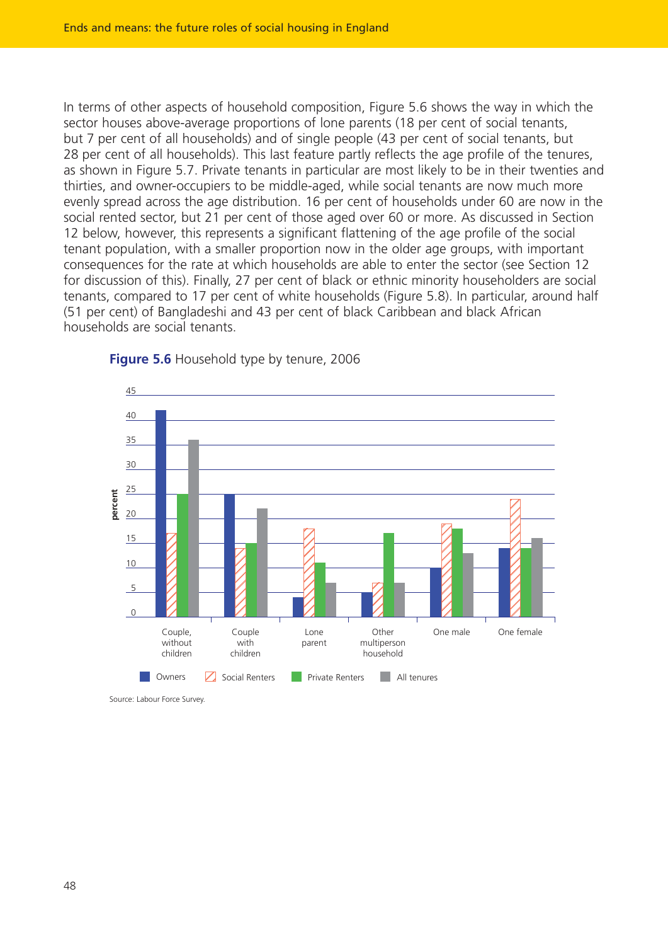In terms of other aspects of household composition, Figure 5.6 shows the way in which the sector houses above-average proportions of lone parents (18 per cent of social tenants, but 7 per cent of all households) and of single people (43 per cent of social tenants, but 28 per cent of all households). This last feature partly reflects the age profile of the tenures, as shown in Figure 5.7. Private tenants in particular are most likely to be in their twenties and thirties, and owner-occupiers to be middle-aged, while social tenants are now much more evenly spread across the age distribution. 16 per cent of households under 60 are now in the social rented sector, but 21 per cent of those aged over 60 or more. As discussed in Section 12 below, however, this represents a significant flattening of the age profile of the social tenant population, with a smaller proportion now in the older age groups, with important consequences for the rate at which households are able to enter the sector (see Section 12 for discussion of this). Finally, 27 per cent of black or ethnic minority householders are social tenants, compared to 17 per cent of white households (Figure 5.8). In particular, around half (51 per cent) of Bangladeshi and 43 per cent of black Caribbean and black African households are social tenants.



#### **Figure 5.6** Household type by tenure, 2006

Source: Labour Force Survey.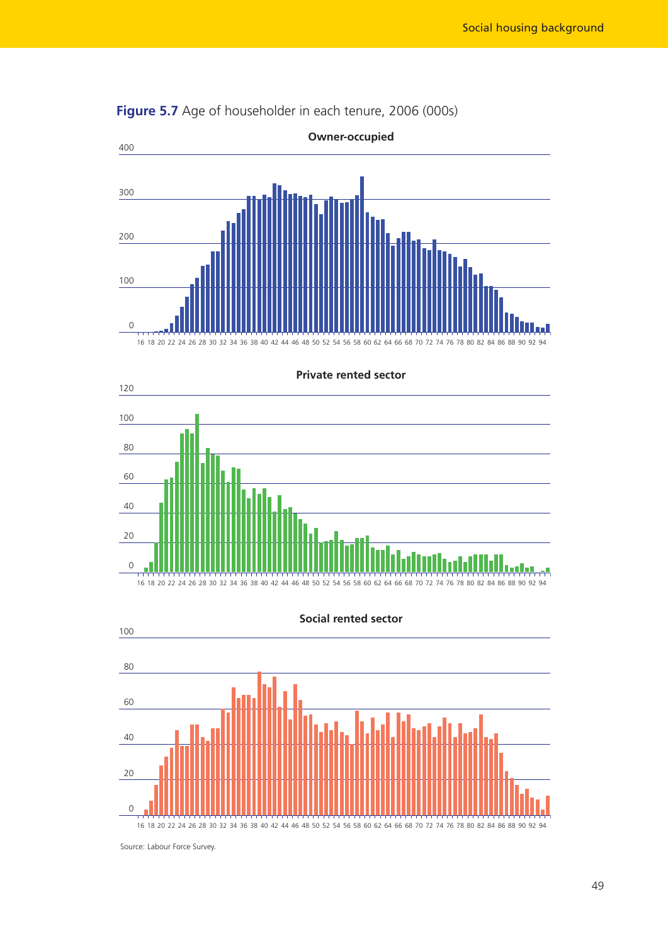





# **Social rented sector**



Source: Labour Force Survey.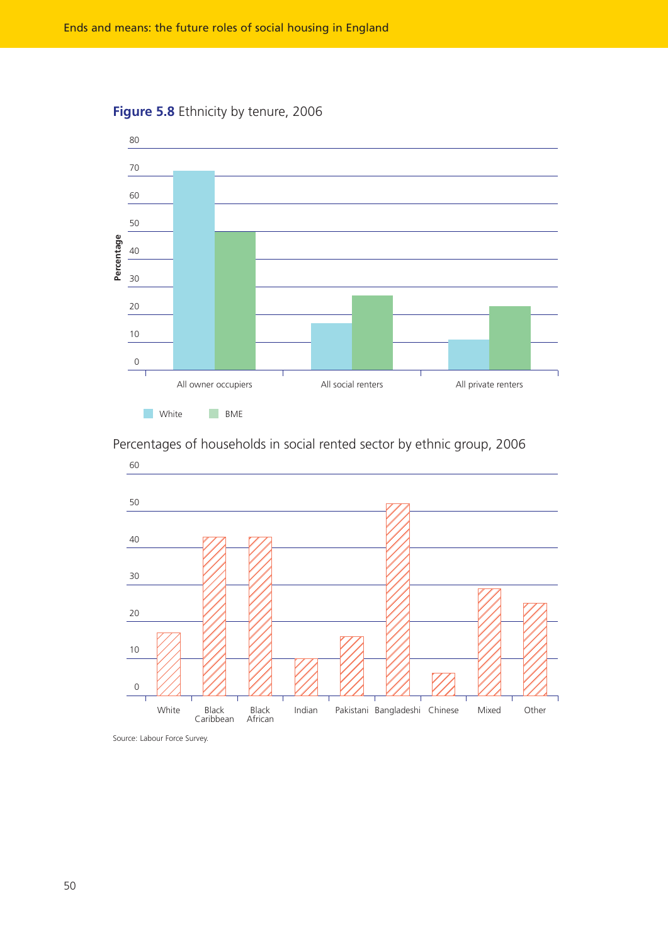



Percentages of households in social rented sector by ethnic group, 2006



Source: Labour Force Survey.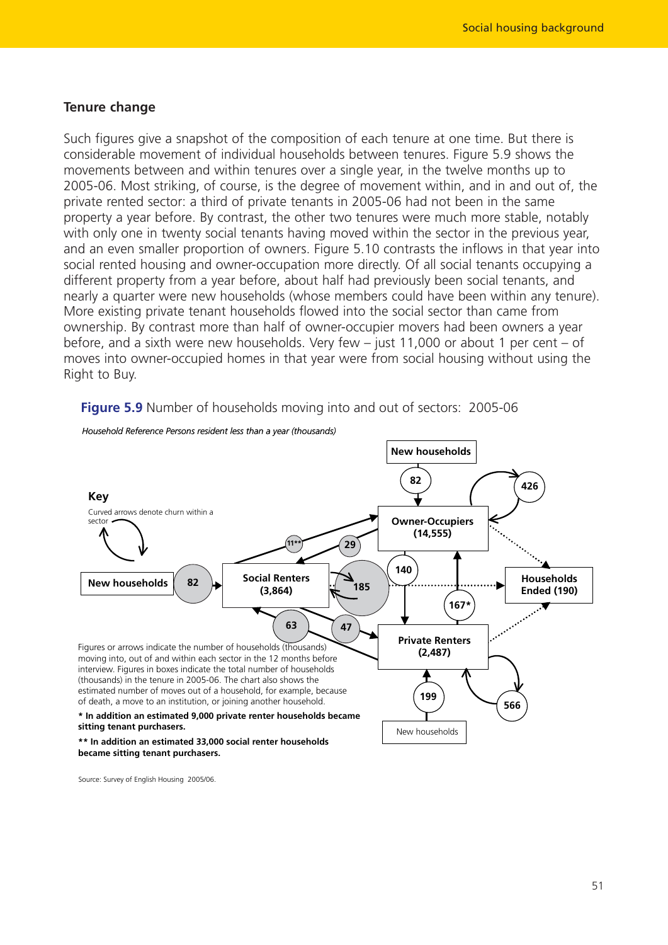#### **Tenure change**

Such figures give a snapshot of the composition of each tenure at one time. But there is considerable movement of individual households between tenures. Figure 5.9 shows the movements between and within tenures over a single year, in the twelve months up to 2005-06. Most striking, of course, is the degree of movement within, and in and out of, the private rented sector: a third of private tenants in 2005-06 had not been in the same property a year before. By contrast, the other two tenures were much more stable, notably with only one in twenty social tenants having moved within the sector in the previous year, and an even smaller proportion of owners. Figure 5.10 contrasts the inflows in that year into social rented housing and owner-occupation more directly. Of all social tenants occupying a different property from a year before, about half had previously been social tenants, and nearly a quarter were new households (whose members could have been within any tenure). More existing private tenant households flowed into the social sector than came from ownership. By contrast more than half of owner-occupier movers had been owners a year before, and a sixth were new households. Very few – just 11,000 or about 1 per cent – of moves into owner-occupied homes in that year were from social housing without using the Right to Buy.



**Figure 5.9** Number of households moving into and out of sectors: 2005-06

Source: Survey of English Housing 2005/06.

51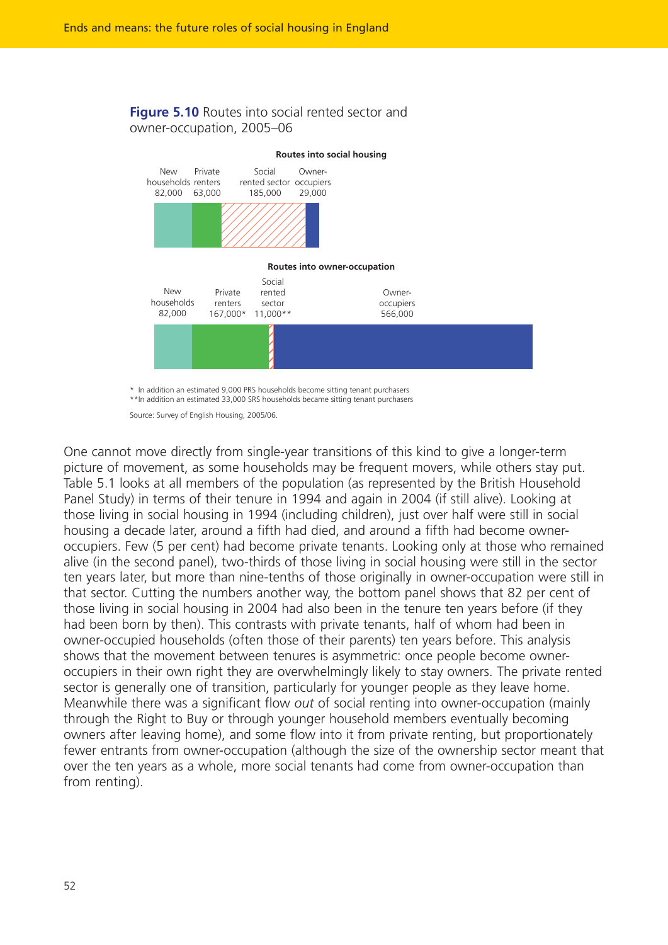#### **Figure 5.10** Routes into social rented sector and owner-occupation, 2005–06



\* In addition an estimated 9,000 PRS households become sitting tenant purchasers \*\*In addition an estimated 33,000 SRS households became sitting tenant purchasers

Source: Survey of English Housing, 2005/06.

One cannot move directly from single-year transitions of this kind to give a longer-term picture of movement, as some households may be frequent movers, while others stay put. Table 5.1 looks at all members of the population (as represented by the British Household Panel Study) in terms of their tenure in 1994 and again in 2004 (if still alive). Looking at those living in social housing in 1994 (including children), just over half were still in social housing a decade later, around a fifth had died, and around a fifth had become owneroccupiers. Few (5 per cent) had become private tenants. Looking only at those who remained alive (in the second panel), two-thirds of those living in social housing were still in the sector ten years later, but more than nine-tenths of those originally in owner-occupation were still in that sector. Cutting the numbers another way, the bottom panel shows that 82 per cent of those living in social housing in 2004 had also been in the tenure ten years before (if they had been born by then). This contrasts with private tenants, half of whom had been in owner-occupied households (often those of their parents) ten years before. This analysis shows that the movement between tenures is asymmetric: once people become owneroccupiers in their own right they are overwhelmingly likely to stay owners. The private rented sector is generally one of transition, particularly for younger people as they leave home. Meanwhile there was a significant flow *out* of social renting into owner-occupation (mainly through the Right to Buy or through younger household members eventually becoming owners after leaving home), and some flow into it from private renting, but proportionately fewer entrants from owner-occupation (although the size of the ownership sector meant that over the ten years as a whole, more social tenants had come from owner-occupation than from renting).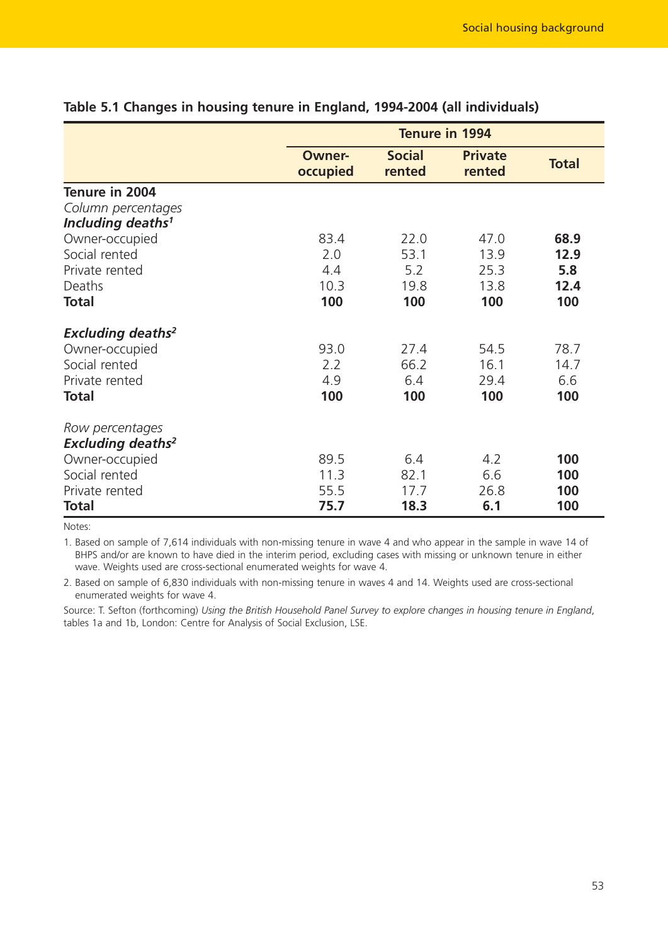|                                                        |                           |                         | <b>Tenure in 1994</b>    |              |
|--------------------------------------------------------|---------------------------|-------------------------|--------------------------|--------------|
|                                                        | <b>Owner-</b><br>occupied | <b>Social</b><br>rented | <b>Private</b><br>rented | <b>Total</b> |
| Tenure in 2004                                         |                           |                         |                          |              |
| Column percentages                                     |                           |                         |                          |              |
| Including deaths <sup>1</sup>                          |                           |                         |                          |              |
| Owner-occupied                                         | 83.4                      | 22.0                    | 47.0                     | 68.9         |
| Social rented                                          | 2.0                       | 53.1                    | 13.9                     | 12.9         |
| Private rented                                         | 4.4                       | 5.2                     | 25.3                     | 5.8          |
| Deaths                                                 | 10.3                      | 19.8                    | 13.8                     | 12.4         |
| <b>Total</b>                                           | 100                       | 100                     | 100                      | 100          |
| <b>Excluding deaths<sup>2</sup></b>                    |                           |                         |                          |              |
| Owner-occupied                                         | 93.0                      | 27.4                    | 54.5                     | 78.7         |
| Social rented                                          | 2.2                       | 66.2                    | 16.1                     | 14.7         |
| Private rented                                         | 4.9                       | 6.4                     | 29.4                     | 6.6          |
| <b>Total</b>                                           | 100                       | 100                     | 100                      | 100          |
| Row percentages<br><b>Excluding deaths<sup>2</sup></b> |                           |                         |                          |              |
| Owner-occupied                                         | 89.5                      | 6.4                     | 4.2                      | 100          |
| Social rented                                          | 11.3                      | 82.1                    | 6.6                      | 100          |
| Private rented                                         | 55.5                      | 17.7                    | 26.8                     | 100          |
| <b>Total</b>                                           | 75.7                      | 18.3                    | 6.1                      | 100          |

# **Table 5.1 Changes in housing tenure in England, 1994-2004 (all individuals)**

Notes:

1. Based on sample of 7,614 individuals with non-missing tenure in wave 4 and who appear in the sample in wave 14 of BHPS and/or are known to have died in the interim period, excluding cases with missing or unknown tenure in either wave. Weights used are cross-sectional enumerated weights for wave 4.

2. Based on sample of 6,830 individuals with non-missing tenure in waves 4 and 14. Weights used are cross-sectional enumerated weights for wave 4.

Source: T. Sefton (forthcoming) *Using the British Household Panel Survey to explore changes in housing tenure in England*, tables 1a and 1b, London: Centre for Analysis of Social Exclusion, LSE.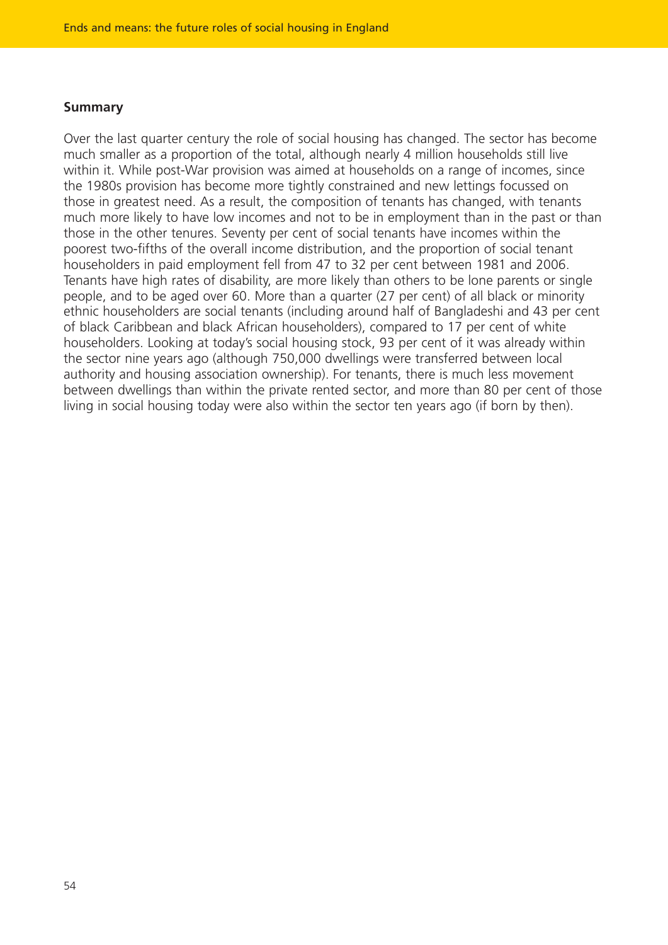#### **Summary**

Over the last quarter century the role of social housing has changed. The sector has become much smaller as a proportion of the total, although nearly 4 million households still live within it. While post-War provision was aimed at households on a range of incomes, since the 1980s provision has become more tightly constrained and new lettings focussed on those in greatest need. As a result, the composition of tenants has changed, with tenants much more likely to have low incomes and not to be in employment than in the past or than those in the other tenures. Seventy per cent of social tenants have incomes within the poorest two-fifths of the overall income distribution, and the proportion of social tenant householders in paid employment fell from 47 to 32 per cent between 1981 and 2006. Tenants have high rates of disability, are more likely than others to be lone parents or single people, and to be aged over 60. More than a quarter (27 per cent) of all black or minority ethnic householders are social tenants (including around half of Bangladeshi and 43 per cent of black Caribbean and black African householders), compared to 17 per cent of white householders. Looking at today's social housing stock, 93 per cent of it was already within the sector nine years ago (although 750,000 dwellings were transferred between local authority and housing association ownership). For tenants, there is much less movement between dwellings than within the private rented sector, and more than 80 per cent of those living in social housing today were also within the sector ten years ago (if born by then).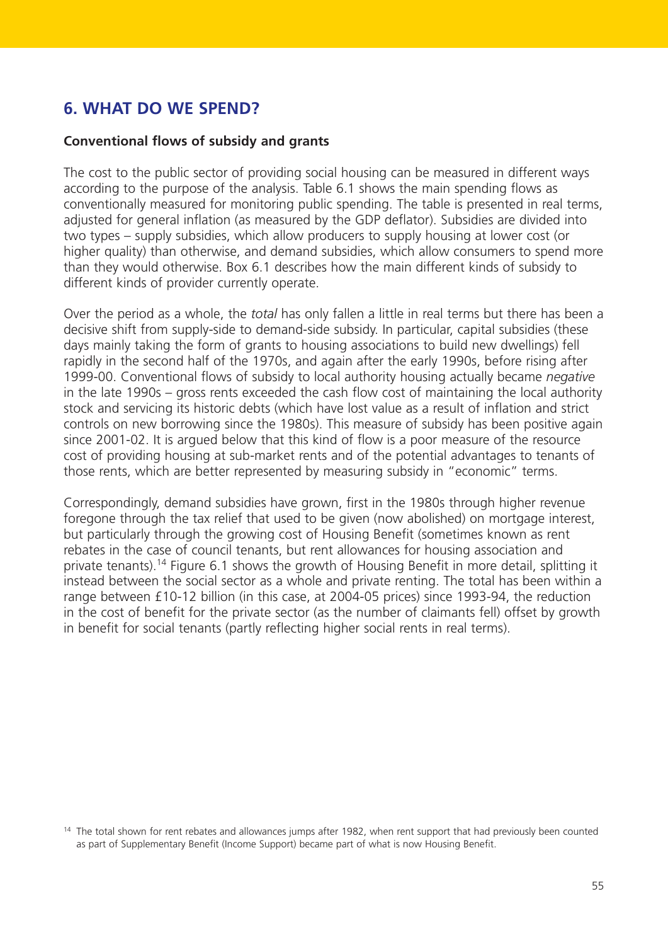# **6. WHAT DO WE SPEND?**

## **Conventional flows of subsidy and grants**

The cost to the public sector of providing social housing can be measured in different ways according to the purpose of the analysis. Table 6.1 shows the main spending flows as conventionally measured for monitoring public spending. The table is presented in real terms, adjusted for general inflation (as measured by the GDP deflator). Subsidies are divided into two types – supply subsidies, which allow producers to supply housing at lower cost (or higher quality) than otherwise, and demand subsidies, which allow consumers to spend more than they would otherwise. Box 6.1 describes how the main different kinds of subsidy to different kinds of provider currently operate.

Over the period as a whole, the *total* has only fallen a little in real terms but there has been a decisive shift from supply-side to demand-side subsidy. In particular, capital subsidies (these days mainly taking the form of grants to housing associations to build new dwellings) fell rapidly in the second half of the 1970s, and again after the early 1990s, before rising after 1999-00. Conventional flows of subsidy to local authority housing actually became *negative* in the late 1990s – gross rents exceeded the cash flow cost of maintaining the local authority stock and servicing its historic debts (which have lost value as a result of inflation and strict controls on new borrowing since the 1980s). This measure of subsidy has been positive again since 2001-02. It is argued below that this kind of flow is a poor measure of the resource cost of providing housing at sub-market rents and of the potential advantages to tenants of those rents, which are better represented by measuring subsidy in "economic" terms.

Correspondingly, demand subsidies have grown, first in the 1980s through higher revenue foregone through the tax relief that used to be given (now abolished) on mortgage interest, but particularly through the growing cost of Housing Benefit (sometimes known as rent rebates in the case of council tenants, but rent allowances for housing association and private tenants).<sup>14</sup> Figure 6.1 shows the growth of Housing Benefit in more detail, splitting it instead between the social sector as a whole and private renting. The total has been within a range between £10-12 billion (in this case, at 2004-05 prices) since 1993-94, the reduction in the cost of benefit for the private sector (as the number of claimants fell) offset by growth in benefit for social tenants (partly reflecting higher social rents in real terms).

<sup>&</sup>lt;sup>14</sup> The total shown for rent rebates and allowances jumps after 1982, when rent support that had previously been counted as part of Supplementary Benefit (Income Support) became part of what is now Housing Benefit.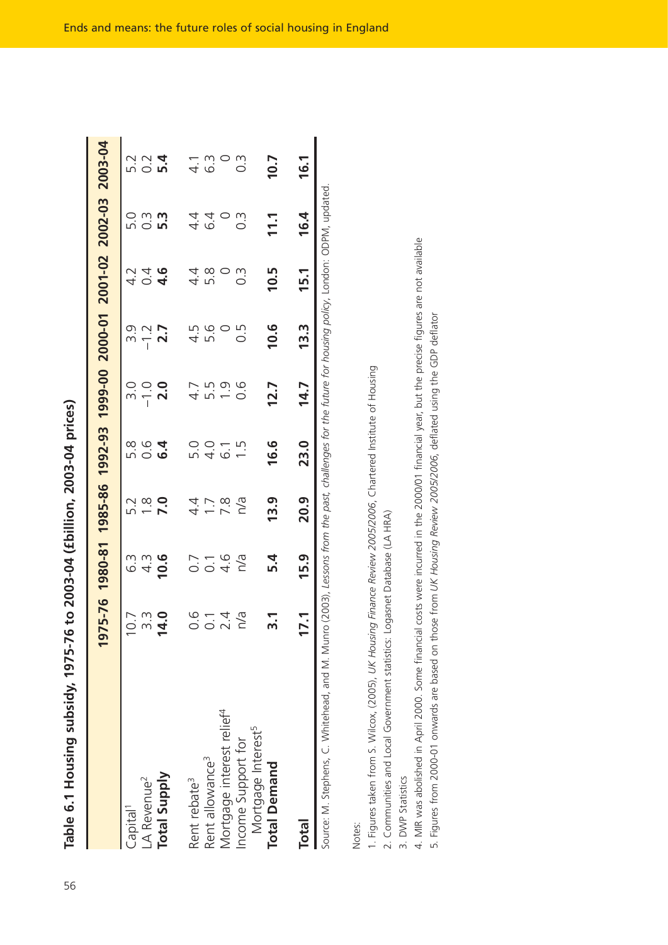56**Table 6.1 Housi ng subsidy, 1975-7 6 to 2003-04 (£billion, 2003-0 4 pric es)**

|                                                       |                    |                  |                            |                  |               |               |                | 1975-76 1980-81 1985-86 1992-93 1999-00 2000-01 2001-02 2002-03 2003-04 |                                                                                                   |
|-------------------------------------------------------|--------------------|------------------|----------------------------|------------------|---------------|---------------|----------------|-------------------------------------------------------------------------|---------------------------------------------------------------------------------------------------|
| Capital <sup>1</sup>                                  |                    | 6.3              | 5.2                        | 5.8              | $\frac{0}{2}$ | 9.S           | 4.2            | 5.0                                                                     |                                                                                                   |
| LA Revenue <sup>2</sup>                               | S is               | 4.3              | $\frac{8}{7}$ .0           | 0.6              | $-1.0$        |               | $0.4$<br>$4.6$ | $0.\overline{3}$                                                        | $\frac{1}{2}$ $\frac{1}{2}$ $\frac{1}{2}$ $\frac{1}{2}$ $\frac{1}{2}$ $\frac{1}{2}$ $\frac{1}{2}$ |
| <b>Total Supply</b>                                   | 14.0               | 10.6             |                            | 6.4              | 2.0           | $-1.2$<br>2.7 |                | <u>5.3</u>                                                              |                                                                                                   |
| Rent rebate <sup>3</sup>                              | 0.G                | 0.7              | 4.4                        | 5.0              | 4.7           | 4.5           | 4.4            | 4.4                                                                     | $\frac{1}{4}$                                                                                     |
| Rent allowance <sup>3</sup>                           |                    | $\overline{O}$ . | $\overline{a}$<br>$\vdots$ | 4.0              | 5.5           | 5.6           | 5.8            | 6.4                                                                     | 3.<br>ق                                                                                           |
| Mortgage interest relief <sup>4</sup>                 | 2.4                | 4.6              | 7.8                        | $\overline{6}$   | $\ddot{0}$    |               |                |                                                                         |                                                                                                   |
| ncome Support for                                     | n/a                | n/a              | n/a                        | $\overline{1}$ . | 0.6           | 0.5           | $\frac{3}{2}$  | $\overline{0}$ .                                                        | $\overline{0}$ .                                                                                  |
| Mortgage Interest <sup>5</sup><br><b>Total Demand</b> | _<br>თ             | 5.4              | 13.9                       | 16.6             | 12.7          | 10.6          | 10.5           | 11.1                                                                    | 10.7                                                                                              |
| <b>Total</b>                                          | $\overline{7}$ . 1 | 15.9             | 20.9                       | 23.0             | 14.7          | <b>13.3</b>   | 15.1           | 16.4                                                                    | 16.1                                                                                              |

Source: M. Stephens, C. Whitehead, and M. Munro (2003), Lessons from the past, challenges for the future for housing policy, London: ODPM, updated. Source: M. Stephens, C. Whitehead, and M. Munro (2003), Lessons from the past, challenges for the future for housing policy, London: ODPM, updated

Notes:

1. Figures taken from S. Wilcox, (2005), UK Housing Finance Review 2005/2006, Chartered Institute of Housing 1. Figures taken from S. Wilcox, (2005), *UK Housing Finance Review 2005/2006*, Chartered Institute of Housing

2. Communities and Local Government statistics: Logasnet Database (LA HRA) 2. Communities and Local Government statistics: Logasnet Database (LA HRA)

3. DWP Statistics 3. DWP Statistics

4. MIR was abolished in April 2000. Some financial costs were incurred in the 2000/01 financial year, but the precise figures are not available 4. MIR was abolished in April 2000. Some financial costs were incurred in the 2000/01 financial year, but the precise figures are not available

5. Figures from 2000-01 onwards are based on those from UK Housing Review 2005/2006, deflated using the GDP deflator 5. Figures from 2000-01 onwards are based on those from *UK Housing Review 2005/2006*, deflated using the GDP deflator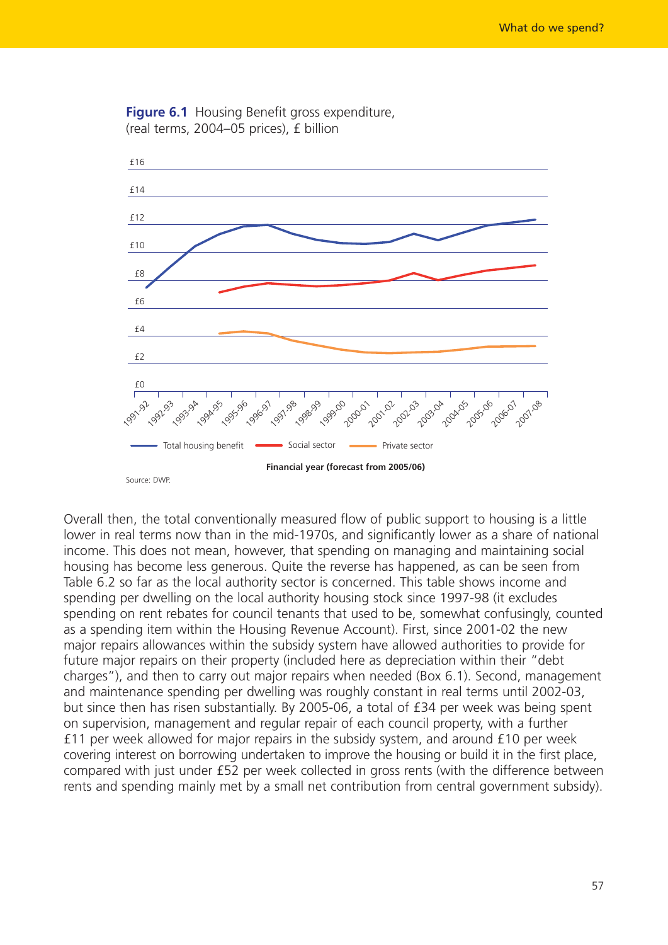

**Figure 6.1** Housing Benefit gross expenditure, (real terms, 2004–05 prices), £ billion

Overall then, the total conventionally measured flow of public support to housing is a little lower in real terms now than in the mid-1970s, and significantly lower as a share of national income. This does not mean, however, that spending on managing and maintaining social housing has become less generous. Quite the reverse has happened, as can be seen from Table 6.2 so far as the local authority sector is concerned. This table shows income and spending per dwelling on the local authority housing stock since 1997-98 (it excludes spending on rent rebates for council tenants that used to be, somewhat confusingly, counted as a spending item within the Housing Revenue Account). First, since 2001-02 the new major repairs allowances within the subsidy system have allowed authorities to provide for future major repairs on their property (included here as depreciation within their "debt charges"), and then to carry out major repairs when needed (Box 6.1). Second, management and maintenance spending per dwelling was roughly constant in real terms until 2002-03, but since then has risen substantially. By 2005-06, a total of £34 per week was being spent on supervision, management and regular repair of each council property, with a further £11 per week allowed for major repairs in the subsidy system, and around £10 per week covering interest on borrowing undertaken to improve the housing or build it in the first place, compared with just under £52 per week collected in gross rents (with the difference between rents and spending mainly met by a small net contribution from central government subsidy).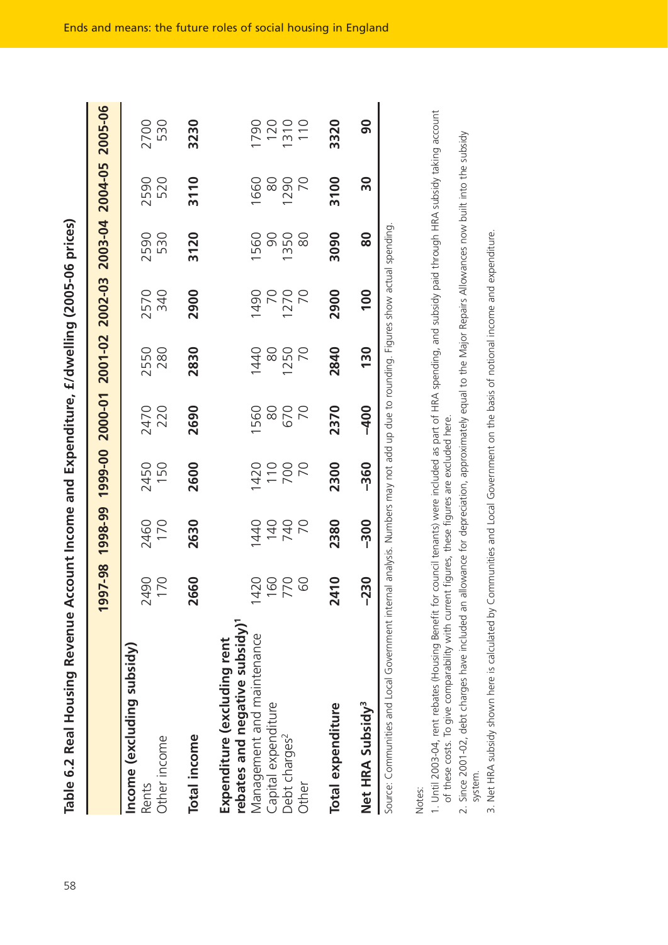58**Table 6.2 Real Housi n g Revenue Account In come and Expenditure, £/dwelling (2005-0 6 pric es)**

|                                                                                                                                  | 997-98      |                     |             |             |             |             | 1996-999 19999-000 20001-02 2002-03 2003-04 2004-05 2005-06 |             |              |
|----------------------------------------------------------------------------------------------------------------------------------|-------------|---------------------|-------------|-------------|-------------|-------------|-------------------------------------------------------------|-------------|--------------|
| Income (excluding subsidy)<br>Other income<br>Rents                                                                              | 2490<br>170 | 2460<br>170         | 2450<br>150 | 2470<br>220 | 2550<br>280 | 2570<br>340 | 2590<br>530                                                 | 2590<br>520 | 2700<br>530  |
| <b>Total income</b>                                                                                                              | 2660        | 2630                | 2600        | 2690        | 2830        | 2900        | 3120                                                        | 3110        | 3230         |
| rebates and negative subsidy) <sup>1</sup><br>Expenditure (excluding rent                                                        |             |                     |             |             |             |             |                                                             |             |              |
| Management and maintenance                                                                                                       | 420         | 440                 | 1420        | 1560        | 1440        | 1490        | 1560                                                        | 1660        | 1790         |
| Capital expenditure                                                                                                              | 160<br>770  | 140                 | 110         | 8           | 8           | 20          | 8                                                           | 8           | 120          |
| Jebt charges <sup>2</sup>                                                                                                        |             | 740<br><sub>N</sub> | 700         | 670         | 1250        | 1270        | 1350                                                        | 1290        | 1310         |
| Other                                                                                                                            | 89          |                     | 5C          | 20          | 20          | 20          | 80                                                          | 20          | 110          |
| Total expenditure                                                                                                                | 2410        | 2380                | 2300        | 2370        | 2840        | 2900        | 3090                                                        | 3100        | 3320         |
| Net HRA Subsidy <sup>3</sup>                                                                                                     | -230        | $-300$              | $-360$      | $-400$      | 130         | 100         | 80                                                          | 30          | $\mathbf{S}$ |
| Source: Communities and Local Government internal analysis. Numbers may not add up due to rounding. Figures show actual spending |             |                     |             |             |             |             |                                                             |             |              |

Notes:

1. Until 2003-04, rent rebates (Housing Benefit for council tenants) were included as part of HRA spending, and subsidy paid through HRA subsidy taking account 1. Until 2003-04, rent rebates (Housing Benefit for council tenants) were included as part of HRA spending, and subsidy paid through HRA subsidy taking account of these costs. To give comparability with current figures, these figures are excluded here. of these costs. To give comparability with current figures, these figures are excluded here.

2. Since 2001-02, debt charges have included an allowance for depreciation, approximately equal to the Major Repairs Allowances now built into the subsidy 2. Since 2001-02, debt charges have included an allowance for depreciation, approximately equal to the Major Repairs Allowances now built into the subsidy system.

3. Net HRA subsidy shown here is calculated by Communities and Local Government on the basis of notional income and expenditure. 3. Net HRA subsidy shown here is calculated by Communities and Local Government on the basis of notional income and expenditure.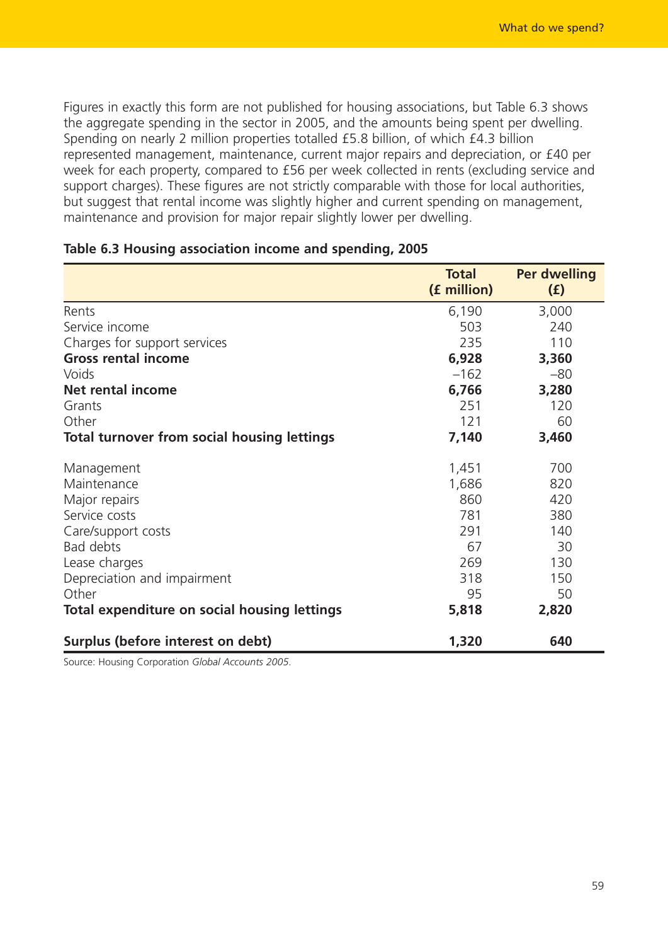Figures in exactly this form are not published for housing associations, but Table 6.3 shows the aggregate spending in the sector in 2005, and the amounts being spent per dwelling. Spending on nearly 2 million properties totalled £5.8 billion, of which £4.3 billion represented management, maintenance, current major repairs and depreciation, or £40 per week for each property, compared to £56 per week collected in rents (excluding service and support charges). These figures are not strictly comparable with those for local authorities, but suggest that rental income was slightly higher and current spending on management, maintenance and provision for major repair slightly lower per dwelling.

|                                                     | <b>Total</b><br>(f million) | <b>Per dwelling</b><br>(f) |
|-----------------------------------------------------|-----------------------------|----------------------------|
| Rents                                               | 6,190                       | 3,000                      |
| Service income                                      | 503                         | 240                        |
| Charges for support services                        | 235                         | 110                        |
| <b>Gross rental income</b>                          | 6,928                       | 3,360                      |
| Voids                                               | $-162$                      | $-80$                      |
| <b>Net rental income</b>                            | 6,766                       | 3,280                      |
| Grants                                              | 251                         | 120                        |
| Other                                               | 121                         | 60                         |
| <b>Total turnover from social housing lettings</b>  | 7,140                       | 3,460                      |
| Management                                          | 1,451                       | 700                        |
| Maintenance                                         | 1,686                       | 820                        |
| Major repairs                                       | 860                         | 420                        |
| Service costs                                       | 781                         | 380                        |
| Care/support costs                                  | 291                         | 140                        |
| Bad debts                                           | 67                          | 30                         |
| Lease charges                                       | 269                         | 130                        |
| Depreciation and impairment                         | 318                         | 150                        |
| Other                                               | 95                          | 50                         |
| <b>Total expenditure on social housing lettings</b> | 5,818                       | 2,820                      |
| Surplus (before interest on debt)                   | 1,320                       | 640                        |

#### **Table 6.3 Housing association income and spending, 2005**

Source: Housing Corporation *Global Accounts 2005*.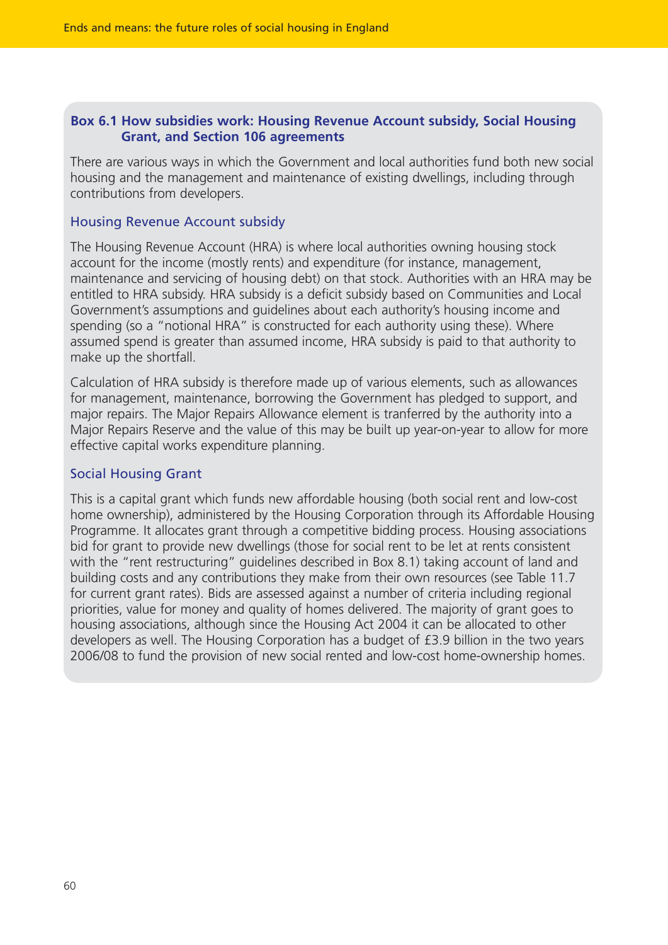#### **Box 6.1 How subsidies work: Housing Revenue Account subsidy, Social Housing Grant, and Section 106 agreements**

There are various ways in which the Government and local authorities fund both new social housing and the management and maintenance of existing dwellings, including through contributions from developers.

#### Housing Revenue Account subsidy

The Housing Revenue Account (HRA) is where local authorities owning housing stock account for the income (mostly rents) and expenditure (for instance, management, maintenance and servicing of housing debt) on that stock. Authorities with an HRA may be entitled to HRA subsidy. HRA subsidy is a deficit subsidy based on Communities and Local Government's assumptions and guidelines about each authority's housing income and spending (so a "notional HRA" is constructed for each authority using these). Where assumed spend is greater than assumed income, HRA subsidy is paid to that authority to make up the shortfall.

Calculation of HRA subsidy is therefore made up of various elements, such as allowances for management, maintenance, borrowing the Government has pledged to support, and major repairs. The Major Repairs Allowance element is tranferred by the authority into a Major Repairs Reserve and the value of this may be built up year-on-year to allow for more effective capital works expenditure planning.

#### Social Housing Grant

This is a capital grant which funds new affordable housing (both social rent and low-cost home ownership), administered by the Housing Corporation through its Affordable Housing Programme. It allocates grant through a competitive bidding process. Housing associations bid for grant to provide new dwellings (those for social rent to be let at rents consistent with the "rent restructuring" guidelines described in Box 8.1) taking account of land and building costs and any contributions they make from their own resources (see Table 11.7 for current grant rates). Bids are assessed against a number of criteria including regional priorities, value for money and quality of homes delivered. The majority of grant goes to housing associations, although since the Housing Act 2004 it can be allocated to other developers as well. The Housing Corporation has a budget of £3.9 billion in the two years 2006/08 to fund the provision of new social rented and low-cost home-ownership homes.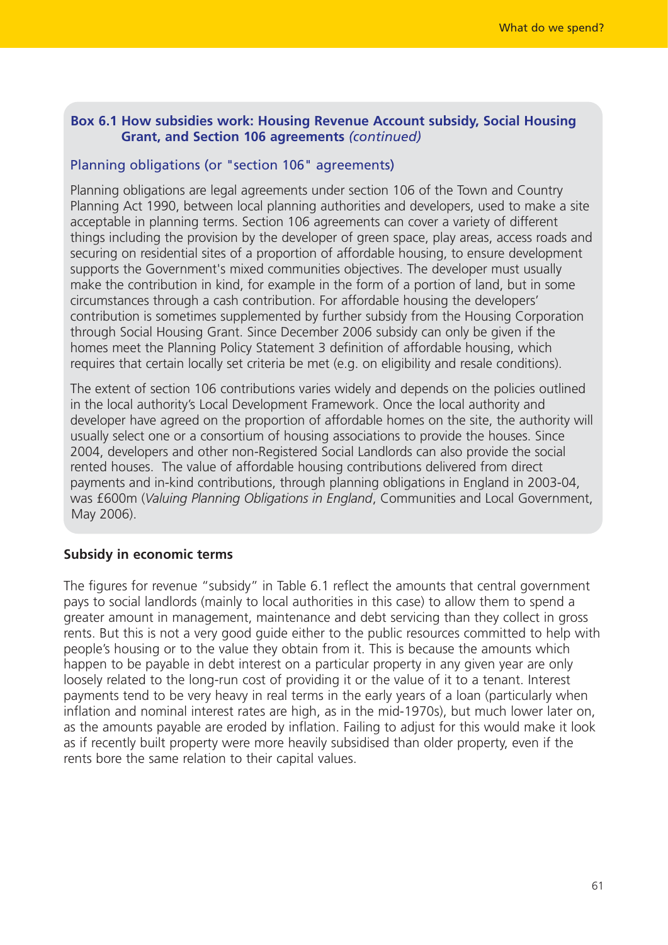#### **Box 6.1 How subsidies work: Housing Revenue Account subsidy, Social Housing Grant, and Section 106 agreements** *(continued)*

#### Planning obligations (or "section 106" agreements)

Planning obligations are legal agreements under section 106 of the Town and Country Planning Act 1990, between local planning authorities and developers, used to make a site acceptable in planning terms. Section 106 agreements can cover a variety of different things including the provision by the developer of green space, play areas, access roads and securing on residential sites of a proportion of affordable housing, to ensure development supports the Government's mixed communities objectives. The developer must usually make the contribution in kind, for example in the form of a portion of land, but in some circumstances through a cash contribution. For affordable housing the developers' contribution is sometimes supplemented by further subsidy from the Housing Corporation through Social Housing Grant. Since December 2006 subsidy can only be given if the homes meet the Planning Policy Statement 3 definition of affordable housing, which requires that certain locally set criteria be met (e.g. on eligibility and resale conditions).

The extent of section 106 contributions varies widely and depends on the policies outlined in the local authority's Local Development Framework. Once the local authority and developer have agreed on the proportion of affordable homes on the site, the authority will usually select one or a consortium of housing associations to provide the houses. Since 2004, developers and other non-Registered Social Landlords can also provide the social rented houses. The value of affordable housing contributions delivered from direct payments and in-kind contributions, through planning obligations in England in 2003-04, was £600m (*Valuing Planning Obligations in England*, Communities and Local Government, May 2006).

#### **Subsidy in economic terms**

The figures for revenue "subsidy" in Table 6.1 reflect the amounts that central government pays to social landlords (mainly to local authorities in this case) to allow them to spend a greater amount in management, maintenance and debt servicing than they collect in gross rents. But this is not a very good guide either to the public resources committed to help with people's housing or to the value they obtain from it. This is because the amounts which happen to be payable in debt interest on a particular property in any given year are only loosely related to the long-run cost of providing it or the value of it to a tenant. Interest payments tend to be very heavy in real terms in the early years of a loan (particularly when inflation and nominal interest rates are high, as in the mid-1970s), but much lower later on, as the amounts payable are eroded by inflation. Failing to adjust for this would make it look as if recently built property were more heavily subsidised than older property, even if the rents bore the same relation to their capital values.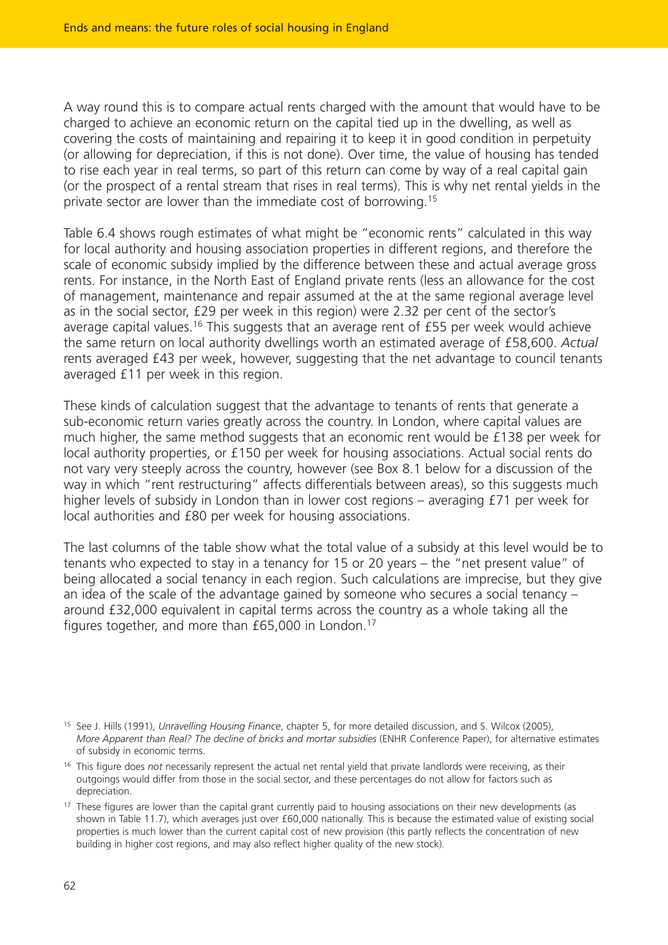A way round this is to compare actual rents charged with the amount that would have to be charged to achieve an economic return on the capital tied up in the dwelling, as well as covering the costs of maintaining and repairing it to keep it in good condition in perpetuity (or allowing for depreciation, if this is not done). Over time, the value of housing has tended to rise each year in real terms, so part of this return can come by way of a real capital gain (or the prospect of a rental stream that rises in real terms). This is why net rental yields in the private sector are lower than the immediate cost of borrowing.15

Table 6.4 shows rough estimates of what might be "economic rents" calculated in this way for local authority and housing association properties in different regions, and therefore the scale of economic subsidy implied by the difference between these and actual average gross rents. For instance, in the North East of England private rents (less an allowance for the cost of management, maintenance and repair assumed at the at the same regional average level as in the social sector, £29 per week in this region) were 2.32 per cent of the sector's average capital values.<sup>16</sup> This suggests that an average rent of £55 per week would achieve the same return on local authority dwellings worth an estimated average of £58,600. *Actual* rents averaged £43 per week, however, suggesting that the net advantage to council tenants averaged £11 per week in this region.

These kinds of calculation suggest that the advantage to tenants of rents that generate a sub-economic return varies greatly across the country. In London, where capital values are much higher, the same method suggests that an economic rent would be £138 per week for local authority properties, or £150 per week for housing associations. Actual social rents do not vary very steeply across the country, however (see Box 8.1 below for a discussion of the way in which "rent restructuring" affects differentials between areas), so this suggests much higher levels of subsidy in London than in lower cost regions – averaging £71 per week for local authorities and £80 per week for housing associations.

The last columns of the table show what the total value of a subsidy at this level would be to tenants who expected to stay in a tenancy for 15 or 20 years – the "net present value" of being allocated a social tenancy in each region. Such calculations are imprecise, but they give an idea of the scale of the advantage gained by someone who secures a social tenancy – around £32,000 equivalent in capital terms across the country as a whole taking all the figures together, and more than  $£65,000$  in London.<sup>17</sup>

<sup>15</sup> See J. Hills (1991), *Unravelling Housing Finance*, chapter 5, for more detailed discussion, and S. Wilcox (2005), *More Apparent than Real? The decline of bricks and mortar subsidies* (ENHR Conference Paper), for alternative estimates of subsidy in economic terms.

<sup>16</sup> This figure does *not* necessarily represent the actual net rental yield that private landlords were receiving, as their outgoings would differ from those in the social sector, and these percentages do not allow for factors such as depreciation.

<sup>&</sup>lt;sup>17</sup> These figures are lower than the capital grant currently paid to housing associations on their new developments (as shown in Table 11.7), which averages just over £60,000 nationally. This is because the estimated value of existing social properties is much lower than the current capital cost of new provision (this partly reflects the concentration of new building in higher cost regions, and may also reflect higher quality of the new stock).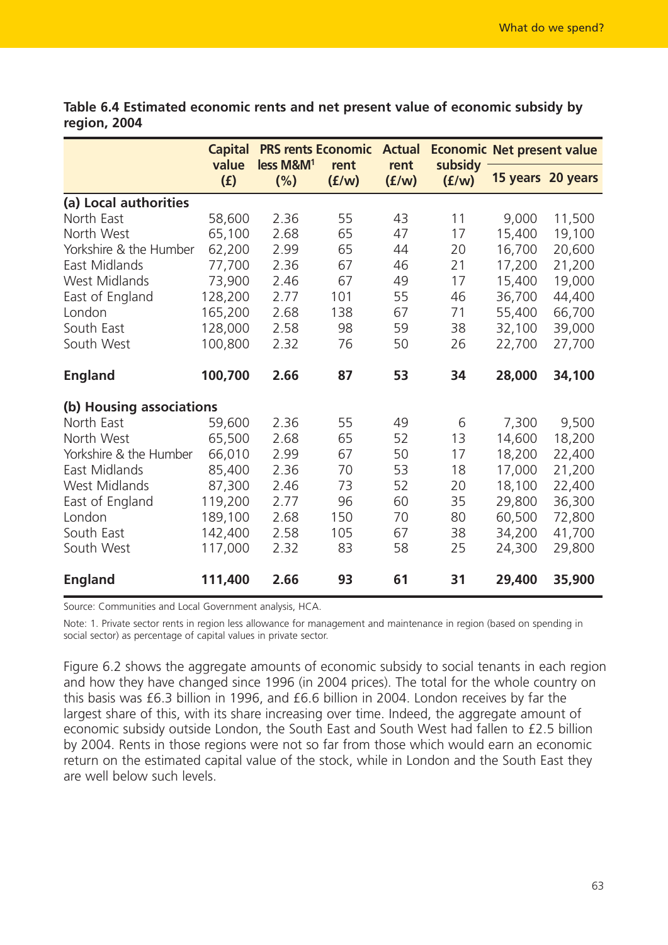**Table 6.4 Estimated economic rents and net present value of economic subsidy by region, 2004**

|                          | <b>Capital</b><br>value | <b>PRS rents Economic</b><br>less M&M <sup>1</sup> |               | <b>Actual</b> | <b>Economic Net present value</b> |        |                   |
|--------------------------|-------------------------|----------------------------------------------------|---------------|---------------|-----------------------------------|--------|-------------------|
|                          | (f)                     | $(\% )$                                            | rent<br>(f/w) | rent<br>(f/w) | subsidy<br>(f/w)                  |        | 15 years 20 years |
| (a) Local authorities    |                         |                                                    |               |               |                                   |        |                   |
| North East               | 58,600                  | 2.36                                               | 55            | 43            | 11                                | 9,000  | 11,500            |
| North West               | 65,100                  | 2.68                                               | 65            | 47            | 17                                | 15,400 | 19,100            |
| Yorkshire & the Humber   | 62,200                  | 2.99                                               | 65            | 44            | 20                                | 16,700 | 20,600            |
| East Midlands            | 77,700                  | 2.36                                               | 67            | 46            | 21                                | 17,200 | 21,200            |
| West Midlands            | 73,900                  | 2.46                                               | 67            | 49            | 17                                | 15,400 | 19,000            |
| East of England          | 128,200                 | 2.77                                               | 101           | 55            | 46                                | 36,700 | 44,400            |
| London                   | 165,200                 | 2.68                                               | 138           | 67            | 71                                | 55,400 | 66,700            |
| South East               | 128,000                 | 2.58                                               | 98            | 59            | 38                                | 32,100 | 39,000            |
| South West               | 100,800                 | 2.32                                               | 76            | 50            | 26                                | 22,700 | 27,700            |
| <b>England</b>           | 100,700                 | 2.66                                               | 87            | 53            | 34                                | 28,000 | 34,100            |
| (b) Housing associations |                         |                                                    |               |               |                                   |        |                   |
| North East               | 59,600                  | 2.36                                               | 55            | 49            | 6                                 | 7,300  | 9,500             |
| North West               | 65,500                  | 2.68                                               | 65            | 52            | 13                                | 14,600 | 18,200            |
| Yorkshire & the Humber   | 66,010                  | 2.99                                               | 67            | 50            | 17                                | 18,200 | 22,400            |
| East Midlands            | 85,400                  | 2.36                                               | 70            | 53            | 18                                | 17,000 | 21,200            |
| <b>West Midlands</b>     | 87,300                  | 2.46                                               | 73            | 52            | 20                                | 18,100 | 22,400            |
| East of England          | 119,200                 | 2.77                                               | 96            | 60            | 35                                | 29,800 | 36,300            |
| London                   | 189,100                 | 2.68                                               | 150           | 70            | 80                                | 60,500 | 72,800            |
| South East               | 142,400                 | 2.58                                               | 105           | 67            | 38                                | 34,200 | 41,700            |
| South West               | 117,000                 | 2.32                                               | 83            | 58            | 25                                | 24,300 | 29,800            |
| <b>England</b>           | 111,400                 | 2.66                                               | 93            | 61            | 31                                | 29,400 | 35,900            |

Source: Communities and Local Government analysis, HCA.

Note: 1. Private sector rents in region less allowance for management and maintenance in region (based on spending in social sector) as percentage of capital values in private sector.

Figure 6.2 shows the aggregate amounts of economic subsidy to social tenants in each region and how they have changed since 1996 (in 2004 prices). The total for the whole country on this basis was £6.3 billion in 1996, and £6.6 billion in 2004. London receives by far the largest share of this, with its share increasing over time. Indeed, the aggregate amount of economic subsidy outside London, the South East and South West had fallen to £2.5 billion by 2004. Rents in those regions were not so far from those which would earn an economic return on the estimated capital value of the stock, while in London and the South East they are well below such levels.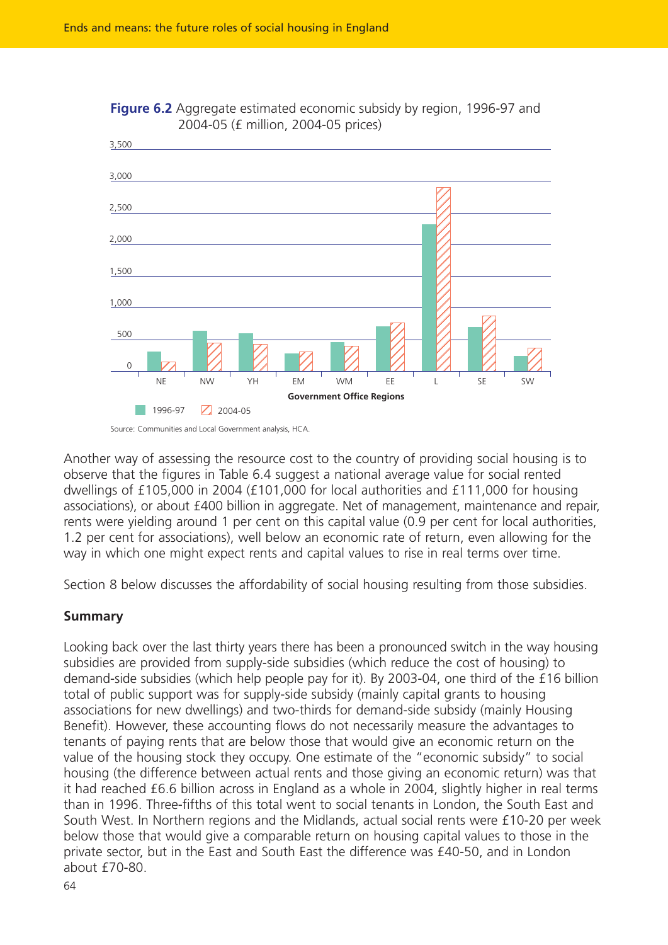



Source: Communities and Local Government analysis, HCA.

Another way of assessing the resource cost to the country of providing social housing is to observe that the figures in Table 6.4 suggest a national average value for social rented dwellings of £105,000 in 2004 (£101,000 for local authorities and £111,000 for housing associations), or about £400 billion in aggregate. Net of management, maintenance and repair, rents were yielding around 1 per cent on this capital value (0.9 per cent for local authorities, 1.2 per cent for associations), well below an economic rate of return, even allowing for the way in which one might expect rents and capital values to rise in real terms over time.

Section 8 below discusses the affordability of social housing resulting from those subsidies.

#### **Summary**

Looking back over the last thirty years there has been a pronounced switch in the way housing subsidies are provided from supply-side subsidies (which reduce the cost of housing) to demand-side subsidies (which help people pay for it). By 2003-04, one third of the £16 billion total of public support was for supply-side subsidy (mainly capital grants to housing associations for new dwellings) and two-thirds for demand-side subsidy (mainly Housing Benefit). However, these accounting flows do not necessarily measure the advantages to tenants of paying rents that are below those that would give an economic return on the value of the housing stock they occupy. One estimate of the "economic subsidy" to social housing (the difference between actual rents and those giving an economic return) was that it had reached £6.6 billion across in England as a whole in 2004, slightly higher in real terms than in 1996. Three-fifths of this total went to social tenants in London, the South East and South West. In Northern regions and the Midlands, actual social rents were £10-20 per week below those that would give a comparable return on housing capital values to those in the private sector, but in the East and South East the difference was £40-50, and in London about £70-80.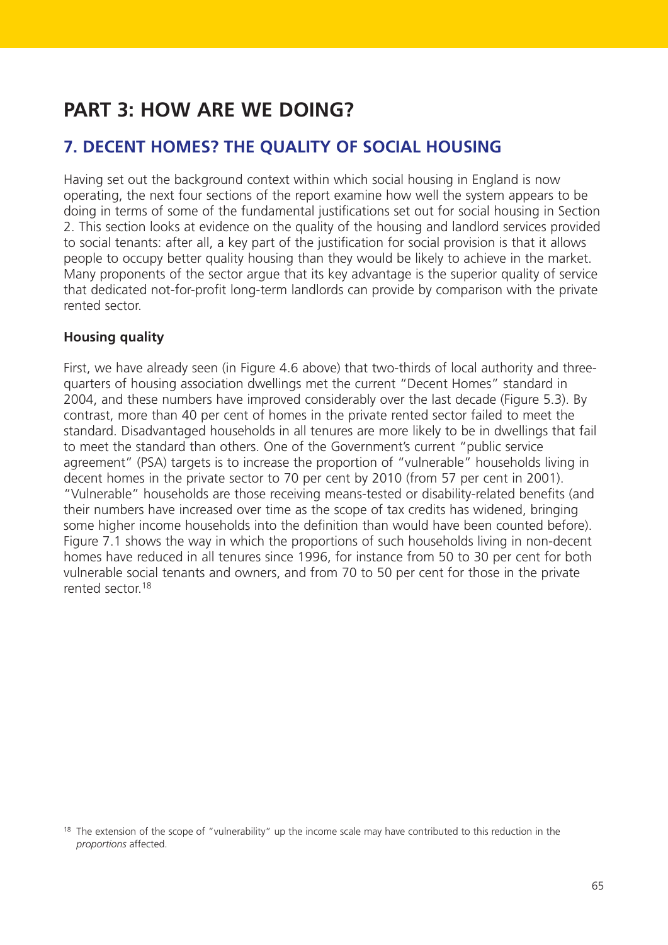# **PART 3: HOW ARE WE DOING?**

# **7. DECENT HOMES? THE QUALITY OF SOCIAL HOUSING**

Having set out the background context within which social housing in England is now operating, the next four sections of the report examine how well the system appears to be doing in terms of some of the fundamental justifications set out for social housing in Section 2. This section looks at evidence on the quality of the housing and landlord services provided to social tenants: after all, a key part of the justification for social provision is that it allows people to occupy better quality housing than they would be likely to achieve in the market. Many proponents of the sector argue that its key advantage is the superior quality of service that dedicated not-for-profit long-term landlords can provide by comparison with the private rented sector.

### **Housing quality**

First, we have already seen (in Figure 4.6 above) that two-thirds of local authority and threequarters of housing association dwellings met the current "Decent Homes" standard in 2004, and these numbers have improved considerably over the last decade (Figure 5.3). By contrast, more than 40 per cent of homes in the private rented sector failed to meet the standard. Disadvantaged households in all tenures are more likely to be in dwellings that fail to meet the standard than others. One of the Government's current "public service agreement" (PSA) targets is to increase the proportion of "vulnerable" households living in decent homes in the private sector to 70 per cent by 2010 (from 57 per cent in 2001). "Vulnerable" households are those receiving means-tested or disability-related benefits (and their numbers have increased over time as the scope of tax credits has widened, bringing some higher income households into the definition than would have been counted before). Figure 7.1 shows the way in which the proportions of such households living in non-decent homes have reduced in all tenures since 1996, for instance from 50 to 30 per cent for both vulnerable social tenants and owners, and from 70 to 50 per cent for those in the private rented sector.18

<sup>&</sup>lt;sup>18</sup> The extension of the scope of "vulnerability" up the income scale may have contributed to this reduction in the *proportions* affected.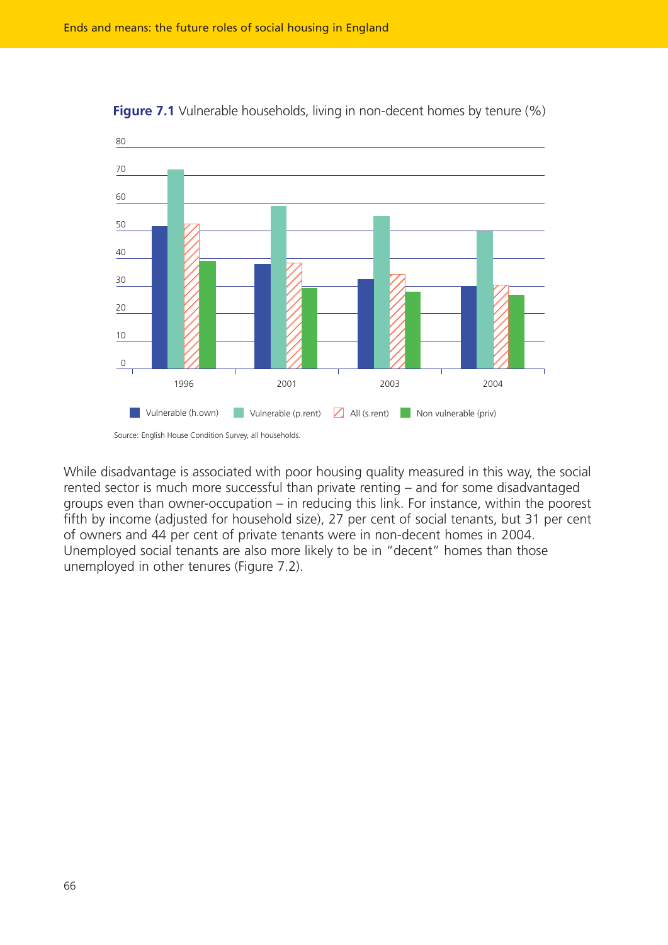



While disadvantage is associated with poor housing quality measured in this way, the social rented sector is much more successful than private renting – and for some disadvantaged groups even than owner-occupation – in reducing this link. For instance, within the poorest fifth by income (adjusted for household size), 27 per cent of social tenants, but 31 per cent of owners and 44 per cent of private tenants were in non-decent homes in 2004. Unemployed social tenants are also more likely to be in "decent" homes than those unemployed in other tenures (Figure 7.2).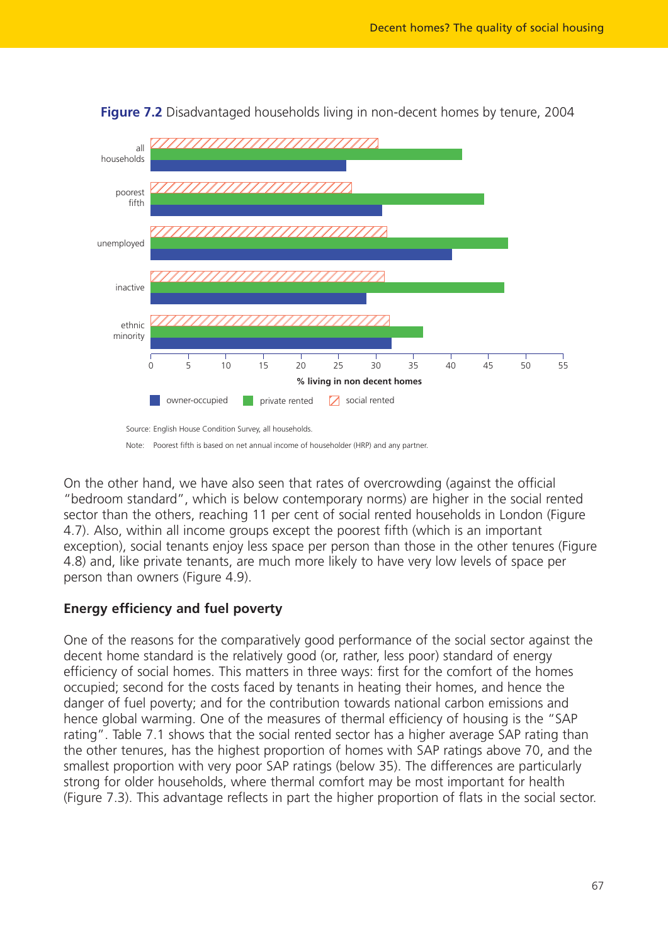

**Figure 7.2** Disadvantaged households living in non-decent homes by tenure, 2004

Source: English House Condition Survey, all households.

Note: Poorest fifth is based on net annual income of householder (HRP) and any partner.

On the other hand, we have also seen that rates of overcrowding (against the official "bedroom standard", which is below contemporary norms) are higher in the social rented sector than the others, reaching 11 per cent of social rented households in London (Figure 4.7). Also, within all income groups except the poorest fifth (which is an important exception), social tenants enjoy less space per person than those in the other tenures (Figure 4.8) and, like private tenants, are much more likely to have very low levels of space per person than owners (Figure 4.9).

## **Energy efficiency and fuel poverty**

One of the reasons for the comparatively good performance of the social sector against the decent home standard is the relatively good (or, rather, less poor) standard of energy efficiency of social homes. This matters in three ways: first for the comfort of the homes occupied; second for the costs faced by tenants in heating their homes, and hence the danger of fuel poverty; and for the contribution towards national carbon emissions and hence global warming. One of the measures of thermal efficiency of housing is the "SAP rating". Table 7.1 shows that the social rented sector has a higher average SAP rating than the other tenures, has the highest proportion of homes with SAP ratings above 70, and the smallest proportion with very poor SAP ratings (below 35). The differences are particularly strong for older households, where thermal comfort may be most important for health (Figure 7.3). This advantage reflects in part the higher proportion of flats in the social sector.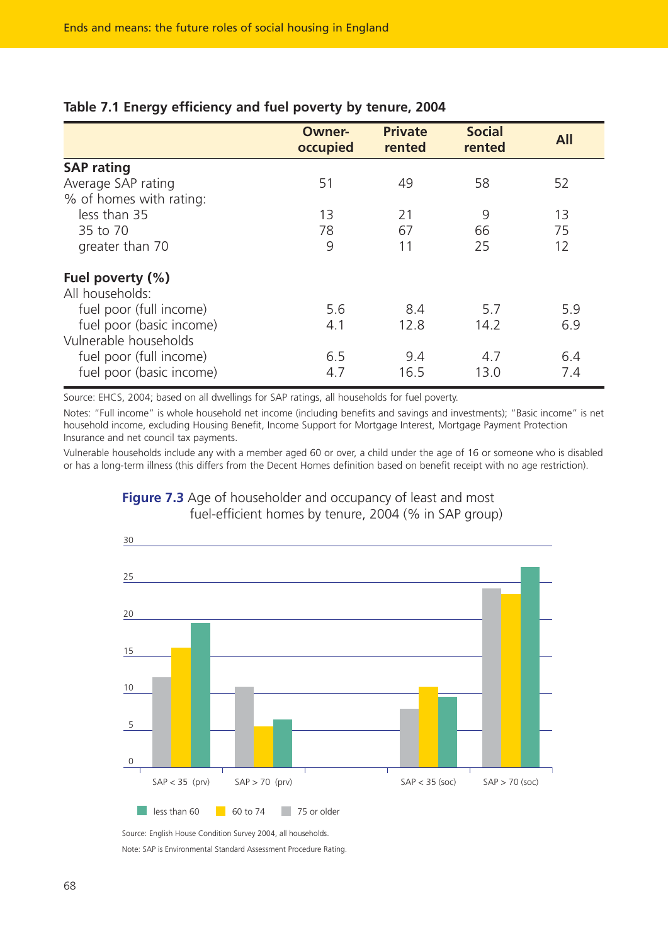|                          | <b>Owner-</b><br>occupied | <b>Private</b><br>rented | <b>Social</b><br>rented | <b>All</b> |
|--------------------------|---------------------------|--------------------------|-------------------------|------------|
| <b>SAP rating</b>        |                           |                          |                         |            |
| Average SAP rating       | 51                        | 49                       | 58                      | 52         |
| % of homes with rating:  |                           |                          |                         |            |
| less than 35             | 13                        | 21                       | 9                       | 13         |
| 35 to 70                 | 78                        | 67                       | 66                      | 75         |
| greater than 70          | 9                         | 11                       | 25                      | 12         |
| Fuel poverty (%)         |                           |                          |                         |            |
| All households:          |                           |                          |                         |            |
| fuel poor (full income)  | 5.6                       | 8.4                      | 5.7                     | 5.9        |
| fuel poor (basic income) | 4.1                       | 12.8                     | 14.2                    | 6.9        |
| Vulnerable households    |                           |                          |                         |            |
| fuel poor (full income)  | 6.5                       | 9.4                      | 4.7                     | 6.4        |
| fuel poor (basic income) | 4.7                       | 16.5                     | 13.0                    | 7.4        |

#### **Table 7.1 Energy efficiency and fuel poverty by tenure, 2004**

Source: EHCS, 2004; based on all dwellings for SAP ratings, all households for fuel poverty.

Notes: "Full income" is whole household net income (including benefits and savings and investments); "Basic income" is net household income, excluding Housing Benefit, Income Support for Mortgage Interest, Mortgage Payment Protection Insurance and net council tax payments.

Vulnerable households include any with a member aged 60 or over, a child under the age of 16 or someone who is disabled or has a long-term illness (this differs from the Decent Homes definition based on benefit receipt with no age restriction).



#### **Figure 7.3** Age of householder and occupancy of least and most fuel-efficient homes by tenure, 2004 (% in SAP group)

Source: English House Condition Survey 2004, all households.

Note: SAP is Environmental Standard Assessment Procedure Rating.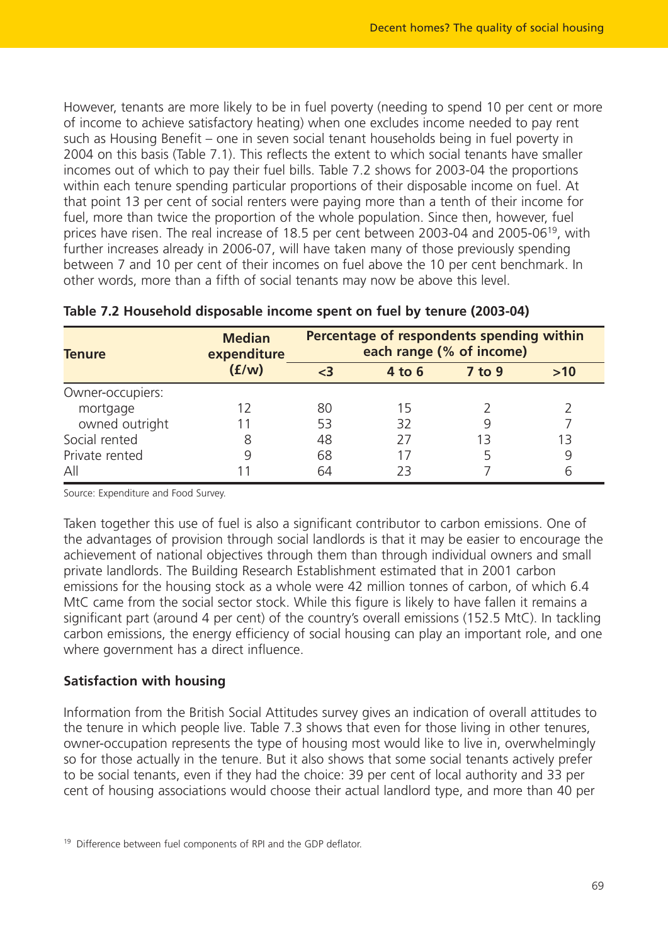However, tenants are more likely to be in fuel poverty (needing to spend 10 per cent or more of income to achieve satisfactory heating) when one excludes income needed to pay rent such as Housing Benefit – one in seven social tenant households being in fuel poverty in 2004 on this basis (Table 7.1). This reflects the extent to which social tenants have smaller incomes out of which to pay their fuel bills. Table 7.2 shows for 2003-04 the proportions within each tenure spending particular proportions of their disposable income on fuel. At that point 13 per cent of social renters were paying more than a tenth of their income for fuel, more than twice the proportion of the whole population. Since then, however, fuel prices have risen. The real increase of 18.5 per cent between 2003-04 and 2005-0619, with further increases already in 2006-07, will have taken many of those previously spending between 7 and 10 per cent of their incomes on fuel above the 10 per cent benchmark. In other words, more than a fifth of social tenants may now be above this level.

| <b>Tenure</b>    | <b>Median</b><br>expenditure |    | Percentage of respondents spending within<br>each range (% of income) |          |     |
|------------------|------------------------------|----|-----------------------------------------------------------------------|----------|-----|
|                  | (f/w)                        | 73 | $4$ to $6$                                                            | $7$ to 9 | >10 |
| Owner-occupiers: |                              |    |                                                                       |          |     |
| mortgage         | 12                           | 80 | 15                                                                    |          |     |
| owned outright   |                              | 53 | 32                                                                    |          |     |
| Social rented    |                              | 48 | 27                                                                    | 13       | ⊱ ا |
| Private rented   |                              | 68 |                                                                       |          |     |
| All              |                              | 64 | フ3                                                                    |          | 6   |

| Table 7.2 Household disposable income spent on fuel by tenure (2003-04) |  |  |  |
|-------------------------------------------------------------------------|--|--|--|
|-------------------------------------------------------------------------|--|--|--|

Source: Expenditure and Food Survey.

Taken together this use of fuel is also a significant contributor to carbon emissions. One of the advantages of provision through social landlords is that it may be easier to encourage the achievement of national objectives through them than through individual owners and small private landlords. The Building Research Establishment estimated that in 2001 carbon emissions for the housing stock as a whole were 42 million tonnes of carbon, of which 6.4 MtC came from the social sector stock. While this figure is likely to have fallen it remains a significant part (around 4 per cent) of the country's overall emissions (152.5 MtC). In tackling carbon emissions, the energy efficiency of social housing can play an important role, and one where government has a direct influence.

#### **Satisfaction with housing**

Information from the British Social Attitudes survey gives an indication of overall attitudes to the tenure in which people live. Table 7.3 shows that even for those living in other tenures, owner-occupation represents the type of housing most would like to live in, overwhelmingly so for those actually in the tenure. But it also shows that some social tenants actively prefer to be social tenants, even if they had the choice: 39 per cent of local authority and 33 per cent of housing associations would choose their actual landlord type, and more than 40 per

<sup>&</sup>lt;sup>19</sup> Difference between fuel components of RPI and the GDP deflator.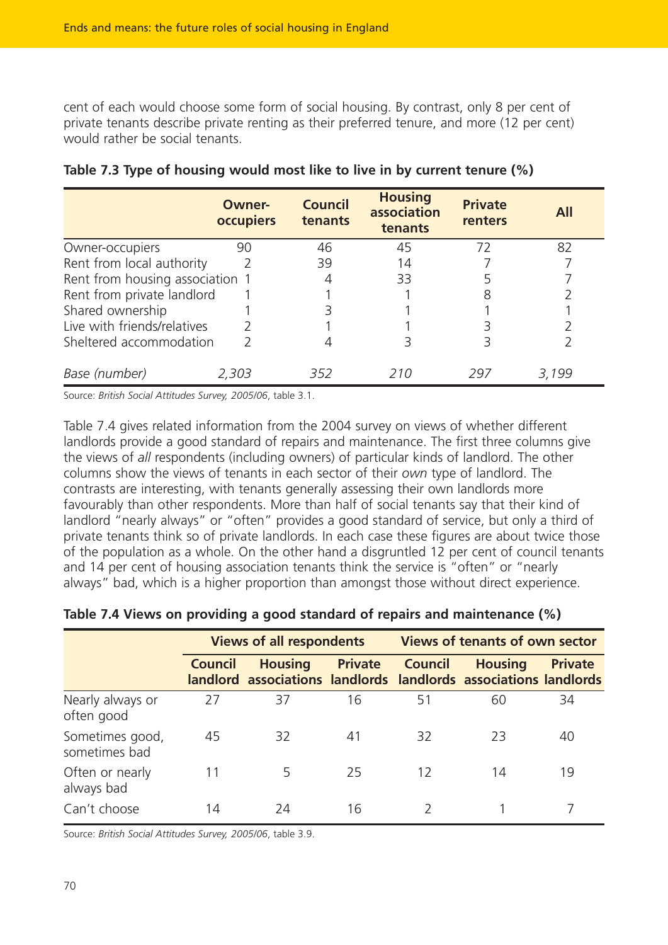cent of each would choose some form of social housing. By contrast, only 8 per cent of private tenants describe private renting as their preferred tenure, and more (12 per cent) would rather be social tenants.

|                                 | <b>Owner-</b><br>occupiers | <b>Council</b><br>tenants | <b>Housing</b><br>association<br>tenants | <b>Private</b><br>renters | <b>All</b> |
|---------------------------------|----------------------------|---------------------------|------------------------------------------|---------------------------|------------|
| Owner-occupiers                 | 90                         | 46                        | 45                                       | 72                        | 82         |
| Rent from local authority       |                            | 39                        | 14                                       |                           |            |
| Rent from housing association 1 |                            | 4                         | 33                                       |                           |            |
| Rent from private landlord      |                            |                           |                                          | 8                         |            |
| Shared ownership                |                            |                           |                                          |                           |            |
| Live with friends/relatives     |                            |                           |                                          |                           |            |
| Sheltered accommodation         |                            |                           |                                          |                           |            |
| Base (number)                   | 2,303                      | 352                       | 210                                      | 297                       | 3,199      |

#### **Table 7.3 Type of housing would most like to live in by current tenure (%)**

Source: *British Social Attitudes Survey, 2005/06*, table 3.1.

Table 7.4 gives related information from the 2004 survey on views of whether different landlords provide a good standard of repairs and maintenance. The first three columns give the views of *all* respondents (including owners) of particular kinds of landlord. The other columns show the views of tenants in each sector of their *own* type of landlord. The contrasts are interesting, with tenants generally assessing their own landlords more favourably than other respondents. More than half of social tenants say that their kind of landlord "nearly always" or "often" provides a good standard of service, but only a third of private tenants think so of private landlords. In each case these figures are about twice those of the population as a whole. On the other hand a disgruntled 12 per cent of council tenants and 14 per cent of housing association tenants think the service is "often" or "nearly always" bad, which is a higher proportion than amongst those without direct experience.

|                                  |                | <b>Views of all respondents</b>                                                    |                |                | <b>Views of tenants of own sector</b> |                |
|----------------------------------|----------------|------------------------------------------------------------------------------------|----------------|----------------|---------------------------------------|----------------|
|                                  | <b>Council</b> | <b>Housing</b><br>landlord associations landlords landlords associations landlords | <b>Private</b> | <b>Council</b> | <b>Housing</b>                        | <b>Private</b> |
| Nearly always or<br>often good   | 27             | 37                                                                                 | 16             | 51             | 60                                    | 34             |
| Sometimes good,<br>sometimes bad | 45             | 32                                                                                 | 41             | 32             | 23                                    | 40             |
| Often or nearly<br>always bad    | 11             | 5                                                                                  | 25             | 12             | 14                                    | 19             |
| Can't choose                     | 14             | 24                                                                                 | 16             |                |                                       |                |

#### **Table 7.4 Views on providing a good standard of repairs and maintenance (%)**

Source: *British Social Attitudes Survey, 2005/06*, table 3.9.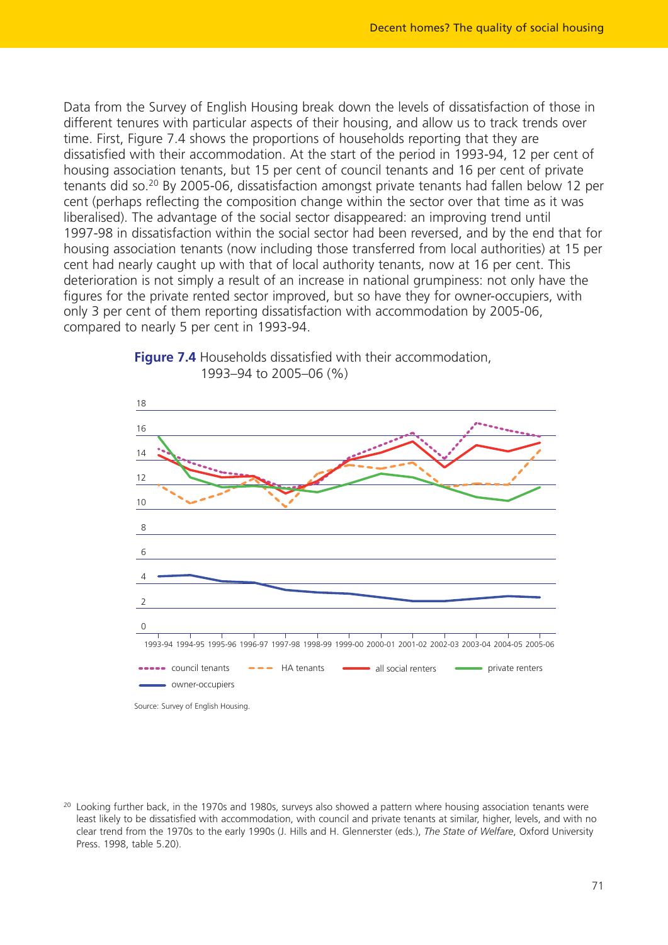Data from the Survey of English Housing break down the levels of dissatisfaction of those in different tenures with particular aspects of their housing, and allow us to track trends over time. First, Figure 7.4 shows the proportions of households reporting that they are dissatisfied with their accommodation. At the start of the period in 1993-94, 12 per cent of housing association tenants, but 15 per cent of council tenants and 16 per cent of private tenants did so.20 By 2005-06, dissatisfaction amongst private tenants had fallen below 12 per cent (perhaps reflecting the composition change within the sector over that time as it was liberalised). The advantage of the social sector disappeared: an improving trend until 1997-98 in dissatisfaction within the social sector had been reversed, and by the end that for housing association tenants (now including those transferred from local authorities) at 15 per cent had nearly caught up with that of local authority tenants, now at 16 per cent. This deterioration is not simply a result of an increase in national grumpiness: not only have the figures for the private rented sector improved, but so have they for owner-occupiers, with only 3 per cent of them reporting dissatisfaction with accommodation by 2005-06, compared to nearly 5 per cent in 1993-94.





<sup>&</sup>lt;sup>20</sup> Looking further back, in the 1970s and 1980s, surveys also showed a pattern where housing association tenants were least likely to be dissatisfied with accommodation, with council and private tenants at similar, higher, levels, and with no clear trend from the 1970s to the early 1990s (J. Hills and H. Glennerster (eds.), *The State of Welfare*, Oxford University Press. 1998, table 5.20).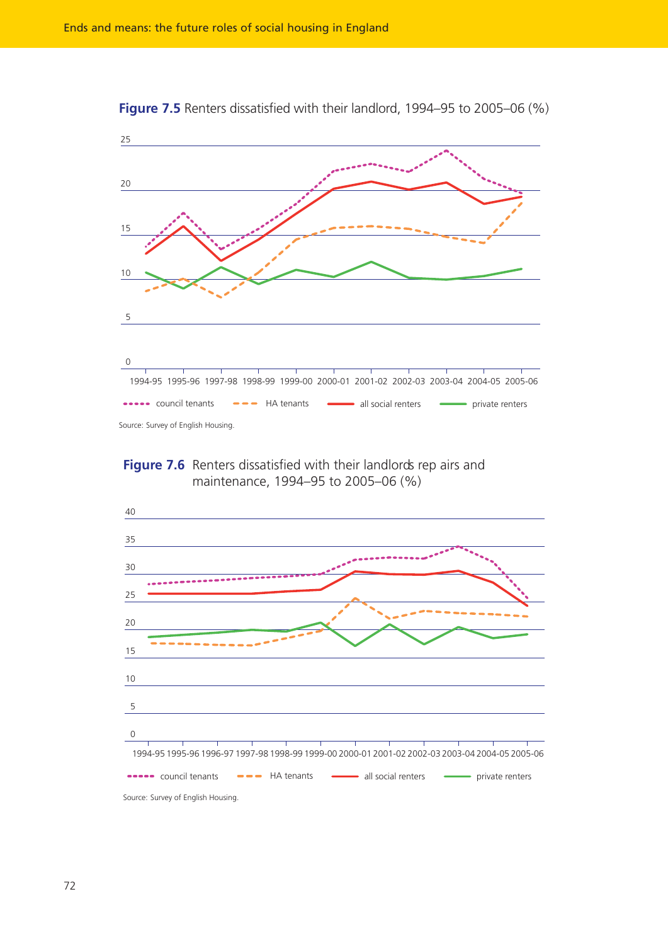



**Figure 7.6** Renters dissatisfied with their landlords rep airs and maintenance, 1994–95 to 2005–06 (%)

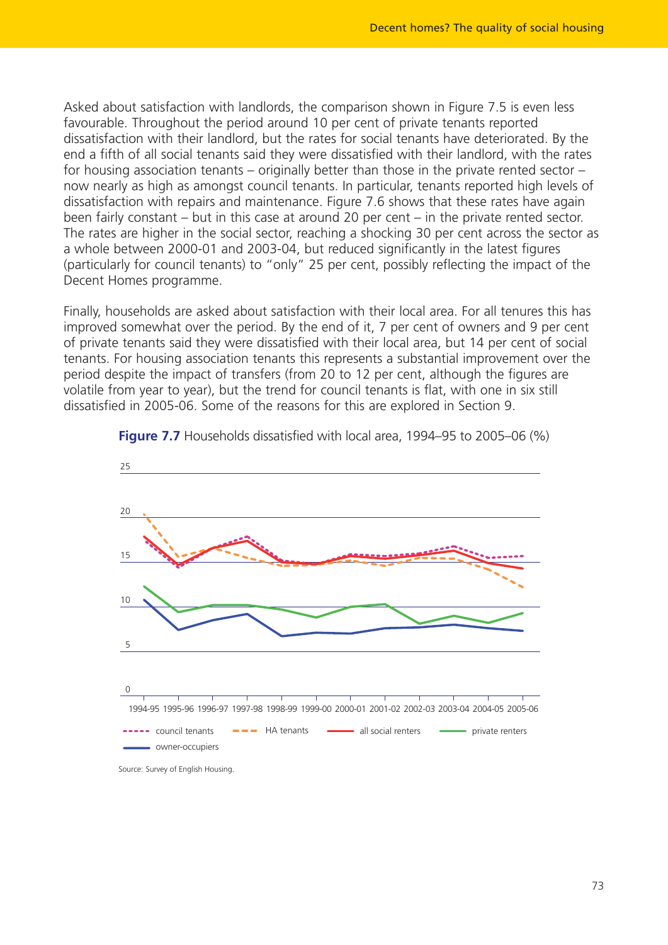Asked about satisfaction with landlords, the comparison shown in Figure 7.5 is even less favourable. Throughout the period around 10 per cent of private tenants reported dissatisfaction with their landlord, but the rates for social tenants have deteriorated. By the end a fifth of all social tenants said they were dissatisfied with their landlord, with the rates for housing association tenants – originally better than those in the private rented sector – now nearly as high as amongst council tenants. In particular, tenants reported high levels of dissatisfaction with repairs and maintenance. Figure 7.6 shows that these rates have again been fairly constant – but in this case at around 20 per cent – in the private rented sector. The rates are higher in the social sector, reaching a shocking 30 per cent across the sector as a whole between 2000-01 and 2003-04, but reduced significantly in the latest figures (particularly for council tenants) to "only" 25 per cent, possibly reflecting the impact of the Decent Homes programme.

Finally, households are asked about satisfaction with their local area. For all tenures this has improved somewhat over the period. By the end of it, 7 per cent of owners and 9 per cent of private tenants said they were dissatisfied with their local area, but 14 per cent of social tenants. For housing association tenants this represents a substantial improvement over the period despite the impact of transfers (from 20 to 12 per cent, although the figures are volatile from year to year), but the trend for council tenants is flat, with one in six still dissatisfied in 2005-06. Some of the reasons for this are explored in Section 9.



**Figure 7.7** Households dissatisfied with local area, 1994–95 to 2005–06 (%)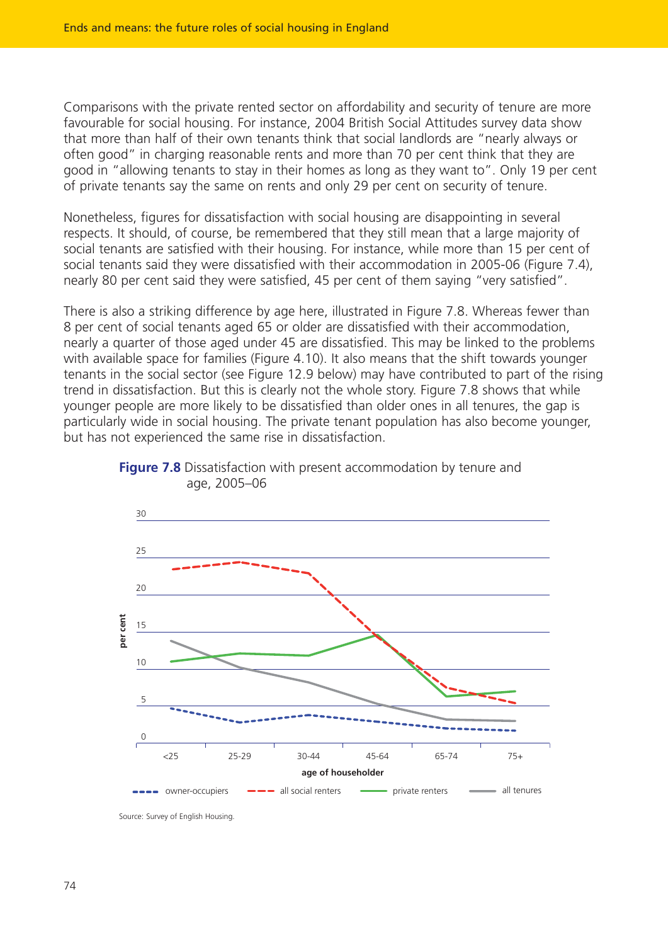Comparisons with the private rented sector on affordability and security of tenure are more favourable for social housing. For instance, 2004 British Social Attitudes survey data show that more than half of their own tenants think that social landlords are "nearly always or often good" in charging reasonable rents and more than 70 per cent think that they are good in "allowing tenants to stay in their homes as long as they want to". Only 19 per cent of private tenants say the same on rents and only 29 per cent on security of tenure.

Nonetheless, figures for dissatisfaction with social housing are disappointing in several respects. It should, of course, be remembered that they still mean that a large majority of social tenants are satisfied with their housing. For instance, while more than 15 per cent of social tenants said they were dissatisfied with their accommodation in 2005-06 (Figure 7.4), nearly 80 per cent said they were satisfied, 45 per cent of them saying "very satisfied".

There is also a striking difference by age here, illustrated in Figure 7.8. Whereas fewer than 8 per cent of social tenants aged 65 or older are dissatisfied with their accommodation, nearly a quarter of those aged under 45 are dissatisfied. This may be linked to the problems with available space for families (Figure 4.10). It also means that the shift towards younger tenants in the social sector (see Figure 12.9 below) may have contributed to part of the rising trend in dissatisfaction. But this is clearly not the whole story. Figure 7.8 shows that while younger people are more likely to be dissatisfied than older ones in all tenures, the gap is particularly wide in social housing. The private tenant population has also become younger, but has not experienced the same rise in dissatisfaction.



**Figure 7.8** Dissatisfaction with present accommodation by tenure and age, 2005–06

Source: Survey of English Housing.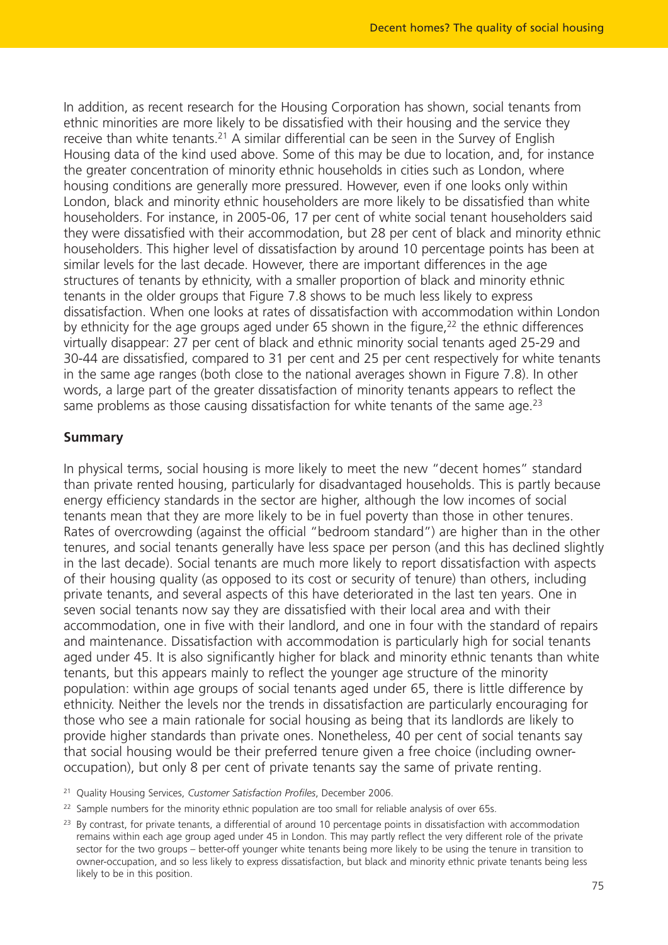In addition, as recent research for the Housing Corporation has shown, social tenants from ethnic minorities are more likely to be dissatisfied with their housing and the service they receive than white tenants.<sup>21</sup> A similar differential can be seen in the Survey of English Housing data of the kind used above. Some of this may be due to location, and, for instance the greater concentration of minority ethnic households in cities such as London, where housing conditions are generally more pressured. However, even if one looks only within London, black and minority ethnic householders are more likely to be dissatisfied than white householders. For instance, in 2005-06, 17 per cent of white social tenant householders said they were dissatisfied with their accommodation, but 28 per cent of black and minority ethnic householders. This higher level of dissatisfaction by around 10 percentage points has been at similar levels for the last decade. However, there are important differences in the age structures of tenants by ethnicity, with a smaller proportion of black and minority ethnic tenants in the older groups that Figure 7.8 shows to be much less likely to express dissatisfaction. When one looks at rates of dissatisfaction with accommodation within London by ethnicity for the age groups aged under 65 shown in the figure, $22$  the ethnic differences virtually disappear: 27 per cent of black and ethnic minority social tenants aged 25-29 and 30-44 are dissatisfied, compared to 31 per cent and 25 per cent respectively for white tenants in the same age ranges (both close to the national averages shown in Figure 7.8). In other words, a large part of the greater dissatisfaction of minority tenants appears to reflect the same problems as those causing dissatisfaction for white tenants of the same age.<sup>23</sup>

#### **Summary**

In physical terms, social housing is more likely to meet the new "decent homes" standard than private rented housing, particularly for disadvantaged households. This is partly because energy efficiency standards in the sector are higher, although the low incomes of social tenants mean that they are more likely to be in fuel poverty than those in other tenures. Rates of overcrowding (against the official "bedroom standard") are higher than in the other tenures, and social tenants generally have less space per person (and this has declined slightly in the last decade). Social tenants are much more likely to report dissatisfaction with aspects of their housing quality (as opposed to its cost or security of tenure) than others, including private tenants, and several aspects of this have deteriorated in the last ten years. One in seven social tenants now say they are dissatisfied with their local area and with their accommodation, one in five with their landlord, and one in four with the standard of repairs and maintenance. Dissatisfaction with accommodation is particularly high for social tenants aged under 45. It is also significantly higher for black and minority ethnic tenants than white tenants, but this appears mainly to reflect the younger age structure of the minority population: within age groups of social tenants aged under 65, there is little difference by ethnicity. Neither the levels nor the trends in dissatisfaction are particularly encouraging for those who see a main rationale for social housing as being that its landlords are likely to provide higher standards than private ones. Nonetheless, 40 per cent of social tenants say that social housing would be their preferred tenure given a free choice (including owneroccupation), but only 8 per cent of private tenants say the same of private renting.

- <sup>21</sup> Quality Housing Services, *Customer Satisfaction Profiles*, December 2006.
- $22$  Sample numbers for the minority ethnic population are too small for reliable analysis of over 65s.
- <sup>23</sup> By contrast, for private tenants, a differential of around 10 percentage points in dissatisfaction with accommodation remains within each age group aged under 45 in London. This may partly reflect the very different role of the private sector for the two groups – better-off younger white tenants being more likely to be using the tenure in transition to owner-occupation, and so less likely to express dissatisfaction, but black and minority ethnic private tenants being less likely to be in this position.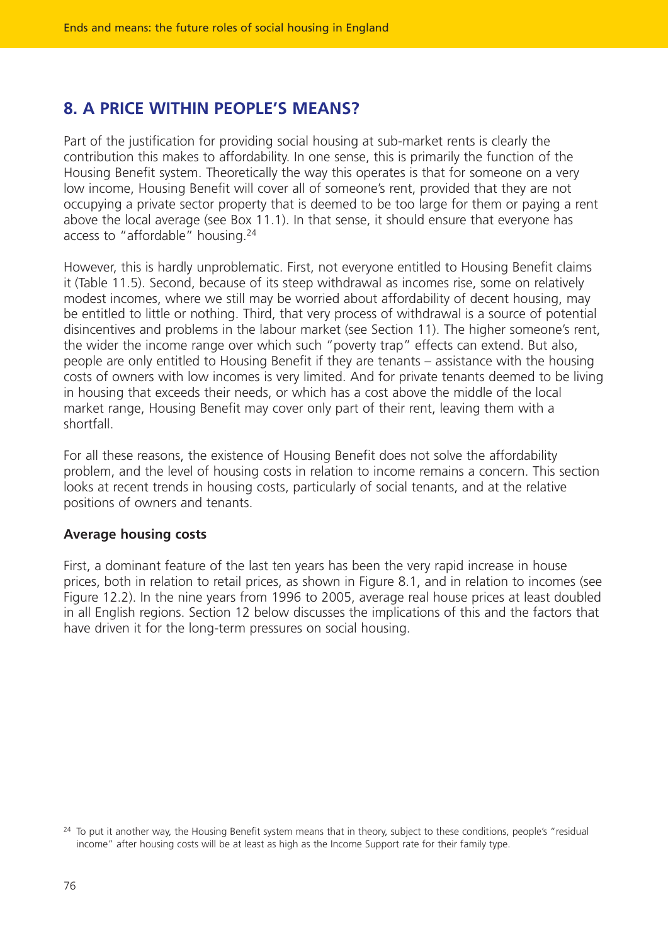# **8. A PRICE WITHIN PEOPLE'S MEANS?**

Part of the justification for providing social housing at sub-market rents is clearly the contribution this makes to affordability. In one sense, this is primarily the function of the Housing Benefit system. Theoretically the way this operates is that for someone on a very low income, Housing Benefit will cover all of someone's rent, provided that they are not occupying a private sector property that is deemed to be too large for them or paying a rent above the local average (see Box 11.1). In that sense, it should ensure that everyone has access to "affordable" housing.24

However, this is hardly unproblematic. First, not everyone entitled to Housing Benefit claims it (Table 11.5). Second, because of its steep withdrawal as incomes rise, some on relatively modest incomes, where we still may be worried about affordability of decent housing, may be entitled to little or nothing. Third, that very process of withdrawal is a source of potential disincentives and problems in the labour market (see Section 11). The higher someone's rent, the wider the income range over which such "poverty trap" effects can extend. But also, people are only entitled to Housing Benefit if they are tenants – assistance with the housing costs of owners with low incomes is very limited. And for private tenants deemed to be living in housing that exceeds their needs, or which has a cost above the middle of the local market range, Housing Benefit may cover only part of their rent, leaving them with a shortfall.

For all these reasons, the existence of Housing Benefit does not solve the affordability problem, and the level of housing costs in relation to income remains a concern. This section looks at recent trends in housing costs, particularly of social tenants, and at the relative positions of owners and tenants.

#### **Average housing costs**

First, a dominant feature of the last ten years has been the very rapid increase in house prices, both in relation to retail prices, as shown in Figure 8.1, and in relation to incomes (see Figure 12.2). In the nine years from 1996 to 2005, average real house prices at least doubled in all English regions. Section 12 below discusses the implications of this and the factors that have driven it for the long-term pressures on social housing.

<sup>&</sup>lt;sup>24</sup> To put it another way, the Housing Benefit system means that in theory, subject to these conditions, people's "residual income" after housing costs will be at least as high as the Income Support rate for their family type.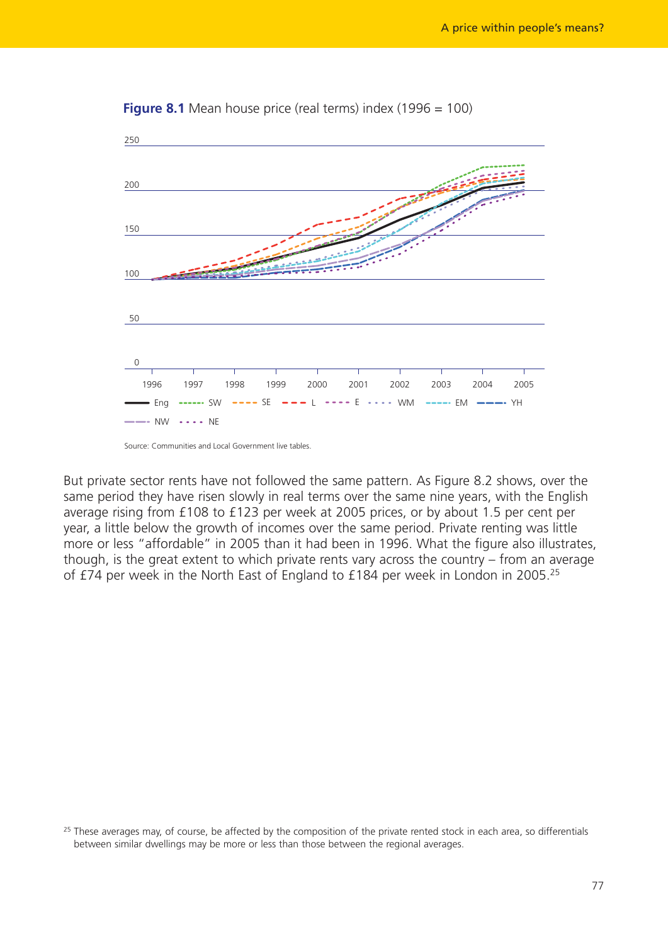

#### **Figure 8.1** Mean house price (real terms) index (1996 = 100)

Source: Communities and Local Government live tables.

But private sector rents have not followed the same pattern. As Figure 8.2 shows, over the same period they have risen slowly in real terms over the same nine years, with the English average rising from £108 to £123 per week at 2005 prices, or by about 1.5 per cent per year, a little below the growth of incomes over the same period. Private renting was little more or less "affordable" in 2005 than it had been in 1996. What the figure also illustrates, though, is the great extent to which private rents vary across the country – from an average of £74 per week in the North East of England to £184 per week in London in 2005.25

<sup>&</sup>lt;sup>25</sup> These averages may, of course, be affected by the composition of the private rented stock in each area, so differentials between similar dwellings may be more or less than those between the regional averages.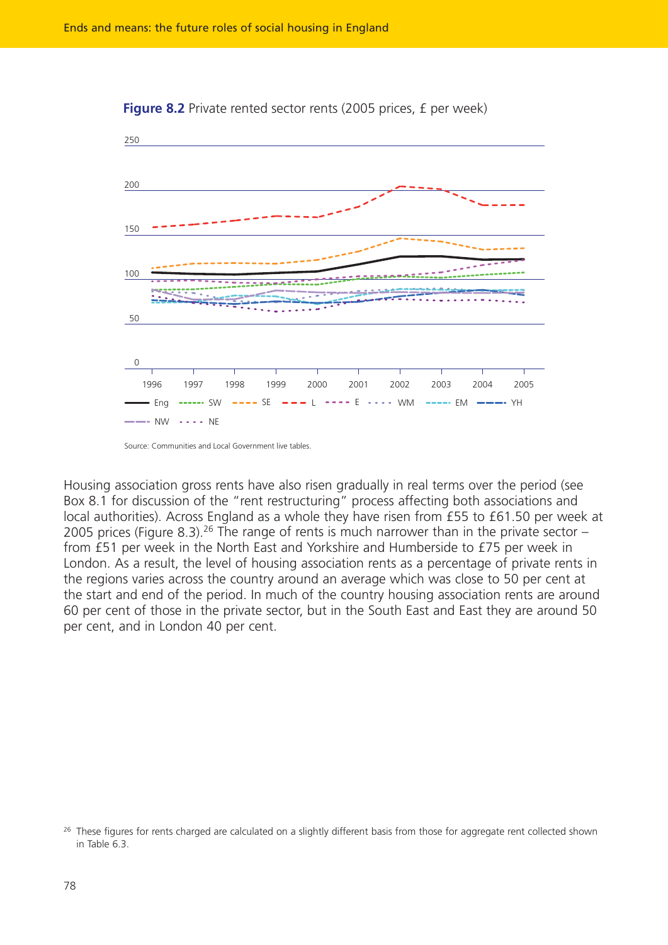



Source: Communities and Local Government live tables.

Housing association gross rents have also risen gradually in real terms over the period (see Box 8.1 for discussion of the "rent restructuring" process affecting both associations and local authorities). Across England as a whole they have risen from £55 to £61.50 per week at 2005 prices (Figure 8.3).<sup>26</sup> The range of rents is much narrower than in the private sector – from £51 per week in the North East and Yorkshire and Humberside to £75 per week in London. As a result, the level of housing association rents as a percentage of private rents in the regions varies across the country around an average which was close to 50 per cent at the start and end of the period. In much of the country housing association rents are around 60 per cent of those in the private sector, but in the South East and East they are around 50 per cent, and in London 40 per cent.

<sup>&</sup>lt;sup>26</sup> These figures for rents charged are calculated on a slightly different basis from those for aggregate rent collected shown in Table 6.3.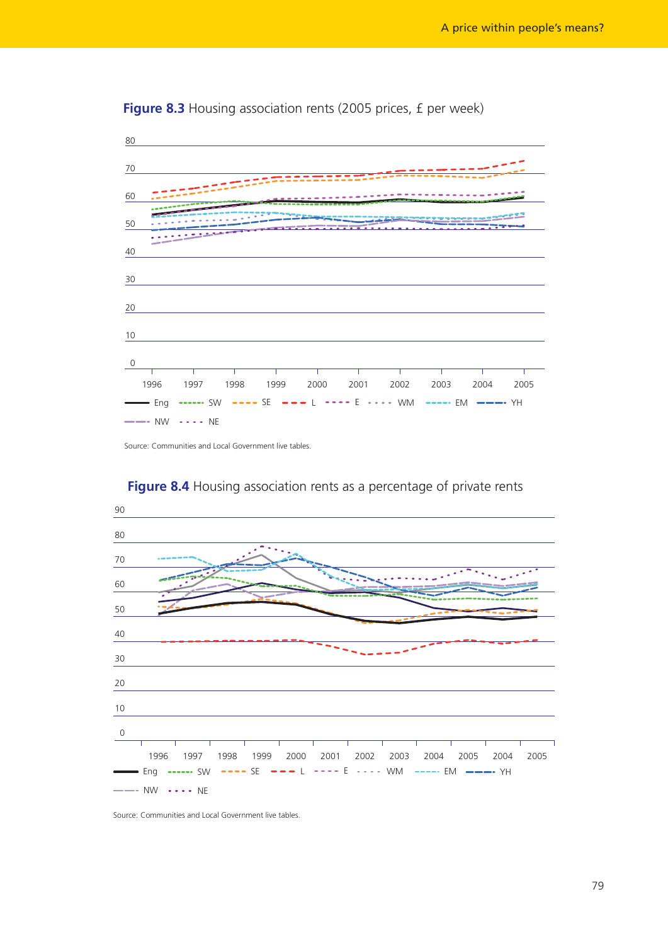

**Figure 8.3** Housing association rents (2005 prices, £ per week)

Source: Communities and Local Government live tables.



#### **Figure 8.4** Housing association rents as a percentage of private rents

Source: Communities and Local Government live tables.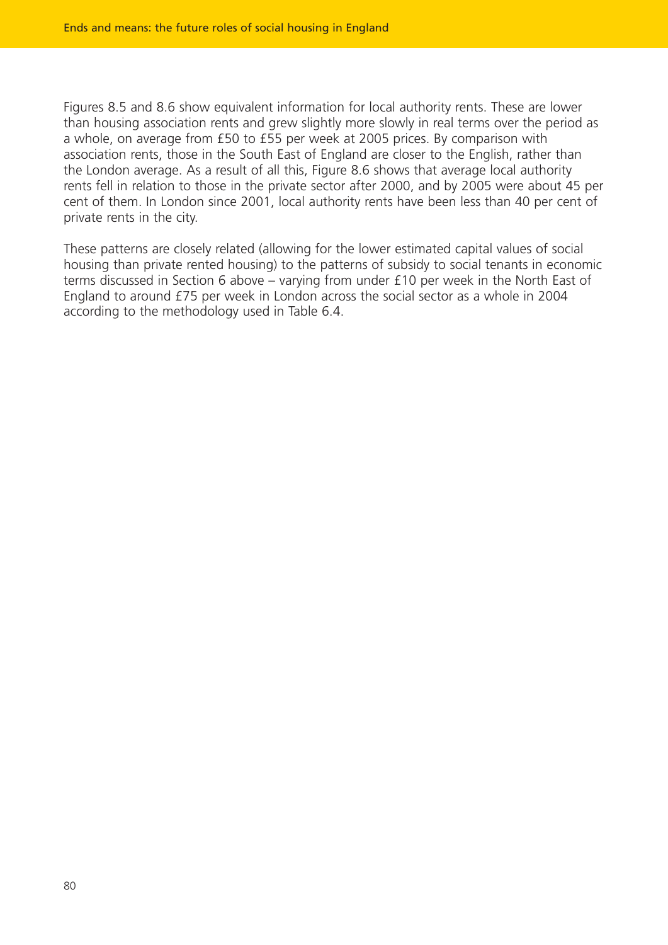Figures 8.5 and 8.6 show equivalent information for local authority rents. These are lower than housing association rents and grew slightly more slowly in real terms over the period as a whole, on average from £50 to £55 per week at 2005 prices. By comparison with association rents, those in the South East of England are closer to the English, rather than the London average. As a result of all this, Figure 8.6 shows that average local authority rents fell in relation to those in the private sector after 2000, and by 2005 were about 45 per cent of them. In London since 2001, local authority rents have been less than 40 per cent of private rents in the city.

These patterns are closely related (allowing for the lower estimated capital values of social housing than private rented housing) to the patterns of subsidy to social tenants in economic terms discussed in Section 6 above – varying from under £10 per week in the North East of England to around £75 per week in London across the social sector as a whole in 2004 according to the methodology used in Table 6.4.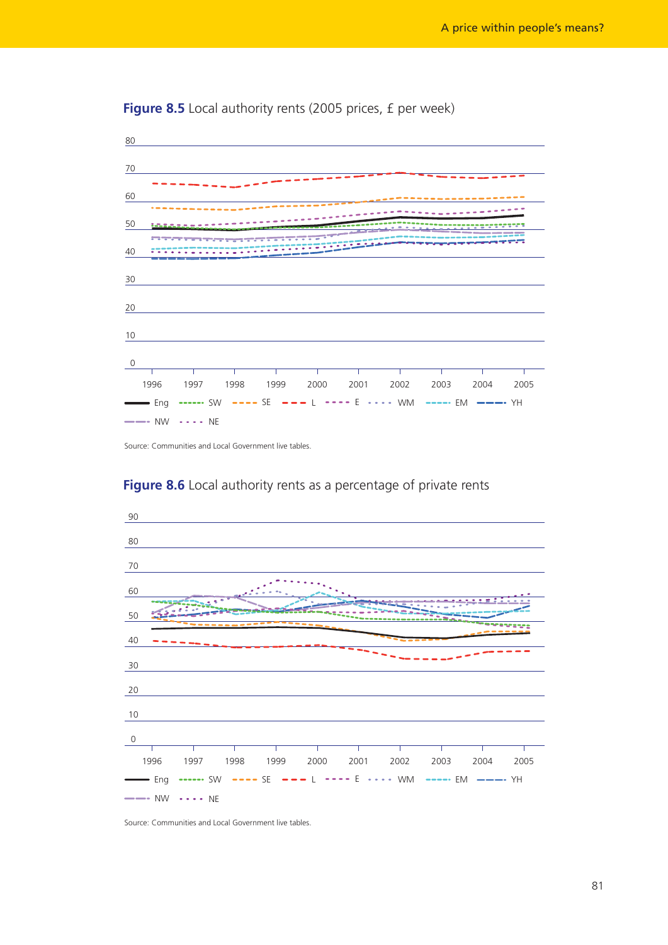

**Figure 8.5** Local authority rents (2005 prices, £ per week)

Source: Communities and Local Government live tables.



#### **Figure 8.6** Local authority rents as a percentage of private rents

Source: Communities and Local Government live tables.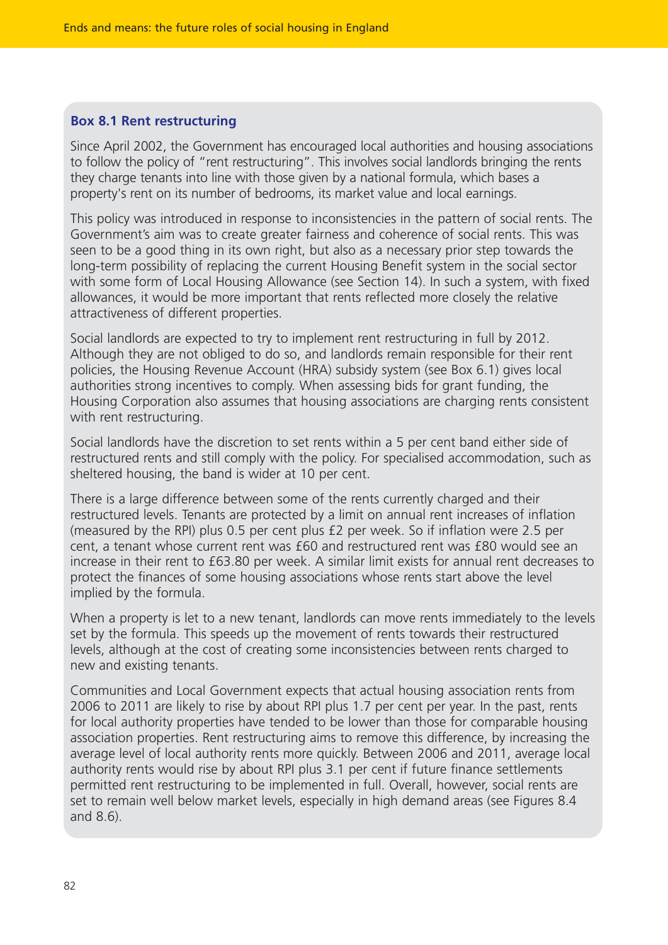#### **Box 8.1 Rent restructuring**

Since April 2002, the Government has encouraged local authorities and housing associations to follow the policy of "rent restructuring". This involves social landlords bringing the rents they charge tenants into line with those given by a national formula, which bases a property's rent on its number of bedrooms, its market value and local earnings.

This policy was introduced in response to inconsistencies in the pattern of social rents. The Government's aim was to create greater fairness and coherence of social rents. This was seen to be a good thing in its own right, but also as a necessary prior step towards the long-term possibility of replacing the current Housing Benefit system in the social sector with some form of Local Housing Allowance (see Section 14). In such a system, with fixed allowances, it would be more important that rents reflected more closely the relative attractiveness of different properties.

Social landlords are expected to try to implement rent restructuring in full by 2012. Although they are not obliged to do so, and landlords remain responsible for their rent policies, the Housing Revenue Account (HRA) subsidy system (see Box 6.1) gives local authorities strong incentives to comply. When assessing bids for grant funding, the Housing Corporation also assumes that housing associations are charging rents consistent with rent restructuring.

Social landlords have the discretion to set rents within a 5 per cent band either side of restructured rents and still comply with the policy. For specialised accommodation, such as sheltered housing, the band is wider at 10 per cent.

There is a large difference between some of the rents currently charged and their restructured levels. Tenants are protected by a limit on annual rent increases of inflation (measured by the RPI) plus 0.5 per cent plus £2 per week. So if inflation were 2.5 per cent, a tenant whose current rent was £60 and restructured rent was £80 would see an increase in their rent to £63.80 per week. A similar limit exists for annual rent decreases to protect the finances of some housing associations whose rents start above the level implied by the formula.

When a property is let to a new tenant, landlords can move rents immediately to the levels set by the formula. This speeds up the movement of rents towards their restructured levels, although at the cost of creating some inconsistencies between rents charged to new and existing tenants.

Communities and Local Government expects that actual housing association rents from 2006 to 2011 are likely to rise by about RPI plus 1.7 per cent per year. In the past, rents for local authority properties have tended to be lower than those for comparable housing association properties. Rent restructuring aims to remove this difference, by increasing the average level of local authority rents more quickly. Between 2006 and 2011, average local authority rents would rise by about RPI plus 3.1 per cent if future finance settlements permitted rent restructuring to be implemented in full. Overall, however, social rents are set to remain well below market levels, especially in high demand areas (see Figures 8.4 and 8.6).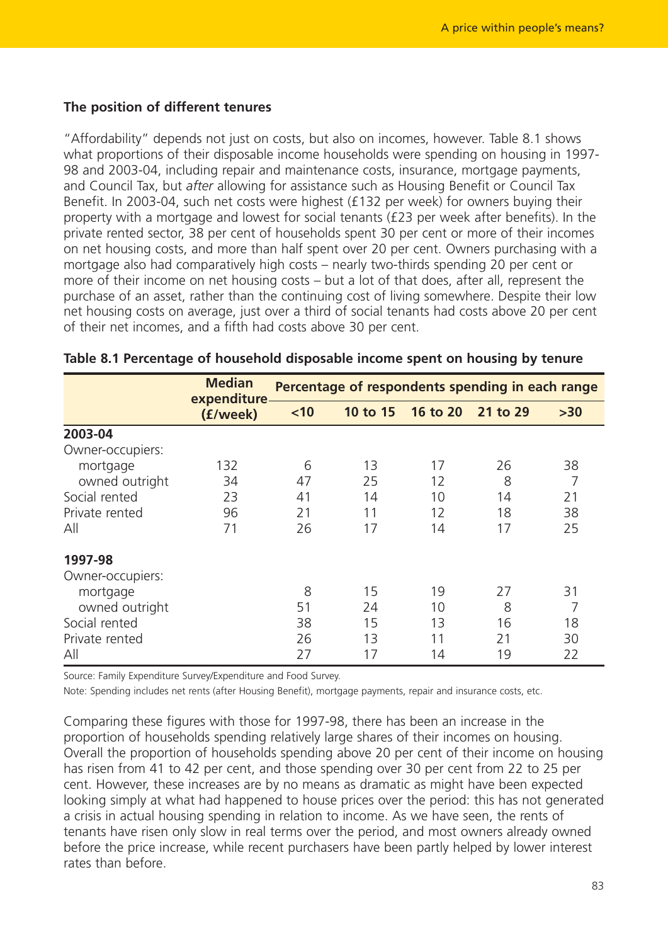#### **The position of different tenures**

"Affordability" depends not just on costs, but also on incomes, however. Table 8.1 shows what proportions of their disposable income households were spending on housing in 1997- 98 and 2003-04, including repair and maintenance costs, insurance, mortgage payments, and Council Tax, but *after* allowing for assistance such as Housing Benefit or Council Tax Benefit. In 2003-04, such net costs were highest (£132 per week) for owners buying their property with a mortgage and lowest for social tenants (£23 per week after benefits). In the private rented sector, 38 per cent of households spent 30 per cent or more of their incomes on net housing costs, and more than half spent over 20 per cent. Owners purchasing with a mortgage also had comparatively high costs – nearly two-thirds spending 20 per cent or more of their income on net housing costs – but a lot of that does, after all, represent the purchase of an asset, rather than the continuing cost of living somewhere. Despite their low net housing costs on average, just over a third of social tenants had costs above 20 per cent of their net incomes, and a fifth had costs above 30 per cent.

|                  | <b>Median</b><br>expenditure- |      | Percentage of respondents spending in each range |          |          |       |
|------------------|-------------------------------|------|--------------------------------------------------|----------|----------|-------|
|                  | (f/week)                      | $10$ | 10 to 15                                         | 16 to 20 | 21 to 29 | $>30$ |
| 2003-04          |                               |      |                                                  |          |          |       |
| Owner-occupiers: |                               |      |                                                  |          |          |       |
| mortgage         | 132                           | 6    | 13                                               | 17       | 26       | 38    |
| owned outright   | 34                            | 47   | 25                                               | 12       | 8        | 7     |
| Social rented    | 23                            | 41   | 14                                               | 10       | 14       | 21    |
| Private rented   | 96                            | 21   | 11                                               | 12       | 18       | 38    |
| All              | 71                            | 26   | 17                                               | 14       | 17       | 25    |
| 1997-98          |                               |      |                                                  |          |          |       |
| Owner-occupiers: |                               |      |                                                  |          |          |       |
| mortgage         |                               | 8    | 15                                               | 19       | 27       | 31    |
| owned outright   |                               | 51   | 24                                               | 10       | 8        | 7     |
| Social rented    |                               | 38   | 15                                               | 13       | 16       | 18    |
| Private rented   |                               | 26   | 13                                               | 11       | 21       | 30    |
| All              |                               | 27   | 17                                               | 14       | 19       | 22    |

#### **Table 8.1 Percentage of household disposable income spent on housing by tenure**

Source: Family Expenditure Survey/Expenditure and Food Survey.

Note: Spending includes net rents (after Housing Benefit), mortgage payments, repair and insurance costs, etc.

Comparing these figures with those for 1997-98, there has been an increase in the proportion of households spending relatively large shares of their incomes on housing. Overall the proportion of households spending above 20 per cent of their income on housing has risen from 41 to 42 per cent, and those spending over 30 per cent from 22 to 25 per cent. However, these increases are by no means as dramatic as might have been expected looking simply at what had happened to house prices over the period: this has not generated a crisis in actual housing spending in relation to income. As we have seen, the rents of tenants have risen only slow in real terms over the period, and most owners already owned before the price increase, while recent purchasers have been partly helped by lower interest rates than before.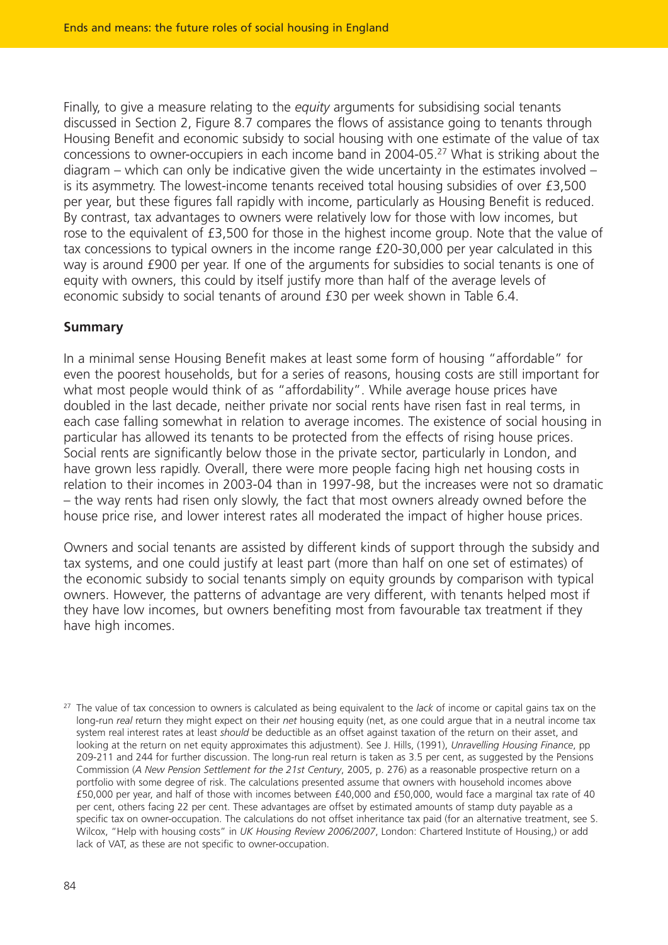Finally, to give a measure relating to the *equity* arguments for subsidising social tenants discussed in Section 2, Figure 8.7 compares the flows of assistance going to tenants through Housing Benefit and economic subsidy to social housing with one estimate of the value of tax concessions to owner-occupiers in each income band in 2004-05.27 What is striking about the diagram – which can only be indicative given the wide uncertainty in the estimates involved – is its asymmetry. The lowest-income tenants received total housing subsidies of over £3,500 per year, but these figures fall rapidly with income, particularly as Housing Benefit is reduced. By contrast, tax advantages to owners were relatively low for those with low incomes, but rose to the equivalent of £3,500 for those in the highest income group. Note that the value of tax concessions to typical owners in the income range £20-30,000 per year calculated in this way is around £900 per year. If one of the arguments for subsidies to social tenants is one of equity with owners, this could by itself justify more than half of the average levels of economic subsidy to social tenants of around £30 per week shown in Table 6.4.

#### **Summary**

In a minimal sense Housing Benefit makes at least some form of housing "affordable" for even the poorest households, but for a series of reasons, housing costs are still important for what most people would think of as "affordability". While average house prices have doubled in the last decade, neither private nor social rents have risen fast in real terms, in each case falling somewhat in relation to average incomes. The existence of social housing in particular has allowed its tenants to be protected from the effects of rising house prices. Social rents are significantly below those in the private sector, particularly in London, and have grown less rapidly. Overall, there were more people facing high net housing costs in relation to their incomes in 2003-04 than in 1997-98, but the increases were not so dramatic – the way rents had risen only slowly, the fact that most owners already owned before the house price rise, and lower interest rates all moderated the impact of higher house prices.

Owners and social tenants are assisted by different kinds of support through the subsidy and tax systems, and one could justify at least part (more than half on one set of estimates) of the economic subsidy to social tenants simply on equity grounds by comparison with typical owners. However, the patterns of advantage are very different, with tenants helped most if they have low incomes, but owners benefiting most from favourable tax treatment if they have high incomes.

<sup>&</sup>lt;sup>27</sup> The value of tax concession to owners is calculated as being equivalent to the *lack* of income or capital gains tax on the long-run *real* return they might expect on their *net* housing equity (net, as one could argue that in a neutral income tax system real interest rates at least *should* be deductible as an offset against taxation of the return on their asset, and looking at the return on net equity approximates this adjustment). See J. Hills, (1991), *Unravelling Housing Finance*, pp 209-211 and 244 for further discussion. The long-run real return is taken as 3.5 per cent, as suggested by the Pensions Commission (*A New Pension Settlement for the 21st Century*, 2005, p. 276) as a reasonable prospective return on a portfolio with some degree of risk. The calculations presented assume that owners with household incomes above £50,000 per year, and half of those with incomes between £40,000 and £50,000, would face a marginal tax rate of 40 per cent, others facing 22 per cent. These advantages are offset by estimated amounts of stamp duty payable as a specific tax on owner-occupation. The calculations do not offset inheritance tax paid (for an alternative treatment, see S. Wilcox, "Help with housing costs" in *UK Housing Review 2006/2007*, London: Chartered Institute of Housing,) or add lack of VAT, as these are not specific to owner-occupation.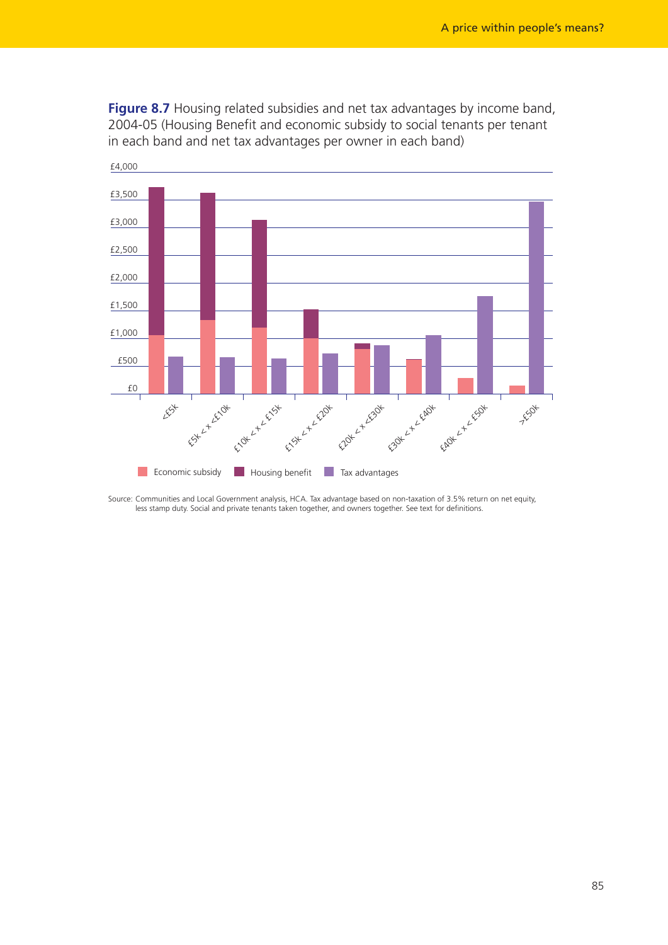

**Figure 8.7** Housing related subsidies and net tax advantages by income band, 2004-05 (Housing Benefit and economic subsidy to social tenants per tenant in each band and net tax advantages per owner in each band)

Source: Communities and Local Government analysis, HCA. Tax advantage based on non-taxation of 3.5% return on net equity, less stamp duty. Social and private tenants taken together, and owners together. See text for definitions.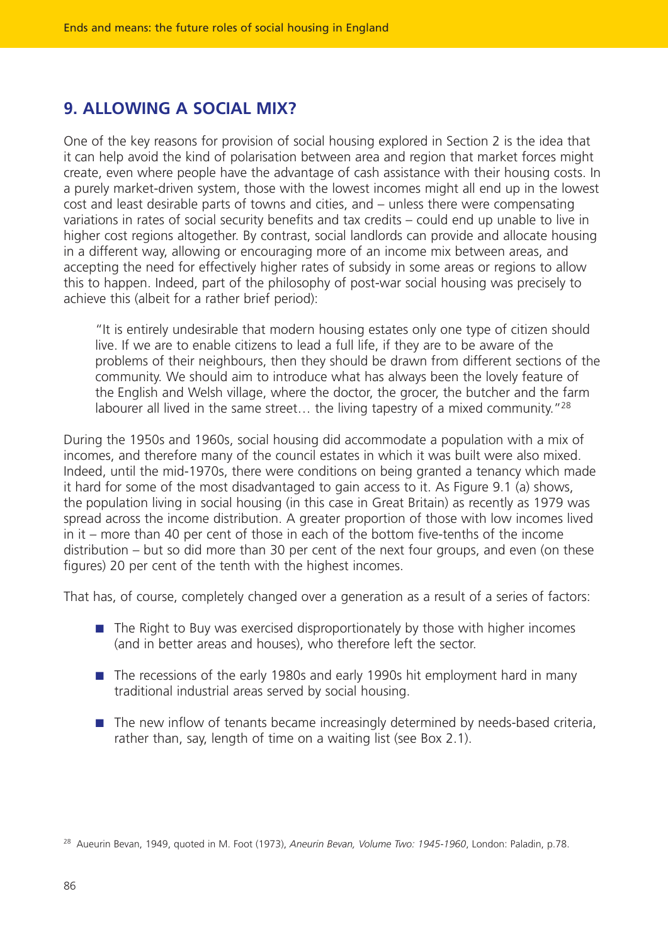## **9. ALLOWING A SOCIAL MIX?**

One of the key reasons for provision of social housing explored in Section 2 is the idea that it can help avoid the kind of polarisation between area and region that market forces might create, even where people have the advantage of cash assistance with their housing costs. In a purely market-driven system, those with the lowest incomes might all end up in the lowest cost and least desirable parts of towns and cities, and – unless there were compensating variations in rates of social security benefits and tax credits – could end up unable to live in higher cost regions altogether. By contrast, social landlords can provide and allocate housing in a different way, allowing or encouraging more of an income mix between areas, and accepting the need for effectively higher rates of subsidy in some areas or regions to allow this to happen. Indeed, part of the philosophy of post-war social housing was precisely to achieve this (albeit for a rather brief period):

"It is entirely undesirable that modern housing estates only one type of citizen should live. If we are to enable citizens to lead a full life, if they are to be aware of the problems of their neighbours, then they should be drawn from different sections of the community. We should aim to introduce what has always been the lovely feature of the English and Welsh village, where the doctor, the grocer, the butcher and the farm labourer all lived in the same street... the living tapestry of a mixed community."<sup>28</sup>

During the 1950s and 1960s, social housing did accommodate a population with a mix of incomes, and therefore many of the council estates in which it was built were also mixed. Indeed, until the mid-1970s, there were conditions on being granted a tenancy which made it hard for some of the most disadvantaged to gain access to it. As Figure 9.1 (a) shows, the population living in social housing (in this case in Great Britain) as recently as 1979 was spread across the income distribution. A greater proportion of those with low incomes lived in it – more than 40 per cent of those in each of the bottom five-tenths of the income distribution – but so did more than 30 per cent of the next four groups, and even (on these figures) 20 per cent of the tenth with the highest incomes.

That has, of course, completely changed over a generation as a result of a series of factors:

- The Right to Buy was exercised disproportionately by those with higher incomes (and in better areas and houses), who therefore left the sector.
- The recessions of the early 1980s and early 1990s hit employment hard in many traditional industrial areas served by social housing.
- $\blacksquare$  The new inflow of tenants became increasingly determined by needs-based criteria, rather than, say, length of time on a waiting list (see Box 2.1).

<sup>28</sup> Aueurin Bevan, 1949, quoted in M. Foot (1973), *Aneurin Bevan, Volume Two: 1945-1960*, London: Paladin, p.78.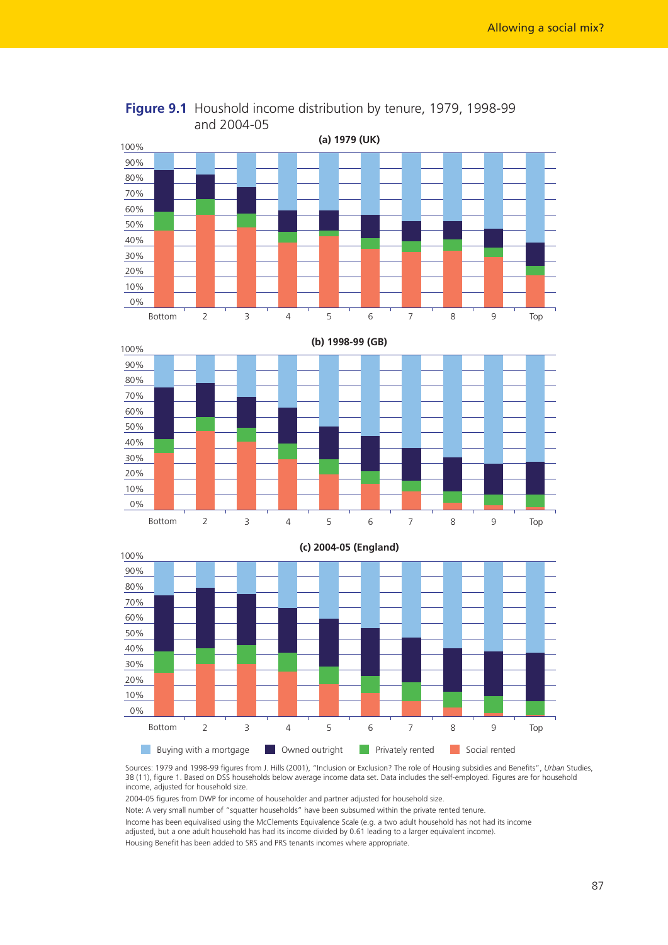

#### **Figure 9.1** Houshold income distribution by tenure, 1979, 1998-99 and 2004-05

Sources: 1979 and 1998-99 figures from J. Hills (2001), "Inclusion or Exclusion? The role of Housing subsidies and Benefits", *Urban* Studies, 38 (11), figure 1. Based on DSS households below average income data set. Data includes the self-employed. Figures are for household income, adjusted for household size.

2004-05 figures from DWP for income of householder and partner adjusted for household size.

Note: A very small number of "squatter households" have been subsumed within the private rented tenure.

Income has been equivalised using the McClements Equivalence Scale (e.g. a two adult household has not had its income

adjusted, but a one adult household has had its income divided by 0.61 leading to a larger equivalent income).

Housing Benefit has been added to SRS and PRS tenants incomes where appropriate.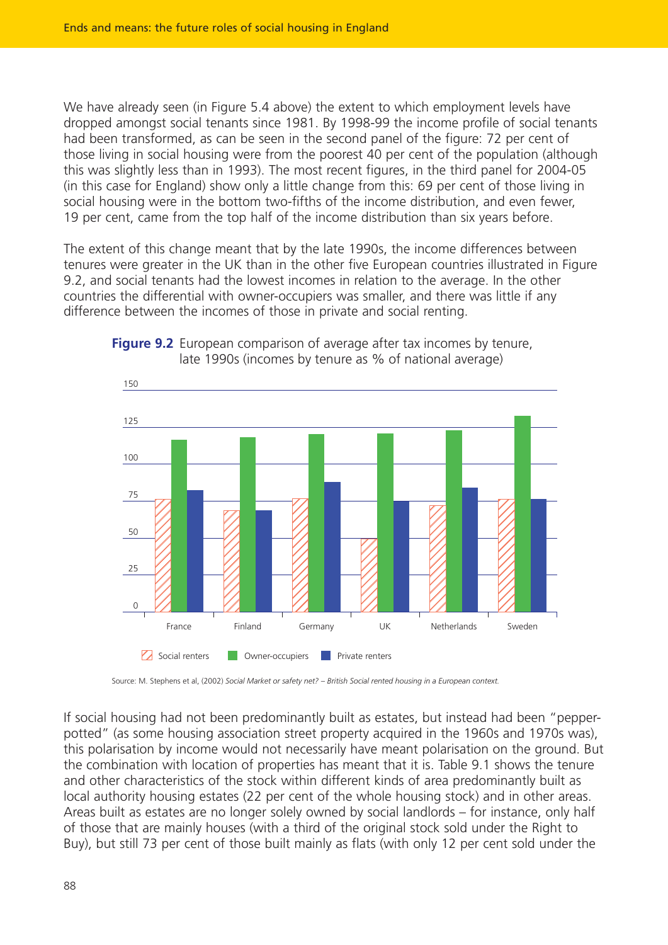We have already seen (in Figure 5.4 above) the extent to which employment levels have dropped amongst social tenants since 1981. By 1998-99 the income profile of social tenants had been transformed, as can be seen in the second panel of the figure: 72 per cent of those living in social housing were from the poorest 40 per cent of the population (although this was slightly less than in 1993). The most recent figures, in the third panel for 2004-05 (in this case for England) show only a little change from this: 69 per cent of those living in social housing were in the bottom two-fifths of the income distribution, and even fewer, 19 per cent, came from the top half of the income distribution than six years before.

The extent of this change meant that by the late 1990s, the income differences between tenures were greater in the UK than in the other five European countries illustrated in Figure 9.2, and social tenants had the lowest incomes in relation to the average. In the other countries the differential with owner-occupiers was smaller, and there was little if any difference between the incomes of those in private and social renting.





If social housing had not been predominantly built as estates, but instead had been "pepperpotted" (as some housing association street property acquired in the 1960s and 1970s was), this polarisation by income would not necessarily have meant polarisation on the ground. But the combination with location of properties has meant that it is. Table 9.1 shows the tenure and other characteristics of the stock within different kinds of area predominantly built as local authority housing estates (22 per cent of the whole housing stock) and in other areas. Areas built as estates are no longer solely owned by social landlords – for instance, only half of those that are mainly houses (with a third of the original stock sold under the Right to Buy), but still 73 per cent of those built mainly as flats (with only 12 per cent sold under the

Source: M. Stephens et al, (2002) *Social Market or safety net? – British Social rented housing in a European context.*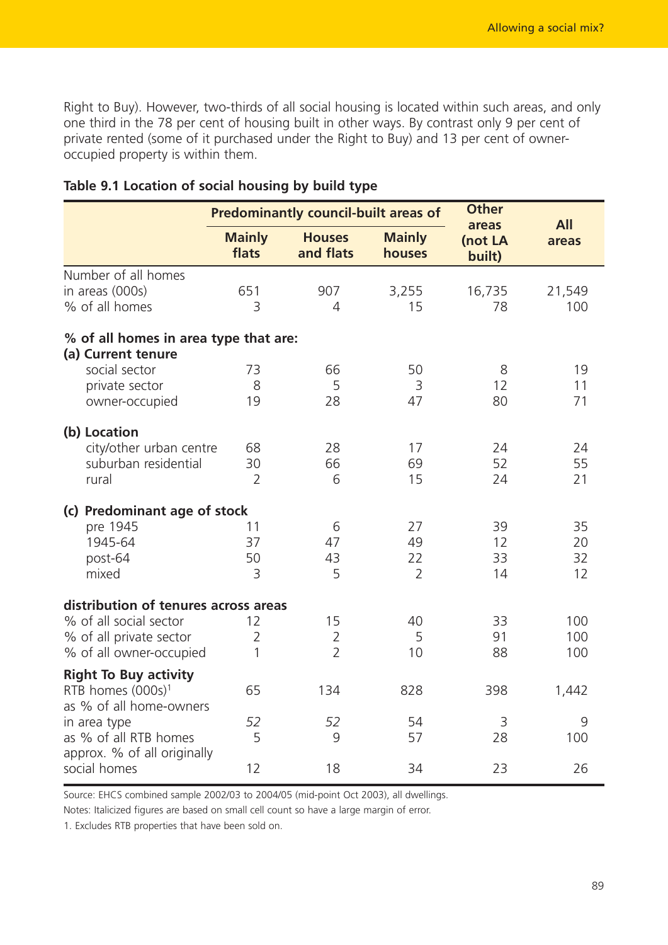Right to Buy). However, two-thirds of all social housing is located within such areas, and only one third in the 78 per cent of housing built in other ways. By contrast only 9 per cent of private rented (some of it purchased under the Right to Buy) and 13 per cent of owneroccupied property is within them.

|                                       |                        | <b>Predominantly council-built areas of</b> |                         | <b>Other</b>               |                     |
|---------------------------------------|------------------------|---------------------------------------------|-------------------------|----------------------------|---------------------|
|                                       | <b>Mainly</b><br>flats | <b>Houses</b><br>and flats                  | <b>Mainly</b><br>houses | areas<br>(not LA<br>built) | <b>All</b><br>areas |
| Number of all homes                   |                        |                                             |                         |                            |                     |
| in areas (000s)                       | 651                    | 907                                         | 3,255                   | 16,735                     | 21,549              |
| % of all homes                        | 3                      | 4                                           | 15                      | 78                         | 100                 |
| % of all homes in area type that are: |                        |                                             |                         |                            |                     |
| (a) Current tenure                    |                        |                                             |                         |                            |                     |
| social sector                         | 73                     | 66                                          | 50                      | 8                          | 19                  |
| private sector                        | 8                      | 5                                           | 3                       | 12                         | 11                  |
| owner-occupied                        | 19                     | 28                                          | 47                      | 80                         | 71                  |
| (b) Location                          |                        |                                             |                         |                            |                     |
| city/other urban centre               | 68                     | 28                                          | 17                      | 24                         | 24                  |
| suburban residential                  | 30                     | 66                                          | 69                      | 52                         | 55                  |
| rural                                 | $\overline{2}$         | 6                                           | 15                      | 24                         | 21                  |
| (c) Predominant age of stock          |                        |                                             |                         |                            |                     |
| pre 1945                              | 11                     | 6                                           | 27                      | 39                         | 35                  |
| 1945-64                               | 37                     | 47                                          | 49                      | 12                         | 20                  |
| post-64                               | 50                     | 43                                          | 22                      | 33                         | 32                  |
| mixed                                 | 3                      | 5                                           | $\overline{2}$          | 14                         | 12                  |
| distribution of tenures across areas  |                        |                                             |                         |                            |                     |
| % of all social sector                | 12                     | 15                                          | 40                      | 33                         | 100                 |
| % of all private sector               | $\overline{2}$         | $\overline{2}$                              | 5                       | 91                         | 100                 |
| % of all owner-occupied               | 1                      | $\overline{2}$                              | 10                      | 88                         | 100                 |
| <b>Right To Buy activity</b>          |                        |                                             |                         |                            |                     |
| RTB homes $(000s)^1$                  | 65                     | 134                                         | 828                     | 398                        | 1,442               |
| as % of all home-owners               |                        |                                             |                         |                            |                     |
| in area type                          | 52                     | 52                                          | 54                      | 3                          | 9                   |
| as % of all RTB homes                 | 5                      | 9                                           | 57                      | 28                         | 100                 |
| approx. % of all originally           |                        |                                             |                         |                            |                     |
| social homes                          | 12                     | 18                                          | 34                      | 23                         | 26                  |

## **Table 9.1 Location of social housing by build type**

Source: EHCS combined sample 2002/03 to 2004/05 (mid-point Oct 2003), all dwellings.

Notes: Italicized figures are based on small cell count so have a large margin of error.

1. Excludes RTB properties that have been sold on.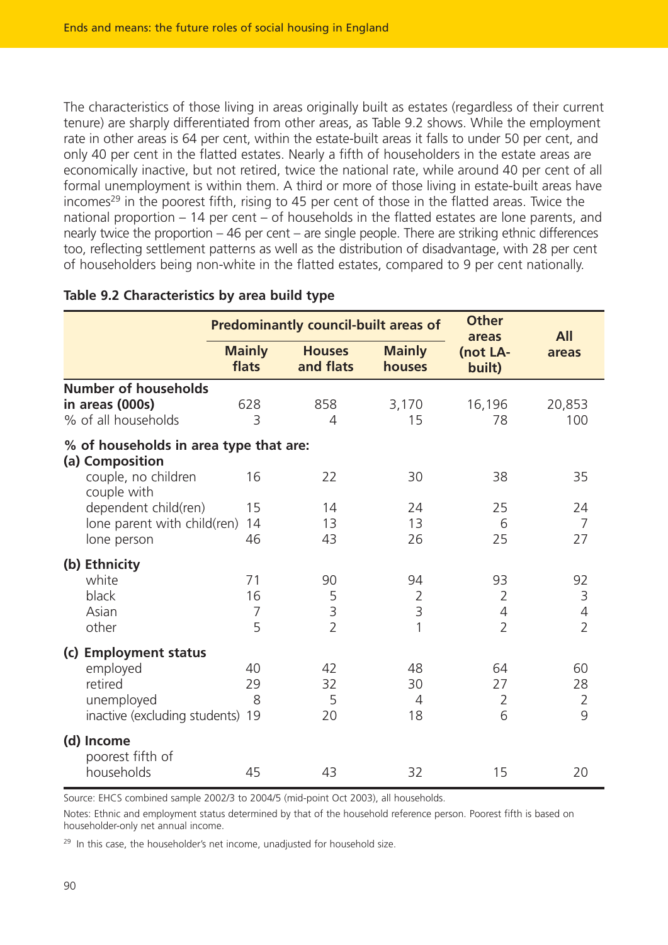The characteristics of those living in areas originally built as estates (regardless of their current tenure) are sharply differentiated from other areas, as Table 9.2 shows. While the employment rate in other areas is 64 per cent, within the estate-built areas it falls to under 50 per cent, and only 40 per cent in the flatted estates. Nearly a fifth of householders in the estate areas are economically inactive, but not retired, twice the national rate, while around 40 per cent of all formal unemployment is within them. A third or more of those living in estate-built areas have incomes<sup>29</sup> in the poorest fifth, rising to 45 per cent of those in the flatted areas. Twice the national proportion – 14 per cent – of households in the flatted estates are lone parents, and nearly twice the proportion – 46 per cent – are single people. There are striking ethnic differences too, reflecting settlement patterns as well as the distribution of disadvantage, with 28 per cent of householders being non-white in the flatted estates, compared to 9 per cent nationally.

|                                                                                                |                                 | <b>Predominantly council-built areas of</b> |                                             | <b>Other</b><br>areas                       | <b>All</b>                                  |
|------------------------------------------------------------------------------------------------|---------------------------------|---------------------------------------------|---------------------------------------------|---------------------------------------------|---------------------------------------------|
|                                                                                                | <b>Mainly</b><br>flats          | <b>Houses</b><br>and flats                  | <b>Mainly</b><br>houses                     | (not LA-<br>built)                          | areas                                       |
| <b>Number of households</b><br>in areas (000s)<br>% of all households                          | 628<br>3                        | 858<br>4                                    | 3,170<br>15                                 | 16,196<br>78                                | 20,853<br>100                               |
| % of households in area type that are:                                                         |                                 |                                             |                                             |                                             |                                             |
| (a) Composition<br>couple, no children<br>couple with                                          | 16                              | 22                                          | 30                                          | 38                                          | 35                                          |
| dependent child(ren)<br>lone parent with child(ren)<br>lone person                             | 15<br>14<br>46                  | 14<br>13<br>43                              | 24<br>13<br>26                              | 25<br>6<br>25                               | 24<br>$\overline{7}$<br>27                  |
| (b) Ethnicity                                                                                  |                                 |                                             |                                             |                                             |                                             |
| white<br>black<br>Asian<br>other                                                               | 71<br>16<br>$\overline{7}$<br>5 | 90<br>5<br>3<br>$\overline{2}$              | 94<br>$\overline{2}$<br>$\overline{3}$<br>1 | 93<br>2<br>$\overline{4}$<br>$\overline{2}$ | 92<br>3<br>$\overline{4}$<br>$\overline{2}$ |
| (c) Employment status<br>employed<br>retired<br>unemployed<br>inactive (excluding students) 19 | 40<br>29<br>8                   | 42<br>32<br>5<br>20                         | 48<br>30<br>$\overline{4}$<br>18            | 64<br>27<br>$\overline{2}$<br>6             | 60<br>28<br>$\overline{2}$<br>9             |
| (d) Income<br>poorest fifth of<br>households                                                   | 45                              | 43                                          | 32                                          | 15                                          | 20                                          |

#### **Table 9.2 Characteristics by area build type**

Source: EHCS combined sample 2002/3 to 2004/5 (mid-point Oct 2003), all households.

Notes: Ethnic and employment status determined by that of the household reference person. Poorest fifth is based on householder-only net annual income.

<sup>29</sup> In this case, the householder's net income, unadjusted for household size.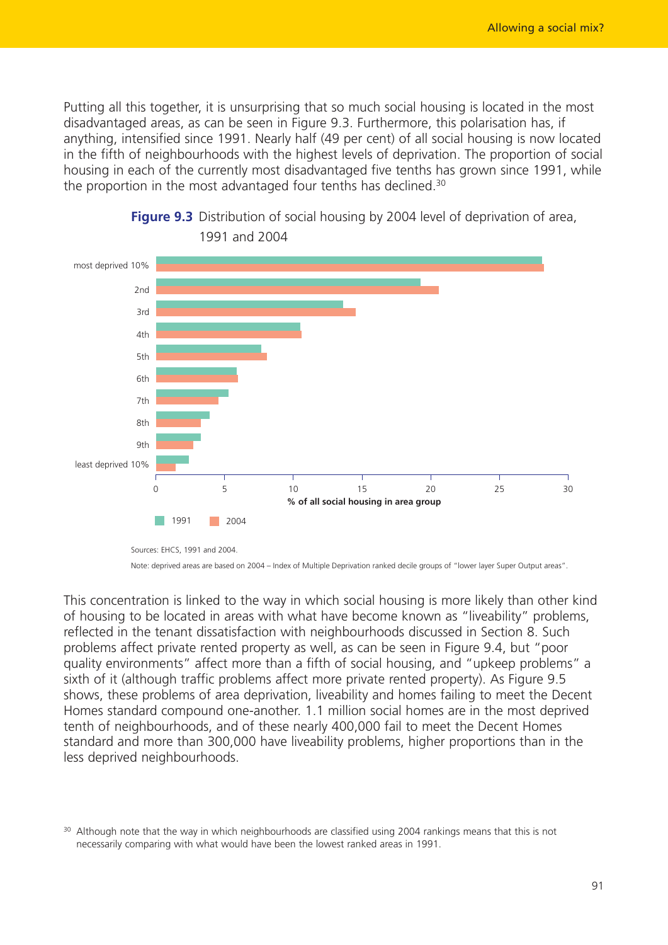Putting all this together, it is unsurprising that so much social housing is located in the most disadvantaged areas, as can be seen in Figure 9.3. Furthermore, this polarisation has, if anything, intensified since 1991. Nearly half (49 per cent) of all social housing is now located in the fifth of neighbourhoods with the highest levels of deprivation. The proportion of social housing in each of the currently most disadvantaged five tenths has grown since 1991, while the proportion in the most advantaged four tenths has declined.<sup>30</sup>





This concentration is linked to the way in which social housing is more likely than other kind of housing to be located in areas with what have become known as "liveability" problems, reflected in the tenant dissatisfaction with neighbourhoods discussed in Section 8. Such problems affect private rented property as well, as can be seen in Figure 9.4, but "poor quality environments" affect more than a fifth of social housing, and "upkeep problems" a sixth of it (although traffic problems affect more private rented property). As Figure 9.5 shows, these problems of area deprivation, liveability and homes failing to meet the Decent Homes standard compound one-another. 1.1 million social homes are in the most deprived tenth of neighbourhoods, and of these nearly 400,000 fail to meet the Decent Homes standard and more than 300,000 have liveability problems, higher proportions than in the less deprived neighbourhoods.

Note: deprived areas are based on 2004 – Index of Multiple Deprivation ranked decile groups of "lower layer Super Output areas".

<sup>&</sup>lt;sup>30</sup> Although note that the way in which neighbourhoods are classified using 2004 rankings means that this is not necessarily comparing with what would have been the lowest ranked areas in 1991.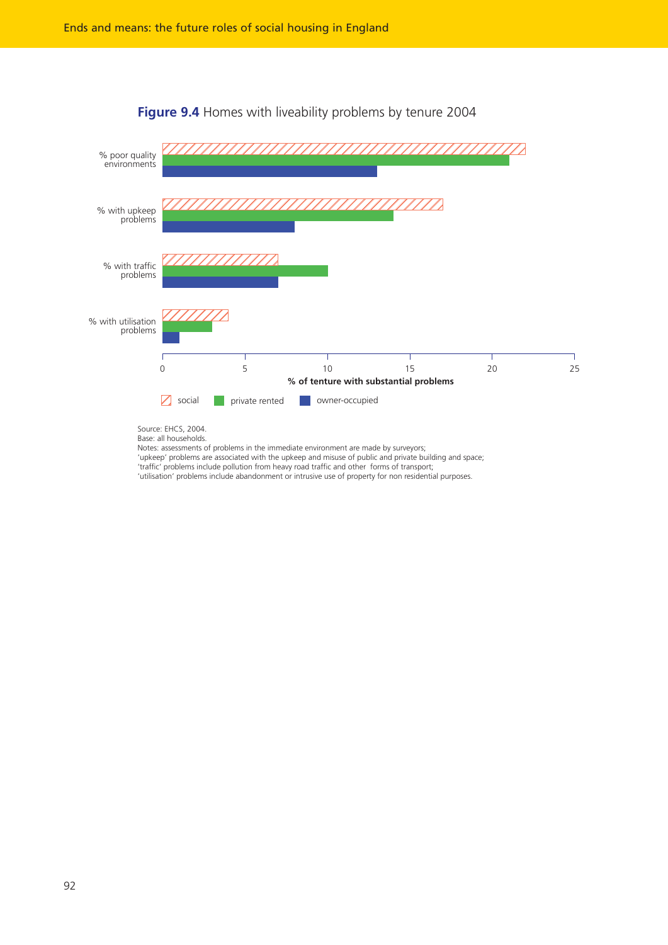

**Figure 9.4** Homes with liveability problems by tenure 2004

'upkeep' problems are associated with the upkeep and misuse of public and private building and space; 'traffic' problems include pollution from heavy road traffic and other forms of transport;

'utilisation' problems include abandonment or intrusive use of property for non residential purposes.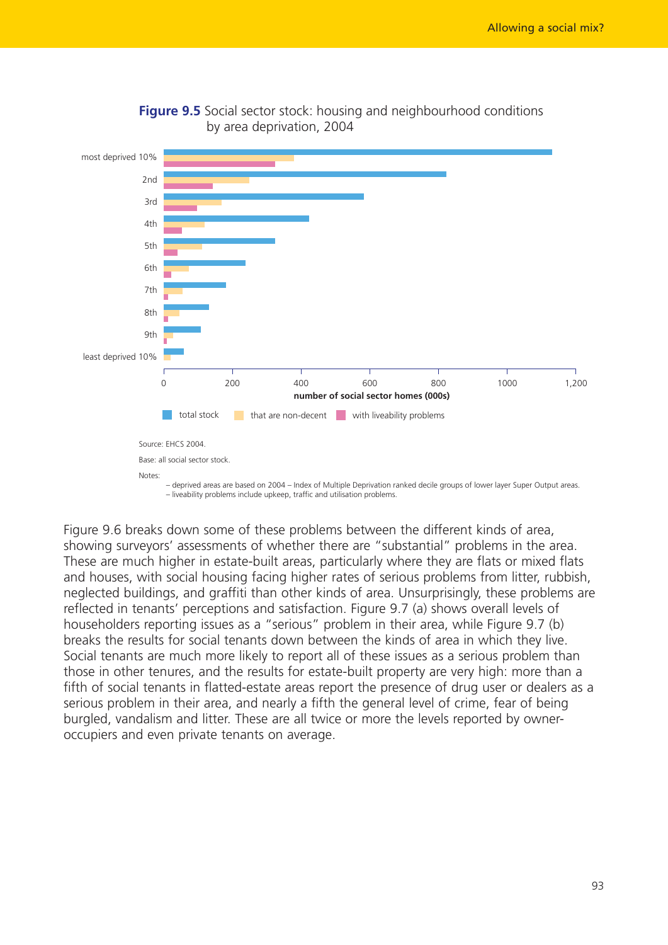

**Figure 9.5** Social sector stock: housing and neighbourhood conditions by area deprivation, 2004

Figure 9.6 breaks down some of these problems between the different kinds of area, showing surveyors' assessments of whether there are "substantial" problems in the area. These are much higher in estate-built areas, particularly where they are flats or mixed flats and houses, with social housing facing higher rates of serious problems from litter, rubbish, neglected buildings, and graffiti than other kinds of area. Unsurprisingly, these problems are reflected in tenants' perceptions and satisfaction. Figure 9.7 (a) shows overall levels of householders reporting issues as a "serious" problem in their area, while Figure 9.7 (b) breaks the results for social tenants down between the kinds of area in which they live. Social tenants are much more likely to report all of these issues as a serious problem than those in other tenures, and the results for estate-built property are very high: more than a fifth of social tenants in flatted-estate areas report the presence of drug user or dealers as a serious problem in their area, and nearly a fifth the general level of crime, fear of being burgled, vandalism and litter. These are all twice or more the levels reported by owneroccupiers and even private tenants on average.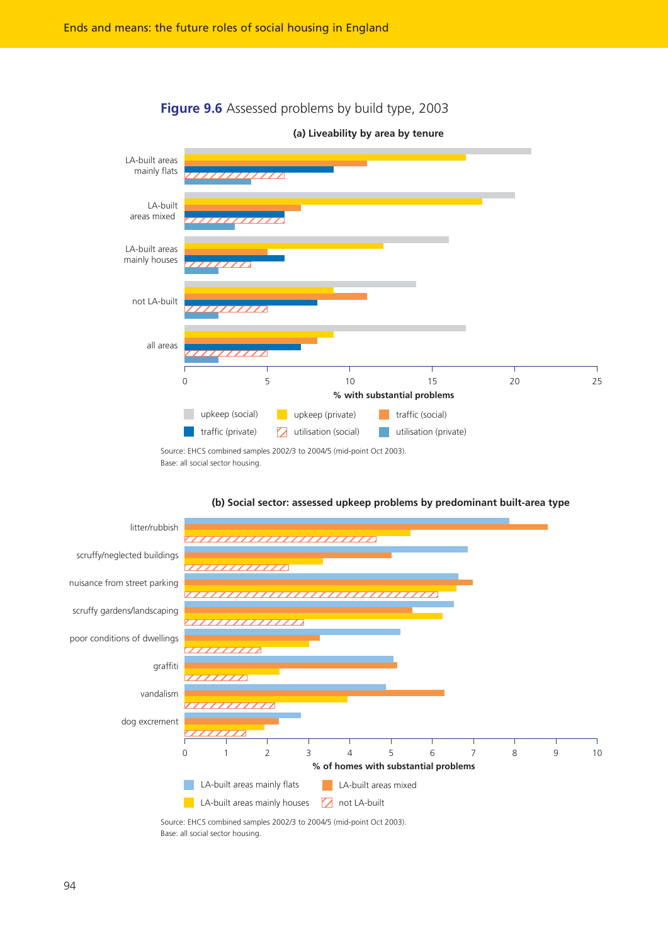# **Figure 9.6** Assessed problems by build type, 2003



**(a) Liveability by area by tenure**

#### **(b) Social sector: assessed upkeep problems by predominant built-area type**

Source: EHCS combined samples 2002/3 to 2004/5 (mid-point Oct 2003). Base: all social sector housing.

litter/rubbish scruffy/neglected buildings nuisance from street parking scruffy gardens/landscaping poor conditions of dwellings ////////// graffiti vandalism dog excrement 0 1 2 3 4 5 6 7 8 9 10**% of homes with substantial problems** LA-built areas mainly flats **LA-built areas mixed** LA-built areas mainly houses  $\Box$  not LA-built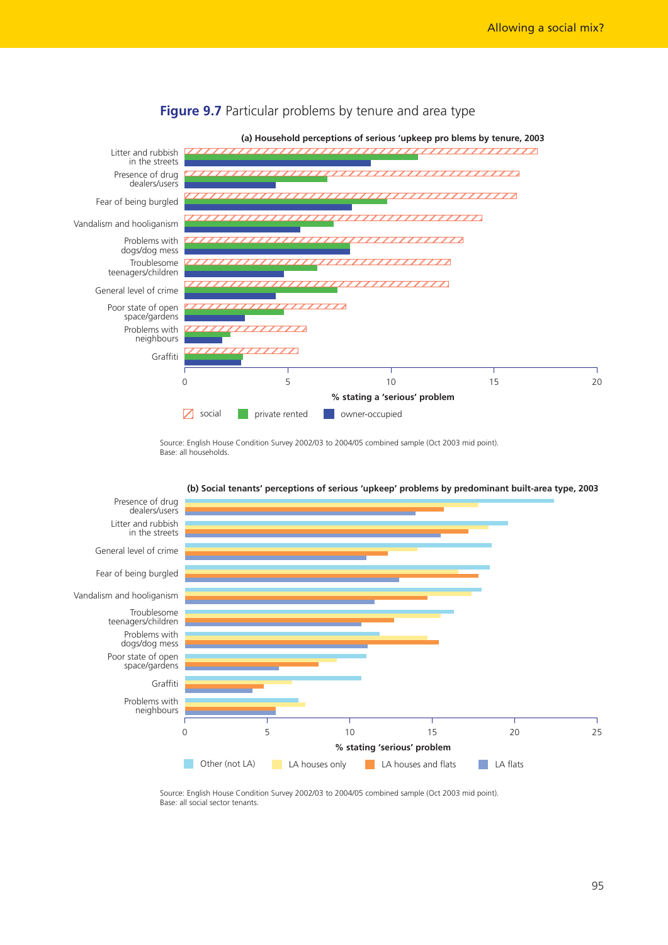

#### **Figure 9.7** Particular problems by tenure and area type

Source: English House Condition Survey 2002/03 to 2004/05 combined sample (Oct 2003 mid point). Base: all households.



#### **(b) Social tenants' perceptions of serious 'upkeep' problems by predominant built-area type, 2003**

Source: English House Condition Survey 2002/03 to 2004/05 combined sample (Oct 2003 mid point). Base: all social sector tenants.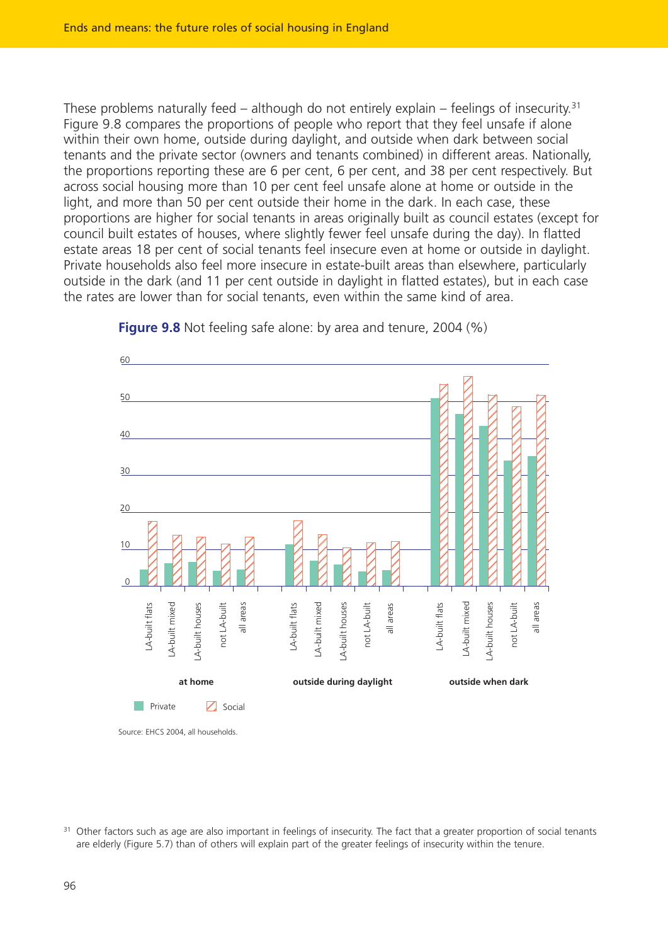These problems naturally feed – although do not entirely explain – feelings of insecurity.<sup>31</sup> Figure 9.8 compares the proportions of people who report that they feel unsafe if alone within their own home, outside during daylight, and outside when dark between social tenants and the private sector (owners and tenants combined) in different areas. Nationally, the proportions reporting these are 6 per cent, 6 per cent, and 38 per cent respectively. But across social housing more than 10 per cent feel unsafe alone at home or outside in the light, and more than 50 per cent outside their home in the dark. In each case, these proportions are higher for social tenants in areas originally built as council estates (except for council built estates of houses, where slightly fewer feel unsafe during the day). In flatted estate areas 18 per cent of social tenants feel insecure even at home or outside in daylight. Private households also feel more insecure in estate-built areas than elsewhere, particularly outside in the dark (and 11 per cent outside in daylight in flatted estates), but in each case the rates are lower than for social tenants, even within the same kind of area.



**Figure 9.8** Not feeling safe alone: by area and tenure, 2004 (%)

Source: EHCS 2004, all households.

<sup>&</sup>lt;sup>31</sup> Other factors such as age are also important in feelings of insecurity. The fact that a greater proportion of social tenants are elderly (Figure 5.7) than of others will explain part of the greater feelings of insecurity within the tenure.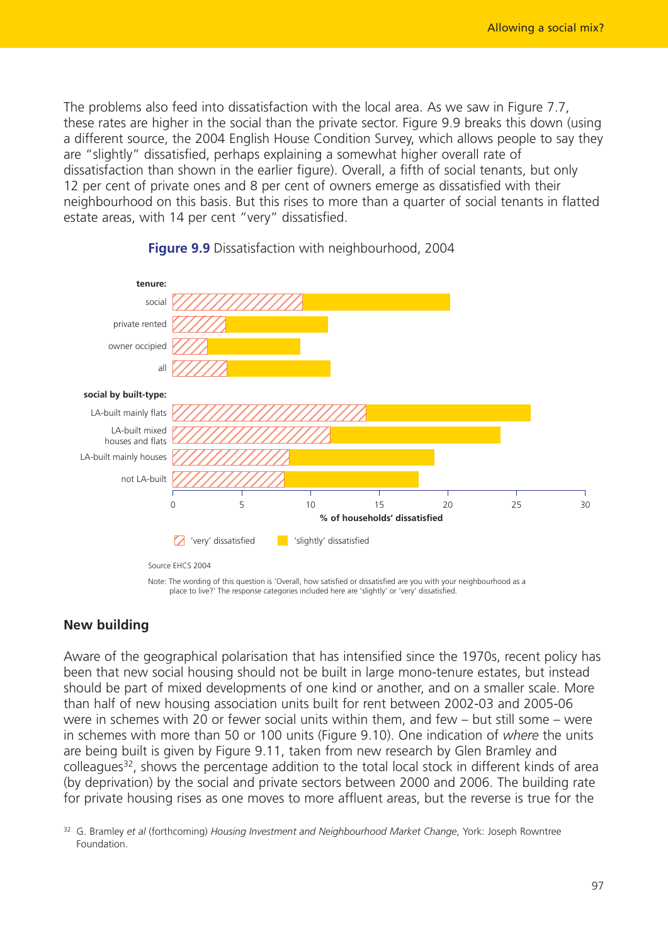The problems also feed into dissatisfaction with the local area. As we saw in Figure 7.7, these rates are higher in the social than the private sector. Figure 9.9 breaks this down (using a different source, the 2004 English House Condition Survey, which allows people to say they are "slightly" dissatisfied, perhaps explaining a somewhat higher overall rate of dissatisfaction than shown in the earlier figure). Overall, a fifth of social tenants, but only 12 per cent of private ones and 8 per cent of owners emerge as dissatisfied with their neighbourhood on this basis. But this rises to more than a quarter of social tenants in flatted estate areas, with 14 per cent "very" dissatisfied.



#### **Figure 9.9** Dissatisfaction with neighbourhood, 2004

Note: The wording of this question is 'Overall, how satisfied or dissatisfied are you with your neighbourhood as a place to live?' The response categories included here are 'slightly' or 'very' dissatisfied.

# **New building**

Aware of the geographical polarisation that has intensified since the 1970s, recent policy has been that new social housing should not be built in large mono-tenure estates, but instead should be part of mixed developments of one kind or another, and on a smaller scale. More than half of new housing association units built for rent between 2002-03 and 2005-06 were in schemes with 20 or fewer social units within them, and few – but still some – were in schemes with more than 50 or 100 units (Figure 9.10). One indication of *where* the units are being built is given by Figure 9.11, taken from new research by Glen Bramley and colleagues<sup>32</sup>, shows the percentage addition to the total local stock in different kinds of area (by deprivation) by the social and private sectors between 2000 and 2006. The building rate for private housing rises as one moves to more affluent areas, but the reverse is true for the

<sup>32</sup> G. Bramley *et al* (forthcoming) *Housing Investment and Neighbourhood Market Change*, York: Joseph Rowntree Foundation.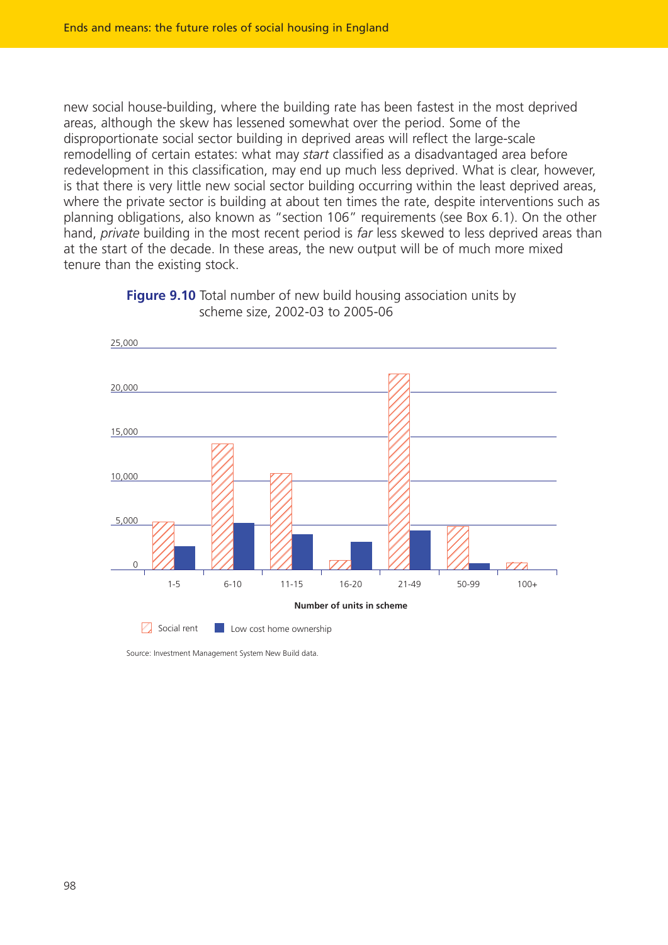new social house-building, where the building rate has been fastest in the most deprived areas, although the skew has lessened somewhat over the period. Some of the disproportionate social sector building in deprived areas will reflect the large-scale remodelling of certain estates: what may *start* classified as a disadvantaged area before redevelopment in this classification, may end up much less deprived. What is clear, however, is that there is very little new social sector building occurring within the least deprived areas, where the private sector is building at about ten times the rate, despite interventions such as planning obligations, also known as "section 106" requirements (see Box 6.1). On the other hand, *private* building in the most recent period is *far* less skewed to less deprived areas than at the start of the decade. In these areas, the new output will be of much more mixed tenure than the existing stock.





Source: Investment Management System New Build data.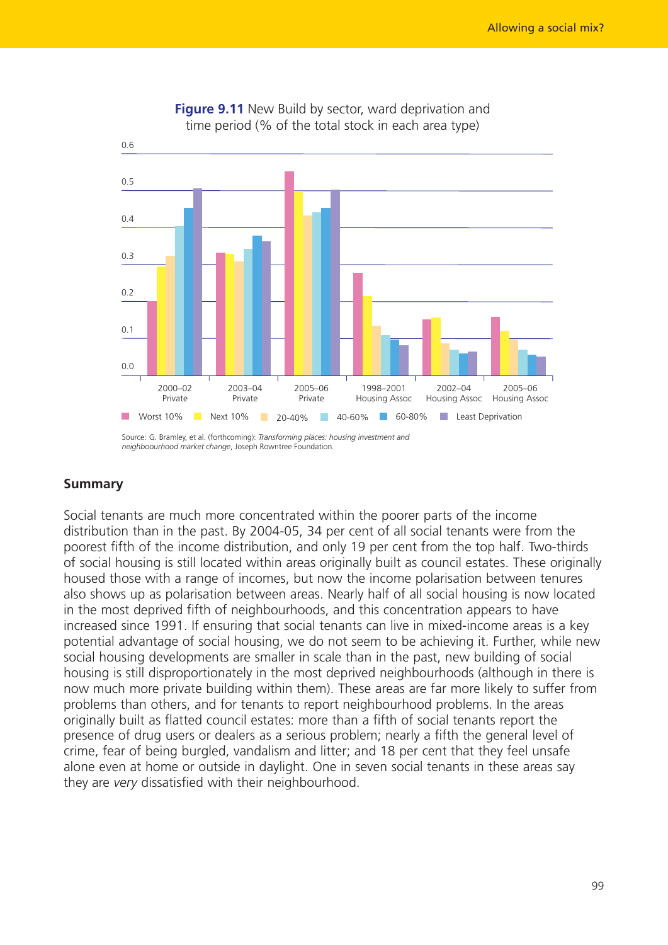

#### **Figure 9.11** New Build by sector, ward deprivation and time period (% of the total stock in each area type)

Source: G. Bramley, et al. (forthcoming): *Transforming places: housing investment and neighboourhood market change*, Joseph Rowntree Foundation.

#### **Summary**

Social tenants are much more concentrated within the poorer parts of the income distribution than in the past. By 2004-05, 34 per cent of all social tenants were from the poorest fifth of the income distribution, and only 19 per cent from the top half. Two-thirds of social housing is still located within areas originally built as council estates. These originally housed those with a range of incomes, but now the income polarisation between tenures also shows up as polarisation between areas. Nearly half of all social housing is now located in the most deprived fifth of neighbourhoods, and this concentration appears to have increased since 1991. If ensuring that social tenants can live in mixed-income areas is a key potential advantage of social housing, we do not seem to be achieving it. Further, while new social housing developments are smaller in scale than in the past, new building of social housing is still disproportionately in the most deprived neighbourhoods (although in there is now much more private building within them). These areas are far more likely to suffer from problems than others, and for tenants to report neighbourhood problems. In the areas originally built as flatted council estates: more than a fifth of social tenants report the presence of drug users or dealers as a serious problem; nearly a fifth the general level of crime, fear of being burgled, vandalism and litter; and 18 per cent that they feel unsafe alone even at home or outside in daylight. One in seven social tenants in these areas say they are *very* dissatisfied with their neighbourhood.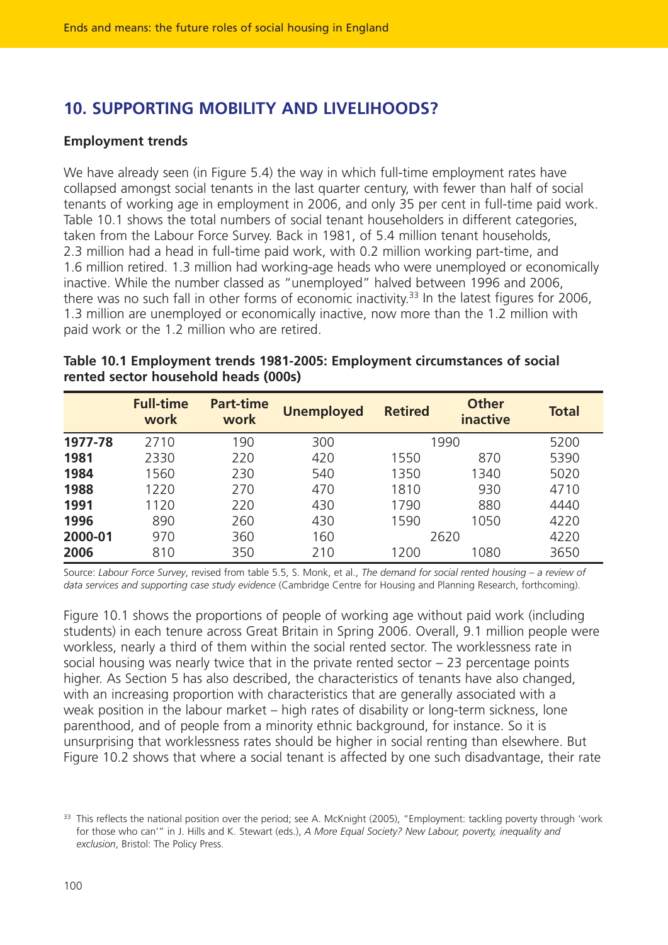# **10. SUPPORTING MOBILITY AND LIVELIHOODS?**

#### **Employment trends**

We have already seen (in Figure 5.4) the way in which full-time employment rates have collapsed amongst social tenants in the last quarter century, with fewer than half of social tenants of working age in employment in 2006, and only 35 per cent in full-time paid work. Table 10.1 shows the total numbers of social tenant householders in different categories, taken from the Labour Force Survey. Back in 1981, of 5.4 million tenant households, 2.3 million had a head in full-time paid work, with 0.2 million working part-time, and 1.6 million retired. 1.3 million had working-age heads who were unemployed or economically inactive. While the number classed as "unemployed" halved between 1996 and 2006, there was no such fall in other forms of economic inactivity.<sup>33</sup> In the latest figures for 2006, 1.3 million are unemployed or economically inactive, now more than the 1.2 million with paid work or the 1.2 million who are retired.

|         | <b>Full-time</b><br>work | <b>Part-time</b><br>work | <b>Unemployed</b> | <b>Retired</b> | <b>Other</b><br>inactive | <b>Total</b> |
|---------|--------------------------|--------------------------|-------------------|----------------|--------------------------|--------------|
| 1977-78 | 2710                     | 190                      | 300               |                | 1990                     | 5200         |
| 1981    | 2330                     | 220                      | 420               | 1550           | 870                      | 5390         |
| 1984    | 1560                     | 230                      | 540               | 1350           | 1340                     | 5020         |
| 1988    | 1220                     | 270                      | 470               | 1810           | 930                      | 4710         |
| 1991    | 1120                     | 220                      | 430               | 1790           | 880                      | 4440         |
| 1996    | 890                      | 260                      | 430               | 1590           | 1050                     | 4220         |
| 2000-01 | 970                      | 360                      | 160               |                | 2620                     | 4220         |
| 2006    | 810                      | 350                      | 210               | 1200           | 1080                     | 3650         |

### **Table 10.1 Employment trends 1981-2005: Employment circumstances of social rented sector household heads (000s)**

Source: *Labour Force Survey*, revised from table 5.5, S. Monk, et al., *The demand for social rented housing* – *a review of data services and supporting case study evidence* (Cambridge Centre for Housing and Planning Research, forthcoming).

Figure 10.1 shows the proportions of people of working age without paid work (including students) in each tenure across Great Britain in Spring 2006. Overall, 9.1 million people were workless, nearly a third of them within the social rented sector. The worklessness rate in social housing was nearly twice that in the private rented sector  $-23$  percentage points higher. As Section 5 has also described, the characteristics of tenants have also changed, with an increasing proportion with characteristics that are generally associated with a weak position in the labour market – high rates of disability or long-term sickness, lone parenthood, and of people from a minority ethnic background, for instance. So it is unsurprising that worklessness rates should be higher in social renting than elsewhere. But Figure 10.2 shows that where a social tenant is affected by one such disadvantage, their rate

<sup>&</sup>lt;sup>33</sup> This reflects the national position over the period; see A. McKnight (2005), "Employment: tackling poverty through 'work for those who can'" in J. Hills and K. Stewart (eds.), *A More Equal Society? New Labour, poverty, inequality and exclusion*, Bristol: The Policy Press.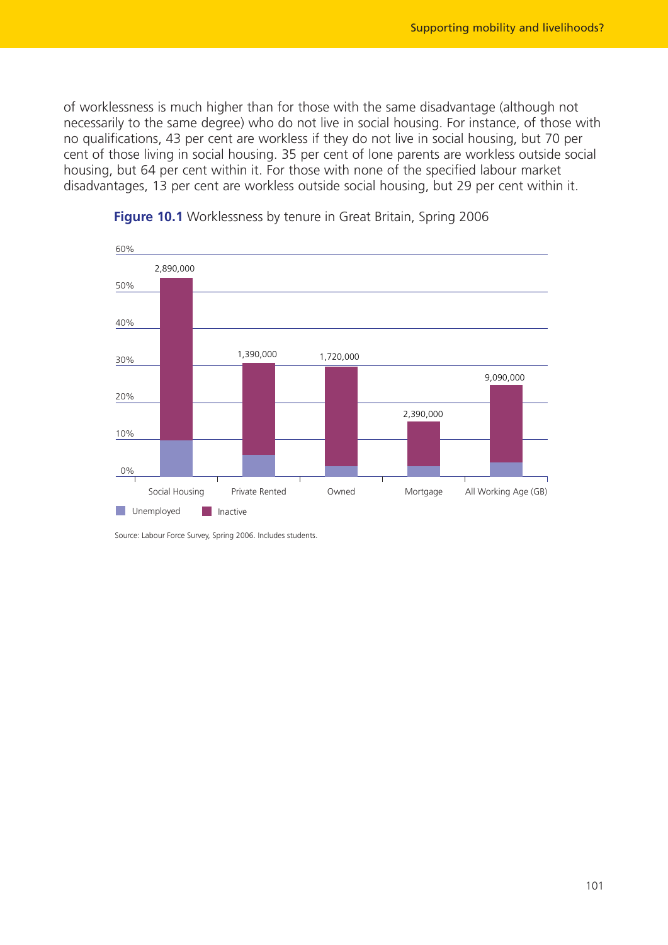of worklessness is much higher than for those with the same disadvantage (although not necessarily to the same degree) who do not live in social housing. For instance, of those with no qualifications, 43 per cent are workless if they do not live in social housing, but 70 per cent of those living in social housing. 35 per cent of lone parents are workless outside social housing, but 64 per cent within it. For those with none of the specified labour market disadvantages, 13 per cent are workless outside social housing, but 29 per cent within it.





Source: Labour Force Survey, Spring 2006. Includes students.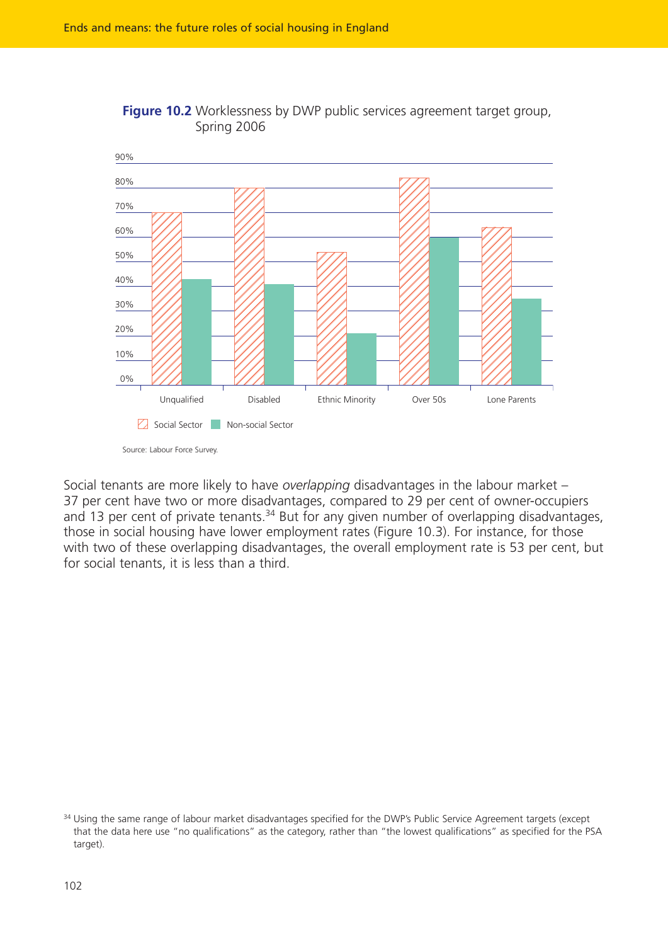



Social tenants are more likely to have *overlapping* disadvantages in the labour market – 37 per cent have two or more disadvantages, compared to 29 per cent of owner-occupiers and 13 per cent of private tenants.<sup>34</sup> But for any given number of overlapping disadvantages, those in social housing have lower employment rates (Figure 10.3). For instance, for those with two of these overlapping disadvantages, the overall employment rate is 53 per cent, but for social tenants, it is less than a third.

<sup>&</sup>lt;sup>34</sup> Using the same range of labour market disadvantages specified for the DWP's Public Service Agreement targets (except that the data here use "no qualifications" as the category, rather than "the lowest qualifications" as specified for the PSA target).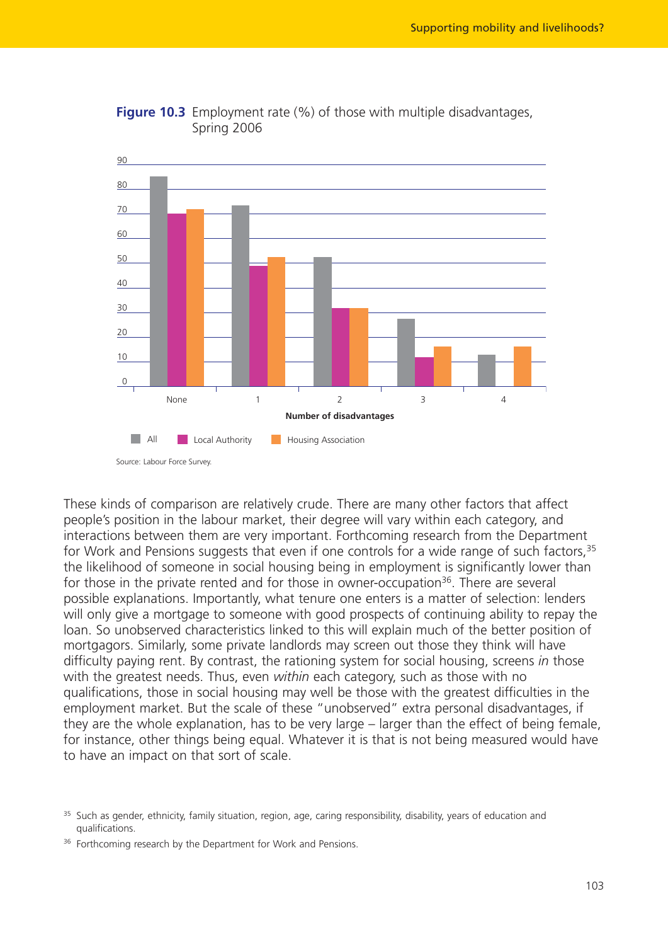



These kinds of comparison are relatively crude. There are many other factors that affect people's position in the labour market, their degree will vary within each category, and interactions between them are very important. Forthcoming research from the Department for Work and Pensions suggests that even if one controls for a wide range of such factors,  $35$ the likelihood of someone in social housing being in employment is significantly lower than for those in the private rented and for those in owner-occupation<sup>36</sup>. There are several possible explanations. Importantly, what tenure one enters is a matter of selection: lenders will only give a mortgage to someone with good prospects of continuing ability to repay the loan. So unobserved characteristics linked to this will explain much of the better position of mortgagors. Similarly, some private landlords may screen out those they think will have difficulty paying rent. By contrast, the rationing system for social housing, screens *in* those with the greatest needs. Thus, even *within* each category, such as those with no qualifications, those in social housing may well be those with the greatest difficulties in the employment market. But the scale of these "unobserved" extra personal disadvantages, if they are the whole explanation, has to be very large – larger than the effect of being female, for instance, other things being equal. Whatever it is that is not being measured would have to have an impact on that sort of scale.

<sup>&</sup>lt;sup>35</sup> Such as gender, ethnicity, family situation, region, age, caring responsibility, disability, years of education and qualifications.

<sup>&</sup>lt;sup>36</sup> Forthcoming research by the Department for Work and Pensions.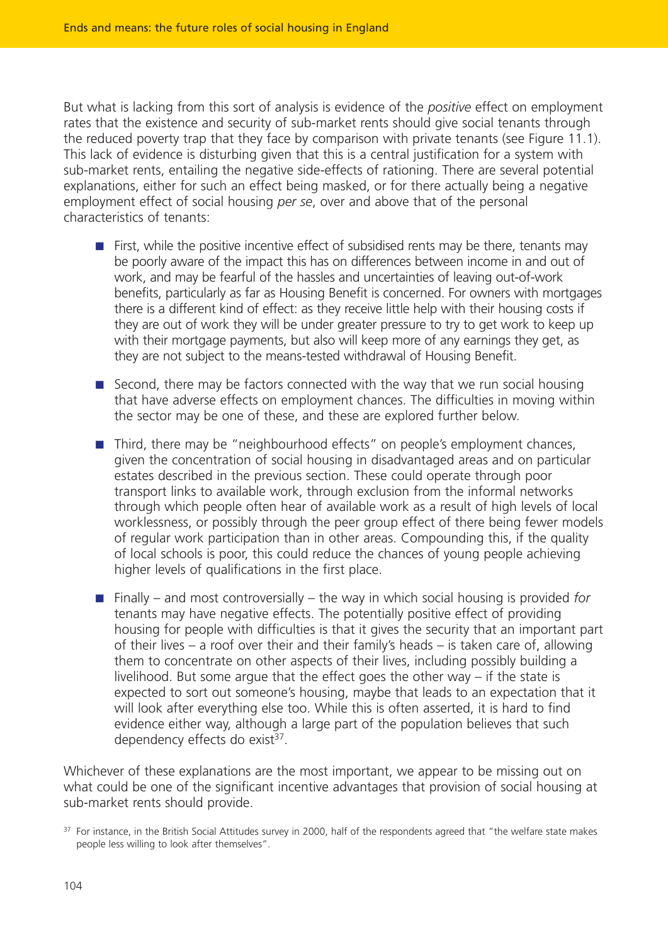But what is lacking from this sort of analysis is evidence of the *positive* effect on employment rates that the existence and security of sub-market rents should give social tenants through the reduced poverty trap that they face by comparison with private tenants (see Figure 11.1). This lack of evidence is disturbing given that this is a central justification for a system with sub-market rents, entailing the negative side-effects of rationing. There are several potential explanations, either for such an effect being masked, or for there actually being a negative employment effect of social housing *per se*, over and above that of the personal characteristics of tenants:

- First, while the positive incentive effect of subsidised rents may be there, tenants may be poorly aware of the impact this has on differences between income in and out of work, and may be fearful of the hassles and uncertainties of leaving out-of-work benefits, particularly as far as Housing Benefit is concerned. For owners with mortgages there is a different kind of effect: as they receive little help with their housing costs if they are out of work they will be under greater pressure to try to get work to keep up with their mortgage payments, but also will keep more of any earnings they get, as they are not subject to the means-tested withdrawal of Housing Benefit.
- Second, there may be factors connected with the way that we run social housing that have adverse effects on employment chances. The difficulties in moving within the sector may be one of these, and these are explored further below.
- Third, there may be "neighbourhood effects" on people's employment chances, given the concentration of social housing in disadvantaged areas and on particular estates described in the previous section. These could operate through poor transport links to available work, through exclusion from the informal networks through which people often hear of available work as a result of high levels of local worklessness, or possibly through the peer group effect of there being fewer models of regular work participation than in other areas. Compounding this, if the quality of local schools is poor, this could reduce the chances of young people achieving higher levels of qualifications in the first place.
- Finally and most controversially the way in which social housing is provided *for* tenants may have negative effects. The potentially positive effect of providing housing for people with difficulties is that it gives the security that an important part of their lives – a roof over their and their family's heads – is taken care of, allowing them to concentrate on other aspects of their lives, including possibly building a livelihood. But some argue that the effect goes the other way – if the state is expected to sort out someone's housing, maybe that leads to an expectation that it will look after everything else too. While this is often asserted, it is hard to find evidence either way, although a large part of the population believes that such dependency effects do exist $37$ .

Whichever of these explanations are the most important, we appear to be missing out on what could be one of the significant incentive advantages that provision of social housing at sub-market rents should provide.

<sup>&</sup>lt;sup>37</sup> For instance, in the British Social Attitudes survey in 2000, half of the respondents agreed that "the welfare state makes people less willing to look after themselves".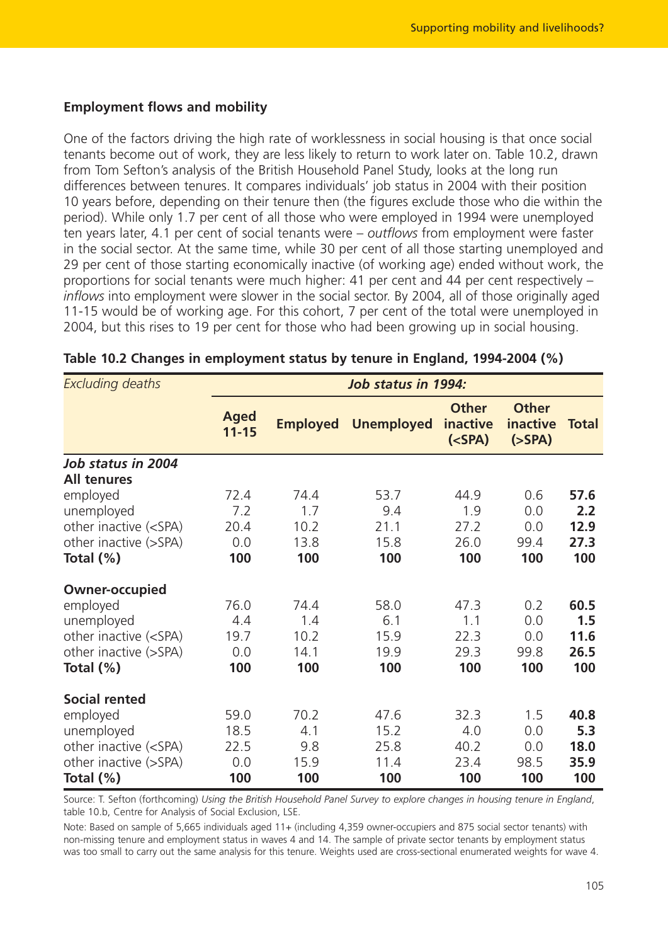## **Employment flows and mobility**

One of the factors driving the high rate of worklessness in social housing is that once social tenants become out of work, they are less likely to return to work later on. Table 10.2, drawn from Tom Sefton's analysis of the British Household Panel Study, looks at the long run differences between tenures. It compares individuals' job status in 2004 with their position 10 years before, depending on their tenure then (the figures exclude those who die within the period). While only 1.7 per cent of all those who were employed in 1994 were unemployed ten years later, 4.1 per cent of social tenants were – *outflows* from employment were faster in the social sector. At the same time, while 30 per cent of all those starting unemployed and 29 per cent of those starting economically inactive (of working age) ended without work, the proportions for social tenants were much higher: 41 per cent and 44 per cent respectively – *inflows* into employment were slower in the social sector. By 2004, all of those originally aged 11-15 would be of working age. For this cohort, 7 per cent of the total were unemployed in 2004, but this rises to 19 per cent for those who had been growing up in social housing.

| <b>Excluding deaths</b>                                                                                             |                          | <b>Job status in 1994:</b> |                   |                                          |                                          |              |  |  |  |
|---------------------------------------------------------------------------------------------------------------------|--------------------------|----------------------------|-------------------|------------------------------------------|------------------------------------------|--------------|--|--|--|
|                                                                                                                     | <b>Aged</b><br>$11 - 15$ | <b>Employed</b>            | <b>Unemployed</b> | <b>Other</b><br>inactive<br>$(<$ SPA $)$ | <b>Other</b><br>inactive<br>$($ >SPA $)$ | <b>Total</b> |  |  |  |
| Job status in 2004                                                                                                  |                          |                            |                   |                                          |                                          |              |  |  |  |
| <b>All tenures</b>                                                                                                  |                          |                            |                   |                                          |                                          |              |  |  |  |
| employed                                                                                                            | 72.4                     | 74.4                       | 53.7              | 44.9                                     | 0.6                                      | 57.6         |  |  |  |
| unemployed                                                                                                          | 7.2                      | 1.7                        | 9.4               | 1.9                                      | 0.0                                      | 2.2          |  |  |  |
| other inactive ( <spa)< td=""><td>20.4</td><td>10.2</td><td>21.1</td><td>27.2</td><td>0.0</td><td>12.9</td></spa)<> | 20.4                     | 10.2                       | 21.1              | 27.2                                     | 0.0                                      | 12.9         |  |  |  |
| other inactive (>SPA)                                                                                               | 0.0                      | 13.8                       | 15.8              | 26.0                                     | 99.4                                     | 27.3         |  |  |  |
| Total $(\%)$                                                                                                        | 100                      | 100                        | 100               | 100                                      | 100                                      | 100          |  |  |  |
| <b>Owner-occupied</b>                                                                                               |                          |                            |                   |                                          |                                          |              |  |  |  |
| employed                                                                                                            | 76.0                     | 74.4                       | 58.0              | 47.3                                     | 0.2                                      | 60.5         |  |  |  |
| unemployed                                                                                                          | 4.4                      | 1.4                        | 6.1               | 1.1                                      | 0.0                                      | 1.5          |  |  |  |
| other inactive ( <spa)< td=""><td>19.7</td><td>10.2</td><td>15.9</td><td>22.3</td><td>0.0</td><td>11.6</td></spa)<> | 19.7                     | 10.2                       | 15.9              | 22.3                                     | 0.0                                      | 11.6         |  |  |  |
| other inactive (>SPA)                                                                                               | 0.0                      | 14.1                       | 19.9              | 29.3                                     | 99.8                                     | 26.5         |  |  |  |
| Total (%)                                                                                                           | 100                      | 100                        | 100               | 100                                      | 100                                      | 100          |  |  |  |
| <b>Social rented</b>                                                                                                |                          |                            |                   |                                          |                                          |              |  |  |  |
| employed                                                                                                            | 59.0                     | 70.2                       | 47.6              | 32.3                                     | 1.5                                      | 40.8         |  |  |  |
| unemployed                                                                                                          | 18.5                     | 4.1                        | 15.2              | 4.0                                      | 0.0                                      | 5.3          |  |  |  |
| other inactive ( <spa)< td=""><td>22.5</td><td>9.8</td><td>25.8</td><td>40.2</td><td>0.0</td><td>18.0</td></spa)<>  | 22.5                     | 9.8                        | 25.8              | 40.2                                     | 0.0                                      | 18.0         |  |  |  |
| other inactive (>SPA)                                                                                               | 0.0                      | 15.9                       | 11.4              | 23.4                                     | 98.5                                     | 35.9         |  |  |  |
| Total $(\%)$                                                                                                        | 100                      | 100                        | 100               | 100                                      | 100                                      | 100          |  |  |  |

| Table 10.2 Changes in employment status by tenure in England, 1994-2004 (%) |  |  |  |
|-----------------------------------------------------------------------------|--|--|--|
|-----------------------------------------------------------------------------|--|--|--|

Source: T. Sefton (forthcoming) *Using the British Household Panel Survey to explore changes in housing tenure in England*, table 10.b, Centre for Analysis of Social Exclusion, LSE.

Note: Based on sample of 5,665 individuals aged 11+ (including 4,359 owner-occupiers and 875 social sector tenants) with non-missing tenure and employment status in waves 4 and 14. The sample of private sector tenants by employment status was too small to carry out the same analysis for this tenure. Weights used are cross-sectional enumerated weights for wave 4.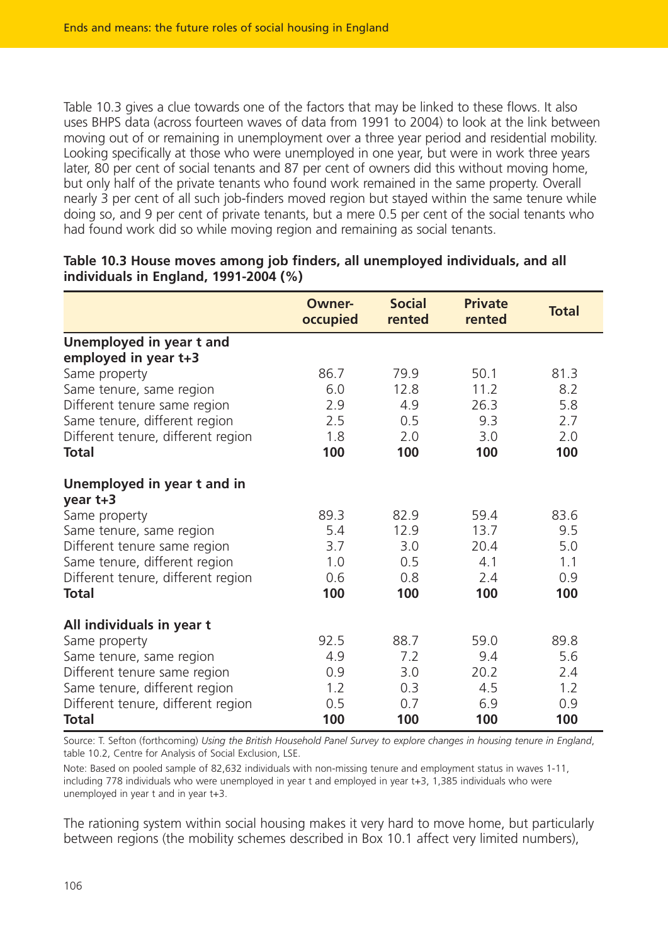Table 10.3 gives a clue towards one of the factors that may be linked to these flows. It also uses BHPS data (across fourteen waves of data from 1991 to 2004) to look at the link between moving out of or remaining in unemployment over a three year period and residential mobility. Looking specifically at those who were unemployed in one year, but were in work three years later, 80 per cent of social tenants and 87 per cent of owners did this without moving home, but only half of the private tenants who found work remained in the same property. Overall nearly 3 per cent of all such job-finders moved region but stayed within the same tenure while doing so, and 9 per cent of private tenants, but a mere 0.5 per cent of the social tenants who had found work did so while moving region and remaining as social tenants.

|                                         | <b>Owner-</b><br>occupied | <b>Social</b><br>rented | <b>Private</b><br>rented | <b>Total</b> |
|-----------------------------------------|---------------------------|-------------------------|--------------------------|--------------|
| Unemployed in year t and                |                           |                         |                          |              |
| employed in year t+3                    |                           |                         |                          |              |
| Same property                           | 86.7                      | 79.9                    | 50.1                     | 81.3         |
| Same tenure, same region                | 6.0                       | 12.8                    | 11.2                     | 8.2          |
| Different tenure same region            | 2.9                       | 4.9                     | 26.3                     | 5.8          |
| Same tenure, different region           | 2.5                       | 0.5                     | 9.3                      | 2.7          |
| Different tenure, different region      | 1.8                       | 2.0                     | 3.0                      | 2.0          |
| <b>Total</b>                            | 100                       | 100                     | 100                      | 100          |
| Unemployed in year t and in<br>year t+3 |                           |                         |                          |              |
| Same property                           | 89.3                      | 82.9                    | 59.4                     | 83.6         |
| Same tenure, same region                | 5.4                       | 12.9                    | 13.7                     | 9.5          |
| Different tenure same region            | 3.7                       | 3.0                     | 20.4                     | 5.0          |
| Same tenure, different region           | 1.0                       | 0.5                     | 4.1                      | 1.1          |
| Different tenure, different region      | 0.6                       | 0.8                     | 2.4                      | 0.9          |
| <b>Total</b>                            | 100                       | 100                     | 100                      | 100          |
| All individuals in year t               |                           |                         |                          |              |
| Same property                           | 92.5                      | 88.7                    | 59.0                     | 89.8         |
| Same tenure, same region                | 4.9                       | 7.2                     | 9.4                      | 5.6          |
| Different tenure same region            | 0.9                       | 3.0                     | 20.2                     | 2.4          |
| Same tenure, different region           | 1.2                       | 0.3                     | 4.5                      | 1.2          |
| Different tenure, different region      | 0.5                       | 0.7                     | 6.9                      | 0.9          |
| <b>Total</b>                            | 100                       | 100                     | 100                      | 100          |

#### **Table 10.3 House moves among job finders, all unemployed individuals, and all individuals in England, 1991-2004 (%)**

Source: T. Sefton (forthcoming) *Using the British Household Panel Survey to explore changes in housing tenure in England*, table 10.2, Centre for Analysis of Social Exclusion, LSE.

Note: Based on pooled sample of 82,632 individuals with non-missing tenure and employment status in waves 1-11, including 778 individuals who were unemployed in year t and employed in year t+3, 1,385 individuals who were unemployed in year t and in year t+3.

The rationing system within social housing makes it very hard to move home, but particularly between regions (the mobility schemes described in Box 10.1 affect very limited numbers),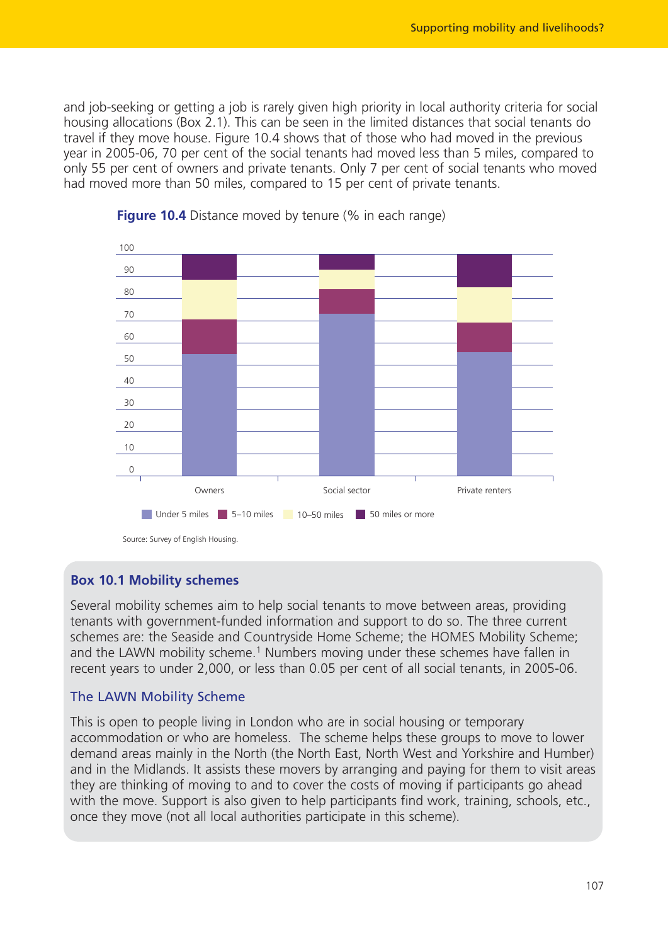and job-seeking or getting a job is rarely given high priority in local authority criteria for social housing allocations (Box 2.1). This can be seen in the limited distances that social tenants do travel if they move house. Figure 10.4 shows that of those who had moved in the previous year in 2005-06, 70 per cent of the social tenants had moved less than 5 miles, compared to only 55 per cent of owners and private tenants. Only 7 per cent of social tenants who moved had moved more than 50 miles, compared to 15 per cent of private tenants.





Source: Survey of English Housing.

# **Box 10.1 Mobility schemes**

Several mobility schemes aim to help social tenants to move between areas, providing tenants with government-funded information and support to do so. The three current schemes are: the Seaside and Countryside Home Scheme; the HOMES Mobility Scheme; and the LAWN mobility scheme.<sup>1</sup> Numbers moving under these schemes have fallen in recent years to under 2,000, or less than 0.05 per cent of all social tenants, in 2005-06.

# The LAWN Mobility Scheme

This is open to people living in London who are in social housing or temporary accommodation or who are homeless. The scheme helps these groups to move to lower demand areas mainly in the North (the North East, North West and Yorkshire and Humber) and in the Midlands. It assists these movers by arranging and paying for them to visit areas they are thinking of moving to and to cover the costs of moving if participants go ahead with the move. Support is also given to help participants find work, training, schools, etc., once they move (not all local authorities participate in this scheme).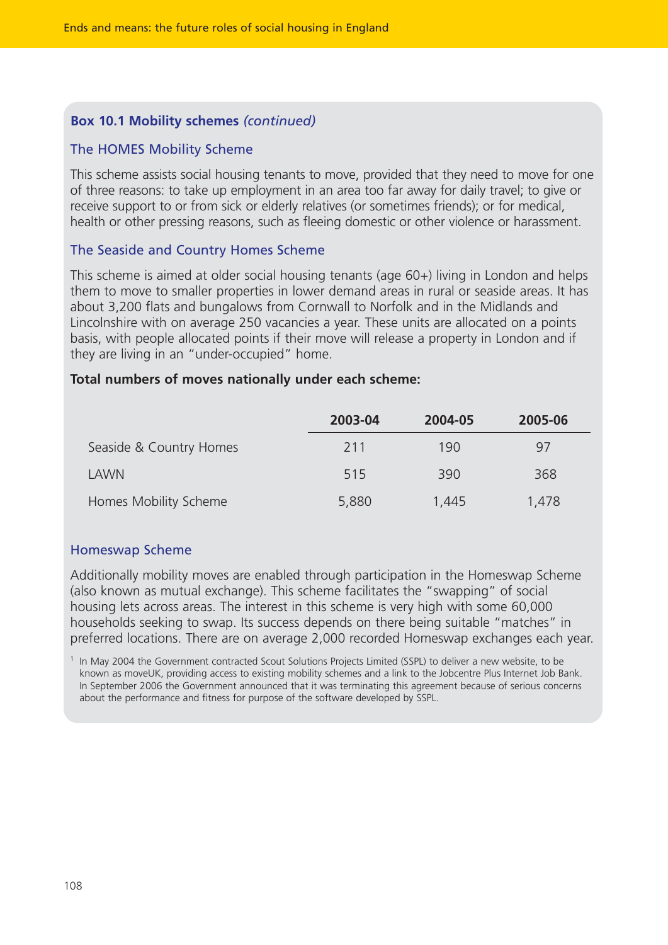# **Box 10.1 Mobility schemes** *(continued)*

#### The HOMES Mobility Scheme

This scheme assists social housing tenants to move, provided that they need to move for one of three reasons: to take up employment in an area too far away for daily travel; to give or receive support to or from sick or elderly relatives (or sometimes friends); or for medical, health or other pressing reasons, such as fleeing domestic or other violence or harassment.

#### The Seaside and Country Homes Scheme

This scheme is aimed at older social housing tenants (age 60+) living in London and helps them to move to smaller properties in lower demand areas in rural or seaside areas. It has about 3,200 flats and bungalows from Cornwall to Norfolk and in the Midlands and Lincolnshire with on average 250 vacancies a year. These units are allocated on a points basis, with people allocated points if their move will release a property in London and if they are living in an "under-occupied" home.

#### **Total numbers of moves nationally under each scheme:**

|                         | 2003-04 | 2004-05 | 2005-06 |
|-------------------------|---------|---------|---------|
| Seaside & Country Homes | 211     | 190     | 97      |
| <b>LAWN</b>             | 515     | 390     | 368     |
| Homes Mobility Scheme   | 5,880   | 1,445   | 1,478   |

## Homeswap Scheme

Additionally mobility moves are enabled through participation in the Homeswap Scheme (also known as mutual exchange). This scheme facilitates the "swapping" of social housing lets across areas. The interest in this scheme is very high with some 60,000 households seeking to swap. Its success depends on there being suitable "matches" in preferred locations. There are on average 2,000 recorded Homeswap exchanges each year.

<sup>1</sup> In May 2004 the Government contracted Scout Solutions Projects Limited (SSPL) to deliver a new website, to be known as moveUK, providing access to existing mobility schemes and a link to the Jobcentre Plus Internet Job Bank. In September 2006 the Government announced that it was terminating this agreement because of serious concerns about the performance and fitness for purpose of the software developed by SSPL.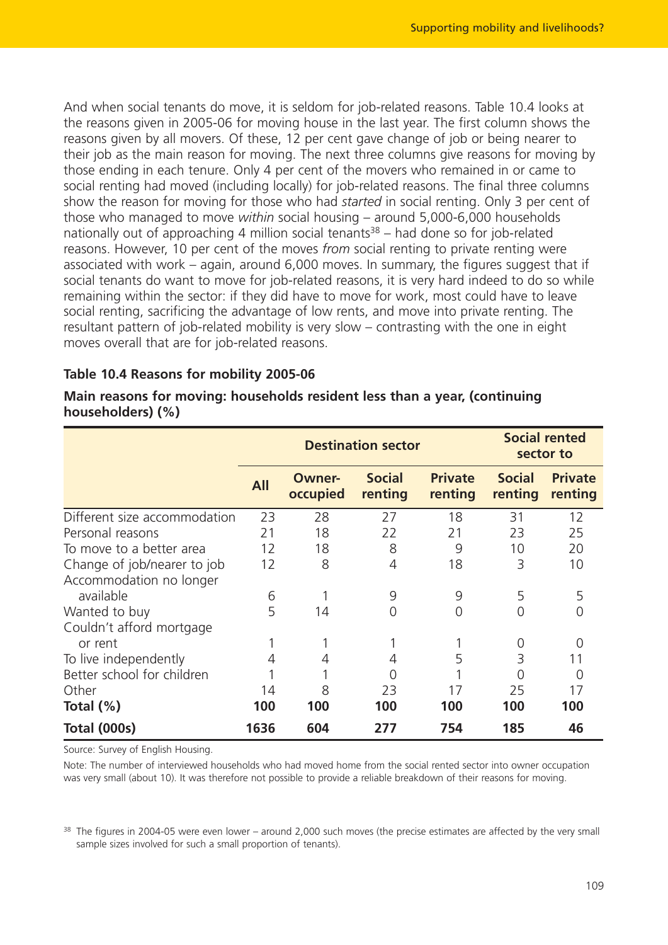And when social tenants do move, it is seldom for job-related reasons. Table 10.4 looks at the reasons given in 2005-06 for moving house in the last year. The first column shows the reasons given by all movers. Of these, 12 per cent gave change of job or being nearer to their job as the main reason for moving. The next three columns give reasons for moving by those ending in each tenure. Only 4 per cent of the movers who remained in or came to social renting had moved (including locally) for job-related reasons. The final three columns show the reason for moving for those who had *started* in social renting. Only 3 per cent of those who managed to move *within* social housing – around 5,000-6,000 households nationally out of approaching 4 million social tenants<sup>38</sup> – had done so for job-related reasons. However, 10 per cent of the moves *from* social renting to private renting were associated with work – again, around 6,000 moves. In summary, the figures suggest that if social tenants do want to move for job-related reasons, it is very hard indeed to do so while remaining within the sector: if they did have to move for work, most could have to leave social renting, sacrificing the advantage of low rents, and move into private renting. The resultant pattern of job-related mobility is very slow – contrasting with the one in eight moves overall that are for job-related reasons.

#### **Table 10.4 Reasons for mobility 2005-06**

|                              |            | <b>Destination sector</b> | <b>Social rented</b><br>sector to |                           |                          |                           |
|------------------------------|------------|---------------------------|-----------------------------------|---------------------------|--------------------------|---------------------------|
|                              | <b>All</b> | <b>Owner-</b><br>occupied | <b>Social</b><br>renting          | <b>Private</b><br>renting | <b>Social</b><br>renting | <b>Private</b><br>renting |
| Different size accommodation | 23         | 28                        | 27                                | 18                        | 31                       | 12                        |
| Personal reasons             | 21         | 18                        | 22                                | 21                        | 23                       | 25                        |
| To move to a better area     | 12         | 18                        | 8                                 | 9                         | 10                       | 20                        |
| Change of job/nearer to job  | 12         | 8                         | 4                                 | 18                        | 3                        | 10                        |
| Accommodation no longer      |            |                           |                                   |                           |                          |                           |
| available                    | 6          |                           | 9                                 | 9                         | 5                        | 5                         |
| Wanted to buy                | 5          | 14                        | $\Omega$                          | $\Omega$                  | 0                        | Ω                         |
| Couldn't afford mortgage     |            |                           |                                   |                           |                          |                           |
| or rent                      |            |                           |                                   |                           | 0                        |                           |
| To live independently        | 4          | 4                         |                                   | 5                         | 3                        | 11                        |
| Better school for children   |            |                           | 0                                 |                           | O                        | O                         |
| Other                        | 14         | 8                         | 23                                | 17                        | 25                       | 17                        |
| Total $(\%)$                 | 100        | 100                       | 100                               | 100                       | 100                      | 100                       |
| <b>Total (000s)</b>          | 1636       | 604                       | 277                               | 754                       | 185                      | 46                        |

#### **Main reasons for moving: households resident less than a year, (continuing householders) (%)**

Source: Survey of English Housing.

Note: The number of interviewed households who had moved home from the social rented sector into owner occupation was very small (about 10). It was therefore not possible to provide a reliable breakdown of their reasons for moving.

<sup>38</sup> The figures in 2004-05 were even lower – around 2,000 such moves (the precise estimates are affected by the very small sample sizes involved for such a small proportion of tenants).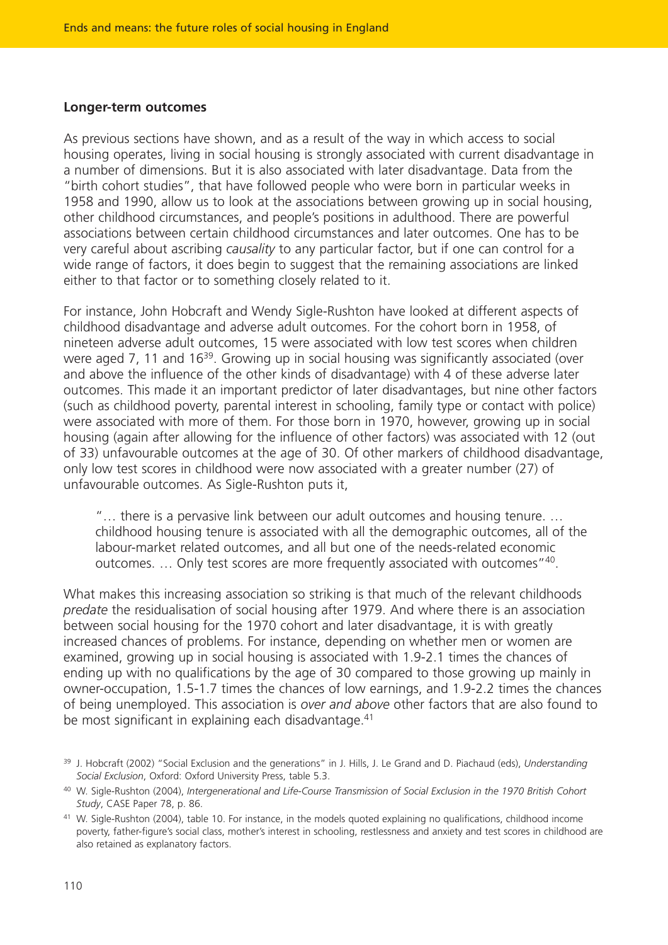#### **Longer-term outcomes**

As previous sections have shown, and as a result of the way in which access to social housing operates, living in social housing is strongly associated with current disadvantage in a number of dimensions. But it is also associated with later disadvantage. Data from the "birth cohort studies", that have followed people who were born in particular weeks in 1958 and 1990, allow us to look at the associations between growing up in social housing, other childhood circumstances, and people's positions in adulthood. There are powerful associations between certain childhood circumstances and later outcomes. One has to be very careful about ascribing *causality* to any particular factor, but if one can control for a wide range of factors, it does begin to suggest that the remaining associations are linked either to that factor or to something closely related to it.

For instance, John Hobcraft and Wendy Sigle-Rushton have looked at different aspects of childhood disadvantage and adverse adult outcomes. For the cohort born in 1958, of nineteen adverse adult outcomes, 15 were associated with low test scores when children were aged 7, 11 and 16<sup>39</sup>. Growing up in social housing was significantly associated (over and above the influence of the other kinds of disadvantage) with 4 of these adverse later outcomes. This made it an important predictor of later disadvantages, but nine other factors (such as childhood poverty, parental interest in schooling, family type or contact with police) were associated with more of them. For those born in 1970, however, growing up in social housing (again after allowing for the influence of other factors) was associated with 12 (out of 33) unfavourable outcomes at the age of 30. Of other markers of childhood disadvantage, only low test scores in childhood were now associated with a greater number (27) of unfavourable outcomes. As Sigle-Rushton puts it,

"… there is a pervasive link between our adult outcomes and housing tenure. … childhood housing tenure is associated with all the demographic outcomes, all of the labour-market related outcomes, and all but one of the needs-related economic outcomes. ... Only test scores are more frequently associated with outcomes"<sup>40</sup>.

What makes this increasing association so striking is that much of the relevant childhoods *predate* the residualisation of social housing after 1979. And where there is an association between social housing for the 1970 cohort and later disadvantage, it is with greatly increased chances of problems. For instance, depending on whether men or women are examined, growing up in social housing is associated with 1.9-2.1 times the chances of ending up with no qualifications by the age of 30 compared to those growing up mainly in owner-occupation, 1.5-1.7 times the chances of low earnings, and 1.9-2.2 times the chances of being unemployed. This association is *over and above* other factors that are also found to be most significant in explaining each disadvantage.<sup>41</sup>

<sup>39</sup> J. Hobcraft (2002) "Social Exclusion and the generations" in J. Hills, J. Le Grand and D. Piachaud (eds), *Understanding Social Exclusion*, Oxford: Oxford University Press, table 5.3.

<sup>40</sup> W. Sigle-Rushton (2004), *Intergenerational and Life-Course Transmission of Social Exclusion in the 1970 British Cohort Study*, CASE Paper 78, p. 86.

<sup>41</sup> W. Sigle-Rushton (2004), table 10. For instance, in the models quoted explaining no qualifications, childhood income poverty, father-figure's social class, mother's interest in schooling, restlessness and anxiety and test scores in childhood are also retained as explanatory factors.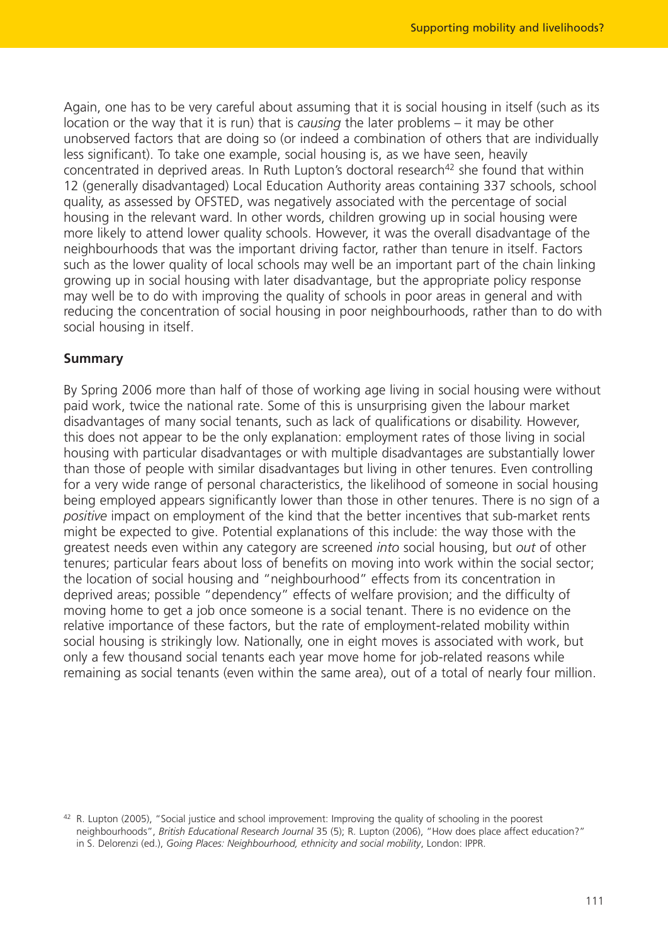Again, one has to be very careful about assuming that it is social housing in itself (such as its location or the way that it is run) that is *causing* the later problems – it may be other unobserved factors that are doing so (or indeed a combination of others that are individually less significant). To take one example, social housing is, as we have seen, heavily concentrated in deprived areas. In Ruth Lupton's doctoral research<sup>42</sup> she found that within 12 (generally disadvantaged) Local Education Authority areas containing 337 schools, school quality, as assessed by OFSTED, was negatively associated with the percentage of social housing in the relevant ward. In other words, children growing up in social housing were more likely to attend lower quality schools. However, it was the overall disadvantage of the neighbourhoods that was the important driving factor, rather than tenure in itself. Factors such as the lower quality of local schools may well be an important part of the chain linking growing up in social housing with later disadvantage, but the appropriate policy response may well be to do with improving the quality of schools in poor areas in general and with reducing the concentration of social housing in poor neighbourhoods, rather than to do with social housing in itself.

#### **Summary**

By Spring 2006 more than half of those of working age living in social housing were without paid work, twice the national rate. Some of this is unsurprising given the labour market disadvantages of many social tenants, such as lack of qualifications or disability. However, this does not appear to be the only explanation: employment rates of those living in social housing with particular disadvantages or with multiple disadvantages are substantially lower than those of people with similar disadvantages but living in other tenures. Even controlling for a very wide range of personal characteristics, the likelihood of someone in social housing being employed appears significantly lower than those in other tenures. There is no sign of a *positive* impact on employment of the kind that the better incentives that sub-market rents might be expected to give. Potential explanations of this include: the way those with the greatest needs even within any category are screened *into* social housing, but *out* of other tenures; particular fears about loss of benefits on moving into work within the social sector; the location of social housing and "neighbourhood" effects from its concentration in deprived areas; possible "dependency" effects of welfare provision; and the difficulty of moving home to get a job once someone is a social tenant. There is no evidence on the relative importance of these factors, but the rate of employment-related mobility within social housing is strikingly low. Nationally, one in eight moves is associated with work, but only a few thousand social tenants each year move home for job-related reasons while remaining as social tenants (even within the same area), out of a total of nearly four million.

<sup>&</sup>lt;sup>42</sup> R. Lupton (2005), "Social justice and school improvement: Improving the quality of schooling in the poorest neighbourhoods", *British Educational Research Journal* 35 (5); R. Lupton (2006), "How does place affect education?" in S. Delorenzi (ed.), *Going Places: Neighbourhood, ethnicity and social mobility*, London: IPPR.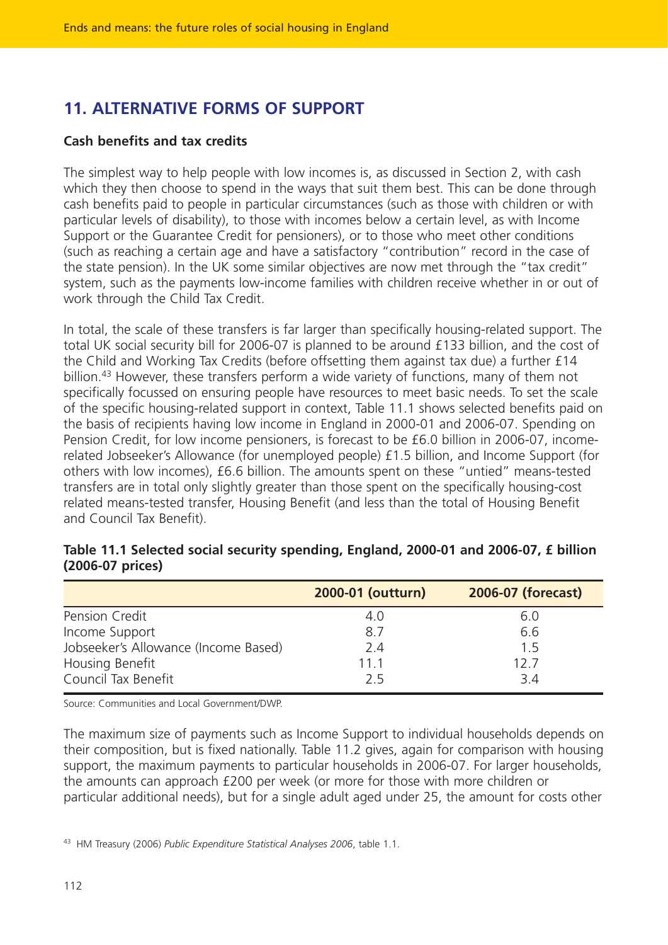# **11. ALTERNATIVE FORMS OF SUPPORT**

#### **Cash benefits and tax credits**

The simplest way to help people with low incomes is, as discussed in Section 2, with cash which they then choose to spend in the ways that suit them best. This can be done through cash benefits paid to people in particular circumstances (such as those with children or with particular levels of disability), to those with incomes below a certain level, as with Income Support or the Guarantee Credit for pensioners), or to those who meet other conditions (such as reaching a certain age and have a satisfactory "contribution" record in the case of the state pension). In the UK some similar objectives are now met through the "tax credit" system, such as the payments low-income families with children receive whether in or out of work through the Child Tax Credit.

In total, the scale of these transfers is far larger than specifically housing-related support. The total UK social security bill for 2006-07 is planned to be around £133 billion, and the cost of the Child and Working Tax Credits (before offsetting them against tax due) a further £14 billion.<sup>43</sup> However, these transfers perform a wide variety of functions, many of them not specifically focussed on ensuring people have resources to meet basic needs. To set the scale of the specific housing-related support in context, Table 11.1 shows selected benefits paid on the basis of recipients having low income in England in 2000-01 and 2006-07. Spending on Pension Credit, for low income pensioners, is forecast to be £6.0 billion in 2006-07, incomerelated Jobseeker's Allowance (for unemployed people) £1.5 billion, and Income Support (for others with low incomes), £6.6 billion. The amounts spent on these "untied" means-tested transfers are in total only slightly greater than those spent on the specifically housing-cost related means-tested transfer, Housing Benefit (and less than the total of Housing Benefit and Council Tax Benefit).

|                                      | 2000-01 (outturn) | 2006-07 (forecast) |
|--------------------------------------|-------------------|--------------------|
| Pension Credit                       | 4.0               | 6.0                |
| Income Support                       | 8.7               | 6.6                |
| Jobseeker's Allowance (Income Based) | 2.4               | 15                 |
| Housing Benefit                      | 11 1              | 12.7               |
| Council Tax Benefit                  | フ5                | 3.4                |

# **Table 11.1 Selected social security spending, England, 2000-01 and 2006-07, £ billion (2006-07 prices)**

Source: Communities and Local Government/DWP.

The maximum size of payments such as Income Support to individual households depends on their composition, but is fixed nationally. Table 11.2 gives, again for comparison with housing support, the maximum payments to particular households in 2006-07. For larger households, the amounts can approach £200 per week (or more for those with more children or particular additional needs), but for a single adult aged under 25, the amount for costs other

<sup>43</sup> HM Treasury (2006) *Public Expenditure Statistical Analyses 2006*, table 1.1.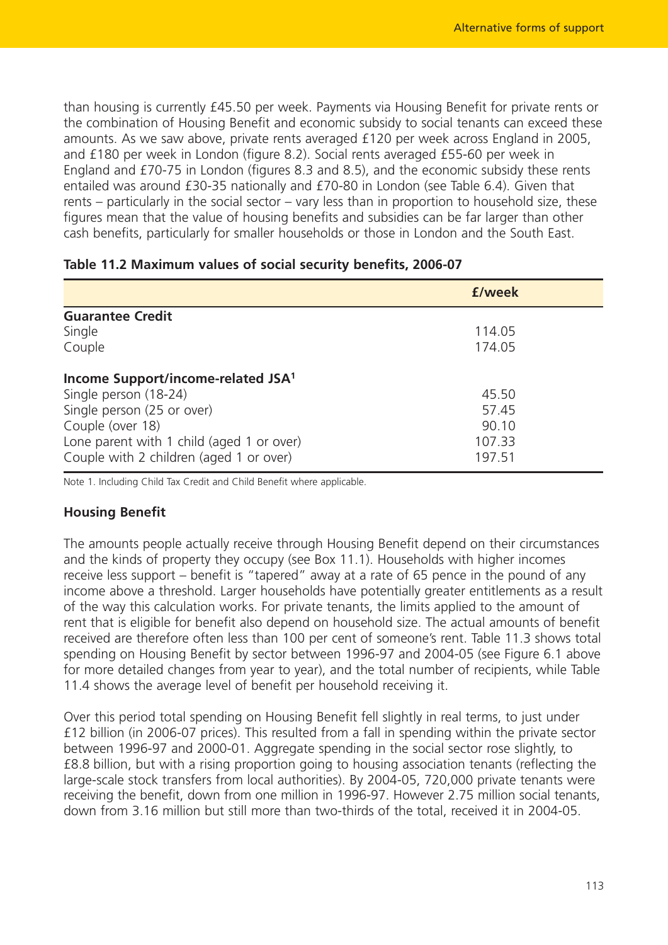than housing is currently £45.50 per week. Payments via Housing Benefit for private rents or the combination of Housing Benefit and economic subsidy to social tenants can exceed these amounts. As we saw above, private rents averaged £120 per week across England in 2005, and £180 per week in London (figure 8.2). Social rents averaged £55-60 per week in England and £70-75 in London (figures 8.3 and 8.5), and the economic subsidy these rents entailed was around £30-35 nationally and £70-80 in London (see Table 6.4). Given that rents – particularly in the social sector – vary less than in proportion to household size, these figures mean that the value of housing benefits and subsidies can be far larger than other cash benefits, particularly for smaller households or those in London and the South East.

|                                                | £/week |
|------------------------------------------------|--------|
| <b>Guarantee Credit</b>                        |        |
| Single                                         | 114.05 |
| Couple                                         | 174.05 |
| Income Support/income-related JSA <sup>1</sup> |        |
| Single person (18-24)                          | 45.50  |
| Single person (25 or over)                     | 57.45  |
| Couple (over 18)                               | 90.10  |
| Lone parent with 1 child (aged 1 or over)      | 107.33 |
| Couple with 2 children (aged 1 or over)        | 197.51 |

#### **Table 11.2 Maximum values of social security benefits, 2006-07**

Note 1. Including Child Tax Credit and Child Benefit where applicable.

# **Housing Benefit**

The amounts people actually receive through Housing Benefit depend on their circumstances and the kinds of property they occupy (see Box 11.1). Households with higher incomes receive less support – benefit is "tapered" away at a rate of 65 pence in the pound of any income above a threshold. Larger households have potentially greater entitlements as a result of the way this calculation works. For private tenants, the limits applied to the amount of rent that is eligible for benefit also depend on household size. The actual amounts of benefit received are therefore often less than 100 per cent of someone's rent. Table 11.3 shows total spending on Housing Benefit by sector between 1996-97 and 2004-05 (see Figure 6.1 above for more detailed changes from year to year), and the total number of recipients, while Table 11.4 shows the average level of benefit per household receiving it.

Over this period total spending on Housing Benefit fell slightly in real terms, to just under £12 billion (in 2006-07 prices). This resulted from a fall in spending within the private sector between 1996-97 and 2000-01. Aggregate spending in the social sector rose slightly, to £8.8 billion, but with a rising proportion going to housing association tenants (reflecting the large-scale stock transfers from local authorities). By 2004-05, 720,000 private tenants were receiving the benefit, down from one million in 1996-97. However 2.75 million social tenants, down from 3.16 million but still more than two-thirds of the total, received it in 2004-05.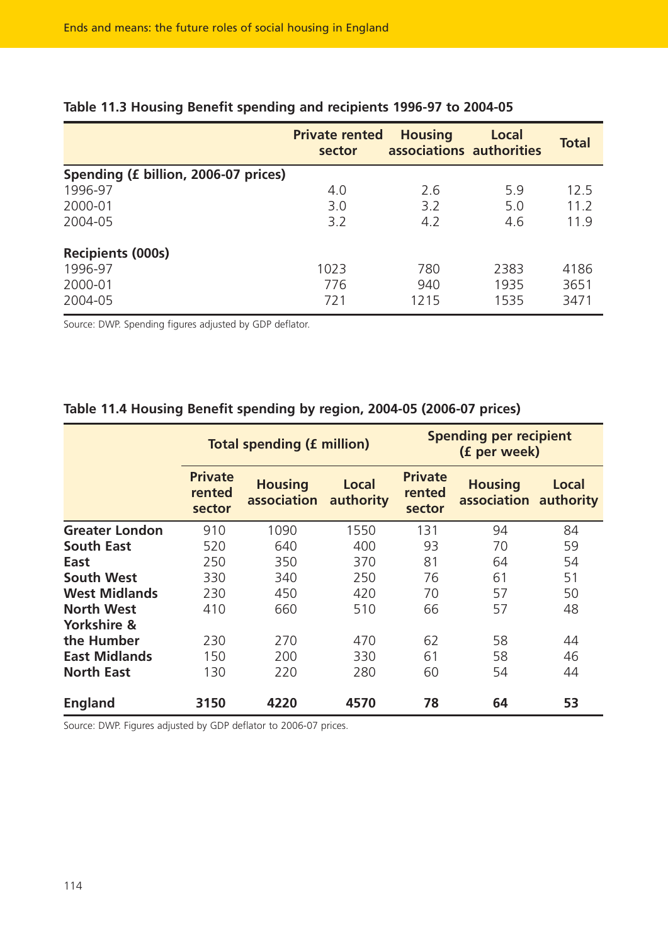|                                      | <b>Private rented</b><br>sector | <b>Housing</b><br>associations authorities | Local | <b>Total</b> |
|--------------------------------------|---------------------------------|--------------------------------------------|-------|--------------|
| Spending (£ billion, 2006-07 prices) |                                 |                                            |       |              |
| 1996-97                              | 4.0                             | 2.6                                        | 5.9   | 12.5         |
| 2000-01                              | 3.0                             | 3.2                                        | 5.0   | 11.2         |
| 2004-05                              | 3.2                             | 4.2                                        | 4.6   | 11.9         |
| <b>Recipients (000s)</b>             |                                 |                                            |       |              |
| 1996-97                              | 1023                            | 780                                        | 2383  | 4186         |
| 2000-01                              | 776                             | 940                                        | 1935  | 3651         |
| 2004-05                              | 721                             | 1215                                       | 1535  | 3471         |

# **Table 11.3 Housing Benefit spending and recipients 1996-97 to 2004-05**

Source: DWP. Spending figures adjusted by GDP deflator.

|                                  |                                    | <b>Total spending (£ million)</b> |                    | <b>Spending per recipient</b><br>(f per week) |                                         |       |  |
|----------------------------------|------------------------------------|-----------------------------------|--------------------|-----------------------------------------------|-----------------------------------------|-------|--|
|                                  | <b>Private</b><br>rented<br>sector | <b>Housing</b><br>association     | Local<br>authority | <b>Private</b><br>rented<br>sector            | <b>Housing</b><br>association authority | Local |  |
| <b>Greater London</b>            | 910                                | 1090                              | 1550               | 131                                           | 94                                      | 84    |  |
| <b>South East</b>                | 520                                | 640                               | 400                | 93                                            | 70                                      | 59    |  |
| East                             | 250                                | 350                               | 370                | 81                                            | 64                                      | 54    |  |
| <b>South West</b>                | 330                                | 340                               | 250                | 76                                            | 61                                      | 51    |  |
| <b>West Midlands</b>             | 230                                | 450                               | 420                | 70                                            | 57                                      | 50    |  |
| <b>North West</b><br>Yorkshire & | 410                                | 660                               | 510                | 66                                            | 57                                      | 48    |  |
| the Humber                       | 230                                | 270                               | 470                | 62                                            | 58                                      | 44    |  |
| <b>East Midlands</b>             | 150                                | 200                               | 330                | 61                                            | 58                                      | 46    |  |
| <b>North East</b>                | 130                                | 220                               | 280                | 60                                            | 54                                      | 44    |  |
| <b>England</b>                   | 3150                               | 4220                              | 4570               | 78                                            | 64                                      | 53    |  |

# **Table 11.4 Housing Benefit spending by region, 2004-05 (2006-07 prices)**

Source: DWP. Figures adjusted by GDP deflator to 2006-07 prices.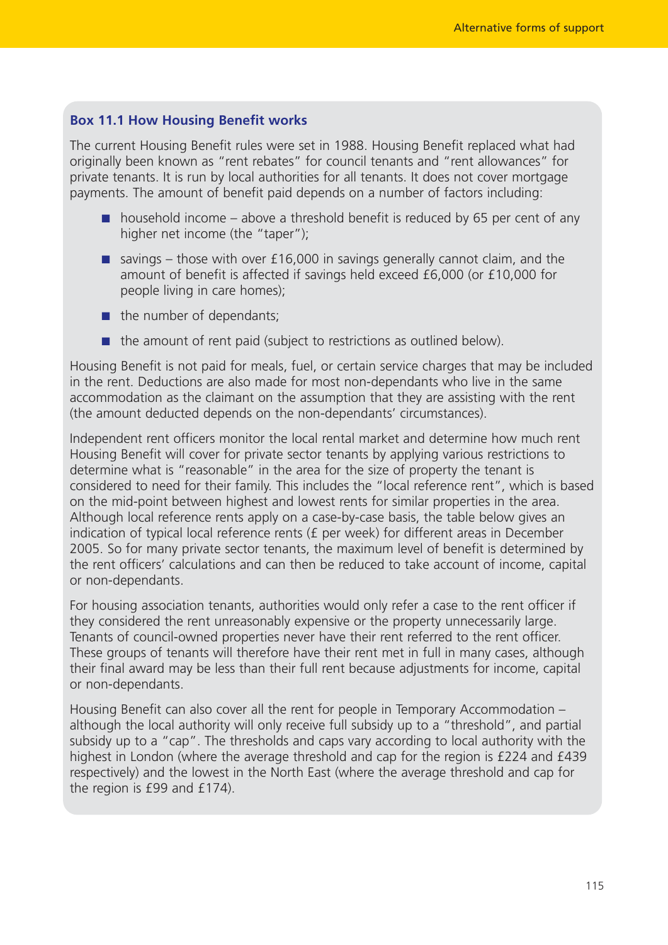# **Box 11.1 How Housing Benefit works**

The current Housing Benefit rules were set in 1988. Housing Benefit replaced what had originally been known as "rent rebates" for council tenants and "rent allowances" for private tenants. It is run by local authorities for all tenants. It does not cover mortgage payments. The amount of benefit paid depends on a number of factors including:

- $\blacksquare$  household income above a threshold benefit is reduced by 65 per cent of any higher net income (the "taper");
- savings those with over £16,000 in savings generally cannot claim, and the amount of benefit is affected if savings held exceed £6,000 (or £10,000 for people living in care homes);
- the number of dependants;
- the amount of rent paid (subject to restrictions as outlined below).

Housing Benefit is not paid for meals, fuel, or certain service charges that may be included in the rent. Deductions are also made for most non-dependants who live in the same accommodation as the claimant on the assumption that they are assisting with the rent (the amount deducted depends on the non-dependants' circumstances).

Independent rent officers monitor the local rental market and determine how much rent Housing Benefit will cover for private sector tenants by applying various restrictions to determine what is "reasonable" in the area for the size of property the tenant is considered to need for their family. This includes the "local reference rent", which is based on the mid-point between highest and lowest rents for similar properties in the area. Although local reference rents apply on a case-by-case basis, the table below gives an indication of typical local reference rents (£ per week) for different areas in December 2005. So for many private sector tenants, the maximum level of benefit is determined by the rent officers' calculations and can then be reduced to take account of income, capital or non-dependants.

For housing association tenants, authorities would only refer a case to the rent officer if they considered the rent unreasonably expensive or the property unnecessarily large. Tenants of council-owned properties never have their rent referred to the rent officer. These groups of tenants will therefore have their rent met in full in many cases, although their final award may be less than their full rent because adjustments for income, capital or non-dependants.

Housing Benefit can also cover all the rent for people in Temporary Accommodation – although the local authority will only receive full subsidy up to a "threshold", and partial subsidy up to a "cap". The thresholds and caps vary according to local authority with the highest in London (where the average threshold and cap for the region is £224 and £439 respectively) and the lowest in the North East (where the average threshold and cap for the region is £99 and £174).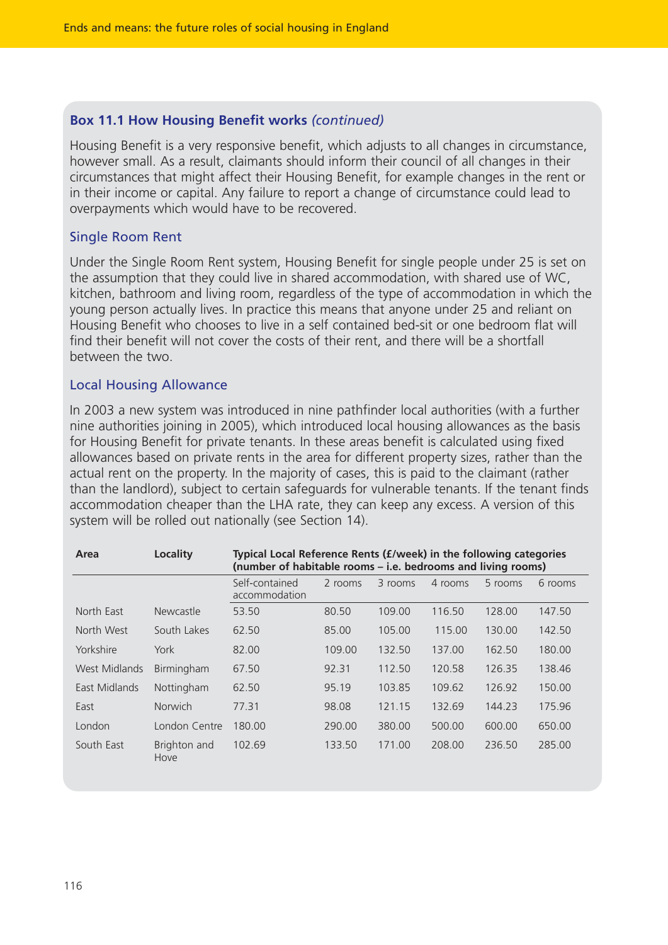# **Box 11.1 How Housing Benefit works** *(continued)*

Housing Benefit is a very responsive benefit, which adjusts to all changes in circumstance, however small. As a result, claimants should inform their council of all changes in their circumstances that might affect their Housing Benefit, for example changes in the rent or in their income or capital. Any failure to report a change of circumstance could lead to overpayments which would have to be recovered.

#### Single Room Rent

Under the Single Room Rent system, Housing Benefit for single people under 25 is set on the assumption that they could live in shared accommodation, with shared use of WC, kitchen, bathroom and living room, regardless of the type of accommodation in which the young person actually lives. In practice this means that anyone under 25 and reliant on Housing Benefit who chooses to live in a self contained bed-sit or one bedroom flat will find their benefit will not cover the costs of their rent, and there will be a shortfall between the two.

#### Local Housing Allowance

In 2003 a new system was introduced in nine pathfinder local authorities (with a further nine authorities joining in 2005), which introduced local housing allowances as the basis for Housing Benefit for private tenants. In these areas benefit is calculated using fixed allowances based on private rents in the area for different property sizes, rather than the actual rent on the property. In the majority of cases, this is paid to the claimant (rather than the landlord), subject to certain safeguards for vulnerable tenants. If the tenant finds accommodation cheaper than the LHA rate, they can keep any excess. A version of this system will be rolled out nationally (see Section 14).

| Area          | Locality             | Typical Local Reference Rents (£/week) in the following categories<br>(number of habitable rooms – i.e. bedrooms and living rooms) |         |         |         |         |         |  |
|---------------|----------------------|------------------------------------------------------------------------------------------------------------------------------------|---------|---------|---------|---------|---------|--|
|               |                      | Self-contained<br>accommodation                                                                                                    | 2 rooms | 3 rooms | 4 rooms | 5 rooms | 6 rooms |  |
| North East    | Newcastle            | 53.50                                                                                                                              | 80.50   | 109.00  | 116.50  | 128.00  | 147.50  |  |
| North West    | South Lakes          | 62.50                                                                                                                              | 85.00   | 105.00  | 115.00  | 130.00  | 142.50  |  |
| Yorkshire     | York                 | 82.00                                                                                                                              | 109.00  | 132.50  | 137.00  | 162.50  | 180.00  |  |
| West Midlands | Birmingham           | 67.50                                                                                                                              | 92.31   | 112.50  | 120.58  | 126.35  | 138.46  |  |
| East Midlands | Nottingham           | 62.50                                                                                                                              | 95.19   | 103.85  | 109.62  | 126.92  | 150.00  |  |
| East          | Norwich              | 77.31                                                                                                                              | 98.08   | 121.15  | 132.69  | 144.23  | 175.96  |  |
| London        | London Centre        | 180.00                                                                                                                             | 290.00  | 380.00  | 500.00  | 600.00  | 650.00  |  |
| South East    | Brighton and<br>Hove | 102.69                                                                                                                             | 133.50  | 171.00  | 208.00  | 236.50  | 285.00  |  |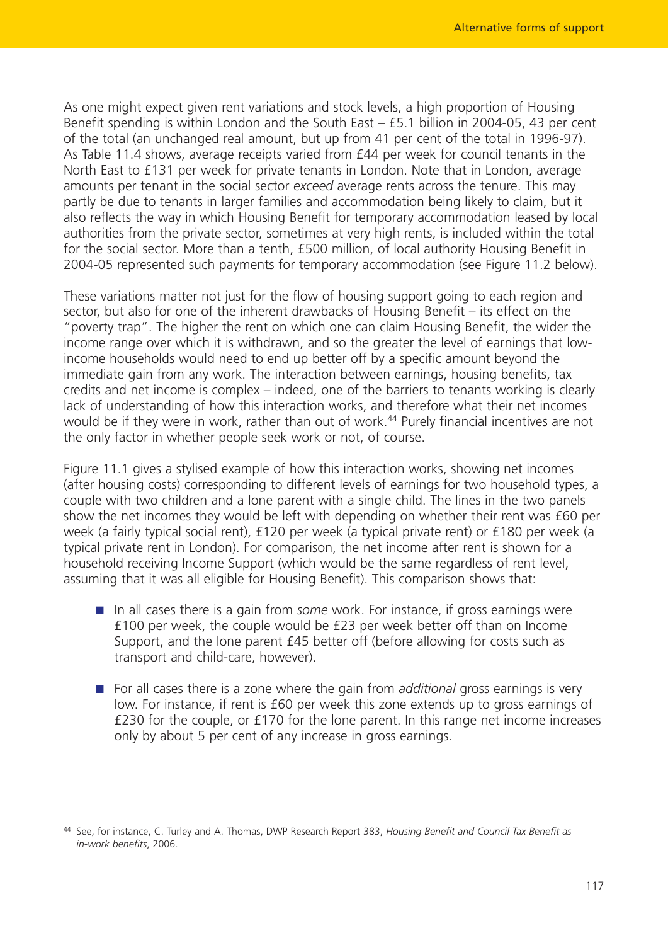As one might expect given rent variations and stock levels, a high proportion of Housing Benefit spending is within London and the South East – £5.1 billion in 2004-05, 43 per cent of the total (an unchanged real amount, but up from 41 per cent of the total in 1996-97). As Table 11.4 shows, average receipts varied from £44 per week for council tenants in the North East to £131 per week for private tenants in London. Note that in London, average amounts per tenant in the social sector *exceed* average rents across the tenure. This may partly be due to tenants in larger families and accommodation being likely to claim, but it also reflects the way in which Housing Benefit for temporary accommodation leased by local authorities from the private sector, sometimes at very high rents, is included within the total for the social sector. More than a tenth, £500 million, of local authority Housing Benefit in 2004-05 represented such payments for temporary accommodation (see Figure 11.2 below).

These variations matter not just for the flow of housing support going to each region and sector, but also for one of the inherent drawbacks of Housing Benefit – its effect on the "poverty trap". The higher the rent on which one can claim Housing Benefit, the wider the income range over which it is withdrawn, and so the greater the level of earnings that lowincome households would need to end up better off by a specific amount beyond the immediate gain from any work. The interaction between earnings, housing benefits, tax credits and net income is complex – indeed, one of the barriers to tenants working is clearly lack of understanding of how this interaction works, and therefore what their net incomes would be if they were in work, rather than out of work.<sup>44</sup> Purely financial incentives are not the only factor in whether people seek work or not, of course.

Figure 11.1 gives a stylised example of how this interaction works, showing net incomes (after housing costs) corresponding to different levels of earnings for two household types, a couple with two children and a lone parent with a single child. The lines in the two panels show the net incomes they would be left with depending on whether their rent was £60 per week (a fairly typical social rent), £120 per week (a typical private rent) or £180 per week (a typical private rent in London). For comparison, the net income after rent is shown for a household receiving Income Support (which would be the same regardless of rent level, assuming that it was all eligible for Housing Benefit). This comparison shows that:

- In all cases there is a gain from *some* work. For instance, if gross earnings were £100 per week, the couple would be £23 per week better off than on Income Support, and the lone parent £45 better off (before allowing for costs such as transport and child-care, however).
- For all cases there is a zone where the gain from *additional* gross earnings is very low. For instance, if rent is £60 per week this zone extends up to gross earnings of £230 for the couple, or £170 for the lone parent. In this range net income increases only by about 5 per cent of any increase in gross earnings.

<sup>44</sup> See, for instance, C. Turley and A. Thomas, DWP Research Report 383, *Housing Benefit and Council Tax Benefit as in-work benefits*, 2006.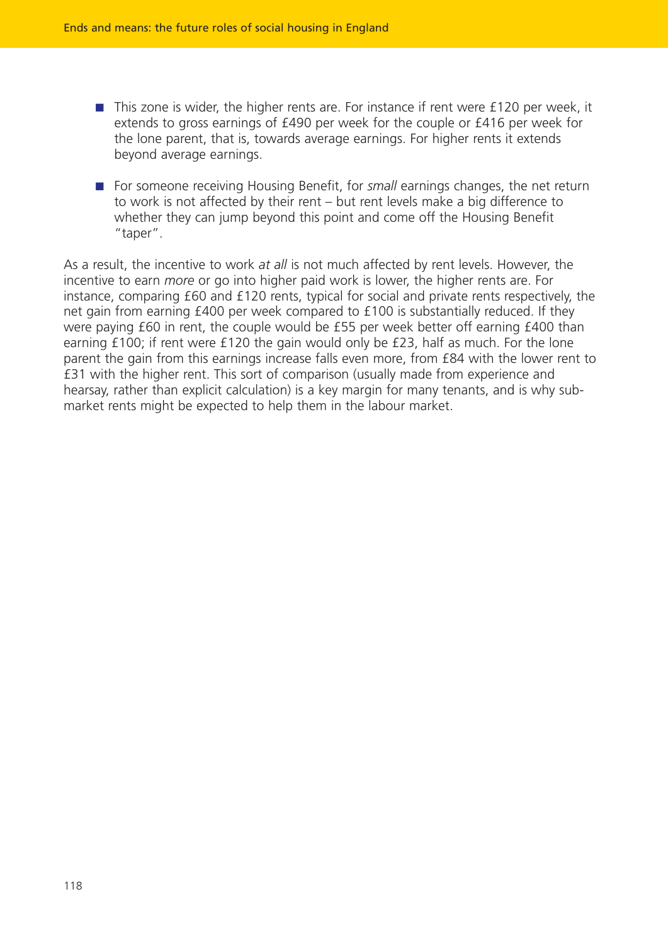- This zone is wider, the higher rents are. For instance if rent were £120 per week, it extends to gross earnings of £490 per week for the couple or £416 per week for the lone parent, that is, towards average earnings. For higher rents it extends beyond average earnings.
- For someone receiving Housing Benefit, for *small* earnings changes, the net return to work is not affected by their rent – but rent levels make a big difference to whether they can jump beyond this point and come off the Housing Benefit "taper".

As a result, the incentive to work *at all* is not much affected by rent levels. However, the incentive to earn *more* or go into higher paid work is lower, the higher rents are. For instance, comparing £60 and £120 rents, typical for social and private rents respectively, the net gain from earning £400 per week compared to £100 is substantially reduced. If they were paying £60 in rent, the couple would be £55 per week better off earning £400 than earning £100; if rent were £120 the gain would only be £23, half as much. For the lone parent the gain from this earnings increase falls even more, from £84 with the lower rent to £31 with the higher rent. This sort of comparison (usually made from experience and hearsay, rather than explicit calculation) is a key margin for many tenants, and is why submarket rents might be expected to help them in the labour market.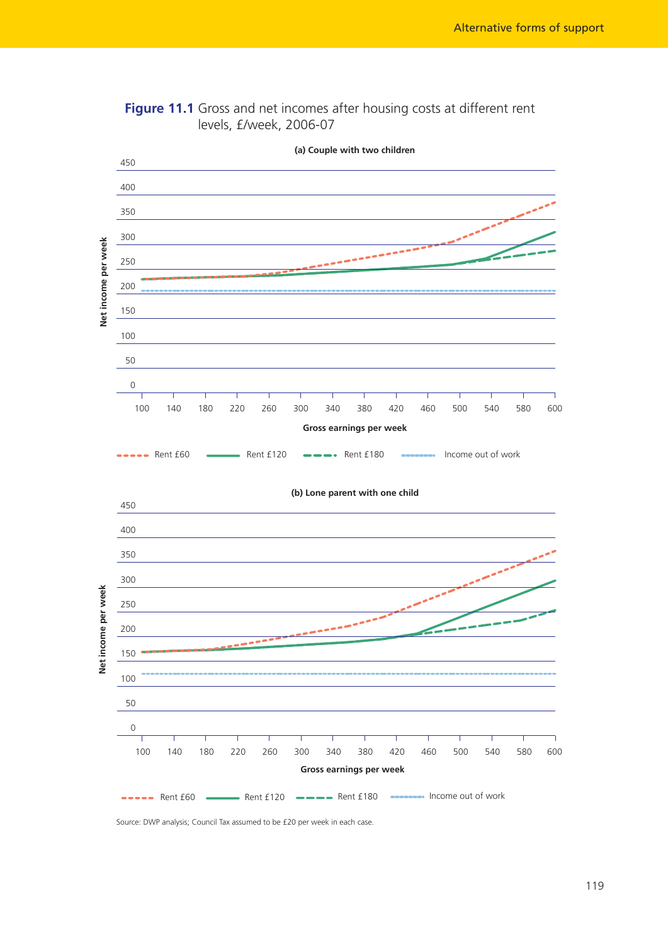



Source: DWP analysis; Council Tax assumed to be £20 per week in each case.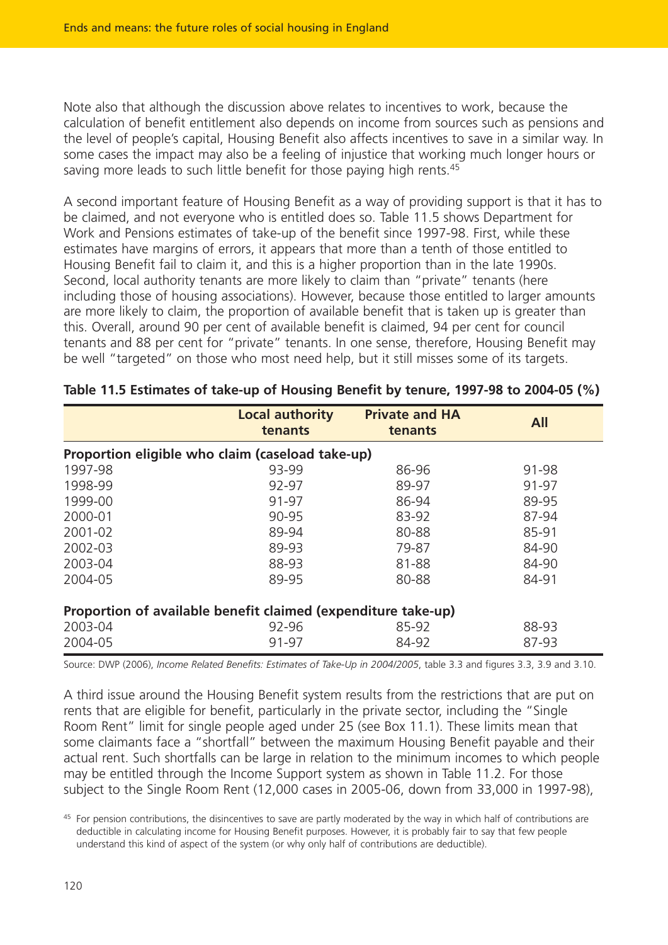Note also that although the discussion above relates to incentives to work, because the calculation of benefit entitlement also depends on income from sources such as pensions and the level of people's capital, Housing Benefit also affects incentives to save in a similar way. In some cases the impact may also be a feeling of injustice that working much longer hours or saving more leads to such little benefit for those paying high rents.<sup>45</sup>

A second important feature of Housing Benefit as a way of providing support is that it has to be claimed, and not everyone who is entitled does so. Table 11.5 shows Department for Work and Pensions estimates of take-up of the benefit since 1997-98. First, while these estimates have margins of errors, it appears that more than a tenth of those entitled to Housing Benefit fail to claim it, and this is a higher proportion than in the late 1990s. Second, local authority tenants are more likely to claim than "private" tenants (here including those of housing associations). However, because those entitled to larger amounts are more likely to claim, the proportion of available benefit that is taken up is greater than this. Overall, around 90 per cent of available benefit is claimed, 94 per cent for council tenants and 88 per cent for "private" tenants. In one sense, therefore, Housing Benefit may be well "targeted" on those who most need help, but it still misses some of its targets.

|                                                               | <b>Local authority</b><br>tenants | <b>Private and HA</b><br>tenants | <b>All</b> |  |  |  |  |
|---------------------------------------------------------------|-----------------------------------|----------------------------------|------------|--|--|--|--|
| Proportion eligible who claim (caseload take-up)              |                                   |                                  |            |  |  |  |  |
| 1997-98                                                       | 93-99                             | 86-96                            | 91-98      |  |  |  |  |
| 1998-99                                                       | 92-97                             | 89-97                            | 91-97      |  |  |  |  |
| 1999-00                                                       | 91-97                             | 86-94                            | 89-95      |  |  |  |  |
| 2000-01                                                       | 90-95                             | 83-92                            | 87-94      |  |  |  |  |
| 2001-02                                                       | 89-94                             | 80-88                            | 85-91      |  |  |  |  |
| 2002-03                                                       | 89-93                             | 79-87                            | 84-90      |  |  |  |  |
| 2003-04                                                       | 88-93                             | 81-88                            | 84-90      |  |  |  |  |
| 2004-05                                                       | 89-95                             | 80-88                            | 84-91      |  |  |  |  |
| Proportion of available benefit claimed (expenditure take-up) |                                   |                                  |            |  |  |  |  |
| 2003-04                                                       | 92-96                             | 85-92                            | 88-93      |  |  |  |  |
| 2004-05                                                       | 91-97                             | 84-92                            | 87-93      |  |  |  |  |

|  |  |  | Table 11.5 Estimates of take-up of Housing Benefit by tenure, 1997-98 to 2004-05 (%) |
|--|--|--|--------------------------------------------------------------------------------------|
|--|--|--|--------------------------------------------------------------------------------------|

Source: DWP (2006), *Income Related Benefits: Estimates of Take-Up in 2004/2005*, table 3.3 and figures 3.3, 3.9 and 3.10.

A third issue around the Housing Benefit system results from the restrictions that are put on rents that are eligible for benefit, particularly in the private sector, including the "Single Room Rent" limit for single people aged under 25 (see Box 11.1). These limits mean that some claimants face a "shortfall" between the maximum Housing Benefit payable and their actual rent. Such shortfalls can be large in relation to the minimum incomes to which people may be entitled through the Income Support system as shown in Table 11.2. For those subject to the Single Room Rent (12,000 cases in 2005-06, down from 33,000 in 1997-98),

 $45$  For pension contributions, the disincentives to save are partly moderated by the way in which half of contributions are deductible in calculating income for Housing Benefit purposes. However, it is probably fair to say that few people understand this kind of aspect of the system (or why only half of contributions are deductible).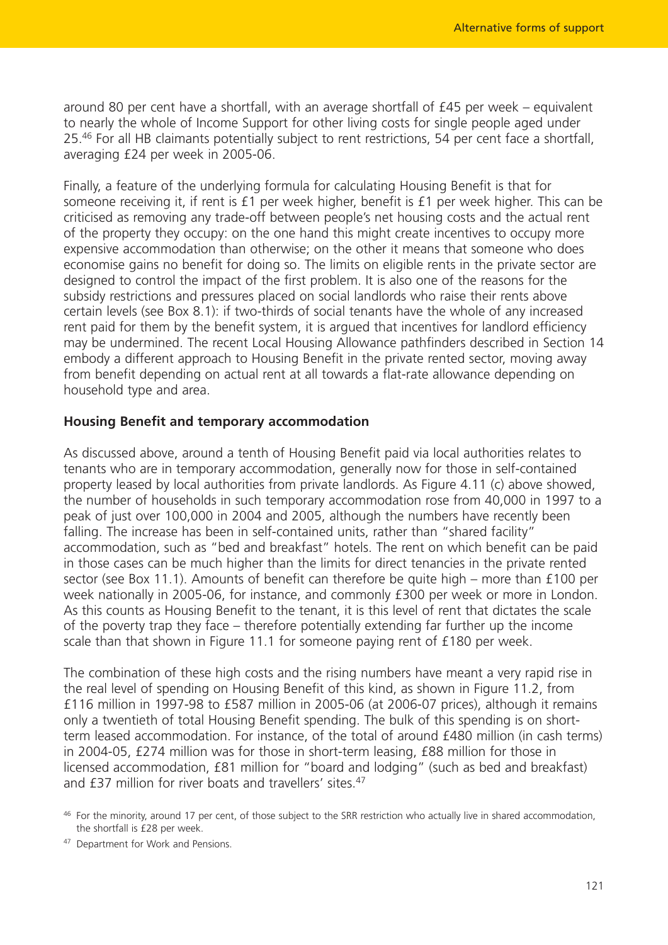around 80 per cent have a shortfall, with an average shortfall of £45 per week – equivalent to nearly the whole of Income Support for other living costs for single people aged under 25.<sup>46</sup> For all HB claimants potentially subject to rent restrictions, 54 per cent face a shortfall, averaging £24 per week in 2005-06.

Finally, a feature of the underlying formula for calculating Housing Benefit is that for someone receiving it, if rent is £1 per week higher, benefit is £1 per week higher. This can be criticised as removing any trade-off between people's net housing costs and the actual rent of the property they occupy: on the one hand this might create incentives to occupy more expensive accommodation than otherwise; on the other it means that someone who does economise gains no benefit for doing so. The limits on eligible rents in the private sector are designed to control the impact of the first problem. It is also one of the reasons for the subsidy restrictions and pressures placed on social landlords who raise their rents above certain levels (see Box 8.1): if two-thirds of social tenants have the whole of any increased rent paid for them by the benefit system, it is argued that incentives for landlord efficiency may be undermined. The recent Local Housing Allowance pathfinders described in Section 14 embody a different approach to Housing Benefit in the private rented sector, moving away from benefit depending on actual rent at all towards a flat-rate allowance depending on household type and area.

#### **Housing Benefit and temporary accommodation**

As discussed above, around a tenth of Housing Benefit paid via local authorities relates to tenants who are in temporary accommodation, generally now for those in self-contained property leased by local authorities from private landlords. As Figure 4.11 (c) above showed, the number of households in such temporary accommodation rose from 40,000 in 1997 to a peak of just over 100,000 in 2004 and 2005, although the numbers have recently been falling. The increase has been in self-contained units, rather than "shared facility" accommodation, such as "bed and breakfast" hotels. The rent on which benefit can be paid in those cases can be much higher than the limits for direct tenancies in the private rented sector (see Box 11.1). Amounts of benefit can therefore be quite high – more than £100 per week nationally in 2005-06, for instance, and commonly £300 per week or more in London. As this counts as Housing Benefit to the tenant, it is this level of rent that dictates the scale of the poverty trap they face – therefore potentially extending far further up the income scale than that shown in Figure 11.1 for someone paying rent of £180 per week.

The combination of these high costs and the rising numbers have meant a very rapid rise in the real level of spending on Housing Benefit of this kind, as shown in Figure 11.2, from £116 million in 1997-98 to £587 million in 2005-06 (at 2006-07 prices), although it remains only a twentieth of total Housing Benefit spending. The bulk of this spending is on shortterm leased accommodation. For instance, of the total of around £480 million (in cash terms) in 2004-05, £274 million was for those in short-term leasing, £88 million for those in licensed accommodation, £81 million for "board and lodging" (such as bed and breakfast) and £37 million for river boats and travellers' sites.<sup>47</sup>

<sup>&</sup>lt;sup>46</sup> For the minority, around 17 per cent, of those subject to the SRR restriction who actually live in shared accommodation, the shortfall is £28 per week.

<sup>&</sup>lt;sup>47</sup> Department for Work and Pensions.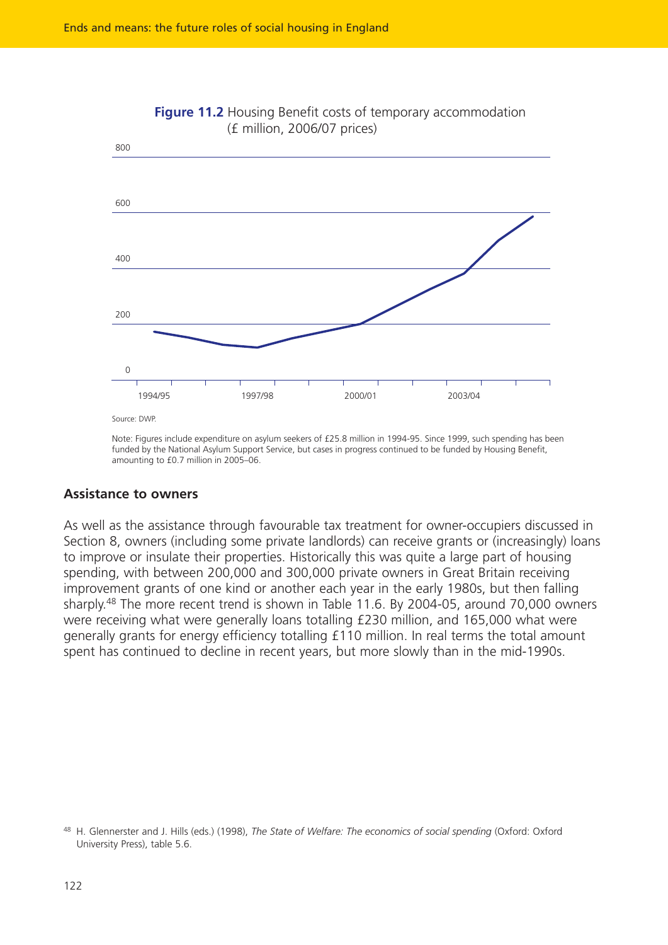



Note: Figures include expenditure on asylum seekers of £25.8 million in 1994-95. Since 1999, such spending has been funded by the National Asylum Support Service, but cases in progress continued to be funded by Housing Benefit, amounting to £0.7 million in 2005–06.

#### **Assistance to owners**

As well as the assistance through favourable tax treatment for owner-occupiers discussed in Section 8, owners (including some private landlords) can receive grants or (increasingly) loans to improve or insulate their properties. Historically this was quite a large part of housing spending, with between 200,000 and 300,000 private owners in Great Britain receiving improvement grants of one kind or another each year in the early 1980s, but then falling sharply.48 The more recent trend is shown in Table 11.6. By 2004-05, around 70,000 owners were receiving what were generally loans totalling £230 million, and 165,000 what were generally grants for energy efficiency totalling £110 million. In real terms the total amount spent has continued to decline in recent years, but more slowly than in the mid-1990s.

<sup>48</sup> H. Glennerster and J. Hills (eds.) (1998), *The State of Welfare: The economics of social spending* (Oxford: Oxford University Press), table 5.6.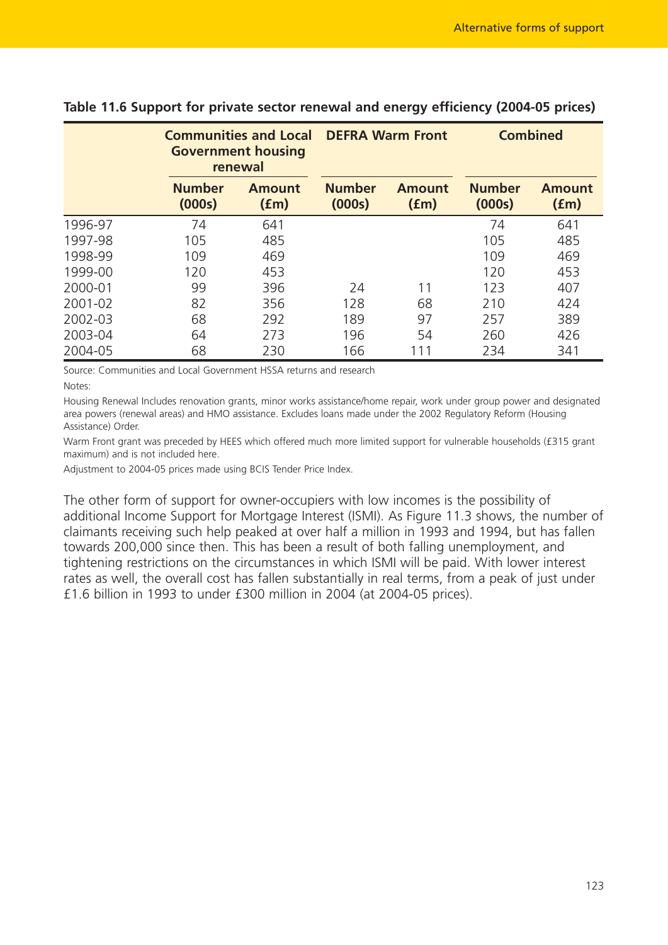|         | <b>Communities and Local</b><br><b>Government housing</b><br>renewal |                       | <b>DEFRA Warm Front</b> |                       | <b>Combined</b>         |                       |
|---------|----------------------------------------------------------------------|-----------------------|-------------------------|-----------------------|-------------------------|-----------------------|
|         | <b>Number</b><br>(000s)                                              | <b>Amount</b><br>(fm) | <b>Number</b><br>(000s) | <b>Amount</b><br>(fm) | <b>Number</b><br>(000s) | <b>Amount</b><br>(fm) |
| 1996-97 | 74                                                                   | 641                   |                         |                       | 74                      | 641                   |
| 1997-98 | 105                                                                  | 485                   |                         |                       | 105                     | 485                   |
| 1998-99 | 109                                                                  | 469                   |                         |                       | 109                     | 469                   |
| 1999-00 | 120                                                                  | 453                   |                         |                       | 120                     | 453                   |
| 2000-01 | 99                                                                   | 396                   | 24                      | 11                    | 123                     | 407                   |
| 2001-02 | 82                                                                   | 356                   | 128                     | 68                    | 210                     | 424                   |
| 2002-03 | 68                                                                   | 292                   | 189                     | 97                    | 257                     | 389                   |
| 2003-04 | 64                                                                   | 273                   | 196                     | 54                    | 260                     | 426                   |
| 2004-05 | 68                                                                   | 230                   | 166                     | 111                   | 234                     | 341                   |

#### **Table 11.6 Support for private sector renewal and energy efficiency (2004-05 prices)**

Source: Communities and Local Government HSSA returns and research

Notes:

Housing Renewal Includes renovation grants, minor works assistance/home repair, work under group power and designated area powers (renewal areas) and HMO assistance. Excludes loans made under the 2002 Regulatory Reform (Housing Assistance) Order.

Warm Front grant was preceded by HEES which offered much more limited support for vulnerable households (£315 grant maximum) and is not included here.

Adjustment to 2004-05 prices made using BCIS Tender Price Index.

The other form of support for owner-occupiers with low incomes is the possibility of additional Income Support for Mortgage Interest (ISMI). As Figure 11.3 shows, the number of claimants receiving such help peaked at over half a million in 1993 and 1994, but has fallen towards 200,000 since then. This has been a result of both falling unemployment, and tightening restrictions on the circumstances in which ISMI will be paid. With lower interest rates as well, the overall cost has fallen substantially in real terms, from a peak of just under £1.6 billion in 1993 to under £300 million in 2004 (at 2004-05 prices).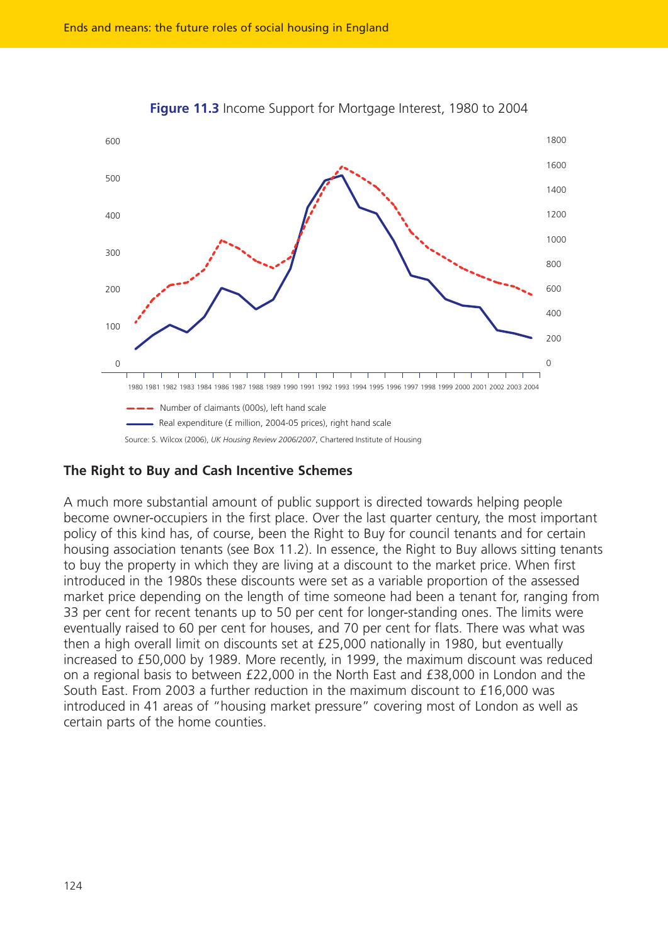

**Figure 11.3** Income Support for Mortgage Interest, 1980 to 2004

#### **The Right to Buy and Cash Incentive Schemes**

A much more substantial amount of public support is directed towards helping people become owner-occupiers in the first place. Over the last quarter century, the most important policy of this kind has, of course, been the Right to Buy for council tenants and for certain housing association tenants (see Box 11.2). In essence, the Right to Buy allows sitting tenants to buy the property in which they are living at a discount to the market price. When first introduced in the 1980s these discounts were set as a variable proportion of the assessed market price depending on the length of time someone had been a tenant for, ranging from 33 per cent for recent tenants up to 50 per cent for longer-standing ones. The limits were eventually raised to 60 per cent for houses, and 70 per cent for flats. There was what was then a high overall limit on discounts set at £25,000 nationally in 1980, but eventually increased to £50,000 by 1989. More recently, in 1999, the maximum discount was reduced on a regional basis to between £22,000 in the North East and £38,000 in London and the South East. From 2003 a further reduction in the maximum discount to £16,000 was introduced in 41 areas of "housing market pressure" covering most of London as well as certain parts of the home counties.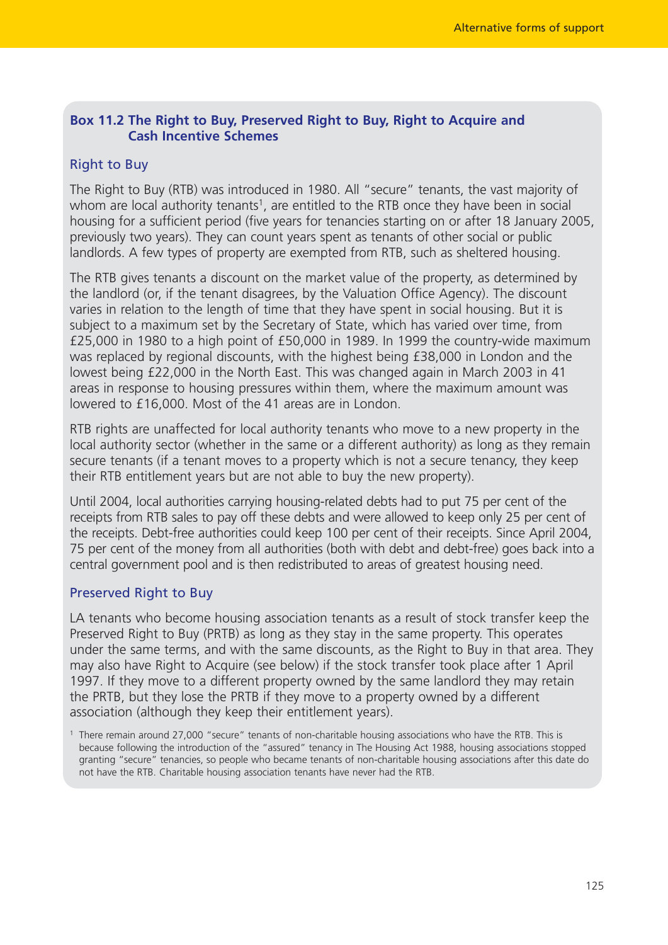## **Box 11.2 The Right to Buy, Preserved Right to Buy, Right to Acquire and Cash Incentive Schemes**

# Right to Buy

The Right to Buy (RTB) was introduced in 1980. All "secure" tenants, the vast majority of whom are local authority tenants<sup>1</sup>, are entitled to the RTB once they have been in social housing for a sufficient period (five years for tenancies starting on or after 18 January 2005, previously two years). They can count years spent as tenants of other social or public landlords. A few types of property are exempted from RTB, such as sheltered housing.

The RTB gives tenants a discount on the market value of the property, as determined by the landlord (or, if the tenant disagrees, by the Valuation Office Agency). The discount varies in relation to the length of time that they have spent in social housing. But it is subject to a maximum set by the Secretary of State, which has varied over time, from £25,000 in 1980 to a high point of £50,000 in 1989. In 1999 the country-wide maximum was replaced by regional discounts, with the highest being £38,000 in London and the lowest being £22,000 in the North East. This was changed again in March 2003 in 41 areas in response to housing pressures within them, where the maximum amount was lowered to £16,000. Most of the 41 areas are in London.

RTB rights are unaffected for local authority tenants who move to a new property in the local authority sector (whether in the same or a different authority) as long as they remain secure tenants (if a tenant moves to a property which is not a secure tenancy, they keep their RTB entitlement years but are not able to buy the new property).

Until 2004, local authorities carrying housing-related debts had to put 75 per cent of the receipts from RTB sales to pay off these debts and were allowed to keep only 25 per cent of the receipts. Debt-free authorities could keep 100 per cent of their receipts. Since April 2004, 75 per cent of the money from all authorities (both with debt and debt-free) goes back into a central government pool and is then redistributed to areas of greatest housing need.

#### Preserved Right to Buy

LA tenants who become housing association tenants as a result of stock transfer keep the Preserved Right to Buy (PRTB) as long as they stay in the same property. This operates under the same terms, and with the same discounts, as the Right to Buy in that area. They may also have Right to Acquire (see below) if the stock transfer took place after 1 April 1997. If they move to a different property owned by the same landlord they may retain the PRTB, but they lose the PRTB if they move to a property owned by a different association (although they keep their entitlement years).

<sup>1</sup> There remain around 27,000 "secure" tenants of non-charitable housing associations who have the RTB. This is because following the introduction of the "assured" tenancy in The Housing Act 1988, housing associations stopped granting "secure" tenancies, so people who became tenants of non-charitable housing associations after this date do not have the RTB. Charitable housing association tenants have never had the RTB.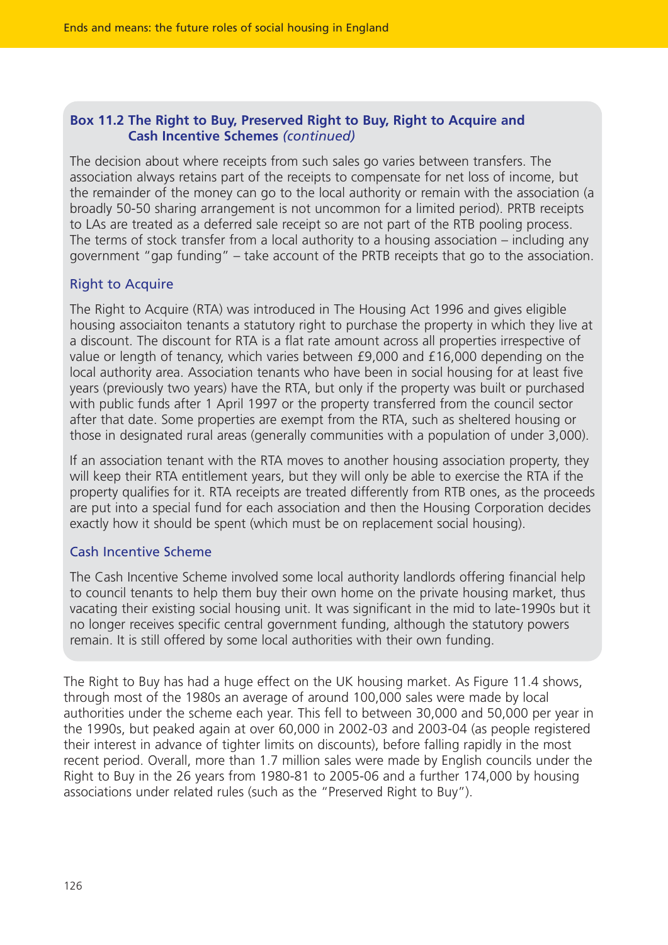# **Box 11.2 The Right to Buy, Preserved Right to Buy, Right to Acquire and Cash Incentive Schemes** *(continued)*

The decision about where receipts from such sales go varies between transfers. The association always retains part of the receipts to compensate for net loss of income, but the remainder of the money can go to the local authority or remain with the association (a broadly 50-50 sharing arrangement is not uncommon for a limited period). PRTB receipts to LAs are treated as a deferred sale receipt so are not part of the RTB pooling process. The terms of stock transfer from a local authority to a housing association – including any government "gap funding" – take account of the PRTB receipts that go to the association.

# Right to Acquire

The Right to Acquire (RTA) was introduced in The Housing Act 1996 and gives eligible housing associaiton tenants a statutory right to purchase the property in which they live at a discount. The discount for RTA is a flat rate amount across all properties irrespective of value or length of tenancy, which varies between £9,000 and £16,000 depending on the local authority area. Association tenants who have been in social housing for at least five years (previously two years) have the RTA, but only if the property was built or purchased with public funds after 1 April 1997 or the property transferred from the council sector after that date. Some properties are exempt from the RTA, such as sheltered housing or those in designated rural areas (generally communities with a population of under 3,000).

If an association tenant with the RTA moves to another housing association property, they will keep their RTA entitlement years, but they will only be able to exercise the RTA if the property qualifies for it. RTA receipts are treated differently from RTB ones, as the proceeds are put into a special fund for each association and then the Housing Corporation decides exactly how it should be spent (which must be on replacement social housing).

#### Cash Incentive Scheme

The Cash Incentive Scheme involved some local authority landlords offering financial help to council tenants to help them buy their own home on the private housing market, thus vacating their existing social housing unit. It was significant in the mid to late-1990s but it no longer receives specific central government funding, although the statutory powers remain. It is still offered by some local authorities with their own funding.

The Right to Buy has had a huge effect on the UK housing market. As Figure 11.4 shows, through most of the 1980s an average of around 100,000 sales were made by local authorities under the scheme each year. This fell to between 30,000 and 50,000 per year in the 1990s, but peaked again at over 60,000 in 2002-03 and 2003-04 (as people registered their interest in advance of tighter limits on discounts), before falling rapidly in the most recent period. Overall, more than 1.7 million sales were made by English councils under the Right to Buy in the 26 years from 1980-81 to 2005-06 and a further 174,000 by housing associations under related rules (such as the "Preserved Right to Buy").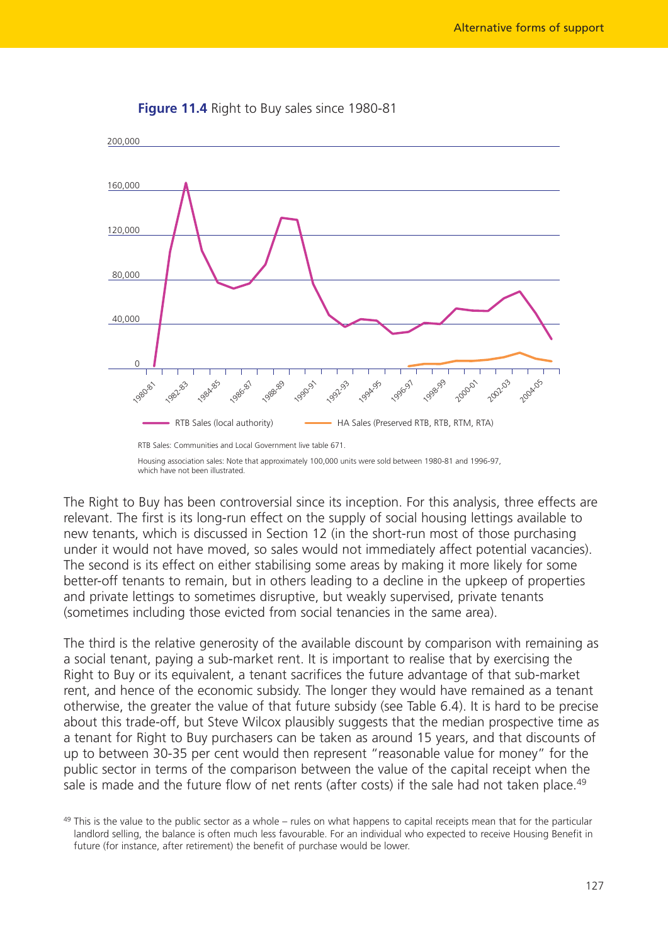

**Figure 11.4** Right to Buy sales since 1980-81

Housing association sales: Note that approximately 100,000 units were sold between 1980-81 and 1996-97, which have not been illustrated.

The Right to Buy has been controversial since its inception. For this analysis, three effects are relevant. The first is its long-run effect on the supply of social housing lettings available to new tenants, which is discussed in Section 12 (in the short-run most of those purchasing under it would not have moved, so sales would not immediately affect potential vacancies). The second is its effect on either stabilising some areas by making it more likely for some better-off tenants to remain, but in others leading to a decline in the upkeep of properties and private lettings to sometimes disruptive, but weakly supervised, private tenants (sometimes including those evicted from social tenancies in the same area).

The third is the relative generosity of the available discount by comparison with remaining as a social tenant, paying a sub-market rent. It is important to realise that by exercising the Right to Buy or its equivalent, a tenant sacrifices the future advantage of that sub-market rent, and hence of the economic subsidy. The longer they would have remained as a tenant otherwise, the greater the value of that future subsidy (see Table 6.4). It is hard to be precise about this trade-off, but Steve Wilcox plausibly suggests that the median prospective time as a tenant for Right to Buy purchasers can be taken as around 15 years, and that discounts of up to between 30-35 per cent would then represent "reasonable value for money" for the public sector in terms of the comparison between the value of the capital receipt when the sale is made and the future flow of net rents (after costs) if the sale had not taken place.<sup>49</sup>

 $49$  This is the value to the public sector as a whole – rules on what happens to capital receipts mean that for the particular landlord selling, the balance is often much less favourable. For an individual who expected to receive Housing Benefit in future (for instance, after retirement) the benefit of purchase would be lower.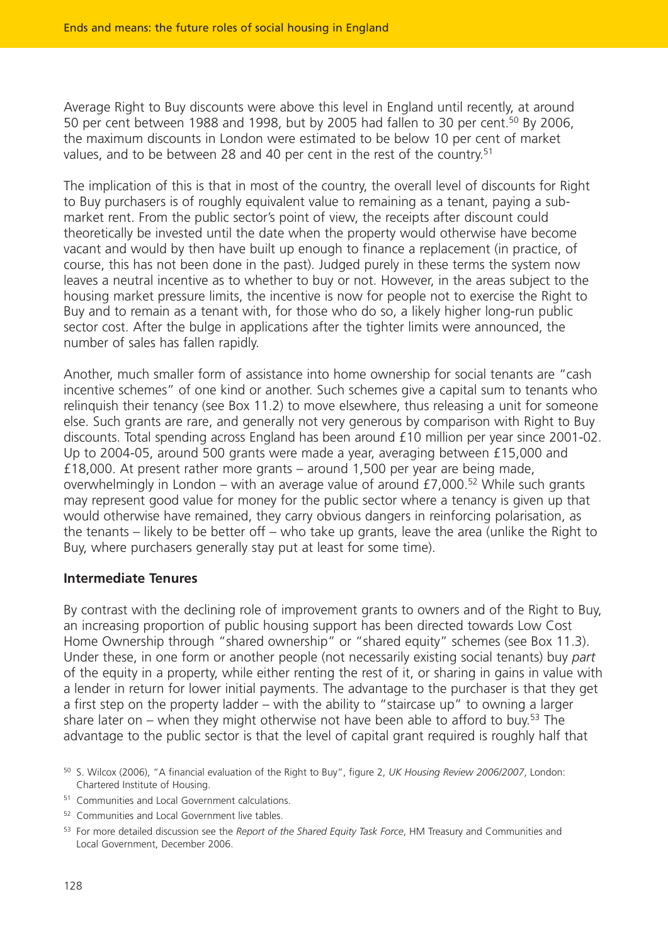Average Right to Buy discounts were above this level in England until recently, at around 50 per cent between 1988 and 1998, but by 2005 had fallen to 30 per cent.50 By 2006, the maximum discounts in London were estimated to be below 10 per cent of market values, and to be between 28 and 40 per cent in the rest of the country.<sup>51</sup>

The implication of this is that in most of the country, the overall level of discounts for Right to Buy purchasers is of roughly equivalent value to remaining as a tenant, paying a submarket rent. From the public sector's point of view, the receipts after discount could theoretically be invested until the date when the property would otherwise have become vacant and would by then have built up enough to finance a replacement (in practice, of course, this has not been done in the past). Judged purely in these terms the system now leaves a neutral incentive as to whether to buy or not. However, in the areas subject to the housing market pressure limits, the incentive is now for people not to exercise the Right to Buy and to remain as a tenant with, for those who do so, a likely higher long-run public sector cost. After the bulge in applications after the tighter limits were announced, the number of sales has fallen rapidly.

Another, much smaller form of assistance into home ownership for social tenants are "cash incentive schemes" of one kind or another. Such schemes give a capital sum to tenants who relinquish their tenancy (see Box 11.2) to move elsewhere, thus releasing a unit for someone else. Such grants are rare, and generally not very generous by comparison with Right to Buy discounts. Total spending across England has been around £10 million per year since 2001-02. Up to 2004-05, around 500 grants were made a year, averaging between £15,000 and £18,000. At present rather more grants – around 1,500 per year are being made, overwhelmingly in London – with an average value of around  $£7,000.52$  While such grants may represent good value for money for the public sector where a tenancy is given up that would otherwise have remained, they carry obvious dangers in reinforcing polarisation, as the tenants – likely to be better off – who take up grants, leave the area (unlike the Right to Buy, where purchasers generally stay put at least for some time).

#### **Intermediate Tenures**

By contrast with the declining role of improvement grants to owners and of the Right to Buy, an increasing proportion of public housing support has been directed towards Low Cost Home Ownership through "shared ownership" or "shared equity" schemes (see Box 11.3). Under these, in one form or another people (not necessarily existing social tenants) buy *part* of the equity in a property, while either renting the rest of it, or sharing in gains in value with a lender in return for lower initial payments. The advantage to the purchaser is that they get a first step on the property ladder – with the ability to "staircase up" to owning a larger share later on – when they might otherwise not have been able to afford to buy.<sup>53</sup> The advantage to the public sector is that the level of capital grant required is roughly half that

- <sup>51</sup> Communities and Local Government calculations.
- <sup>52</sup> Communities and Local Government live tables.
- <sup>53</sup> For more detailed discussion see the *Report of the Shared Equity Task Force*, HM Treasury and Communities and Local Government, December 2006.

<sup>50</sup> S. Wilcox (2006), "A financial evaluation of the Right to Buy", figure 2, *UK Housing Review 2006/2007*, London: Chartered Institute of Housing.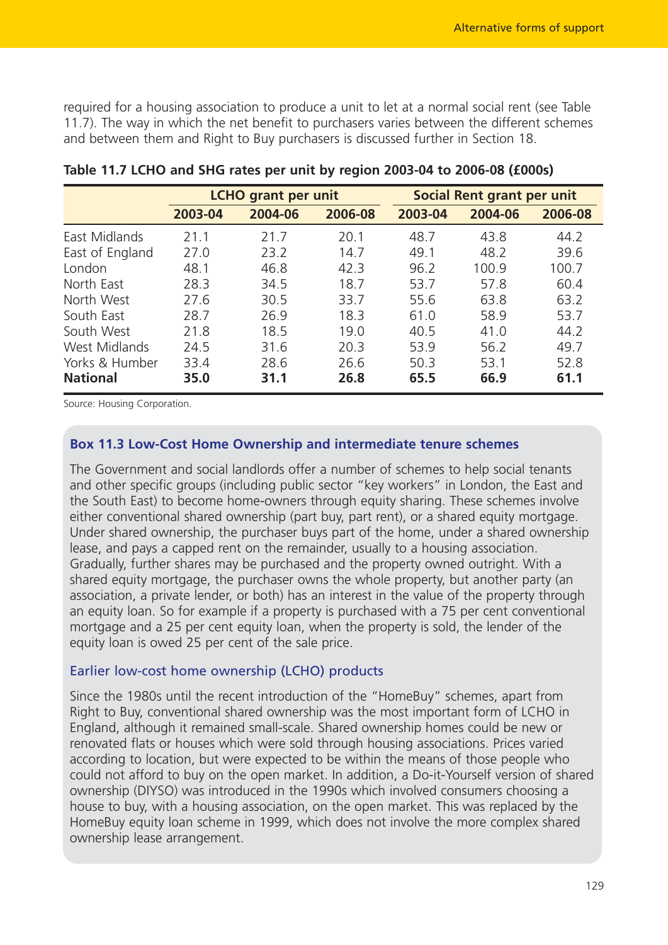required for a housing association to produce a unit to let at a normal social rent (see Table 11.7). The way in which the net benefit to purchasers varies between the different schemes and between them and Right to Buy purchasers is discussed further in Section 18.

|                 | <b>LCHO grant per unit</b> |         |         | Social Rent grant per unit |         |         |
|-----------------|----------------------------|---------|---------|----------------------------|---------|---------|
|                 | 2003-04                    | 2004-06 | 2006-08 | 2003-04                    | 2004-06 | 2006-08 |
| East Midlands   | 21.1                       | 21.7    | 20.1    | 48.7                       | 43.8    | 44.2    |
| East of England | 27.0                       | 23.2    | 14.7    | 49.1                       | 48.2    | 39.6    |
| London          | 48.1                       | 46.8    | 42.3    | 96.2                       | 100.9   | 100.7   |
| North East      | 28.3                       | 34.5    | 18.7    | 53.7                       | 57.8    | 60.4    |
| North West      | 27.6                       | 30.5    | 33.7    | 55.6                       | 63.8    | 63.2    |
| South East      | 28.7                       | 26.9    | 18.3    | 61.0                       | 58.9    | 53.7    |
| South West      | 21.8                       | 18.5    | 19.0    | 40.5                       | 41.0    | 44.2    |
| West Midlands   | 24.5                       | 31.6    | 20.3    | 53.9                       | 56.2    | 49.7    |
| Yorks & Humber  | 33.4                       | 28.6    | 26.6    | 50.3                       | 53.1    | 52.8    |
| <b>National</b> | 35.0                       | 31.1    | 26.8    | 65.5                       | 66.9    | 61.1    |

#### **Table 11.7 LCHO and SHG rates per unit by region 2003-04 to 2006-08 (£000s)**

Source: Housing Corporation.

#### **Box 11.3 Low-Cost Home Ownership and intermediate tenure schemes**

The Government and social landlords offer a number of schemes to help social tenants and other specific groups (including public sector "key workers" in London, the East and the South East) to become home-owners through equity sharing. These schemes involve either conventional shared ownership (part buy, part rent), or a shared equity mortgage. Under shared ownership, the purchaser buys part of the home, under a shared ownership lease, and pays a capped rent on the remainder, usually to a housing association. Gradually, further shares may be purchased and the property owned outright. With a shared equity mortgage, the purchaser owns the whole property, but another party (an association, a private lender, or both) has an interest in the value of the property through an equity loan. So for example if a property is purchased with a 75 per cent conventional mortgage and a 25 per cent equity loan, when the property is sold, the lender of the equity loan is owed 25 per cent of the sale price.

#### Earlier low-cost home ownership (LCHO) products

Since the 1980s until the recent introduction of the "HomeBuy" schemes, apart from Right to Buy, conventional shared ownership was the most important form of LCHO in England, although it remained small-scale. Shared ownership homes could be new or renovated flats or houses which were sold through housing associations. Prices varied according to location, but were expected to be within the means of those people who could not afford to buy on the open market. In addition, a Do-it-Yourself version of shared ownership (DIYSO) was introduced in the 1990s which involved consumers choosing a house to buy, with a housing association, on the open market. This was replaced by the HomeBuy equity loan scheme in 1999, which does not involve the more complex shared ownership lease arrangement.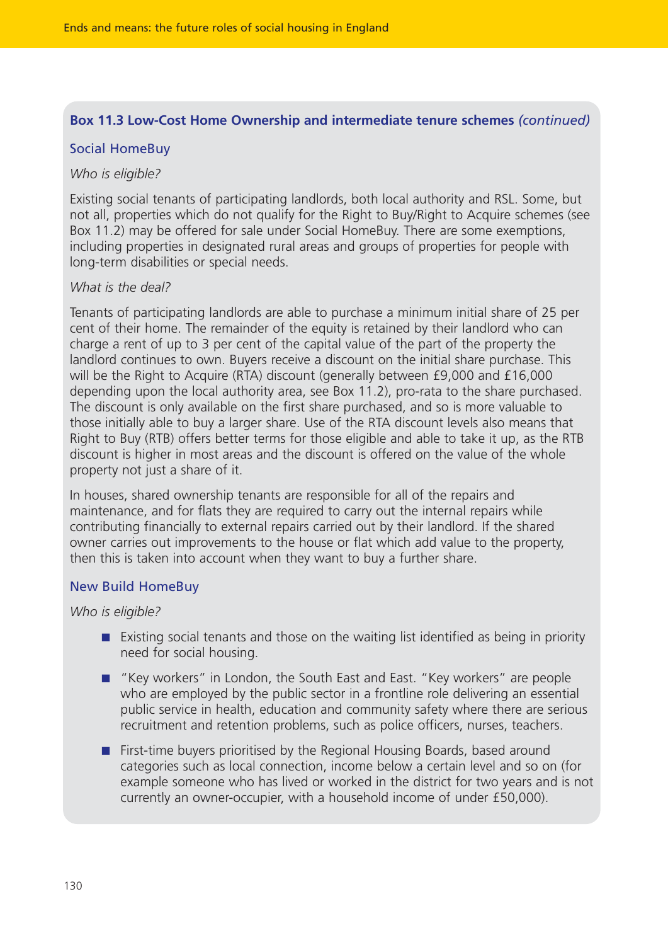# **Box 11.3 Low-Cost Home Ownership and intermediate tenure schemes** *(continued)*

### Social HomeBuy

#### *Who is eligible?*

Existing social tenants of participating landlords, both local authority and RSL. Some, but not all, properties which do not qualify for the Right to Buy/Right to Acquire schemes (see Box 11.2) may be offered for sale under Social HomeBuy. There are some exemptions, including properties in designated rural areas and groups of properties for people with long-term disabilities or special needs.

#### *What is the deal?*

Tenants of participating landlords are able to purchase a minimum initial share of 25 per cent of their home. The remainder of the equity is retained by their landlord who can charge a rent of up to 3 per cent of the capital value of the part of the property the landlord continues to own. Buyers receive a discount on the initial share purchase. This will be the Right to Acquire (RTA) discount (generally between £9,000 and £16,000 depending upon the local authority area, see Box 11.2), pro-rata to the share purchased. The discount is only available on the first share purchased, and so is more valuable to those initially able to buy a larger share. Use of the RTA discount levels also means that Right to Buy (RTB) offers better terms for those eligible and able to take it up, as the RTB discount is higher in most areas and the discount is offered on the value of the whole property not just a share of it.

In houses, shared ownership tenants are responsible for all of the repairs and maintenance, and for flats they are required to carry out the internal repairs while contributing financially to external repairs carried out by their landlord. If the shared owner carries out improvements to the house or flat which add value to the property, then this is taken into account when they want to buy a further share.

#### New Build HomeBuy

#### *Who is eligible?*

- Existing social tenants and those on the waiting list identified as being in priority need for social housing.
- "Key workers" in London, the South East and East. "Key workers" are people who are employed by the public sector in a frontline role delivering an essential public service in health, education and community safety where there are serious recruitment and retention problems, such as police officers, nurses, teachers.
- First-time buyers prioritised by the Regional Housing Boards, based around categories such as local connection, income below a certain level and so on (for example someone who has lived or worked in the district for two years and is not currently an owner-occupier, with a household income of under £50,000).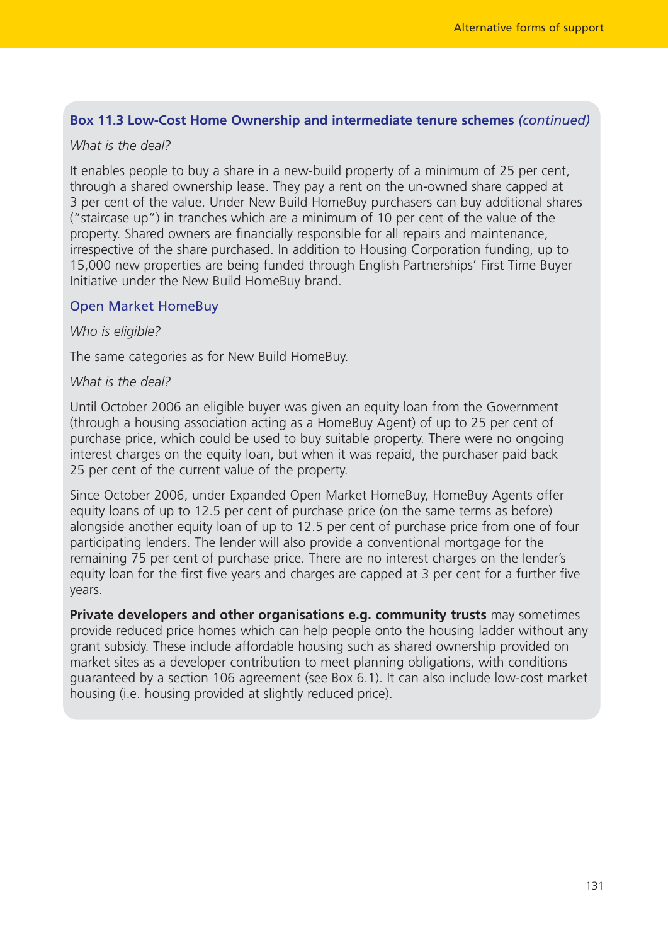# **Box 11.3 Low-Cost Home Ownership and intermediate tenure schemes** *(continued)*

#### *What is the deal?*

It enables people to buy a share in a new-build property of a minimum of 25 per cent, through a shared ownership lease. They pay a rent on the un-owned share capped at 3 per cent of the value. Under New Build HomeBuy purchasers can buy additional shares ("staircase up") in tranches which are a minimum of 10 per cent of the value of the property. Shared owners are financially responsible for all repairs and maintenance, irrespective of the share purchased. In addition to Housing Corporation funding, up to 15,000 new properties are being funded through English Partnerships' First Time Buyer Initiative under the New Build HomeBuy brand.

#### Open Market HomeBuy

#### *Who is eligible?*

The same categories as for New Build HomeBuy.

#### *What is the deal?*

Until October 2006 an eligible buyer was given an equity loan from the Government (through a housing association acting as a HomeBuy Agent) of up to 25 per cent of purchase price, which could be used to buy suitable property. There were no ongoing interest charges on the equity loan, but when it was repaid, the purchaser paid back 25 per cent of the current value of the property.

Since October 2006, under Expanded Open Market HomeBuy, HomeBuy Agents offer equity loans of up to 12.5 per cent of purchase price (on the same terms as before) alongside another equity loan of up to 12.5 per cent of purchase price from one of four participating lenders. The lender will also provide a conventional mortgage for the remaining 75 per cent of purchase price. There are no interest charges on the lender's equity loan for the first five years and charges are capped at 3 per cent for a further five years.

**Private developers and other organisations e.g. community trusts** may sometimes provide reduced price homes which can help people onto the housing ladder without any grant subsidy. These include affordable housing such as shared ownership provided on market sites as a developer contribution to meet planning obligations, with conditions guaranteed by a section 106 agreement (see Box 6.1). It can also include low-cost market housing (i.e. housing provided at slightly reduced price).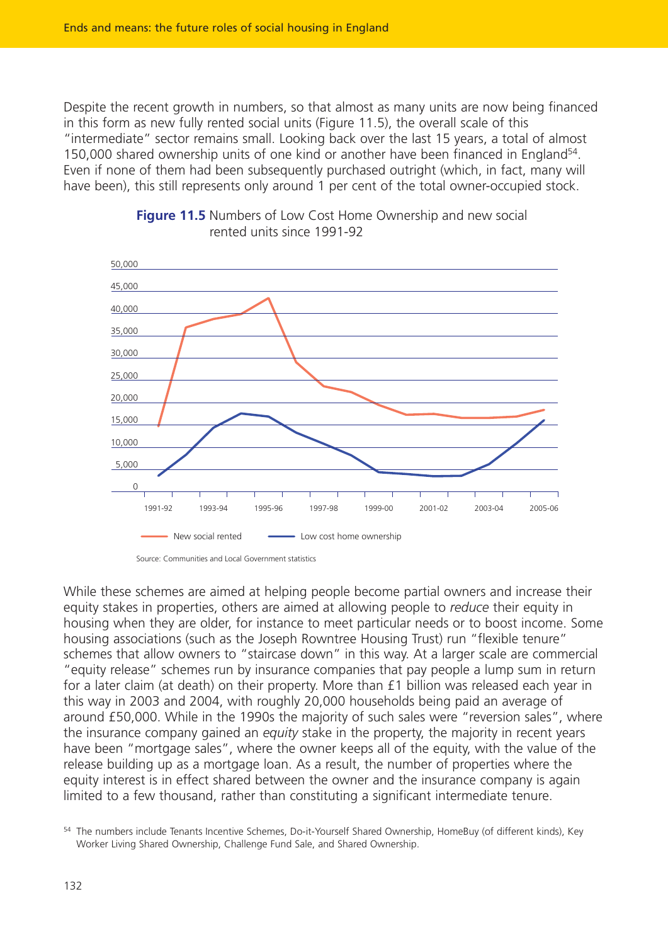Despite the recent growth in numbers, so that almost as many units are now being financed in this form as new fully rented social units (Figure 11.5), the overall scale of this "intermediate" sector remains small. Looking back over the last 15 years, a total of almost 150,000 shared ownership units of one kind or another have been financed in England<sup>54</sup>. Even if none of them had been subsequently purchased outright (which, in fact, many will have been), this still represents only around 1 per cent of the total owner-occupied stock.





Source: Communities and Local Government statistics

While these schemes are aimed at helping people become partial owners and increase their equity stakes in properties, others are aimed at allowing people to *reduce* their equity in housing when they are older, for instance to meet particular needs or to boost income. Some housing associations (such as the Joseph Rowntree Housing Trust) run "flexible tenure" schemes that allow owners to "staircase down" in this way. At a larger scale are commercial "equity release" schemes run by insurance companies that pay people a lump sum in return for a later claim (at death) on their property. More than £1 billion was released each year in this way in 2003 and 2004, with roughly 20,000 households being paid an average of around £50,000. While in the 1990s the majority of such sales were "reversion sales", where the insurance company gained an *equity* stake in the property, the majority in recent years have been "mortgage sales", where the owner keeps all of the equity, with the value of the release building up as a mortgage loan. As a result, the number of properties where the equity interest is in effect shared between the owner and the insurance company is again limited to a few thousand, rather than constituting a significant intermediate tenure.

<sup>54</sup> The numbers include Tenants Incentive Schemes, Do-it-Yourself Shared Ownership, HomeBuy (of different kinds), Key Worker Living Shared Ownership, Challenge Fund Sale, and Shared Ownership.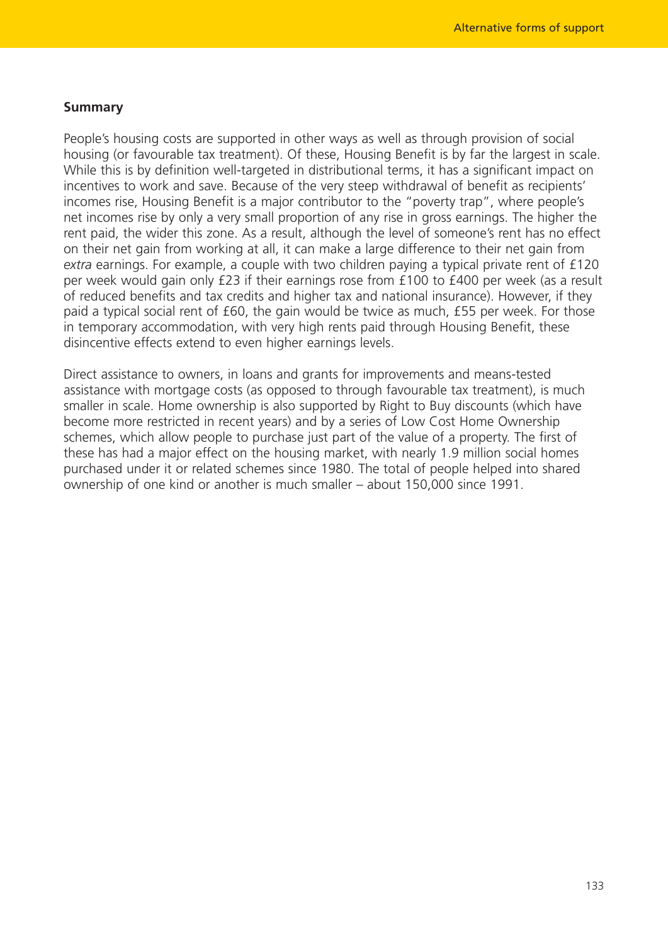# **Summary**

People's housing costs are supported in other ways as well as through provision of social housing (or favourable tax treatment). Of these, Housing Benefit is by far the largest in scale. While this is by definition well-targeted in distributional terms, it has a significant impact on incentives to work and save. Because of the very steep withdrawal of benefit as recipients' incomes rise, Housing Benefit is a major contributor to the "poverty trap", where people's net incomes rise by only a very small proportion of any rise in gross earnings. The higher the rent paid, the wider this zone. As a result, although the level of someone's rent has no effect on their net gain from working at all, it can make a large difference to their net gain from *extra* earnings. For example, a couple with two children paying a typical private rent of £120 per week would gain only £23 if their earnings rose from £100 to £400 per week (as a result of reduced benefits and tax credits and higher tax and national insurance). However, if they paid a typical social rent of £60, the gain would be twice as much, £55 per week. For those in temporary accommodation, with very high rents paid through Housing Benefit, these disincentive effects extend to even higher earnings levels.

Direct assistance to owners, in loans and grants for improvements and means-tested assistance with mortgage costs (as opposed to through favourable tax treatment), is much smaller in scale. Home ownership is also supported by Right to Buy discounts (which have become more restricted in recent years) and by a series of Low Cost Home Ownership schemes, which allow people to purchase just part of the value of a property. The first of these has had a major effect on the housing market, with nearly 1.9 million social homes purchased under it or related schemes since 1980. The total of people helped into shared ownership of one kind or another is much smaller – about 150,000 since 1991.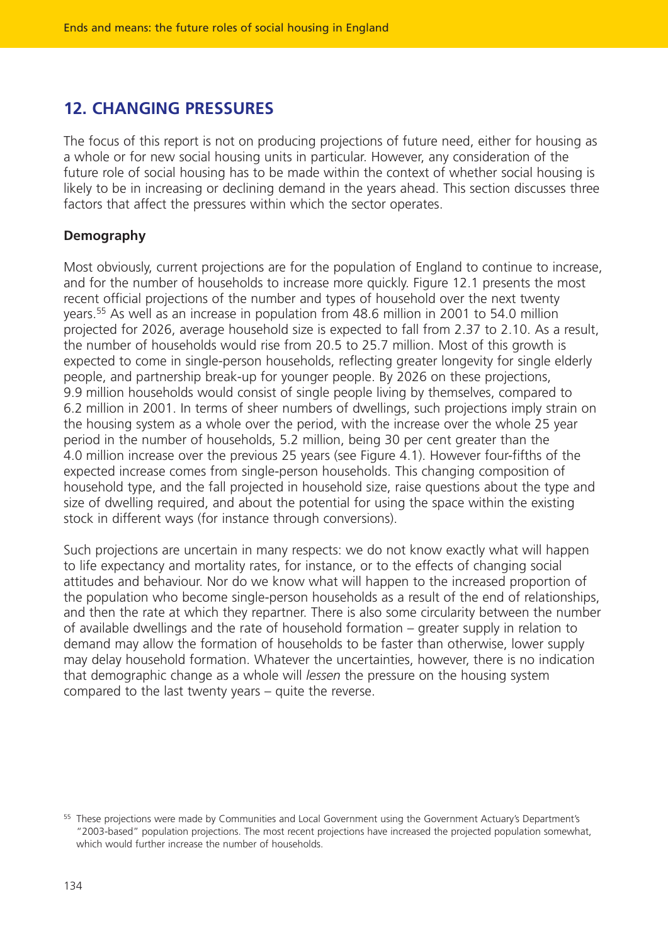# **12. CHANGING PRESSURES**

The focus of this report is not on producing projections of future need, either for housing as a whole or for new social housing units in particular. However, any consideration of the future role of social housing has to be made within the context of whether social housing is likely to be in increasing or declining demand in the years ahead. This section discusses three factors that affect the pressures within which the sector operates.

# **Demography**

Most obviously, current projections are for the population of England to continue to increase, and for the number of households to increase more quickly. Figure 12.1 presents the most recent official projections of the number and types of household over the next twenty years.55 As well as an increase in population from 48.6 million in 2001 to 54.0 million projected for 2026, average household size is expected to fall from 2.37 to 2.10. As a result, the number of households would rise from 20.5 to 25.7 million. Most of this growth is expected to come in single-person households, reflecting greater longevity for single elderly people, and partnership break-up for younger people. By 2026 on these projections, 9.9 million households would consist of single people living by themselves, compared to 6.2 million in 2001. In terms of sheer numbers of dwellings, such projections imply strain on the housing system as a whole over the period, with the increase over the whole 25 year period in the number of households, 5.2 million, being 30 per cent greater than the 4.0 million increase over the previous 25 years (see Figure 4.1). However four-fifths of the expected increase comes from single-person households. This changing composition of household type, and the fall projected in household size, raise questions about the type and size of dwelling required, and about the potential for using the space within the existing stock in different ways (for instance through conversions).

Such projections are uncertain in many respects: we do not know exactly what will happen to life expectancy and mortality rates, for instance, or to the effects of changing social attitudes and behaviour. Nor do we know what will happen to the increased proportion of the population who become single-person households as a result of the end of relationships, and then the rate at which they repartner. There is also some circularity between the number of available dwellings and the rate of household formation – greater supply in relation to demand may allow the formation of households to be faster than otherwise, lower supply may delay household formation. Whatever the uncertainties, however, there is no indication that demographic change as a whole will *lessen* the pressure on the housing system compared to the last twenty years – quite the reverse.

<sup>55</sup> These projections were made by Communities and Local Government using the Government Actuary's Department's "2003-based" population projections. The most recent projections have increased the projected population somewhat, which would further increase the number of households.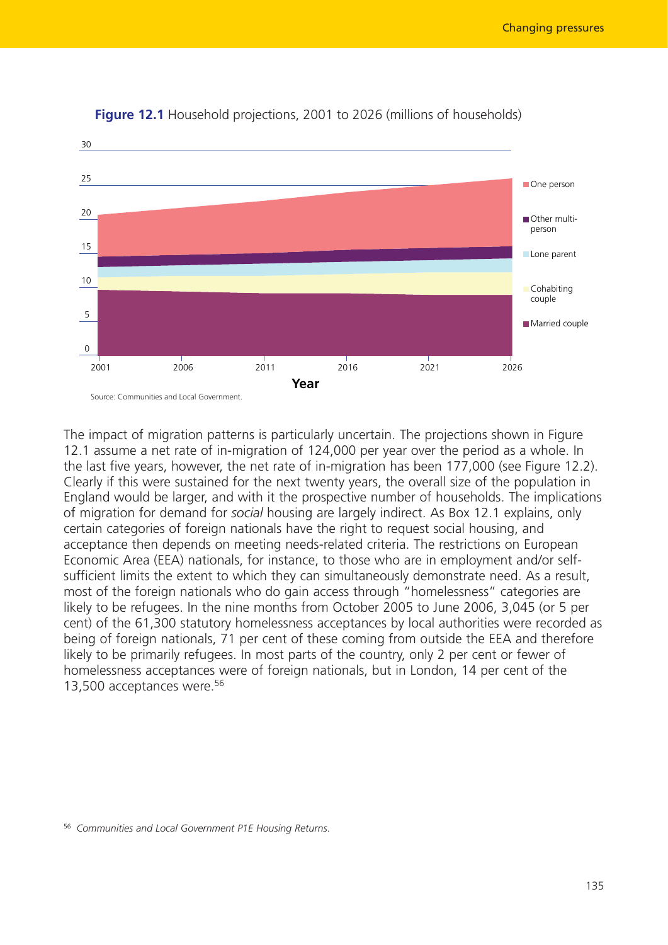

#### **Figure 12.1** Household projections, 2001 to 2026 (millions of households)

The impact of migration patterns is particularly uncertain. The projections shown in Figure 12.1 assume a net rate of in-migration of 124,000 per year over the period as a whole. In the last five years, however, the net rate of in-migration has been 177,000 (see Figure 12.2). Clearly if this were sustained for the next twenty years, the overall size of the population in England would be larger, and with it the prospective number of households. The implications of migration for demand for *social* housing are largely indirect. As Box 12.1 explains, only certain categories of foreign nationals have the right to request social housing, and acceptance then depends on meeting needs-related criteria. The restrictions on European Economic Area (EEA) nationals, for instance, to those who are in employment and/or selfsufficient limits the extent to which they can simultaneously demonstrate need. As a result, most of the foreign nationals who do gain access through "homelessness" categories are likely to be refugees. In the nine months from October 2005 to June 2006, 3,045 (or 5 per cent) of the 61,300 statutory homelessness acceptances by local authorities were recorded as being of foreign nationals, 71 per cent of these coming from outside the EEA and therefore likely to be primarily refugees. In most parts of the country, only 2 per cent or fewer of homelessness acceptances were of foreign nationals, but in London, 14 per cent of the 13,500 acceptances were.<sup>56</sup>

<sup>56</sup> *Communities and Local Government P1E Housing Returns*.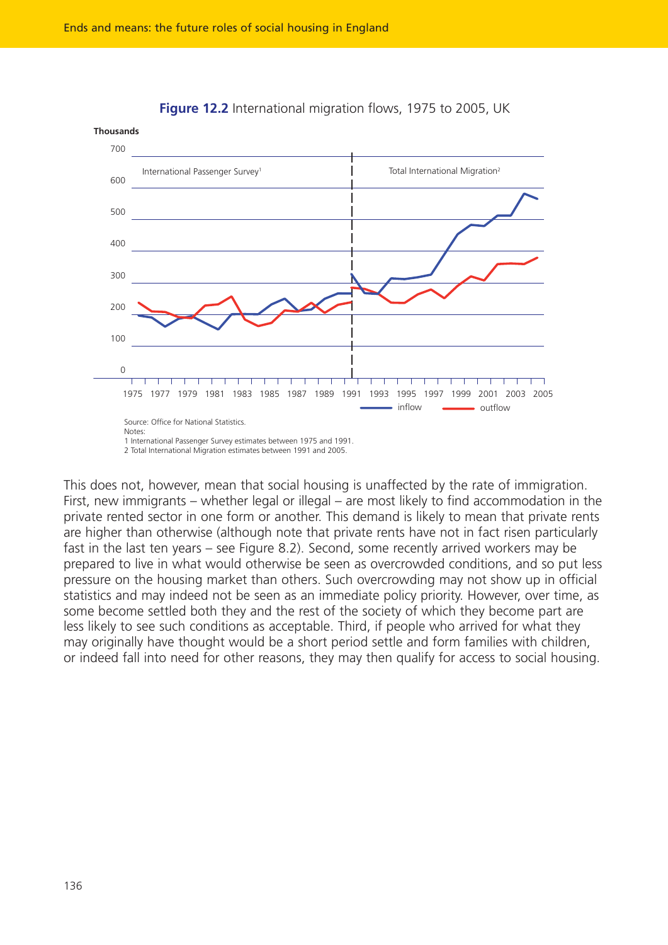

**Figure 12.2** International migration flows, 1975 to 2005, UK

This does not, however, mean that social housing is unaffected by the rate of immigration. First, new immigrants – whether legal or illegal – are most likely to find accommodation in the private rented sector in one form or another. This demand is likely to mean that private rents are higher than otherwise (although note that private rents have not in fact risen particularly fast in the last ten years – see Figure 8.2). Second, some recently arrived workers may be prepared to live in what would otherwise be seen as overcrowded conditions, and so put less pressure on the housing market than others. Such overcrowding may not show up in official statistics and may indeed not be seen as an immediate policy priority. However, over time, as some become settled both they and the rest of the society of which they become part are less likely to see such conditions as acceptable. Third, if people who arrived for what they may originally have thought would be a short period settle and form families with children, or indeed fall into need for other reasons, they may then qualify for access to social housing.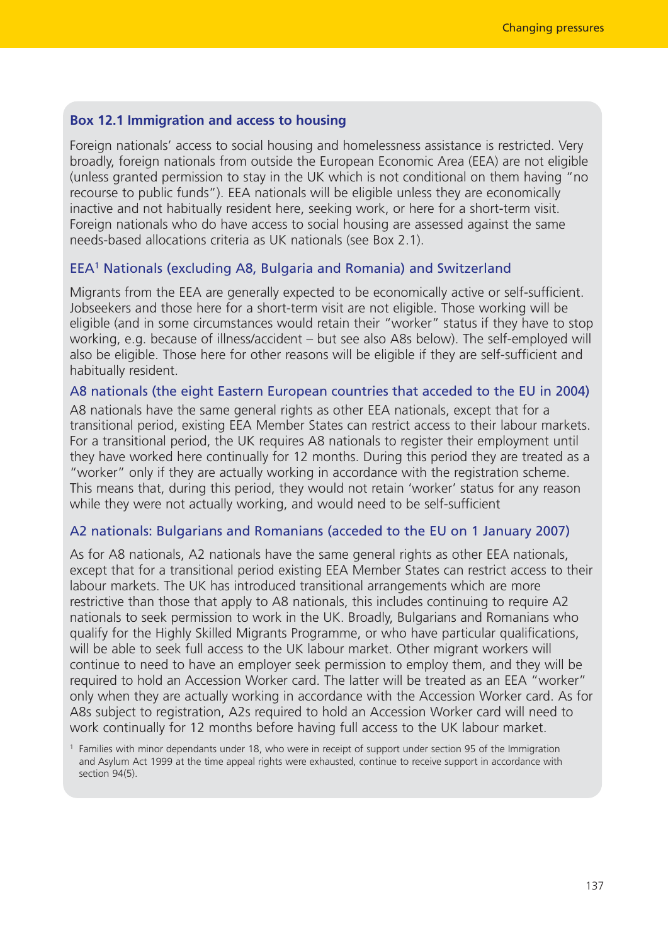#### **Box 12.1 Immigration and access to housing**

Foreign nationals' access to social housing and homelessness assistance is restricted. Very broadly, foreign nationals from outside the European Economic Area (EEA) are not eligible (unless granted permission to stay in the UK which is not conditional on them having "no recourse to public funds"). EEA nationals will be eligible unless they are economically inactive and not habitually resident here, seeking work, or here for a short-term visit. Foreign nationals who do have access to social housing are assessed against the same needs-based allocations criteria as UK nationals (see Box 2.1).

#### EEA1 Nationals (excluding A8, Bulgaria and Romania) and Switzerland

Migrants from the EEA are generally expected to be economically active or self-sufficient. Jobseekers and those here for a short-term visit are not eligible. Those working will be eligible (and in some circumstances would retain their "worker" status if they have to stop working, e.g. because of illness/accident – but see also A8s below). The self-employed will also be eligible. Those here for other reasons will be eligible if they are self-sufficient and habitually resident.

#### A8 nationals (the eight Eastern European countries that acceded to the EU in 2004)

A8 nationals have the same general rights as other EEA nationals, except that for a transitional period, existing EEA Member States can restrict access to their labour markets. For a transitional period, the UK requires A8 nationals to register their employment until they have worked here continually for 12 months. During this period they are treated as a "worker" only if they are actually working in accordance with the registration scheme. This means that, during this period, they would not retain 'worker' status for any reason while they were not actually working, and would need to be self-sufficient

#### A2 nationals: Bulgarians and Romanians (acceded to the EU on 1 January 2007)

As for A8 nationals, A2 nationals have the same general rights as other EEA nationals, except that for a transitional period existing EEA Member States can restrict access to their labour markets. The UK has introduced transitional arrangements which are more restrictive than those that apply to A8 nationals, this includes continuing to require A2 nationals to seek permission to work in the UK. Broadly, Bulgarians and Romanians who qualify for the Highly Skilled Migrants Programme, or who have particular qualifications, will be able to seek full access to the UK labour market. Other migrant workers will continue to need to have an employer seek permission to employ them, and they will be required to hold an Accession Worker card. The latter will be treated as an EEA "worker" only when they are actually working in accordance with the Accession Worker card. As for A8s subject to registration, A2s required to hold an Accession Worker card will need to work continually for 12 months before having full access to the UK labour market.

<sup>1</sup> Families with minor dependants under 18, who were in receipt of support under section 95 of the Immigration and Asylum Act 1999 at the time appeal rights were exhausted, continue to receive support in accordance with section 94(5).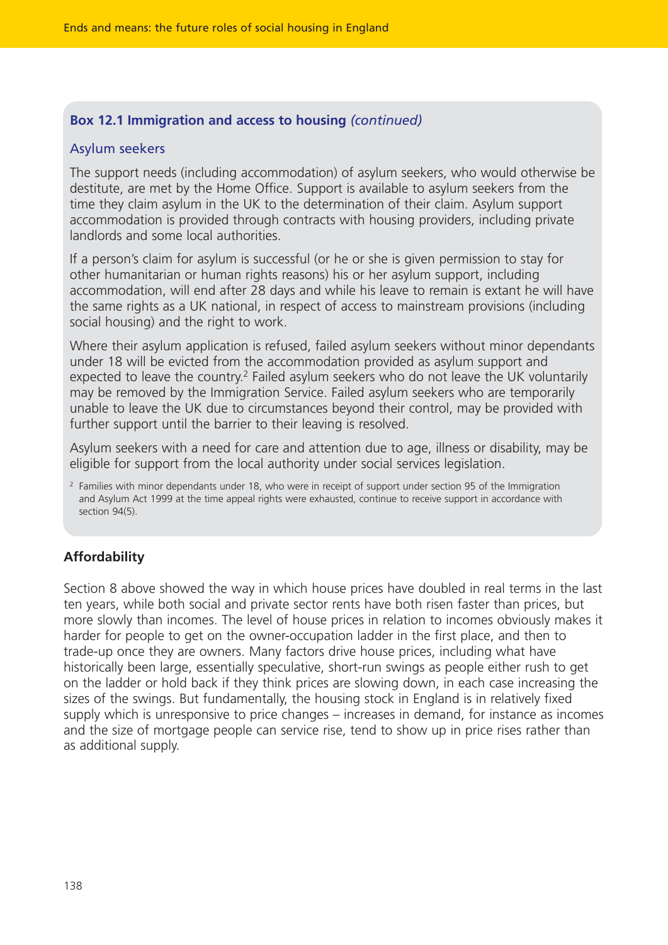# **Box 12.1 Immigration and access to housing** *(continued)*

#### Asylum seekers

The support needs (including accommodation) of asylum seekers, who would otherwise be destitute, are met by the Home Office. Support is available to asylum seekers from the time they claim asylum in the UK to the determination of their claim. Asylum support accommodation is provided through contracts with housing providers, including private landlords and some local authorities.

If a person's claim for asylum is successful (or he or she is given permission to stay for other humanitarian or human rights reasons) his or her asylum support, including accommodation, will end after 28 days and while his leave to remain is extant he will have the same rights as a UK national, in respect of access to mainstream provisions (including social housing) and the right to work.

Where their asylum application is refused, failed asylum seekers without minor dependants under 18 will be evicted from the accommodation provided as asylum support and expected to leave the country.<sup>2</sup> Failed asylum seekers who do not leave the UK voluntarily may be removed by the Immigration Service. Failed asylum seekers who are temporarily unable to leave the UK due to circumstances beyond their control, may be provided with further support until the barrier to their leaving is resolved.

Asylum seekers with a need for care and attention due to age, illness or disability, may be eligible for support from the local authority under social services legislation.

# **Affordability**

Section 8 above showed the way in which house prices have doubled in real terms in the last ten years, while both social and private sector rents have both risen faster than prices, but more slowly than incomes. The level of house prices in relation to incomes obviously makes it harder for people to get on the owner-occupation ladder in the first place, and then to trade-up once they are owners. Many factors drive house prices, including what have historically been large, essentially speculative, short-run swings as people either rush to get on the ladder or hold back if they think prices are slowing down, in each case increasing the sizes of the swings. But fundamentally, the housing stock in England is in relatively fixed supply which is unresponsive to price changes – increases in demand, for instance as incomes and the size of mortgage people can service rise, tend to show up in price rises rather than as additional supply.

<sup>&</sup>lt;sup>2</sup> Families with minor dependants under 18, who were in receipt of support under section 95 of the Immigration and Asylum Act 1999 at the time appeal rights were exhausted, continue to receive support in accordance with section 94(5).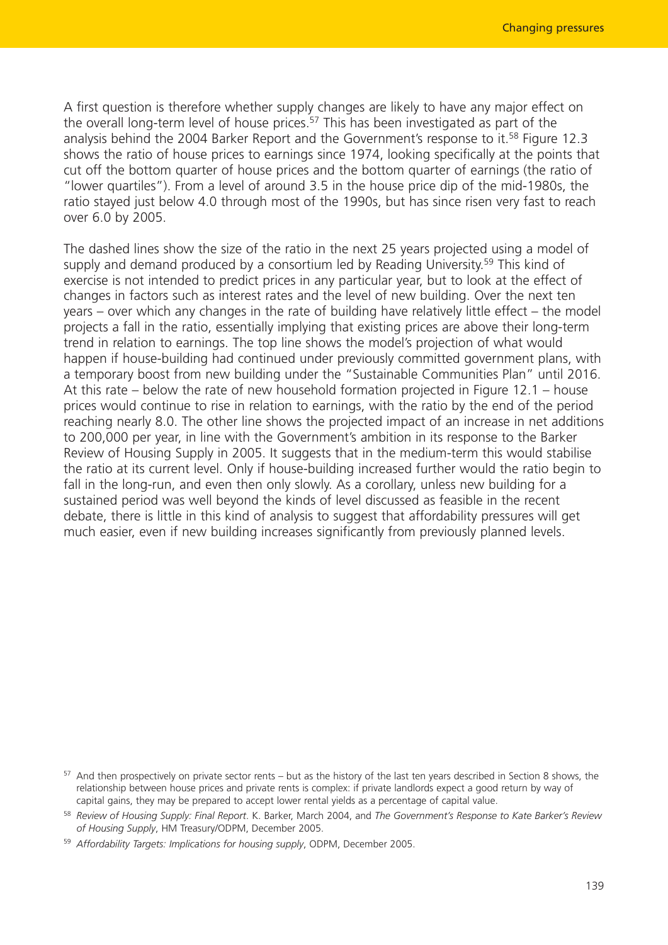A first question is therefore whether supply changes are likely to have any major effect on the overall long-term level of house prices.<sup>57</sup> This has been investigated as part of the analysis behind the 2004 Barker Report and the Government's response to it.<sup>58</sup> Figure 12.3 shows the ratio of house prices to earnings since 1974, looking specifically at the points that cut off the bottom quarter of house prices and the bottom quarter of earnings (the ratio of "lower quartiles"). From a level of around 3.5 in the house price dip of the mid-1980s, the ratio stayed just below 4.0 through most of the 1990s, but has since risen very fast to reach over 6.0 by 2005.

The dashed lines show the size of the ratio in the next 25 years projected using a model of supply and demand produced by a consortium led by Reading University.<sup>59</sup> This kind of exercise is not intended to predict prices in any particular year, but to look at the effect of changes in factors such as interest rates and the level of new building. Over the next ten years – over which any changes in the rate of building have relatively little effect – the model projects a fall in the ratio, essentially implying that existing prices are above their long-term trend in relation to earnings. The top line shows the model's projection of what would happen if house-building had continued under previously committed government plans, with a temporary boost from new building under the "Sustainable Communities Plan" until 2016. At this rate – below the rate of new household formation projected in Figure 12.1 – house prices would continue to rise in relation to earnings, with the ratio by the end of the period reaching nearly 8.0. The other line shows the projected impact of an increase in net additions to 200,000 per year, in line with the Government's ambition in its response to the Barker Review of Housing Supply in 2005. It suggests that in the medium-term this would stabilise the ratio at its current level. Only if house-building increased further would the ratio begin to fall in the long-run, and even then only slowly. As a corollary, unless new building for a sustained period was well beyond the kinds of level discussed as feasible in the recent debate, there is little in this kind of analysis to suggest that affordability pressures will get much easier, even if new building increases significantly from previously planned levels.

<sup>57</sup> And then prospectively on private sector rents – but as the history of the last ten years described in Section 8 shows, the relationship between house prices and private rents is complex: if private landlords expect a good return by way of capital gains, they may be prepared to accept lower rental yields as a percentage of capital value.

<sup>58</sup> *Review of Housing Supply: Final Report*. K. Barker, March 2004, and *The Government's Response to Kate Barker's Review of Housing Supply*, HM Treasury/ODPM, December 2005.

<sup>59</sup> *Affordability Targets: Implications for housing supply*, ODPM, December 2005.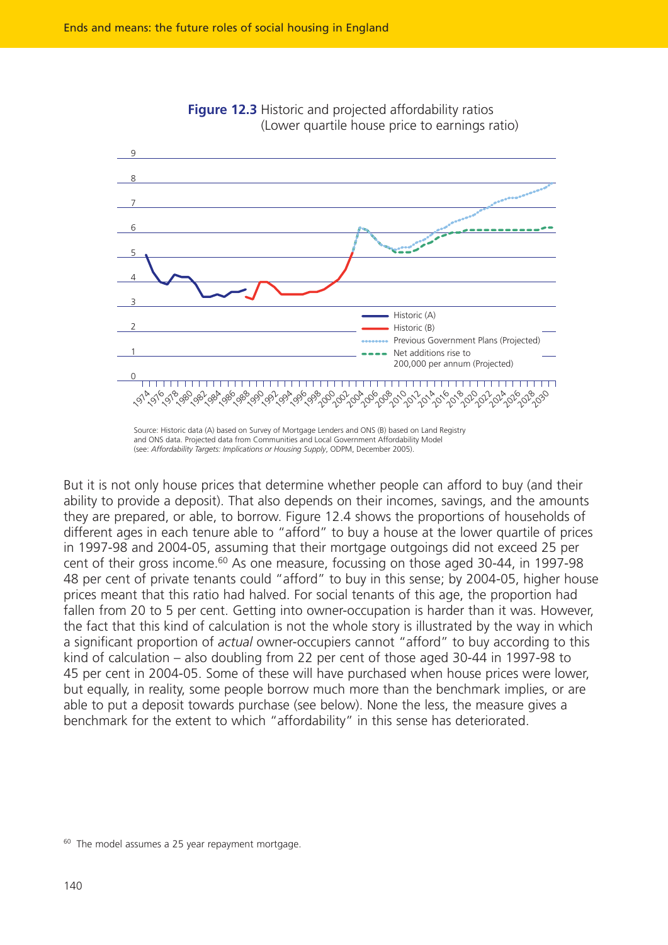

**Figure 12.3** Historic and projected affordability ratios (Lower quartile house price to earnings ratio)

and ONS data. Projected data from Communities and Local Government Affordability Model (see: *Affordability Targets: Implications or Housing Supply*, ODPM, December 2005).

But it is not only house prices that determine whether people can afford to buy (and their ability to provide a deposit). That also depends on their incomes, savings, and the amounts they are prepared, or able, to borrow. Figure 12.4 shows the proportions of households of different ages in each tenure able to "afford" to buy a house at the lower quartile of prices in 1997-98 and 2004-05, assuming that their mortgage outgoings did not exceed 25 per cent of their gross income.60 As one measure, focussing on those aged 30-44, in 1997-98 48 per cent of private tenants could "afford" to buy in this sense; by 2004-05, higher house prices meant that this ratio had halved. For social tenants of this age, the proportion had fallen from 20 to 5 per cent. Getting into owner-occupation is harder than it was. However, the fact that this kind of calculation is not the whole story is illustrated by the way in which a significant proportion of *actual* owner-occupiers cannot "afford" to buy according to this kind of calculation – also doubling from 22 per cent of those aged 30-44 in 1997-98 to 45 per cent in 2004-05. Some of these will have purchased when house prices were lower, but equally, in reality, some people borrow much more than the benchmark implies, or are able to put a deposit towards purchase (see below). None the less, the measure gives a benchmark for the extent to which "affordability" in this sense has deteriorated.

<sup>60</sup> The model assumes a 25 year repayment mortgage.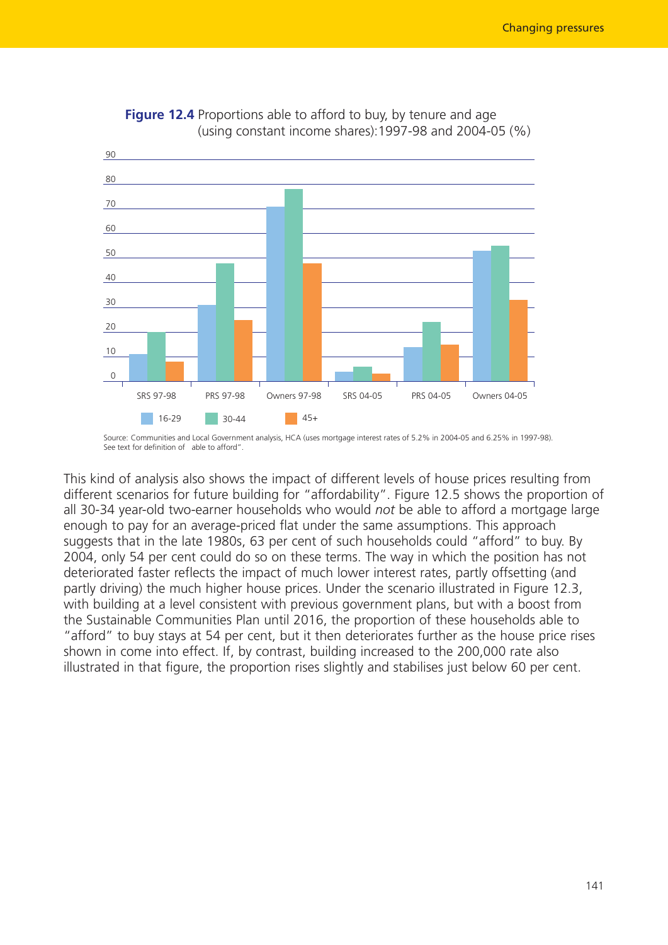

**Figure 12.4** Proportions able to afford to buy, by tenure and age (using constant income shares):1997-98 and 2004-05 (%)

This kind of analysis also shows the impact of different levels of house prices resulting from different scenarios for future building for "affordability". Figure 12.5 shows the proportion of all 30-34 year-old two-earner households who would *not* be able to afford a mortgage large enough to pay for an average-priced flat under the same assumptions. This approach suggests that in the late 1980s, 63 per cent of such households could "afford" to buy. By 2004, only 54 per cent could do so on these terms. The way in which the position has not deteriorated faster reflects the impact of much lower interest rates, partly offsetting (and partly driving) the much higher house prices. Under the scenario illustrated in Figure 12.3, with building at a level consistent with previous government plans, but with a boost from the Sustainable Communities Plan until 2016, the proportion of these households able to "afford" to buy stays at 54 per cent, but it then deteriorates further as the house price rises shown in come into effect. If, by contrast, building increased to the 200,000 rate also illustrated in that figure, the proportion rises slightly and stabilises just below 60 per cent.

Source: Communities and Local Government analysis, HCA (uses mortgage interest rates of 5.2% in 2004-05 and 6.25% in 1997-98). See text for definition of able to afford".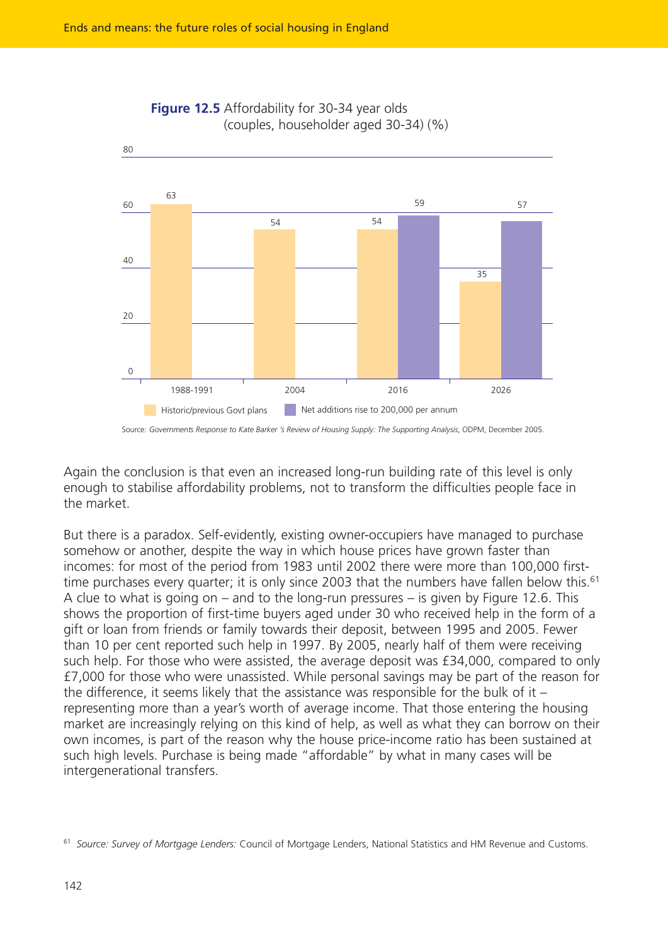

**Figure 12.5** Affordability for 30-34 year olds (couples, householder aged 30-34) (%)

Source: *Governments Response to Kate Barker 's Review of Housing Supply: The Supporting Analysis*, ODPM, December 2005.

Again the conclusion is that even an increased long-run building rate of this level is only enough to stabilise affordability problems, not to transform the difficulties people face in the market.

But there is a paradox. Self-evidently, existing owner-occupiers have managed to purchase somehow or another, despite the way in which house prices have grown faster than incomes: for most of the period from 1983 until 2002 there were more than 100,000 firsttime purchases every quarter; it is only since 2003 that the numbers have fallen below this.<sup>61</sup> A clue to what is going on – and to the long-run pressures – is given by Figure 12.6. This shows the proportion of first-time buyers aged under 30 who received help in the form of a gift or loan from friends or family towards their deposit, between 1995 and 2005. Fewer than 10 per cent reported such help in 1997. By 2005, nearly half of them were receiving such help. For those who were assisted, the average deposit was £34,000, compared to only £7,000 for those who were unassisted. While personal savings may be part of the reason for the difference, it seems likely that the assistance was responsible for the bulk of it – representing more than a year's worth of average income. That those entering the housing market are increasingly relying on this kind of help, as well as what they can borrow on their own incomes, is part of the reason why the house price-income ratio has been sustained at such high levels. Purchase is being made "affordable" by what in many cases will be intergenerational transfers.

<sup>61</sup> *Source: Survey of Mortgage Lenders:* Council of Mortgage Lenders, National Statistics and HM Revenue and Customs.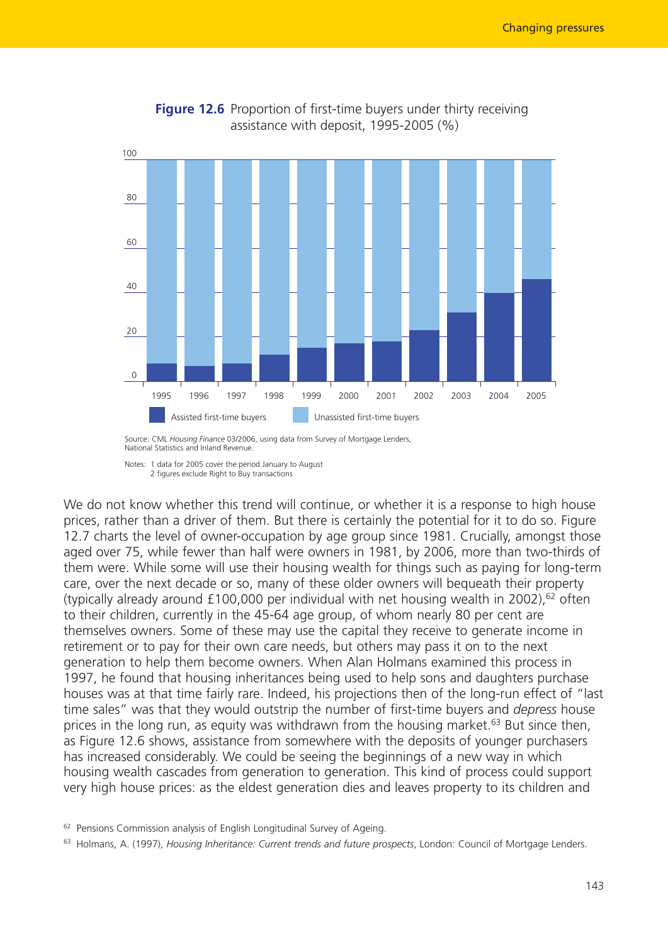

**Figure 12.6** Proportion of first-time buyers under thirty receiving assistance with deposit, 1995-2005 (%)

2 figures exclude Right to Buy transactions

We do not know whether this trend will continue, or whether it is a response to high house prices, rather than a driver of them. But there is certainly the potential for it to do so. Figure 12.7 charts the level of owner-occupation by age group since 1981. Crucially, amongst those aged over 75, while fewer than half were owners in 1981, by 2006, more than two-thirds of them were. While some will use their housing wealth for things such as paying for long-term care, over the next decade or so, many of these older owners will bequeath their property (typically already around  $£100,000$  per individual with net housing wealth in 2002),<sup>62</sup> often to their children, currently in the 45-64 age group, of whom nearly 80 per cent are themselves owners. Some of these may use the capital they receive to generate income in retirement or to pay for their own care needs, but others may pass it on to the next generation to help them become owners. When Alan Holmans examined this process in 1997, he found that housing inheritances being used to help sons and daughters purchase houses was at that time fairly rare. Indeed, his projections then of the long-run effect of "last time sales" was that they would outstrip the number of first-time buyers and *depress* house prices in the long run, as equity was withdrawn from the housing market.<sup>63</sup> But since then, as Figure 12.6 shows, assistance from somewhere with the deposits of younger purchasers has increased considerably. We could be seeing the beginnings of a new way in which housing wealth cascades from generation to generation. This kind of process could support very high house prices: as the eldest generation dies and leaves property to its children and

Source: CML *Housing Finance* 03/2006, using data from Survey of Mortgage Lenders, National Statistics and Inland Revenue. Notes: 1 data for 2005 cover the period January to August

<sup>&</sup>lt;sup>62</sup> Pensions Commission analysis of English Longitudinal Survey of Ageing.

<sup>63</sup> Holmans, A. (1997), *Housing Inheritance: Current trends and future prospects*, London: Council of Mortgage Lenders.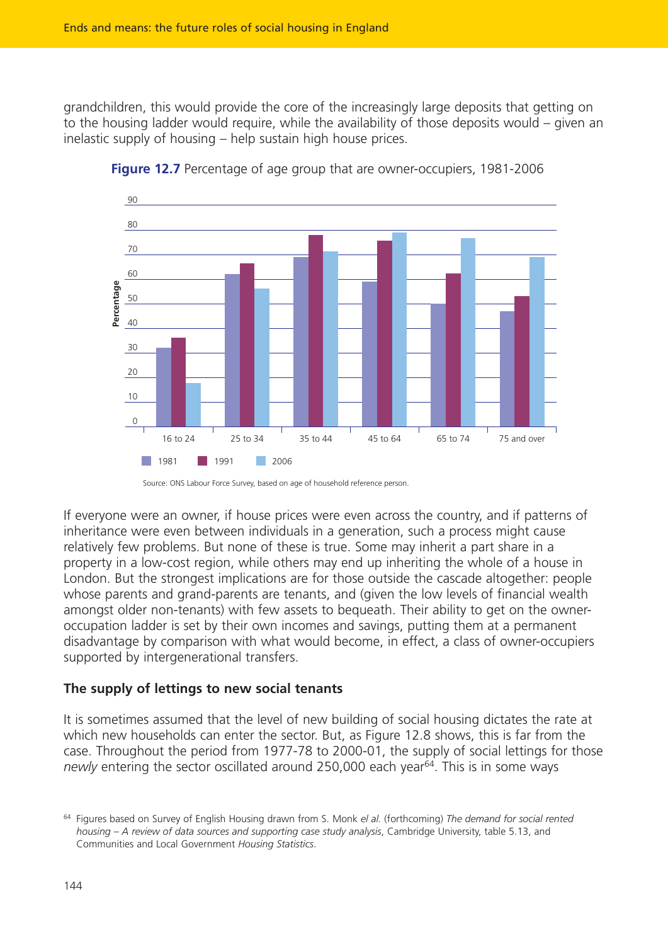grandchildren, this would provide the core of the increasingly large deposits that getting on to the housing ladder would require, while the availability of those deposits would – given an inelastic supply of housing – help sustain high house prices.



**Figure 12.7** Percentage of age group that are owner-occupiers, 1981-2006

If everyone were an owner, if house prices were even across the country, and if patterns of inheritance were even between individuals in a generation, such a process might cause relatively few problems. But none of these is true. Some may inherit a part share in a property in a low-cost region, while others may end up inheriting the whole of a house in London. But the strongest implications are for those outside the cascade altogether: people whose parents and grand-parents are tenants, and (given the low levels of financial wealth amongst older non-tenants) with few assets to bequeath. Their ability to get on the owneroccupation ladder is set by their own incomes and savings, putting them at a permanent disadvantage by comparison with what would become, in effect, a class of owner-occupiers supported by intergenerational transfers.

# **The supply of lettings to new social tenants**

It is sometimes assumed that the level of new building of social housing dictates the rate at which new households can enter the sector. But, as Figure 12.8 shows, this is far from the case. Throughout the period from 1977-78 to 2000-01, the supply of social lettings for those *newly* entering the sector oscillated around 250,000 each year<sup>64</sup>. This is in some ways

Source: ONS Labour Force Survey, based on age of household reference person.

<sup>64</sup> Figures based on Survey of English Housing drawn from S. Monk *el al.* (forthcoming) *The demand for social rented housing – A review of data sources and supporting case study analysis*, Cambridge University, table 5.13, and Communities and Local Government *Housing Statistics*.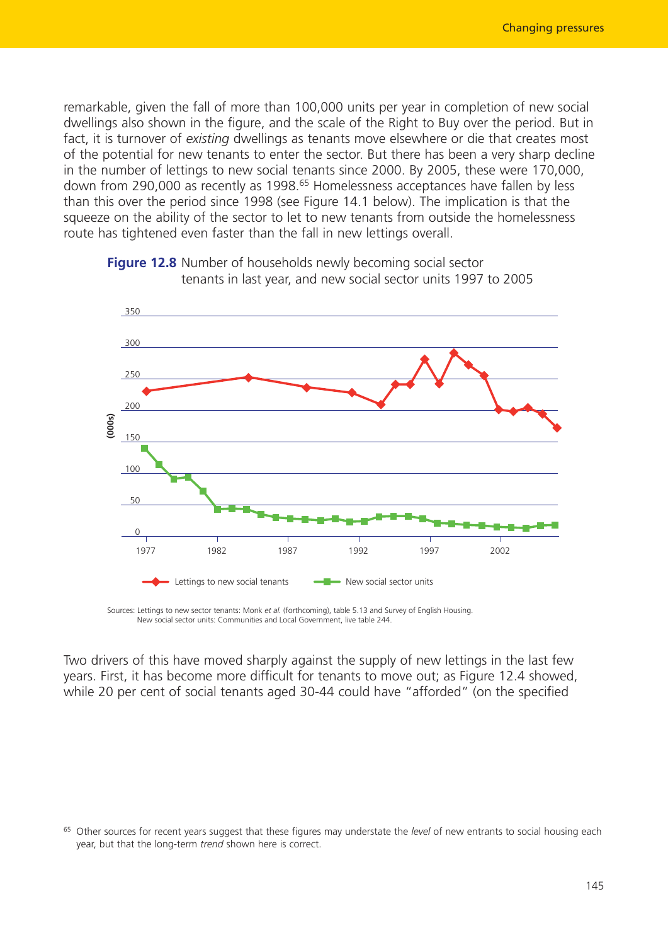remarkable, given the fall of more than 100,000 units per year in completion of new social dwellings also shown in the figure, and the scale of the Right to Buy over the period. But in fact, it is turnover of *existing* dwellings as tenants move elsewhere or die that creates most of the potential for new tenants to enter the sector. But there has been a very sharp decline in the number of lettings to new social tenants since 2000. By 2005, these were 170,000, down from 290,000 as recently as 1998.<sup>65</sup> Homelessness acceptances have fallen by less than this over the period since 1998 (see Figure 14.1 below). The implication is that the squeeze on the ability of the sector to let to new tenants from outside the homelessness route has tightened even faster than the fall in new lettings overall.



**Figure 12.8** Number of households newly becoming social sector tenants in last year, and new social sector units 1997 to 2005

Sources: Lettings to new sector tenants: Monk *et al.* (forthcoming), table 5.13 and Survey of English Housing. New social sector units: Communities and Local Government, live table 244.

Two drivers of this have moved sharply against the supply of new lettings in the last few years. First, it has become more difficult for tenants to move out; as Figure 12.4 showed, while 20 per cent of social tenants aged 30-44 could have "afforded" (on the specified

<sup>&</sup>lt;sup>65</sup> Other sources for recent years suggest that these figures may understate the *level* of new entrants to social housing each year, but that the long-term *trend* shown here is correct.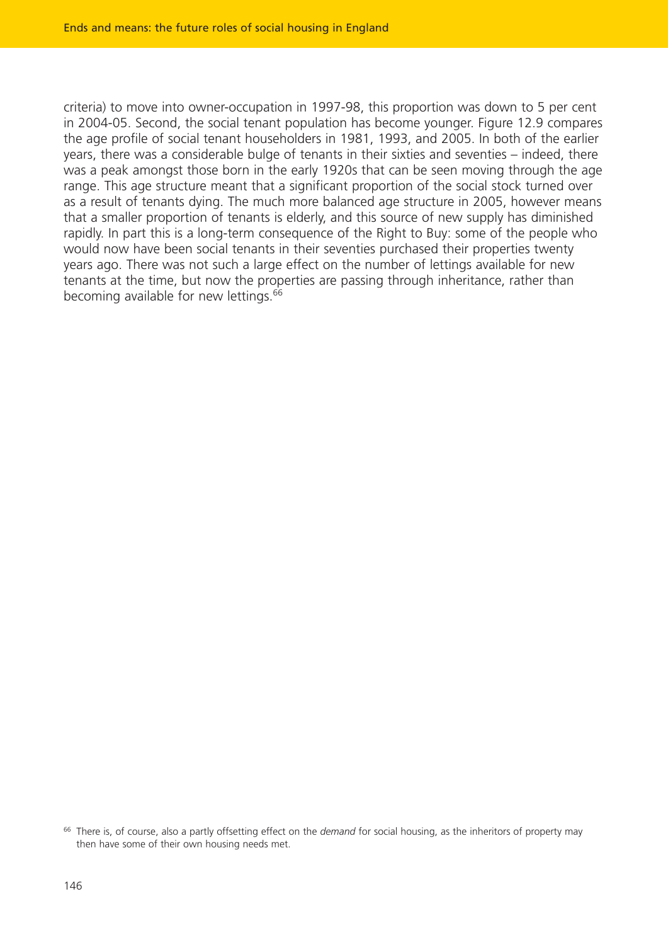criteria) to move into owner-occupation in 1997-98, this proportion was down to 5 per cent in 2004-05. Second, the social tenant population has become younger. Figure 12.9 compares the age profile of social tenant householders in 1981, 1993, and 2005. In both of the earlier years, there was a considerable bulge of tenants in their sixties and seventies – indeed, there was a peak amongst those born in the early 1920s that can be seen moving through the age range. This age structure meant that a significant proportion of the social stock turned over as a result of tenants dying. The much more balanced age structure in 2005, however means that a smaller proportion of tenants is elderly, and this source of new supply has diminished rapidly. In part this is a long-term consequence of the Right to Buy: some of the people who would now have been social tenants in their seventies purchased their properties twenty years ago. There was not such a large effect on the number of lettings available for new tenants at the time, but now the properties are passing through inheritance, rather than becoming available for new lettings.<sup>66</sup>

<sup>66</sup> There is, of course, also a partly offsetting effect on the *demand* for social housing, as the inheritors of property may then have some of their own housing needs met.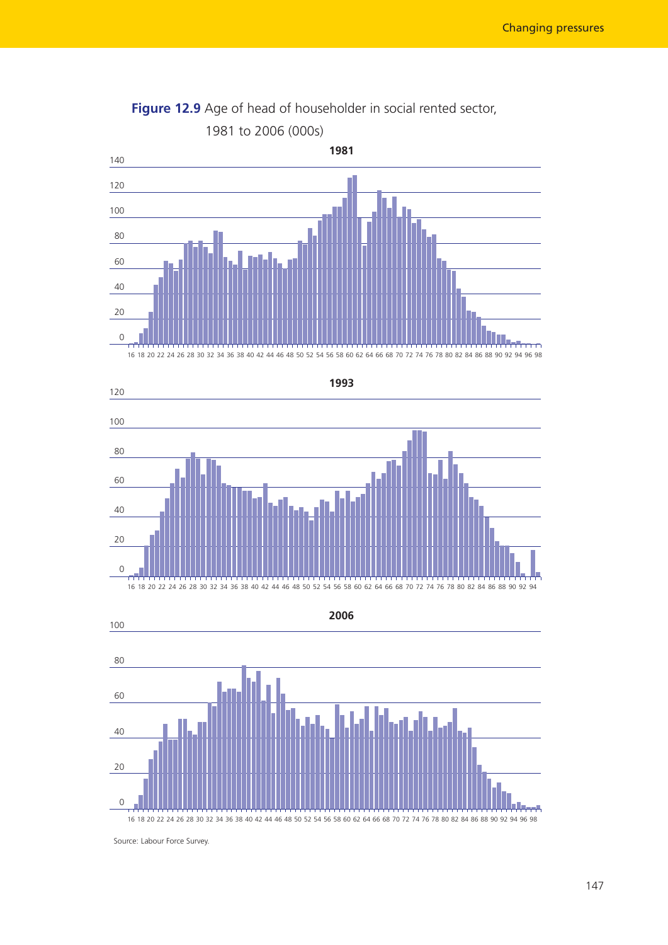







Source: Labour Force Survey.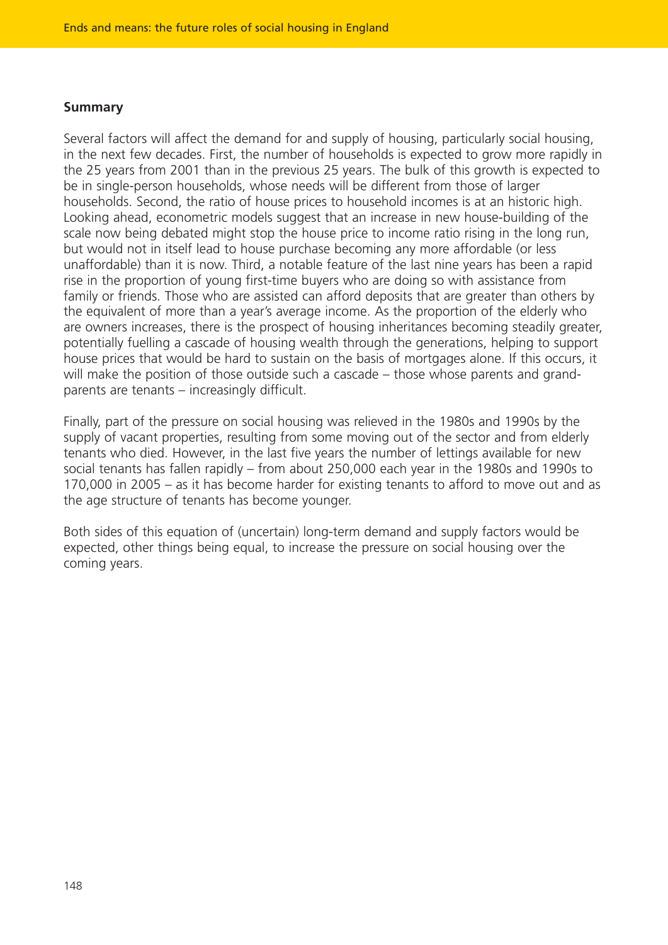#### **Summary**

Several factors will affect the demand for and supply of housing, particularly social housing, in the next few decades. First, the number of households is expected to grow more rapidly in the 25 years from 2001 than in the previous 25 years. The bulk of this growth is expected to be in single-person households, whose needs will be different from those of larger households. Second, the ratio of house prices to household incomes is at an historic high. Looking ahead, econometric models suggest that an increase in new house-building of the scale now being debated might stop the house price to income ratio rising in the long run, but would not in itself lead to house purchase becoming any more affordable (or less unaffordable) than it is now. Third, a notable feature of the last nine years has been a rapid rise in the proportion of young first-time buyers who are doing so with assistance from family or friends. Those who are assisted can afford deposits that are greater than others by the equivalent of more than a year's average income. As the proportion of the elderly who are owners increases, there is the prospect of housing inheritances becoming steadily greater, potentially fuelling a cascade of housing wealth through the generations, helping to support house prices that would be hard to sustain on the basis of mortgages alone. If this occurs, it will make the position of those outside such a cascade – those whose parents and grandparents are tenants – increasingly difficult.

Finally, part of the pressure on social housing was relieved in the 1980s and 1990s by the supply of vacant properties, resulting from some moving out of the sector and from elderly tenants who died. However, in the last five years the number of lettings available for new social tenants has fallen rapidly – from about 250,000 each year in the 1980s and 1990s to 170,000 in 2005 – as it has become harder for existing tenants to afford to move out and as the age structure of tenants has become younger.

Both sides of this equation of (uncertain) long-term demand and supply factors would be expected, other things being equal, to increase the pressure on social housing over the coming years.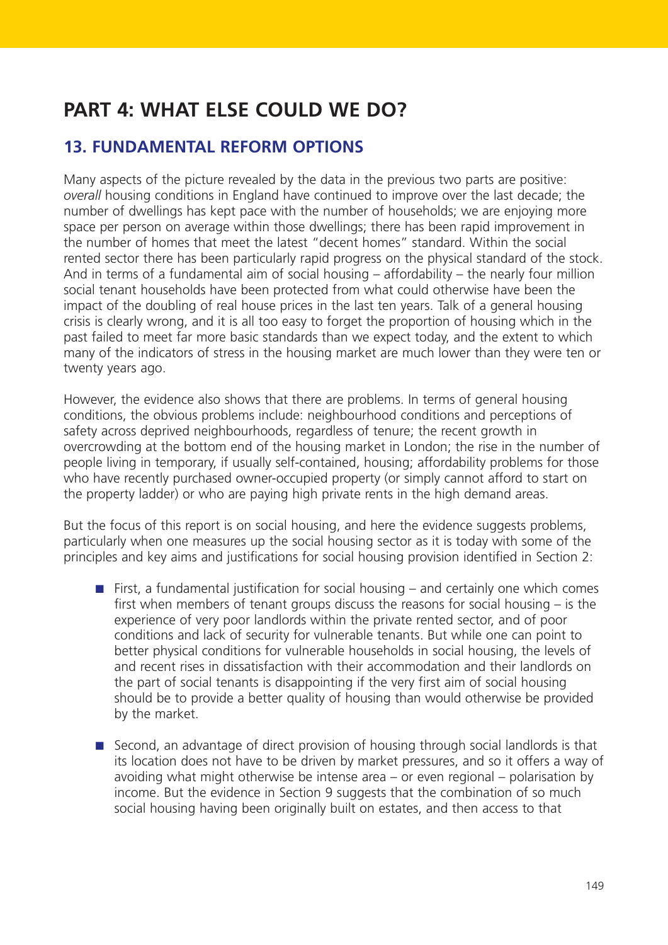# **PART 4: WHAT ELSE COULD WE DO?**

# **13. FUNDAMENTAL REFORM OPTIONS**

Many aspects of the picture revealed by the data in the previous two parts are positive: *overall* housing conditions in England have continued to improve over the last decade; the number of dwellings has kept pace with the number of households; we are enjoying more space per person on average within those dwellings; there has been rapid improvement in the number of homes that meet the latest "decent homes" standard. Within the social rented sector there has been particularly rapid progress on the physical standard of the stock. And in terms of a fundamental aim of social housing – affordability – the nearly four million social tenant households have been protected from what could otherwise have been the impact of the doubling of real house prices in the last ten years. Talk of a general housing crisis is clearly wrong, and it is all too easy to forget the proportion of housing which in the past failed to meet far more basic standards than we expect today, and the extent to which many of the indicators of stress in the housing market are much lower than they were ten or twenty years ago.

However, the evidence also shows that there are problems. In terms of general housing conditions, the obvious problems include: neighbourhood conditions and perceptions of safety across deprived neighbourhoods, regardless of tenure; the recent growth in overcrowding at the bottom end of the housing market in London; the rise in the number of people living in temporary, if usually self-contained, housing; affordability problems for those who have recently purchased owner-occupied property (or simply cannot afford to start on the property ladder) or who are paying high private rents in the high demand areas.

But the focus of this report is on social housing, and here the evidence suggests problems, particularly when one measures up the social housing sector as it is today with some of the principles and key aims and justifications for social housing provision identified in Section 2:

- First, a fundamental justification for social housing  $-$  and certainly one which comes first when members of tenant groups discuss the reasons for social housing  $-$  is the experience of very poor landlords within the private rented sector, and of poor conditions and lack of security for vulnerable tenants. But while one can point to better physical conditions for vulnerable households in social housing, the levels of and recent rises in dissatisfaction with their accommodation and their landlords on the part of social tenants is disappointing if the very first aim of social housing should be to provide a better quality of housing than would otherwise be provided by the market.
- Second, an advantage of direct provision of housing through social landlords is that its location does not have to be driven by market pressures, and so it offers a way of avoiding what might otherwise be intense area – or even regional – polarisation by income. But the evidence in Section 9 suggests that the combination of so much social housing having been originally built on estates, and then access to that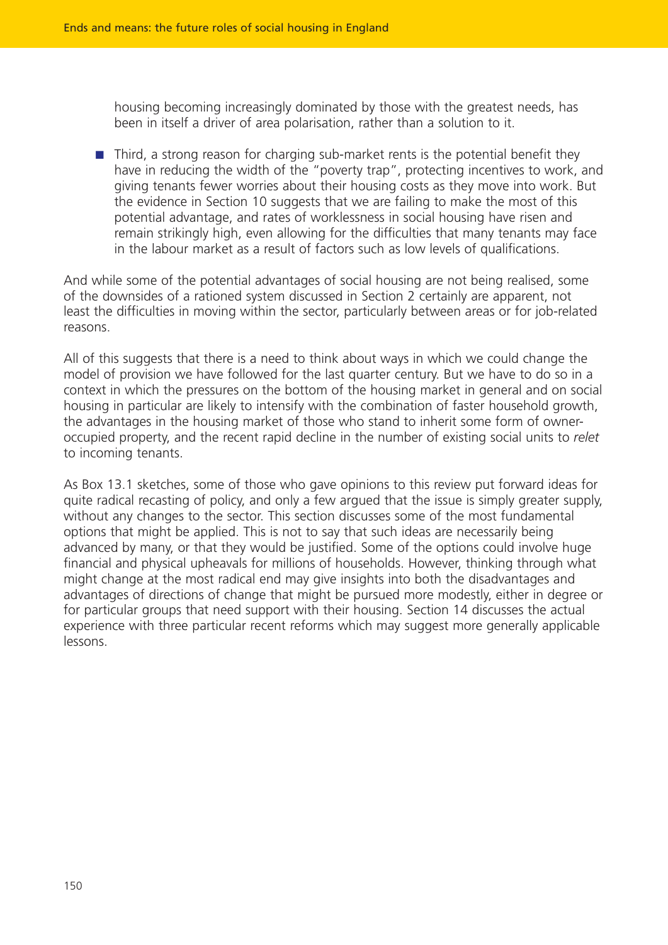housing becoming increasingly dominated by those with the greatest needs, has been in itself a driver of area polarisation, rather than a solution to it.

 $\blacksquare$  Third, a strong reason for charging sub-market rents is the potential benefit they have in reducing the width of the "poverty trap", protecting incentives to work, and giving tenants fewer worries about their housing costs as they move into work. But the evidence in Section 10 suggests that we are failing to make the most of this potential advantage, and rates of worklessness in social housing have risen and remain strikingly high, even allowing for the difficulties that many tenants may face in the labour market as a result of factors such as low levels of qualifications.

And while some of the potential advantages of social housing are not being realised, some of the downsides of a rationed system discussed in Section 2 certainly are apparent, not least the difficulties in moving within the sector, particularly between areas or for job-related reasons.

All of this suggests that there is a need to think about ways in which we could change the model of provision we have followed for the last quarter century. But we have to do so in a context in which the pressures on the bottom of the housing market in general and on social housing in particular are likely to intensify with the combination of faster household growth, the advantages in the housing market of those who stand to inherit some form of owneroccupied property, and the recent rapid decline in the number of existing social units to *relet* to incoming tenants.

As Box 13.1 sketches, some of those who gave opinions to this review put forward ideas for quite radical recasting of policy, and only a few argued that the issue is simply greater supply, without any changes to the sector. This section discusses some of the most fundamental options that might be applied. This is not to say that such ideas are necessarily being advanced by many, or that they would be justified. Some of the options could involve huge financial and physical upheavals for millions of households. However, thinking through what might change at the most radical end may give insights into both the disadvantages and advantages of directions of change that might be pursued more modestly, either in degree or for particular groups that need support with their housing. Section 14 discusses the actual experience with three particular recent reforms which may suggest more generally applicable lessons.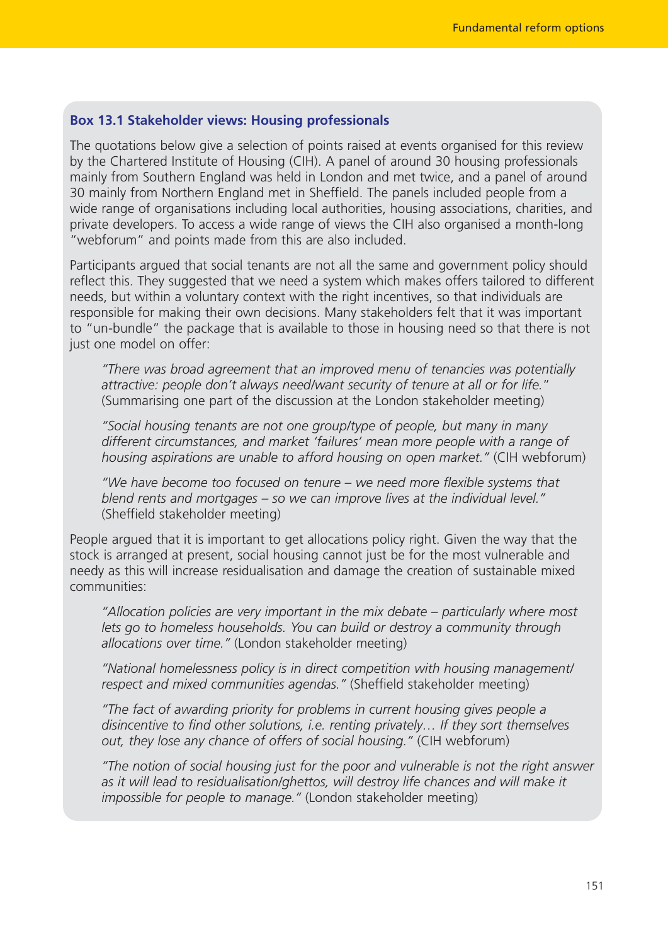#### **Box 13.1 Stakeholder views: Housing professionals**

The quotations below give a selection of points raised at events organised for this review by the Chartered Institute of Housing (CIH). A panel of around 30 housing professionals mainly from Southern England was held in London and met twice, and a panel of around 30 mainly from Northern England met in Sheffield. The panels included people from a wide range of organisations including local authorities, housing associations, charities, and private developers. To access a wide range of views the CIH also organised a month-long "webforum" and points made from this are also included.

Participants argued that social tenants are not all the same and government policy should reflect this. They suggested that we need a system which makes offers tailored to different needs, but within a voluntary context with the right incentives, so that individuals are responsible for making their own decisions. Many stakeholders felt that it was important to "un-bundle" the package that is available to those in housing need so that there is not just one model on offer:

*"There was broad agreement that an improved menu of tenancies was potentially attractive: people don't always need/want security of tenure at all or for life.*" (Summarising one part of the discussion at the London stakeholder meeting)

*"Social housing tenants are not one group/type of people, but many in many different circumstances, and market 'failures' mean more people with a range of housing aspirations are unable to afford housing on open market."* (CIH webforum)

*"We have become too focused on tenure – we need more flexible systems that blend rents and mortgages – so we can improve lives at the individual level."* (Sheffield stakeholder meeting)

People argued that it is important to get allocations policy right. Given the way that the stock is arranged at present, social housing cannot just be for the most vulnerable and needy as this will increase residualisation and damage the creation of sustainable mixed communities:

*"Allocation policies are very important in the mix debate – particularly where most lets go to homeless households. You can build or destroy a community through allocations over time."* (London stakeholder meeting)

*"National homelessness policy is in direct competition with housing management/ respect and mixed communities agendas."* (Sheffield stakeholder meeting)

*"The fact of awarding priority for problems in current housing gives people a disincentive to find other solutions, i.e. renting privately… If they sort themselves out, they lose any chance of offers of social housing."* (CIH webforum)

*"The notion of social housing just for the poor and vulnerable is not the right answer as it will lead to residualisation/ghettos, will destroy life chances and will make it impossible for people to manage."* (London stakeholder meeting)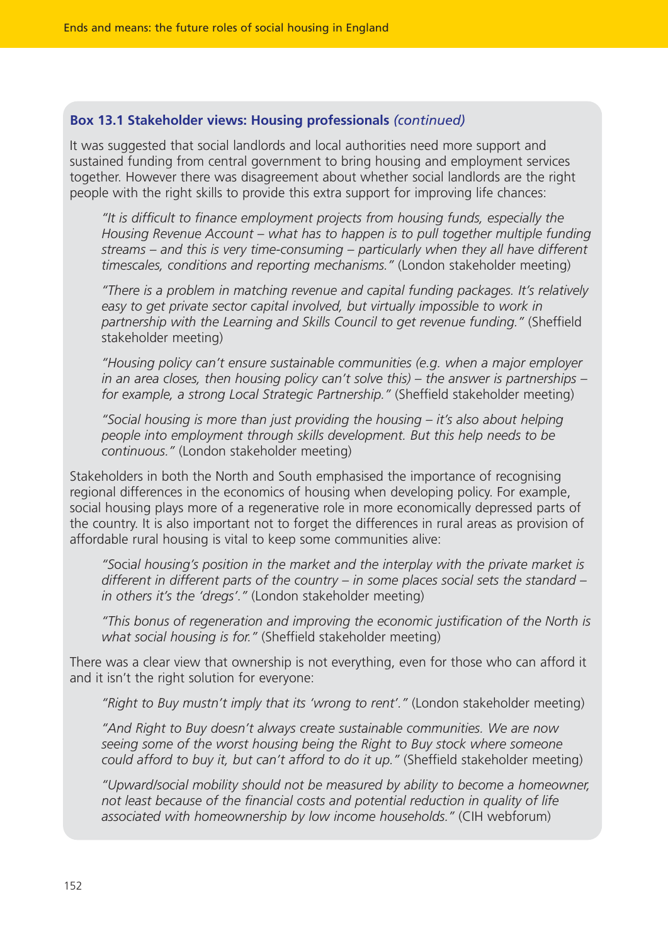# **Box 13.1 Stakeholder views: Housing professionals** *(continued)*

It was suggested that social landlords and local authorities need more support and sustained funding from central government to bring housing and employment services together. However there was disagreement about whether social landlords are the right people with the right skills to provide this extra support for improving life chances:

*"It is difficult to finance employment projects from housing funds, especially the Housing Revenue Account – what has to happen is to pull together multiple funding streams – and this is very time-consuming – particularly when they all have different timescales, conditions and reporting mechanisms."* (London stakeholder meeting)

*"There is a problem in matching revenue and capital funding packages. It's relatively easy to get private sector capital involved, but virtually impossible to work in partnership with the Learning and Skills Council to get revenue funding."* (Sheffield stakeholder meeting)

*"Housing policy can't ensure sustainable communities (e.g. when a major employer in an area closes, then housing policy can't solve this) – the answer is partnerships – for example, a strong Local Strategic Partnership."* (Sheffield stakeholder meeting)

*"Social housing is more than just providing the housing – it's also about helping people into employment through skills development. But this help needs to be continuous."* (London stakeholder meeting)

Stakeholders in both the North and South emphasised the importance of recognising regional differences in the economics of housing when developing policy. For example, social housing plays more of a regenerative role in more economically depressed parts of the country. It is also important not to forget the differences in rural areas as provision of affordable rural housing is vital to keep some communities alive:

*"S*oci*al housing's position in the market and the interplay with the private market is different in different parts of the country – in some places social sets the standard – in others it's the 'dregs'."* (London stakeholder meeting)

*"This bonus of regeneration and improving the economic justification of the North is what social housing is for."* (Sheffield stakeholder meeting)

There was a clear view that ownership is not everything, even for those who can afford it and it isn't the right solution for everyone:

*"Right to Buy mustn't imply that its 'wrong to rent'."* (London stakeholder meeting)

*"And Right to Buy doesn't always create sustainable communities. We are now seeing some of the worst housing being the Right to Buy stock where someone could afford to buy it, but can't afford to do it up."* (Sheffield stakeholder meeting)

*"Upward/social mobility should not be measured by ability to become a homeowner, not least because of the financial costs and potential reduction in quality of life associated with homeownership by low income households."* (CIH webforum)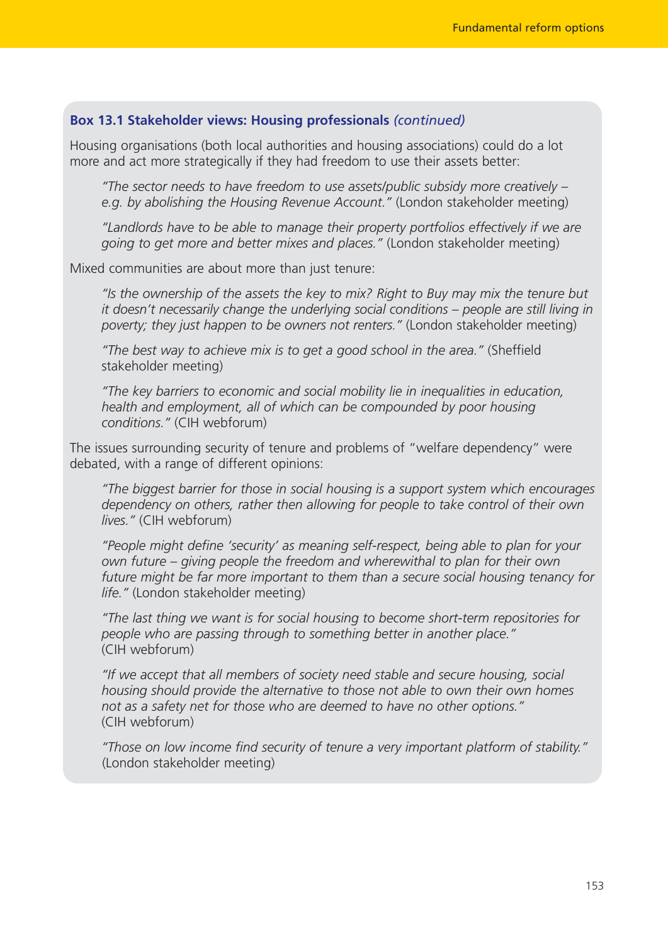# **Box 13.1 Stakeholder views: Housing professionals** *(continued)*

Housing organisations (both local authorities and housing associations) could do a lot more and act more strategically if they had freedom to use their assets better:

*"The sector needs to have freedom to use assets/public subsidy more creatively – e.g. by abolishing the Housing Revenue Account."* (London stakeholder meeting)

*"Landlords have to be able to manage their property portfolios effectively if we are going to get more and better mixes and places."* (London stakeholder meeting)

Mixed communities are about more than just tenure:

*"Is the ownership of the assets the key to mix? Right to Buy may mix the tenure but it doesn't necessarily change the underlying social conditions – people are still living in poverty; they just happen to be owners not renters."* (London stakeholder meeting)

*"The best way to achieve mix is to get a good school in the area."* (Sheffield stakeholder meeting)

*"The key barriers to economic and social mobility lie in inequalities in education, health and employment, all of which can be compounded by poor housing conditions."* (CIH webforum)

The issues surrounding security of tenure and problems of "welfare dependency" were debated, with a range of different opinions:

*"The biggest barrier for those in social housing is a support system which encourages dependency on others, rather then allowing for people to take control of their own lives."* (CIH webforum)

*"People might define 'security' as meaning self-respect, being able to plan for your own future – giving people the freedom and wherewithal to plan for their own future might be far more important to them than a secure social housing tenancy for life."* (London stakeholder meeting)

*"The last thing we want is for social housing to become short-term repositories for people who are passing through to something better in another place."* (CIH webforum)

*"If we accept that all members of society need stable and secure housing, social housing should provide the alternative to those not able to own their own homes not as a safety net for those who are deemed to have no other options."* (CIH webforum)

*"Those on low income find security of tenure a very important platform of stability."* (London stakeholder meeting)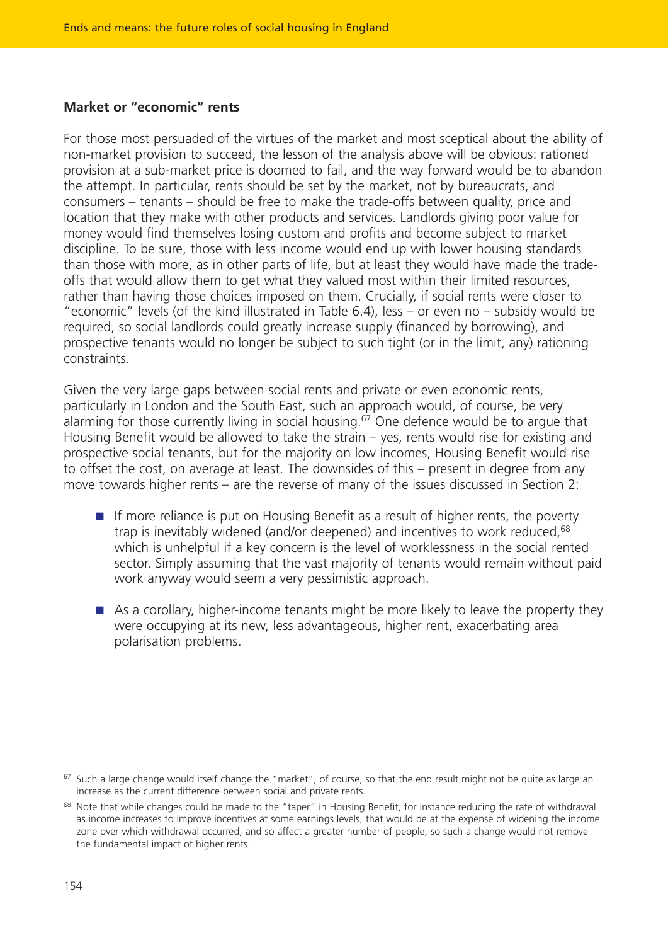#### **Market or "economic" rents**

For those most persuaded of the virtues of the market and most sceptical about the ability of non-market provision to succeed, the lesson of the analysis above will be obvious: rationed provision at a sub-market price is doomed to fail, and the way forward would be to abandon the attempt. In particular, rents should be set by the market, not by bureaucrats, and consumers – tenants – should be free to make the trade-offs between quality, price and location that they make with other products and services. Landlords giving poor value for money would find themselves losing custom and profits and become subject to market discipline. To be sure, those with less income would end up with lower housing standards than those with more, as in other parts of life, but at least they would have made the tradeoffs that would allow them to get what they valued most within their limited resources, rather than having those choices imposed on them. Crucially, if social rents were closer to "economic" levels (of the kind illustrated in Table 6.4), less – or even no – subsidy would be required, so social landlords could greatly increase supply (financed by borrowing), and prospective tenants would no longer be subject to such tight (or in the limit, any) rationing constraints.

Given the very large gaps between social rents and private or even economic rents, particularly in London and the South East, such an approach would, of course, be very alarming for those currently living in social housing.<sup>67</sup> One defence would be to argue that Housing Benefit would be allowed to take the strain – yes, rents would rise for existing and prospective social tenants, but for the majority on low incomes, Housing Benefit would rise to offset the cost, on average at least. The downsides of this – present in degree from any move towards higher rents – are the reverse of many of the issues discussed in Section 2:

- If more reliance is put on Housing Benefit as a result of higher rents, the poverty trap is inevitably widened (and/or deepened) and incentives to work reduced,<sup>68</sup> which is unhelpful if a key concern is the level of worklessness in the social rented sector. Simply assuming that the vast majority of tenants would remain without paid work anyway would seem a very pessimistic approach.
- As a corollary, higher-income tenants might be more likely to leave the property they were occupying at its new, less advantageous, higher rent, exacerbating area polarisation problems.

 $67$  Such a large change would itself change the "market", of course, so that the end result might not be quite as large an increase as the current difference between social and private rents.

<sup>&</sup>lt;sup>68</sup> Note that while changes could be made to the "taper" in Housing Benefit, for instance reducing the rate of withdrawal as income increases to improve incentives at some earnings levels, that would be at the expense of widening the income zone over which withdrawal occurred, and so affect a greater number of people, so such a change would not remove the fundamental impact of higher rents.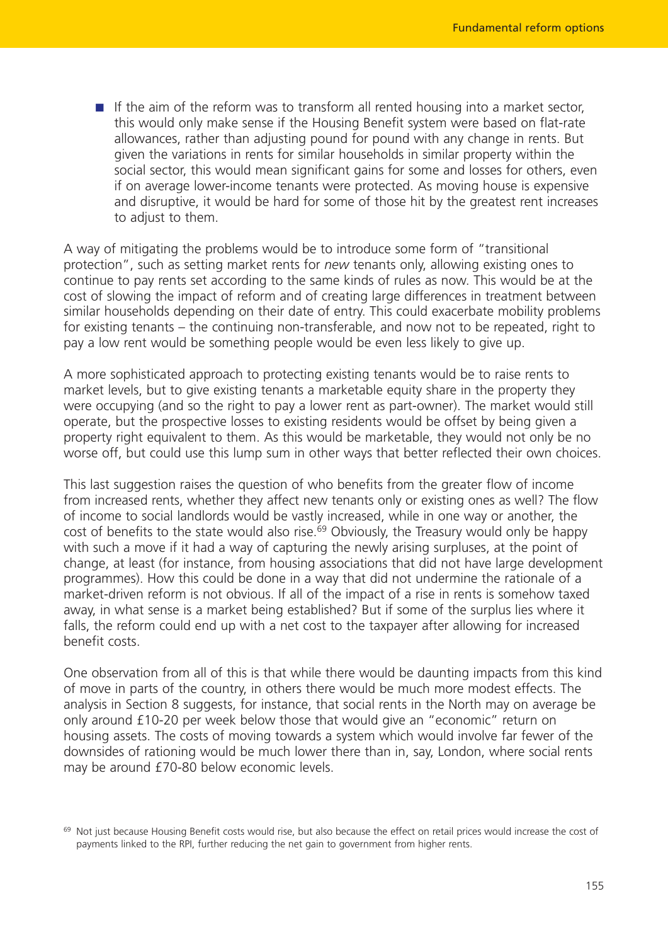■ If the aim of the reform was to transform all rented housing into a market sector, this would only make sense if the Housing Benefit system were based on flat-rate allowances, rather than adjusting pound for pound with any change in rents. But given the variations in rents for similar households in similar property within the social sector, this would mean significant gains for some and losses for others, even if on average lower-income tenants were protected. As moving house is expensive and disruptive, it would be hard for some of those hit by the greatest rent increases to adjust to them.

A way of mitigating the problems would be to introduce some form of "transitional protection", such as setting market rents for *new* tenants only, allowing existing ones to continue to pay rents set according to the same kinds of rules as now. This would be at the cost of slowing the impact of reform and of creating large differences in treatment between similar households depending on their date of entry. This could exacerbate mobility problems for existing tenants – the continuing non-transferable, and now not to be repeated, right to pay a low rent would be something people would be even less likely to give up.

A more sophisticated approach to protecting existing tenants would be to raise rents to market levels, but to give existing tenants a marketable equity share in the property they were occupying (and so the right to pay a lower rent as part-owner). The market would still operate, but the prospective losses to existing residents would be offset by being given a property right equivalent to them. As this would be marketable, they would not only be no worse off, but could use this lump sum in other ways that better reflected their own choices.

This last suggestion raises the question of who benefits from the greater flow of income from increased rents, whether they affect new tenants only or existing ones as well? The flow of income to social landlords would be vastly increased, while in one way or another, the cost of benefits to the state would also rise.<sup>69</sup> Obviously, the Treasury would only be happy with such a move if it had a way of capturing the newly arising surpluses, at the point of change, at least (for instance, from housing associations that did not have large development programmes). How this could be done in a way that did not undermine the rationale of a market-driven reform is not obvious. If all of the impact of a rise in rents is somehow taxed away, in what sense is a market being established? But if some of the surplus lies where it falls, the reform could end up with a net cost to the taxpayer after allowing for increased benefit costs.

One observation from all of this is that while there would be daunting impacts from this kind of move in parts of the country, in others there would be much more modest effects. The analysis in Section 8 suggests, for instance, that social rents in the North may on average be only around £10-20 per week below those that would give an "economic" return on housing assets. The costs of moving towards a system which would involve far fewer of the downsides of rationing would be much lower there than in, say, London, where social rents may be around £70-80 below economic levels.

<sup>&</sup>lt;sup>69</sup> Not just because Housing Benefit costs would rise, but also because the effect on retail prices would increase the cost of payments linked to the RPI, further reducing the net gain to government from higher rents.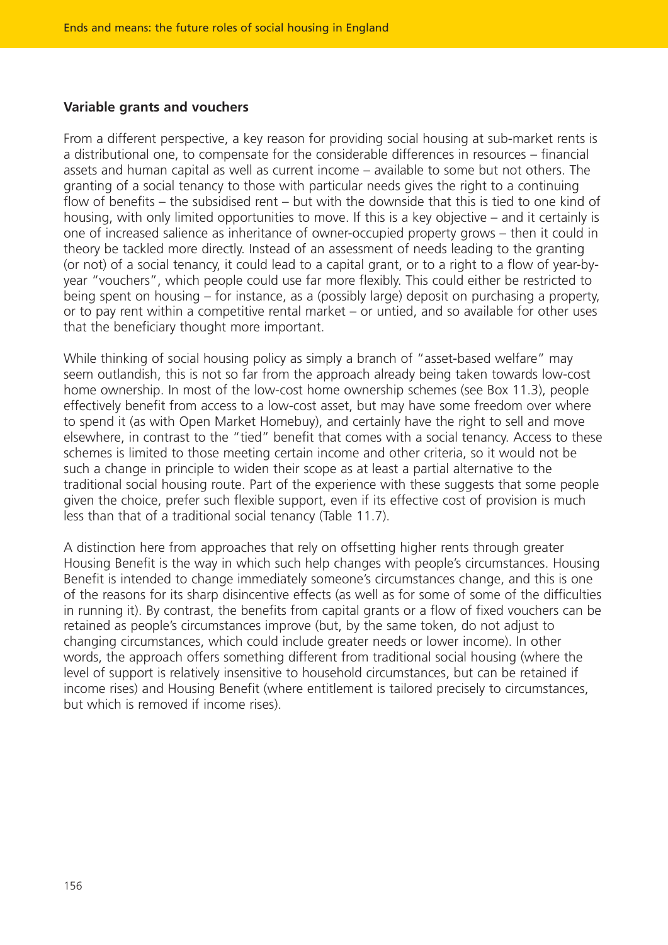#### **Variable grants and vouchers**

From a different perspective, a key reason for providing social housing at sub-market rents is a distributional one, to compensate for the considerable differences in resources – financial assets and human capital as well as current income – available to some but not others. The granting of a social tenancy to those with particular needs gives the right to a continuing flow of benefits – the subsidised rent – but with the downside that this is tied to one kind of housing, with only limited opportunities to move. If this is a key objective – and it certainly is one of increased salience as inheritance of owner-occupied property grows – then it could in theory be tackled more directly. Instead of an assessment of needs leading to the granting (or not) of a social tenancy, it could lead to a capital grant, or to a right to a flow of year-byyear "vouchers", which people could use far more flexibly. This could either be restricted to being spent on housing – for instance, as a (possibly large) deposit on purchasing a property, or to pay rent within a competitive rental market – or untied, and so available for other uses that the beneficiary thought more important.

While thinking of social housing policy as simply a branch of "asset-based welfare" may seem outlandish, this is not so far from the approach already being taken towards low-cost home ownership. In most of the low-cost home ownership schemes (see Box 11.3), people effectively benefit from access to a low-cost asset, but may have some freedom over where to spend it (as with Open Market Homebuy), and certainly have the right to sell and move elsewhere, in contrast to the "tied" benefit that comes with a social tenancy. Access to these schemes is limited to those meeting certain income and other criteria, so it would not be such a change in principle to widen their scope as at least a partial alternative to the traditional social housing route. Part of the experience with these suggests that some people given the choice, prefer such flexible support, even if its effective cost of provision is much less than that of a traditional social tenancy (Table 11.7).

A distinction here from approaches that rely on offsetting higher rents through greater Housing Benefit is the way in which such help changes with people's circumstances. Housing Benefit is intended to change immediately someone's circumstances change, and this is one of the reasons for its sharp disincentive effects (as well as for some of some of the difficulties in running it). By contrast, the benefits from capital grants or a flow of fixed vouchers can be retained as people's circumstances improve (but, by the same token, do not adjust to changing circumstances, which could include greater needs or lower income). In other words, the approach offers something different from traditional social housing (where the level of support is relatively insensitive to household circumstances, but can be retained if income rises) and Housing Benefit (where entitlement is tailored precisely to circumstances, but which is removed if income rises).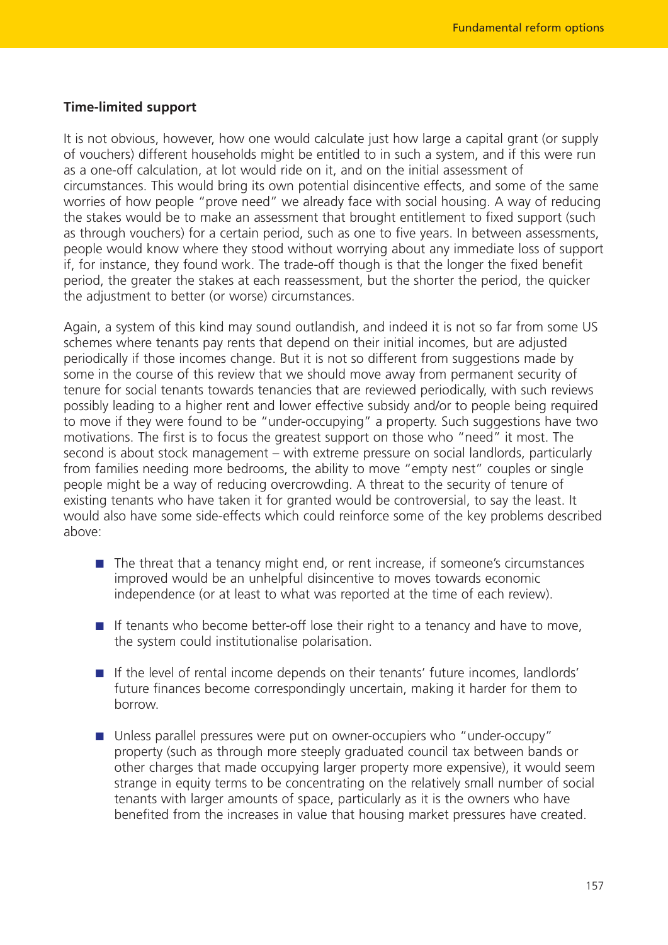# **Time-limited support**

It is not obvious, however, how one would calculate just how large a capital grant (or supply of vouchers) different households might be entitled to in such a system, and if this were run as a one-off calculation, at lot would ride on it, and on the initial assessment of circumstances. This would bring its own potential disincentive effects, and some of the same worries of how people "prove need" we already face with social housing. A way of reducing the stakes would be to make an assessment that brought entitlement to fixed support (such as through vouchers) for a certain period, such as one to five years. In between assessments, people would know where they stood without worrying about any immediate loss of support if, for instance, they found work. The trade-off though is that the longer the fixed benefit period, the greater the stakes at each reassessment, but the shorter the period, the quicker the adjustment to better (or worse) circumstances.

Again, a system of this kind may sound outlandish, and indeed it is not so far from some US schemes where tenants pay rents that depend on their initial incomes, but are adjusted periodically if those incomes change. But it is not so different from suggestions made by some in the course of this review that we should move away from permanent security of tenure for social tenants towards tenancies that are reviewed periodically, with such reviews possibly leading to a higher rent and lower effective subsidy and/or to people being required to move if they were found to be "under-occupying" a property. Such suggestions have two motivations. The first is to focus the greatest support on those who "need" it most. The second is about stock management – with extreme pressure on social landlords, particularly from families needing more bedrooms, the ability to move "empty nest" couples or single people might be a way of reducing overcrowding. A threat to the security of tenure of existing tenants who have taken it for granted would be controversial, to say the least. It would also have some side-effects which could reinforce some of the key problems described above:

- The threat that a tenancy might end, or rent increase, if someone's circumstances improved would be an unhelpful disincentive to moves towards economic independence (or at least to what was reported at the time of each review).
- $\blacksquare$  If tenants who become better-off lose their right to a tenancy and have to move, the system could institutionalise polarisation.
- If the level of rental income depends on their tenants' future incomes, landlords' future finances become correspondingly uncertain, making it harder for them to borrow.
- Unless parallel pressures were put on owner-occupiers who "under-occupy" property (such as through more steeply graduated council tax between bands or other charges that made occupying larger property more expensive), it would seem strange in equity terms to be concentrating on the relatively small number of social tenants with larger amounts of space, particularly as it is the owners who have benefited from the increases in value that housing market pressures have created.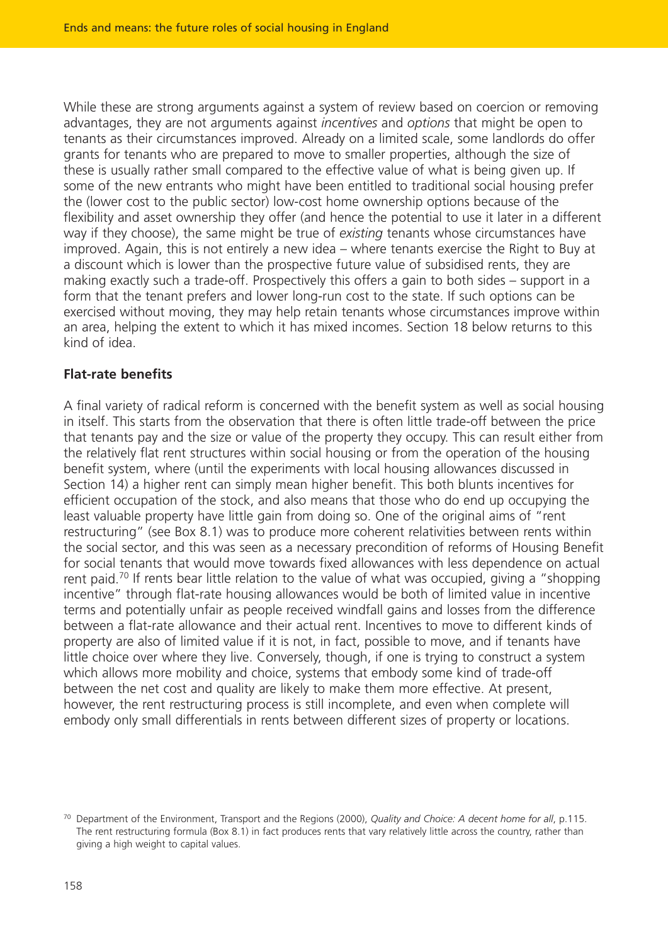While these are strong arguments against a system of review based on coercion or removing advantages, they are not arguments against *incentives* and *options* that might be open to tenants as their circumstances improved. Already on a limited scale, some landlords do offer grants for tenants who are prepared to move to smaller properties, although the size of these is usually rather small compared to the effective value of what is being given up. If some of the new entrants who might have been entitled to traditional social housing prefer the (lower cost to the public sector) low-cost home ownership options because of the flexibility and asset ownership they offer (and hence the potential to use it later in a different way if they choose), the same might be true of *existing* tenants whose circumstances have improved. Again, this is not entirely a new idea – where tenants exercise the Right to Buy at a discount which is lower than the prospective future value of subsidised rents, they are making exactly such a trade-off. Prospectively this offers a gain to both sides – support in a form that the tenant prefers and lower long-run cost to the state. If such options can be exercised without moving, they may help retain tenants whose circumstances improve within an area, helping the extent to which it has mixed incomes. Section 18 below returns to this kind of idea.

# **Flat-rate benefits**

A final variety of radical reform is concerned with the benefit system as well as social housing in itself. This starts from the observation that there is often little trade-off between the price that tenants pay and the size or value of the property they occupy. This can result either from the relatively flat rent structures within social housing or from the operation of the housing benefit system, where (until the experiments with local housing allowances discussed in Section 14) a higher rent can simply mean higher benefit. This both blunts incentives for efficient occupation of the stock, and also means that those who do end up occupying the least valuable property have little gain from doing so. One of the original aims of "rent restructuring" (see Box 8.1) was to produce more coherent relativities between rents within the social sector, and this was seen as a necessary precondition of reforms of Housing Benefit for social tenants that would move towards fixed allowances with less dependence on actual rent paid.<sup>70</sup> If rents bear little relation to the value of what was occupied, giving a "shopping incentive" through flat-rate housing allowances would be both of limited value in incentive terms and potentially unfair as people received windfall gains and losses from the difference between a flat-rate allowance and their actual rent. Incentives to move to different kinds of property are also of limited value if it is not, in fact, possible to move, and if tenants have little choice over where they live. Conversely, though, if one is trying to construct a system which allows more mobility and choice, systems that embody some kind of trade-off between the net cost and quality are likely to make them more effective. At present, however, the rent restructuring process is still incomplete, and even when complete will embody only small differentials in rents between different sizes of property or locations.

<sup>70</sup> Department of the Environment, Transport and the Regions (2000), *Quality and Choice: A decent home for all*, p.115. The rent restructuring formula (Box 8.1) in fact produces rents that vary relatively little across the country, rather than giving a high weight to capital values.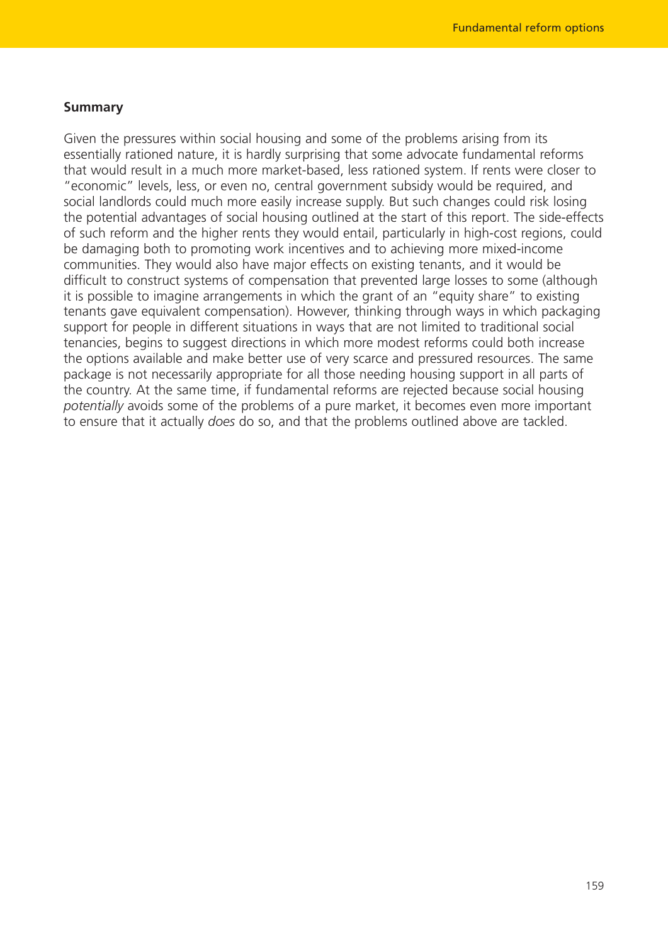#### **Summary**

Given the pressures within social housing and some of the problems arising from its essentially rationed nature, it is hardly surprising that some advocate fundamental reforms that would result in a much more market-based, less rationed system. If rents were closer to "economic" levels, less, or even no, central government subsidy would be required, and social landlords could much more easily increase supply. But such changes could risk losing the potential advantages of social housing outlined at the start of this report. The side-effects of such reform and the higher rents they would entail, particularly in high-cost regions, could be damaging both to promoting work incentives and to achieving more mixed-income communities. They would also have major effects on existing tenants, and it would be difficult to construct systems of compensation that prevented large losses to some (although it is possible to imagine arrangements in which the grant of an "equity share" to existing tenants gave equivalent compensation). However, thinking through ways in which packaging support for people in different situations in ways that are not limited to traditional social tenancies, begins to suggest directions in which more modest reforms could both increase the options available and make better use of very scarce and pressured resources. The same package is not necessarily appropriate for all those needing housing support in all parts of the country. At the same time, if fundamental reforms are rejected because social housing *potentially* avoids some of the problems of a pure market, it becomes even more important to ensure that it actually *does* do so, and that the problems outlined above are tackled.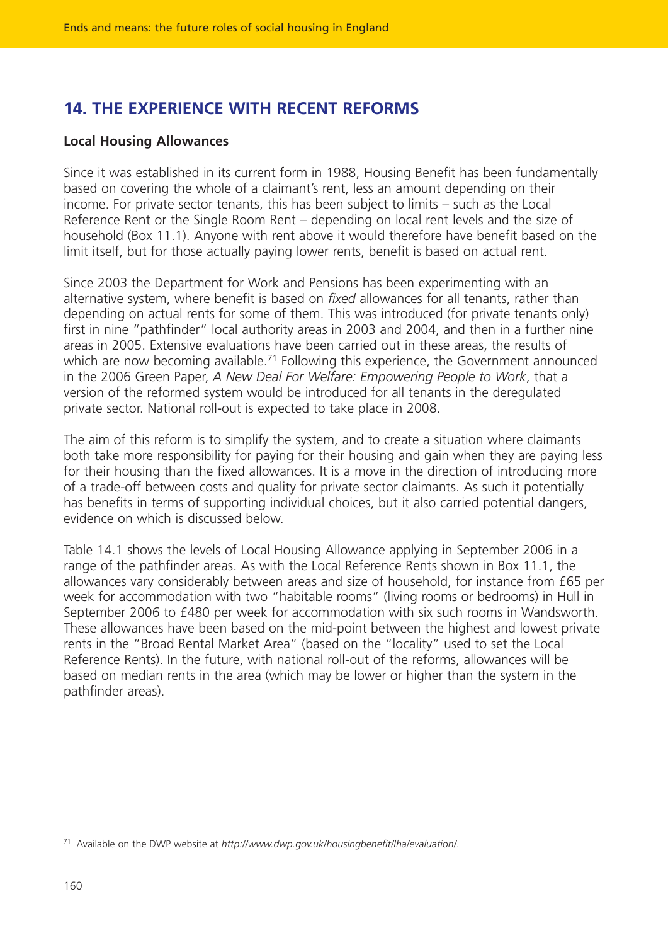# **14. THE EXPERIENCE WITH RECENT REFORMS**

#### **Local Housing Allowances**

Since it was established in its current form in 1988, Housing Benefit has been fundamentally based on covering the whole of a claimant's rent, less an amount depending on their income. For private sector tenants, this has been subject to limits – such as the Local Reference Rent or the Single Room Rent – depending on local rent levels and the size of household (Box 11.1). Anyone with rent above it would therefore have benefit based on the limit itself, but for those actually paying lower rents, benefit is based on actual rent.

Since 2003 the Department for Work and Pensions has been experimenting with an alternative system, where benefit is based on *fixed* allowances for all tenants, rather than depending on actual rents for some of them. This was introduced (for private tenants only) first in nine "pathfinder" local authority areas in 2003 and 2004, and then in a further nine areas in 2005. Extensive evaluations have been carried out in these areas, the results of which are now becoming available.<sup>71</sup> Following this experience, the Government announced in the 2006 Green Paper, *A New Deal For Welfare: Empowering People to Work*, that a version of the reformed system would be introduced for all tenants in the deregulated private sector. National roll-out is expected to take place in 2008.

The aim of this reform is to simplify the system, and to create a situation where claimants both take more responsibility for paying for their housing and gain when they are paying less for their housing than the fixed allowances. It is a move in the direction of introducing more of a trade-off between costs and quality for private sector claimants. As such it potentially has benefits in terms of supporting individual choices, but it also carried potential dangers, evidence on which is discussed below.

Table 14.1 shows the levels of Local Housing Allowance applying in September 2006 in a range of the pathfinder areas. As with the Local Reference Rents shown in Box 11.1, the allowances vary considerably between areas and size of household, for instance from £65 per week for accommodation with two "habitable rooms" (living rooms or bedrooms) in Hull in September 2006 to £480 per week for accommodation with six such rooms in Wandsworth. These allowances have been based on the mid-point between the highest and lowest private rents in the "Broad Rental Market Area" (based on the "locality" used to set the Local Reference Rents). In the future, with national roll-out of the reforms, allowances will be based on median rents in the area (which may be lower or higher than the system in the pathfinder areas).

<sup>71</sup> Available on the DWP website at *http://www.dwp.gov.uk/housingbenefit/lha/evaluation/*.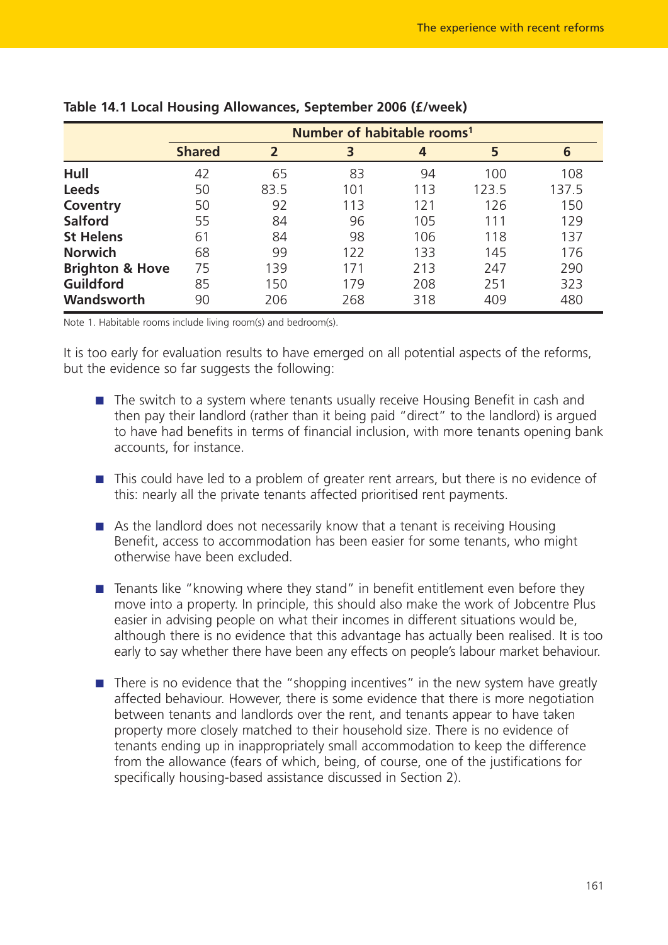|                            | Number of habitable rooms <sup>1</sup> |      |     |     |       |       |  |  |
|----------------------------|----------------------------------------|------|-----|-----|-------|-------|--|--|
|                            | <b>Shared</b>                          | 2    | 3   | 4   | 5     | 6     |  |  |
| Hull                       | 42                                     | 65   | 83  | 94  | 100   | 108   |  |  |
| <b>Leeds</b>               | 50                                     | 83.5 | 101 | 113 | 123.5 | 137.5 |  |  |
| Coventry                   | 50                                     | 92   | 113 | 121 | 126   | 150   |  |  |
| <b>Salford</b>             | 55                                     | 84   | 96  | 105 | 111   | 129   |  |  |
| <b>St Helens</b>           | 61                                     | 84   | 98  | 106 | 118   | 137   |  |  |
| <b>Norwich</b>             | 68                                     | 99   | 122 | 133 | 145   | 176   |  |  |
| <b>Brighton &amp; Hove</b> | 75                                     | 139  | 171 | 213 | 247   | 290   |  |  |
| <b>Guildford</b>           | 85                                     | 150  | 179 | 208 | 251   | 323   |  |  |
| Wandsworth                 | 90                                     | 206  | 268 | 318 | 409   | 480   |  |  |

#### **Table 14.1 Local Housing Allowances, September 2006 (£/week)**

Note 1. Habitable rooms include living room(s) and bedroom(s).

It is too early for evaluation results to have emerged on all potential aspects of the reforms, but the evidence so far suggests the following:

- The switch to a system where tenants usually receive Housing Benefit in cash and then pay their landlord (rather than it being paid "direct" to the landlord) is argued to have had benefits in terms of financial inclusion, with more tenants opening bank accounts, for instance.
- This could have led to a problem of greater rent arrears, but there is no evidence of this: nearly all the private tenants affected prioritised rent payments.
- $\blacksquare$  As the landlord does not necessarily know that a tenant is receiving Housing Benefit, access to accommodation has been easier for some tenants, who might otherwise have been excluded.
- Tenants like "knowing where they stand" in benefit entitlement even before they move into a property. In principle, this should also make the work of Jobcentre Plus easier in advising people on what their incomes in different situations would be, although there is no evidence that this advantage has actually been realised. It is too early to say whether there have been any effects on people's labour market behaviour.
- There is no evidence that the "shopping incentives" in the new system have greatly affected behaviour. However, there is some evidence that there is more negotiation between tenants and landlords over the rent, and tenants appear to have taken property more closely matched to their household size. There is no evidence of tenants ending up in inappropriately small accommodation to keep the difference from the allowance (fears of which, being, of course, one of the justifications for specifically housing-based assistance discussed in Section 2).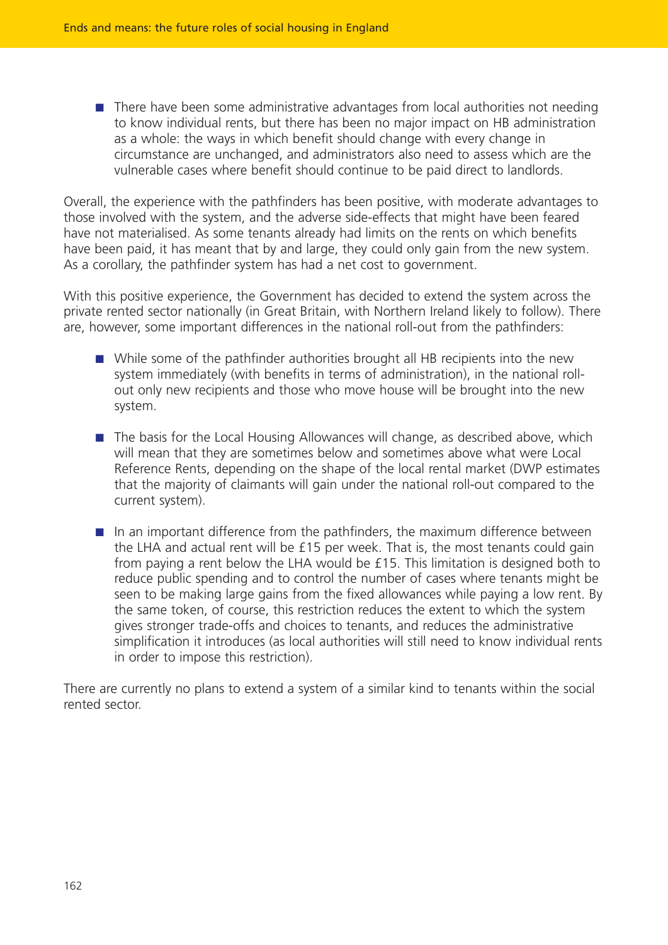■ There have been some administrative advantages from local authorities not needing to know individual rents, but there has been no major impact on HB administration as a whole: the ways in which benefit should change with every change in circumstance are unchanged, and administrators also need to assess which are the vulnerable cases where benefit should continue to be paid direct to landlords.

Overall, the experience with the pathfinders has been positive, with moderate advantages to those involved with the system, and the adverse side-effects that might have been feared have not materialised. As some tenants already had limits on the rents on which benefits have been paid, it has meant that by and large, they could only gain from the new system. As a corollary, the pathfinder system has had a net cost to government.

With this positive experience, the Government has decided to extend the system across the private rented sector nationally (in Great Britain, with Northern Ireland likely to follow). There are, however, some important differences in the national roll-out from the pathfinders:

- While some of the pathfinder authorities brought all HB recipients into the new system immediately (with benefits in terms of administration), in the national rollout only new recipients and those who move house will be brought into the new system.
- The basis for the Local Housing Allowances will change, as described above, which will mean that they are sometimes below and sometimes above what were Local Reference Rents, depending on the shape of the local rental market (DWP estimates that the majority of claimants will gain under the national roll-out compared to the current system).
- In an important difference from the pathfinders, the maximum difference between the LHA and actual rent will be £15 per week. That is, the most tenants could gain from paying a rent below the LHA would be £15. This limitation is designed both to reduce public spending and to control the number of cases where tenants might be seen to be making large gains from the fixed allowances while paying a low rent. By the same token, of course, this restriction reduces the extent to which the system gives stronger trade-offs and choices to tenants, and reduces the administrative simplification it introduces (as local authorities will still need to know individual rents in order to impose this restriction).

There are currently no plans to extend a system of a similar kind to tenants within the social rented sector.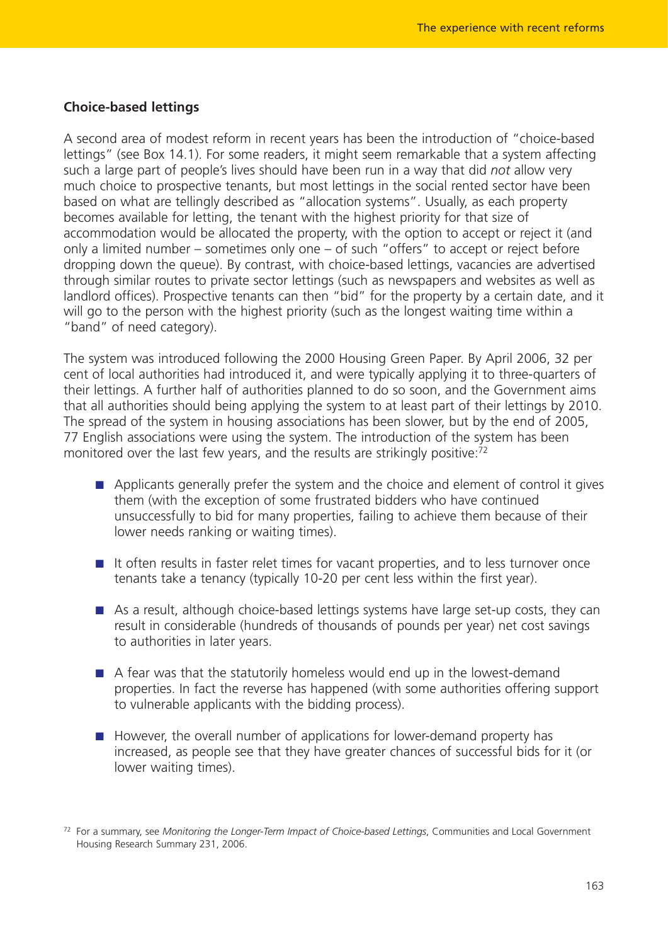#### **Choice-based lettings**

A second area of modest reform in recent years has been the introduction of "choice-based lettings" (see Box 14.1). For some readers, it might seem remarkable that a system affecting such a large part of people's lives should have been run in a way that did *not* allow very much choice to prospective tenants, but most lettings in the social rented sector have been based on what are tellingly described as "allocation systems". Usually, as each property becomes available for letting, the tenant with the highest priority for that size of accommodation would be allocated the property, with the option to accept or reject it (and only a limited number – sometimes only one – of such "offers" to accept or reject before dropping down the queue). By contrast, with choice-based lettings, vacancies are advertised through similar routes to private sector lettings (such as newspapers and websites as well as landlord offices). Prospective tenants can then "bid" for the property by a certain date, and it will go to the person with the highest priority (such as the longest waiting time within a "band" of need category).

The system was introduced following the 2000 Housing Green Paper. By April 2006, 32 per cent of local authorities had introduced it, and were typically applying it to three-quarters of their lettings. A further half of authorities planned to do so soon, and the Government aims that all authorities should being applying the system to at least part of their lettings by 2010. The spread of the system in housing associations has been slower, but by the end of 2005, 77 English associations were using the system. The introduction of the system has been monitored over the last few years, and the results are strikingly positive:<sup>72</sup>

- Applicants generally prefer the system and the choice and element of control it gives them (with the exception of some frustrated bidders who have continued unsuccessfully to bid for many properties, failing to achieve them because of their lower needs ranking or waiting times).
- It often results in faster relet times for vacant properties, and to less turnover once tenants take a tenancy (typically 10-20 per cent less within the first year).
- As a result, although choice-based lettings systems have large set-up costs, they can result in considerable (hundreds of thousands of pounds per year) net cost savings to authorities in later years.
- A fear was that the statutorily homeless would end up in the lowest-demand properties. In fact the reverse has happened (with some authorities offering support to vulnerable applicants with the bidding process).
- However, the overall number of applications for lower-demand property has increased, as people see that they have greater chances of successful bids for it (or lower waiting times).

<sup>72</sup> For a summary, see *Monitoring the Longer-Term Impact of Choice-based Lettings*, Communities and Local Government Housing Research Summary 231, 2006.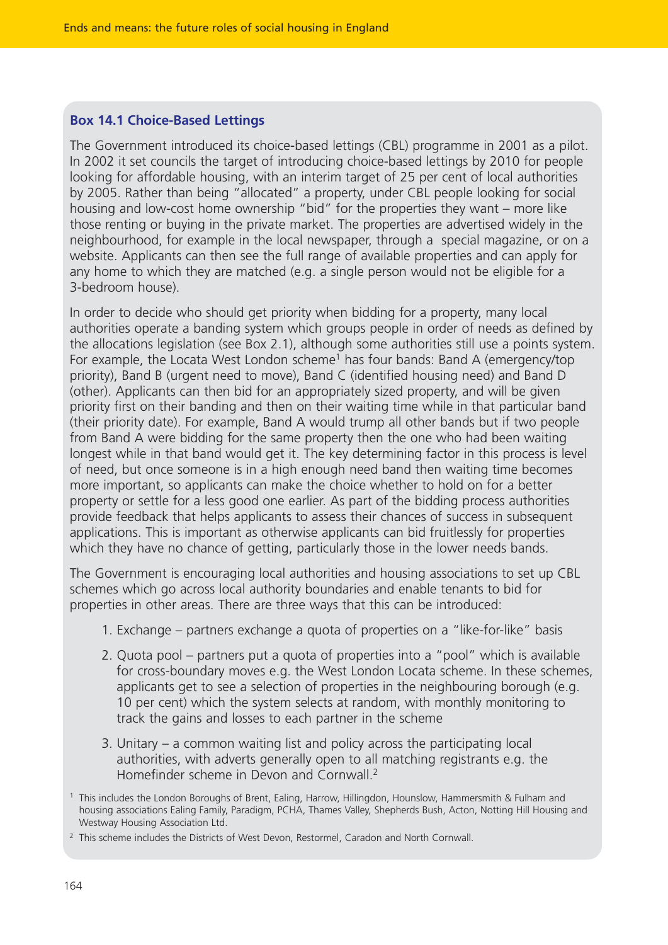#### **Box 14.1 Choice-Based Lettings**

The Government introduced its choice-based lettings (CBL) programme in 2001 as a pilot. In 2002 it set councils the target of introducing choice-based lettings by 2010 for people looking for affordable housing, with an interim target of 25 per cent of local authorities by 2005. Rather than being "allocated" a property, under CBL people looking for social housing and low-cost home ownership "bid" for the properties they want – more like those renting or buying in the private market. The properties are advertised widely in the neighbourhood, for example in the local newspaper, through a special magazine, or on a website. Applicants can then see the full range of available properties and can apply for any home to which they are matched (e.g. a single person would not be eligible for a 3-bedroom house).

In order to decide who should get priority when bidding for a property, many local authorities operate a banding system which groups people in order of needs as defined by the allocations legislation (see Box 2.1), although some authorities still use a points system. For example, the Locata West London scheme<sup>1</sup> has four bands: Band A (emergency/top priority), Band B (urgent need to move), Band C (identified housing need) and Band D (other). Applicants can then bid for an appropriately sized property, and will be given priority first on their banding and then on their waiting time while in that particular band (their priority date). For example, Band A would trump all other bands but if two people from Band A were bidding for the same property then the one who had been waiting longest while in that band would get it. The key determining factor in this process is level of need, but once someone is in a high enough need band then waiting time becomes more important, so applicants can make the choice whether to hold on for a better property or settle for a less good one earlier. As part of the bidding process authorities provide feedback that helps applicants to assess their chances of success in subsequent applications. This is important as otherwise applicants can bid fruitlessly for properties which they have no chance of getting, particularly those in the lower needs bands.

The Government is encouraging local authorities and housing associations to set up CBL schemes which go across local authority boundaries and enable tenants to bid for properties in other areas. There are three ways that this can be introduced:

- 1. Exchange partners exchange a quota of properties on a "like-for-like" basis
- 2. Quota pool partners put a quota of properties into a "pool" which is available for cross-boundary moves e.g. the West London Locata scheme. In these schemes, applicants get to see a selection of properties in the neighbouring borough (e.g. 10 per cent) which the system selects at random, with monthly monitoring to track the gains and losses to each partner in the scheme
- 3. Unitary a common waiting list and policy across the participating local authorities, with adverts generally open to all matching registrants e.g. the Homefinder scheme in Devon and Cornwall.2

<sup>1</sup> This includes the London Boroughs of Brent, Ealing, Harrow, Hillingdon, Hounslow, Hammersmith & Fulham and housing associations Ealing Family, Paradigm, PCHA, Thames Valley, Shepherds Bush, Acton, Notting Hill Housing and Westway Housing Association Ltd.

<sup>&</sup>lt;sup>2</sup> This scheme includes the Districts of West Devon, Restormel, Caradon and North Cornwall.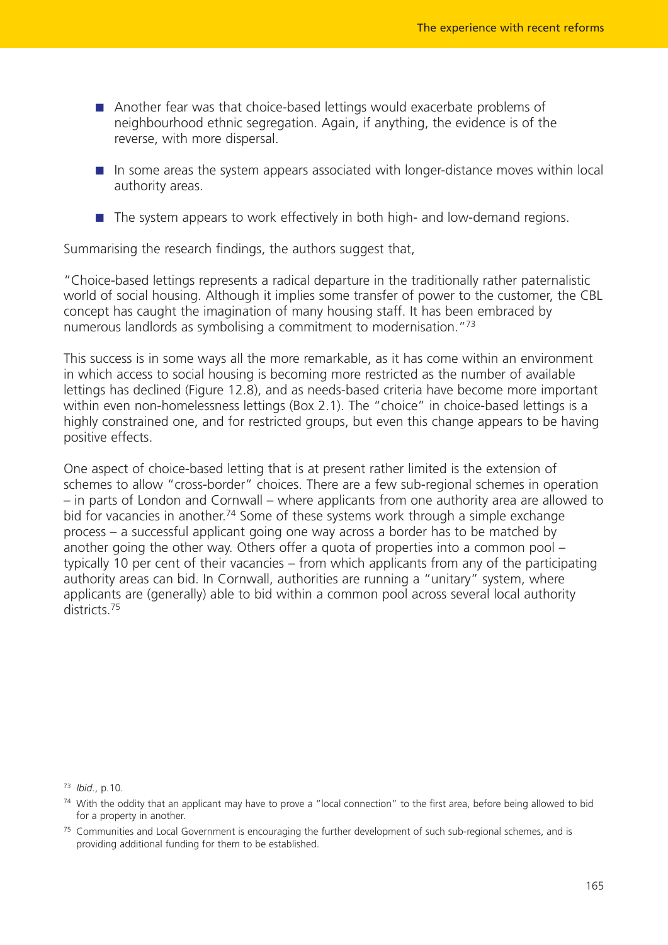- Another fear was that choice-based lettings would exacerbate problems of neighbourhood ethnic segregation. Again, if anything, the evidence is of the reverse, with more dispersal.
- In some areas the system appears associated with longer-distance moves within local authority areas.
- The system appears to work effectively in both high- and low-demand regions.

Summarising the research findings, the authors suggest that,

"Choice-based lettings represents a radical departure in the traditionally rather paternalistic world of social housing. Although it implies some transfer of power to the customer, the CBL concept has caught the imagination of many housing staff. It has been embraced by numerous landlords as symbolising a commitment to modernisation."73

This success is in some ways all the more remarkable, as it has come within an environment in which access to social housing is becoming more restricted as the number of available lettings has declined (Figure 12.8), and as needs-based criteria have become more important within even non-homelessness lettings (Box 2.1). The "choice" in choice-based lettings is a highly constrained one, and for restricted groups, but even this change appears to be having positive effects.

One aspect of choice-based letting that is at present rather limited is the extension of schemes to allow "cross-border" choices. There are a few sub-regional schemes in operation – in parts of London and Cornwall – where applicants from one authority area are allowed to bid for vacancies in another.<sup>74</sup> Some of these systems work through a simple exchange process – a successful applicant going one way across a border has to be matched by another going the other way. Others offer a quota of properties into a common pool – typically 10 per cent of their vacancies – from which applicants from any of the participating authority areas can bid. In Cornwall, authorities are running a "unitary" system, where applicants are (generally) able to bid within a common pool across several local authority districts<sup>75</sup>

<sup>73</sup> *Ibid*., p.10.

<sup>74</sup> With the oddity that an applicant may have to prove a "local connection" to the first area, before being allowed to bid for a property in another.

<sup>&</sup>lt;sup>75</sup> Communities and Local Government is encouraging the further development of such sub-regional schemes, and is providing additional funding for them to be established.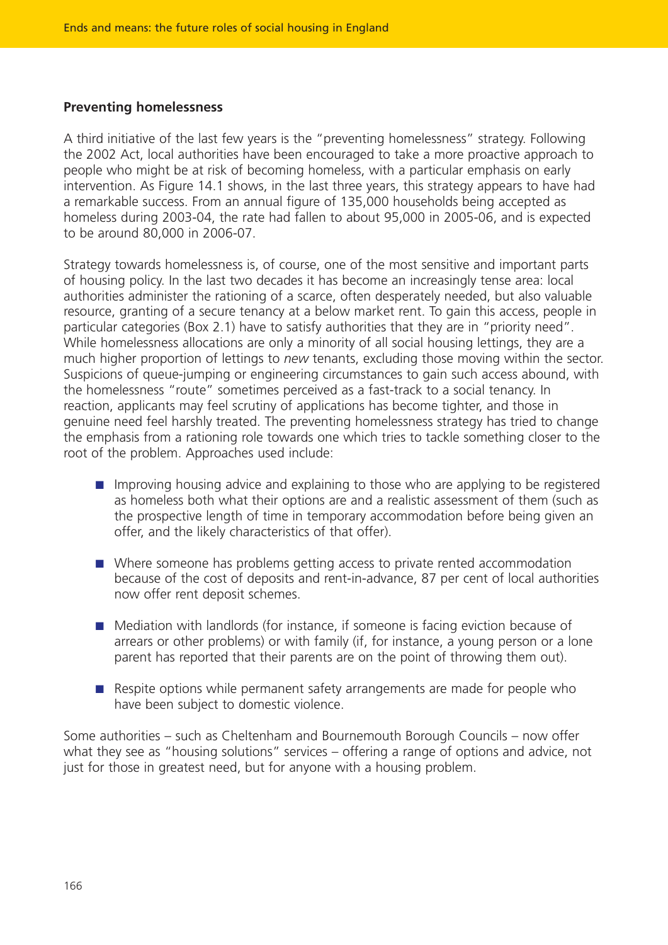### **Preventing homelessness**

A third initiative of the last few years is the "preventing homelessness" strategy. Following the 2002 Act, local authorities have been encouraged to take a more proactive approach to people who might be at risk of becoming homeless, with a particular emphasis on early intervention. As Figure 14.1 shows, in the last three years, this strategy appears to have had a remarkable success. From an annual figure of 135,000 households being accepted as homeless during 2003-04, the rate had fallen to about 95,000 in 2005-06, and is expected to be around 80,000 in 2006-07.

Strategy towards homelessness is, of course, one of the most sensitive and important parts of housing policy. In the last two decades it has become an increasingly tense area: local authorities administer the rationing of a scarce, often desperately needed, but also valuable resource, granting of a secure tenancy at a below market rent. To gain this access, people in particular categories (Box 2.1) have to satisfy authorities that they are in "priority need". While homelessness allocations are only a minority of all social housing lettings, they are a much higher proportion of lettings to *new* tenants, excluding those moving within the sector. Suspicions of queue-jumping or engineering circumstances to gain such access abound, with the homelessness "route" sometimes perceived as a fast-track to a social tenancy. In reaction, applicants may feel scrutiny of applications has become tighter, and those in genuine need feel harshly treated. The preventing homelessness strategy has tried to change the emphasis from a rationing role towards one which tries to tackle something closer to the root of the problem. Approaches used include:

- Improving housing advice and explaining to those who are applying to be registered as homeless both what their options are and a realistic assessment of them (such as the prospective length of time in temporary accommodation before being given an offer, and the likely characteristics of that offer).
- Where someone has problems getting access to private rented accommodation because of the cost of deposits and rent-in-advance, 87 per cent of local authorities now offer rent deposit schemes.
- Mediation with landlords (for instance, if someone is facing eviction because of arrears or other problems) or with family (if, for instance, a young person or a lone parent has reported that their parents are on the point of throwing them out).
- Respite options while permanent safety arrangements are made for people who have been subject to domestic violence.

Some authorities – such as Cheltenham and Bournemouth Borough Councils – now offer what they see as "housing solutions" services – offering a range of options and advice, not just for those in greatest need, but for anyone with a housing problem.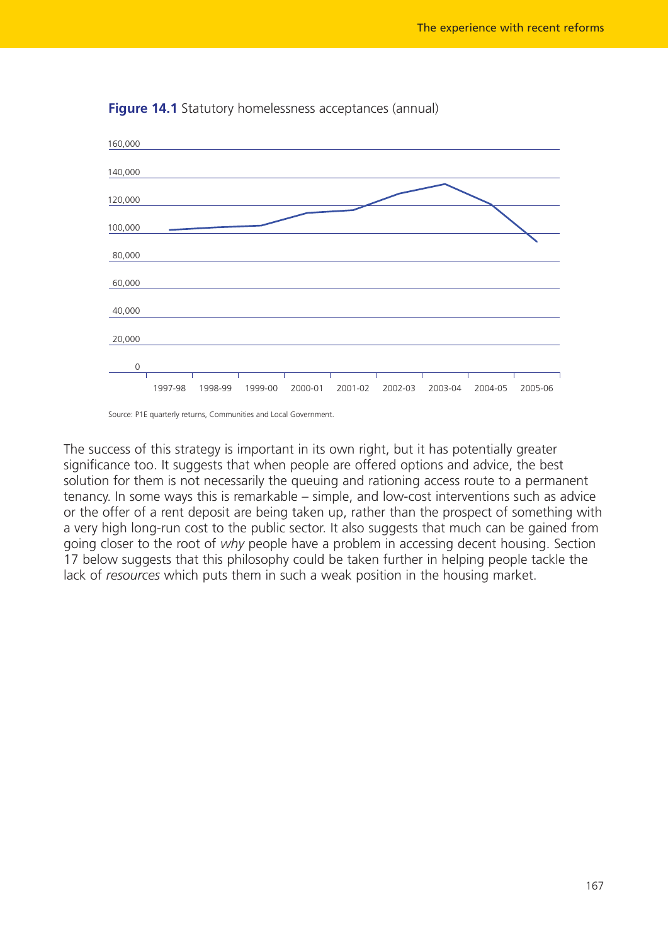

**Figure 14.1** Statutory homelessness acceptances (annual)

Source: P1E quarterly returns, Communities and Local Government.

The success of this strategy is important in its own right, but it has potentially greater significance too. It suggests that when people are offered options and advice, the best solution for them is not necessarily the queuing and rationing access route to a permanent tenancy. In some ways this is remarkable – simple, and low-cost interventions such as advice or the offer of a rent deposit are being taken up, rather than the prospect of something with a very high long-run cost to the public sector. It also suggests that much can be gained from going closer to the root of *why* people have a problem in accessing decent housing. Section 17 below suggests that this philosophy could be taken further in helping people tackle the lack of *resources* which puts them in such a weak position in the housing market.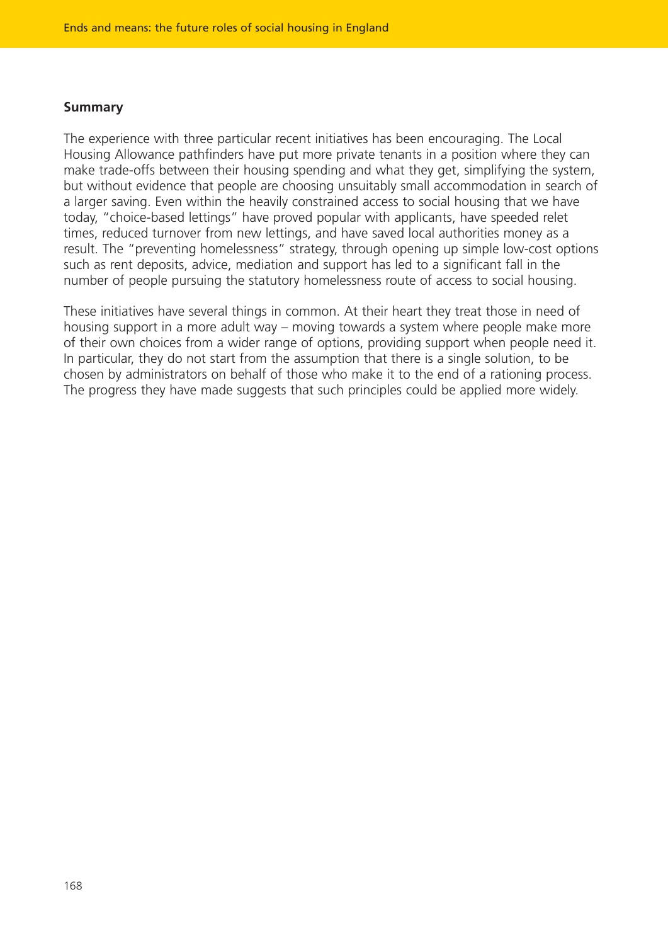### **Summary**

The experience with three particular recent initiatives has been encouraging. The Local Housing Allowance pathfinders have put more private tenants in a position where they can make trade-offs between their housing spending and what they get, simplifying the system, but without evidence that people are choosing unsuitably small accommodation in search of a larger saving. Even within the heavily constrained access to social housing that we have today, "choice-based lettings" have proved popular with applicants, have speeded relet times, reduced turnover from new lettings, and have saved local authorities money as a result. The "preventing homelessness" strategy, through opening up simple low-cost options such as rent deposits, advice, mediation and support has led to a significant fall in the number of people pursuing the statutory homelessness route of access to social housing.

These initiatives have several things in common. At their heart they treat those in need of housing support in a more adult way – moving towards a system where people make more of their own choices from a wider range of options, providing support when people need it. In particular, they do not start from the assumption that there is a single solution, to be chosen by administrators on behalf of those who make it to the end of a rationing process. The progress they have made suggests that such principles could be applied more widely.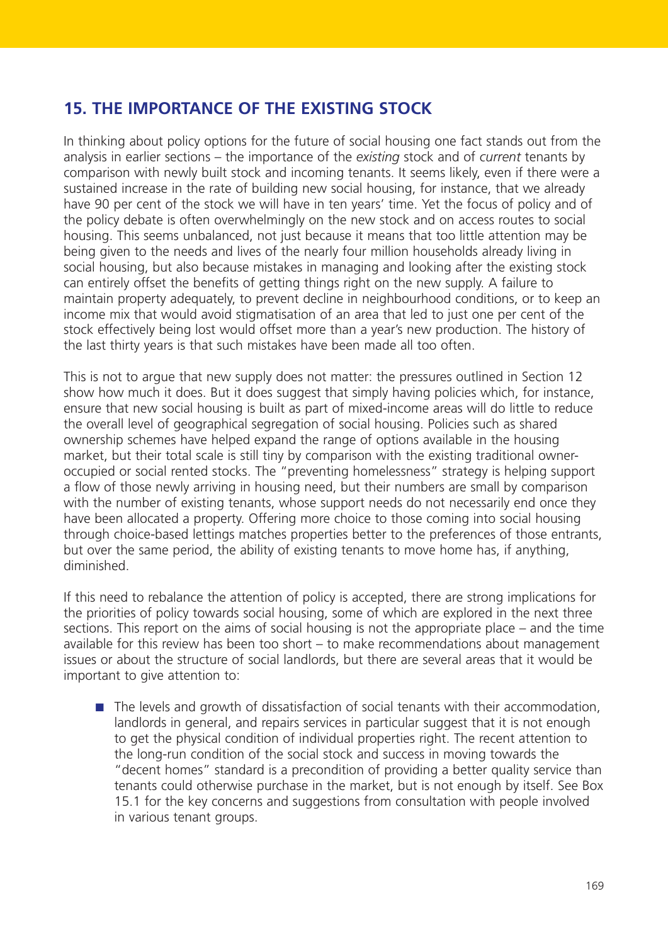# **15. THE IMPORTANCE OF THE EXISTING STOCK**

In thinking about policy options for the future of social housing one fact stands out from the analysis in earlier sections – the importance of the *existing* stock and of *current* tenants by comparison with newly built stock and incoming tenants. It seems likely, even if there were a sustained increase in the rate of building new social housing, for instance, that we already have 90 per cent of the stock we will have in ten years' time. Yet the focus of policy and of the policy debate is often overwhelmingly on the new stock and on access routes to social housing. This seems unbalanced, not just because it means that too little attention may be being given to the needs and lives of the nearly four million households already living in social housing, but also because mistakes in managing and looking after the existing stock can entirely offset the benefits of getting things right on the new supply. A failure to maintain property adequately, to prevent decline in neighbourhood conditions, or to keep an income mix that would avoid stigmatisation of an area that led to just one per cent of the stock effectively being lost would offset more than a year's new production. The history of the last thirty years is that such mistakes have been made all too often.

This is not to argue that new supply does not matter: the pressures outlined in Section 12 show how much it does. But it does suggest that simply having policies which, for instance, ensure that new social housing is built as part of mixed-income areas will do little to reduce the overall level of geographical segregation of social housing. Policies such as shared ownership schemes have helped expand the range of options available in the housing market, but their total scale is still tiny by comparison with the existing traditional owneroccupied or social rented stocks. The "preventing homelessness" strategy is helping support a flow of those newly arriving in housing need, but their numbers are small by comparison with the number of existing tenants, whose support needs do not necessarily end once they have been allocated a property. Offering more choice to those coming into social housing through choice-based lettings matches properties better to the preferences of those entrants, but over the same period, the ability of existing tenants to move home has, if anything, diminished.

If this need to rebalance the attention of policy is accepted, there are strong implications for the priorities of policy towards social housing, some of which are explored in the next three sections. This report on the aims of social housing is not the appropriate place – and the time available for this review has been too short – to make recommendations about management issues or about the structure of social landlords, but there are several areas that it would be important to give attention to:

■ The levels and growth of dissatisfaction of social tenants with their accommodation, landlords in general, and repairs services in particular suggest that it is not enough to get the physical condition of individual properties right. The recent attention to the long-run condition of the social stock and success in moving towards the "decent homes" standard is a precondition of providing a better quality service than tenants could otherwise purchase in the market, but is not enough by itself. See Box 15.1 for the key concerns and suggestions from consultation with people involved in various tenant groups.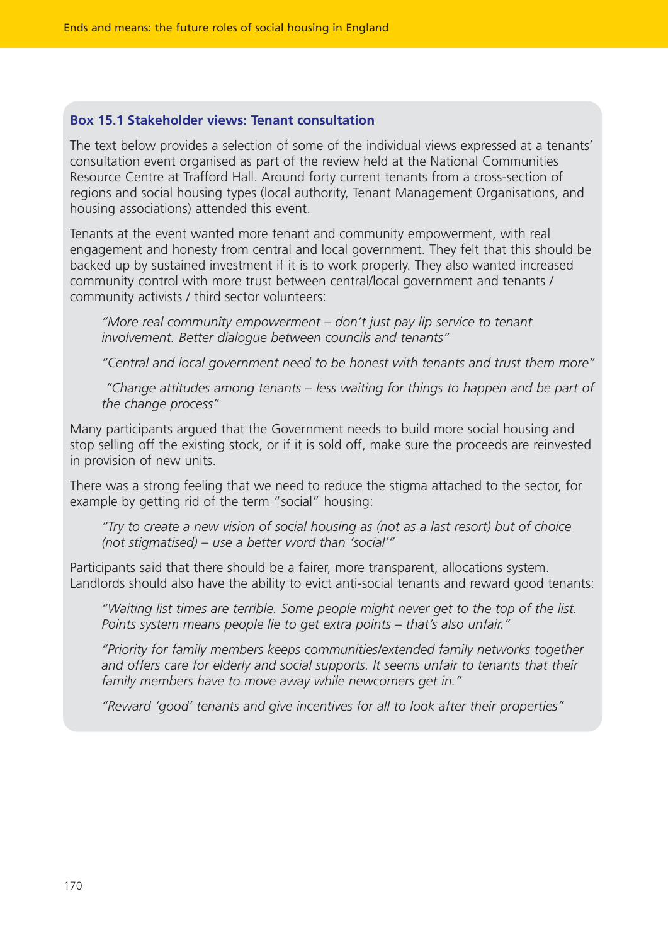## **Box 15.1 Stakeholder views: Tenant consultation**

The text below provides a selection of some of the individual views expressed at a tenants' consultation event organised as part of the review held at the National Communities Resource Centre at Trafford Hall. Around forty current tenants from a cross-section of regions and social housing types (local authority, Tenant Management Organisations, and housing associations) attended this event.

Tenants at the event wanted more tenant and community empowerment, with real engagement and honesty from central and local government. They felt that this should be backed up by sustained investment if it is to work properly. They also wanted increased community control with more trust between central/local government and tenants / community activists / third sector volunteers:

*"More real community empowerment – don't just pay lip service to tenant involvement. Better dialogue between councils and tenants"* 

*"Central and local government need to be honest with tenants and trust them more"*

*"Change attitudes among tenants – less waiting for things to happen and be part of the change process"* 

Many participants argued that the Government needs to build more social housing and stop selling off the existing stock, or if it is sold off, make sure the proceeds are reinvested in provision of new units.

There was a strong feeling that we need to reduce the stigma attached to the sector, for example by getting rid of the term "social" housing:

*"Try to create a new vision of social housing as (not as a last resort) but of choice (not stigmatised) – use a better word than 'social'"* 

Participants said that there should be a fairer, more transparent, allocations system. Landlords should also have the ability to evict anti-social tenants and reward good tenants:

*"Waiting list times are terrible. Some people might never get to the top of the list. Points system means people lie to get extra points – that's also unfair."*

*"Priority for family members keeps communities/extended family networks together and offers care for elderly and social supports. It seems unfair to tenants that their family members have to move away while newcomers get in."* 

*"Reward 'good' tenants and give incentives for all to look after their properties"*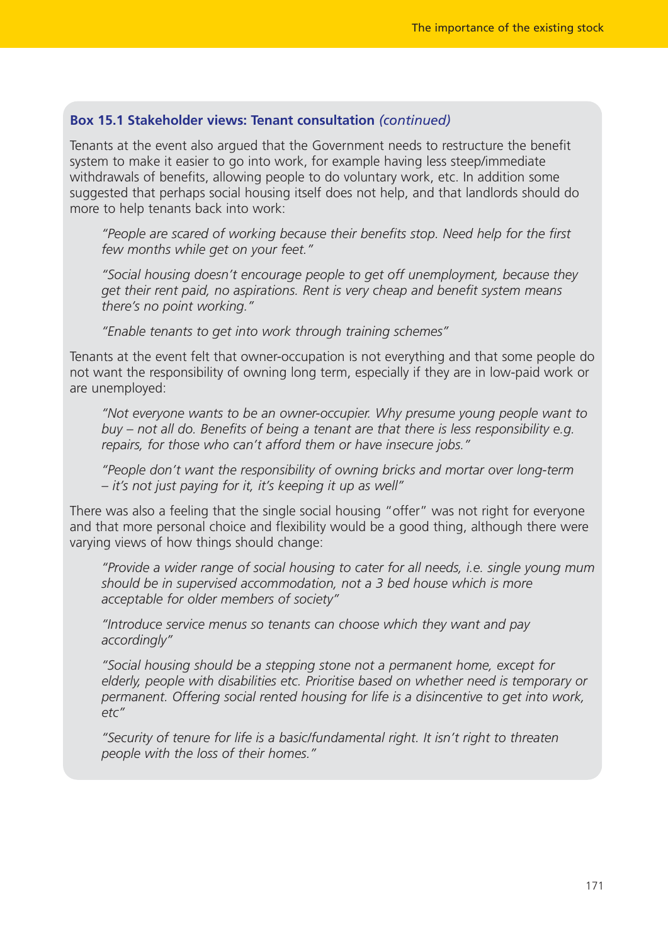## **Box 15.1 Stakeholder views: Tenant consultation** *(continued)*

Tenants at the event also argued that the Government needs to restructure the benefit system to make it easier to go into work, for example having less steep/immediate withdrawals of benefits, allowing people to do voluntary work, etc. In addition some suggested that perhaps social housing itself does not help, and that landlords should do more to help tenants back into work:

*"People are scared of working because their benefits stop. Need help for the first few months while get on your feet."*

*"Social housing doesn't encourage people to get off unemployment, because they get their rent paid, no aspirations. Rent is very cheap and benefit system means there's no point working."* 

*"Enable tenants to get into work through training schemes"*

Tenants at the event felt that owner-occupation is not everything and that some people do not want the responsibility of owning long term, especially if they are in low-paid work or are unemployed:

*"Not everyone wants to be an owner-occupier. Why presume young people want to buy – not all do. Benefits of being a tenant are that there is less responsibility e.g. repairs, for those who can't afford them or have insecure jobs."* 

*"People don't want the responsibility of owning bricks and mortar over long-term – it's not just paying for it, it's keeping it up as well"*

There was also a feeling that the single social housing "offer" was not right for everyone and that more personal choice and flexibility would be a good thing, although there were varying views of how things should change:

*"Provide a wider range of social housing to cater for all needs, i.e. single young mum should be in supervised accommodation, not a 3 bed house which is more acceptable for older members of society"*

*"Introduce service menus so tenants can choose which they want and pay accordingly"*

*"Social housing should be a stepping stone not a permanent home, except for elderly, people with disabilities etc. Prioritise based on whether need is temporary or permanent. Offering social rented housing for life is a disincentive to get into work, etc"*

*"Security of tenure for life is a basic/fundamental right. It isn't right to threaten people with the loss of their homes."*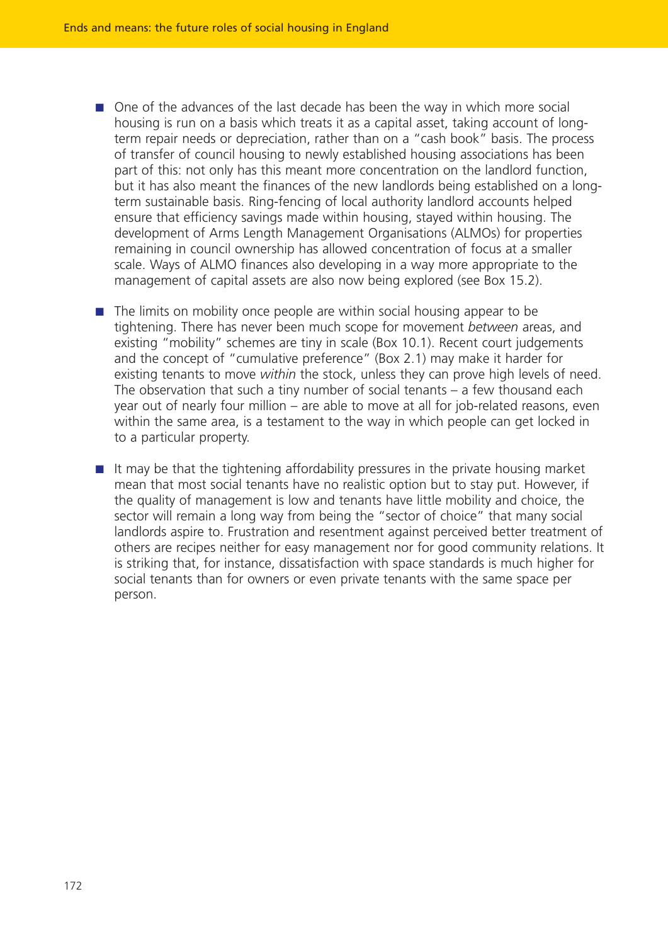- One of the advances of the last decade has been the way in which more social housing is run on a basis which treats it as a capital asset, taking account of longterm repair needs or depreciation, rather than on a "cash book" basis. The process of transfer of council housing to newly established housing associations has been part of this: not only has this meant more concentration on the landlord function, but it has also meant the finances of the new landlords being established on a longterm sustainable basis. Ring-fencing of local authority landlord accounts helped ensure that efficiency savings made within housing, stayed within housing. The development of Arms Length Management Organisations (ALMOs) for properties remaining in council ownership has allowed concentration of focus at a smaller scale. Ways of ALMO finances also developing in a way more appropriate to the management of capital assets are also now being explored (see Box 15.2).
- The limits on mobility once people are within social housing appear to be tightening. There has never been much scope for movement *between* areas, and existing "mobility" schemes are tiny in scale (Box 10.1). Recent court judgements and the concept of "cumulative preference" (Box 2.1) may make it harder for existing tenants to move *within* the stock, unless they can prove high levels of need. The observation that such a tiny number of social tenants – a few thousand each year out of nearly four million – are able to move at all for job-related reasons, even within the same area, is a testament to the way in which people can get locked in to a particular property.
- It may be that the tightening affordability pressures in the private housing market mean that most social tenants have no realistic option but to stay put. However, if the quality of management is low and tenants have little mobility and choice, the sector will remain a long way from being the "sector of choice" that many social landlords aspire to. Frustration and resentment against perceived better treatment of others are recipes neither for easy management nor for good community relations. It is striking that, for instance, dissatisfaction with space standards is much higher for social tenants than for owners or even private tenants with the same space per person.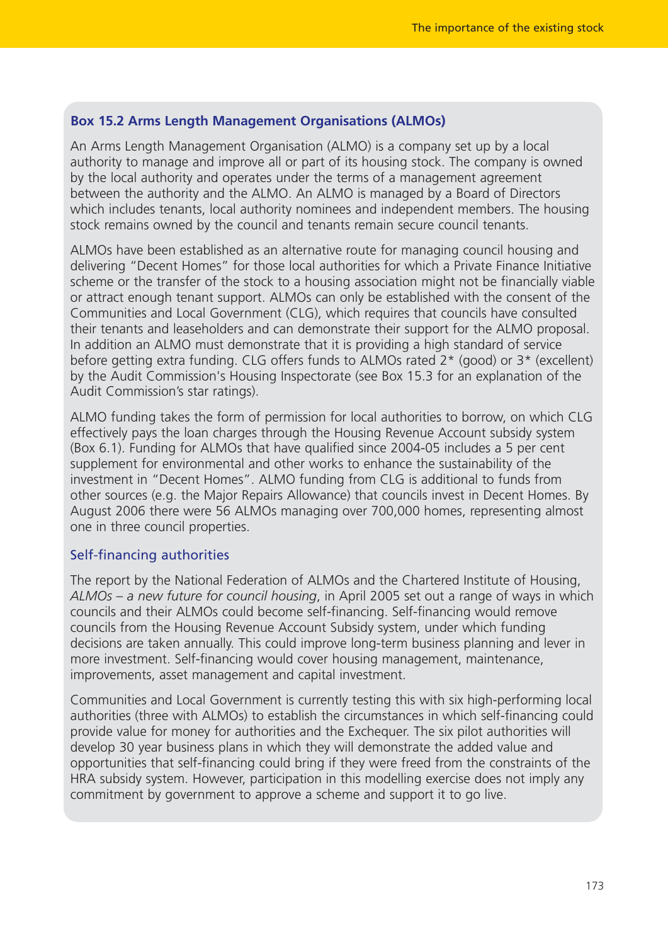## **Box 15.2 Arms Length Management Organisations (ALMOs)**

An Arms Length Management Organisation (ALMO) is a company set up by a local authority to manage and improve all or part of its housing stock. The company is owned by the local authority and operates under the terms of a management agreement between the authority and the ALMO. An ALMO is managed by a Board of Directors which includes tenants, local authority nominees and independent members. The housing stock remains owned by the council and tenants remain secure council tenants.

ALMOs have been established as an alternative route for managing council housing and delivering "Decent Homes" for those local authorities for which a Private Finance Initiative scheme or the transfer of the stock to a housing association might not be financially viable or attract enough tenant support. ALMOs can only be established with the consent of the Communities and Local Government (CLG), which requires that councils have consulted their tenants and leaseholders and can demonstrate their support for the ALMO proposal. In addition an ALMO must demonstrate that it is providing a high standard of service before getting extra funding. CLG offers funds to ALMOs rated 2\* (good) or 3\* (excellent) by the Audit Commission's Housing Inspectorate (see Box 15.3 for an explanation of the Audit Commission's star ratings).

ALMO funding takes the form of permission for local authorities to borrow, on which CLG effectively pays the loan charges through the Housing Revenue Account subsidy system (Box 6.1). Funding for ALMOs that have qualified since 2004-05 includes a 5 per cent supplement for environmental and other works to enhance the sustainability of the investment in "Decent Homes". ALMO funding from CLG is additional to funds from other sources (e.g. the Major Repairs Allowance) that councils invest in Decent Homes. By August 2006 there were 56 ALMOs managing over 700,000 homes, representing almost one in three council properties.

# Self-financing authorities

The report by the National Federation of ALMOs and the Chartered Institute of Housing, *ALMOs* – *a new future for council housing*, in April 2005 set out a range of ways in which councils and their ALMOs could become self-financing. Self-financing would remove councils from the Housing Revenue Account Subsidy system, under which funding decisions are taken annually. This could improve long-term business planning and lever in more investment. Self-financing would cover housing management, maintenance, improvements, asset management and capital investment.

Communities and Local Government is currently testing this with six high-performing local authorities (three with ALMOs) to establish the circumstances in which self-financing could provide value for money for authorities and the Exchequer. The six pilot authorities will develop 30 year business plans in which they will demonstrate the added value and opportunities that self-financing could bring if they were freed from the constraints of the HRA subsidy system. However, participation in this modelling exercise does not imply any commitment by government to approve a scheme and support it to go live.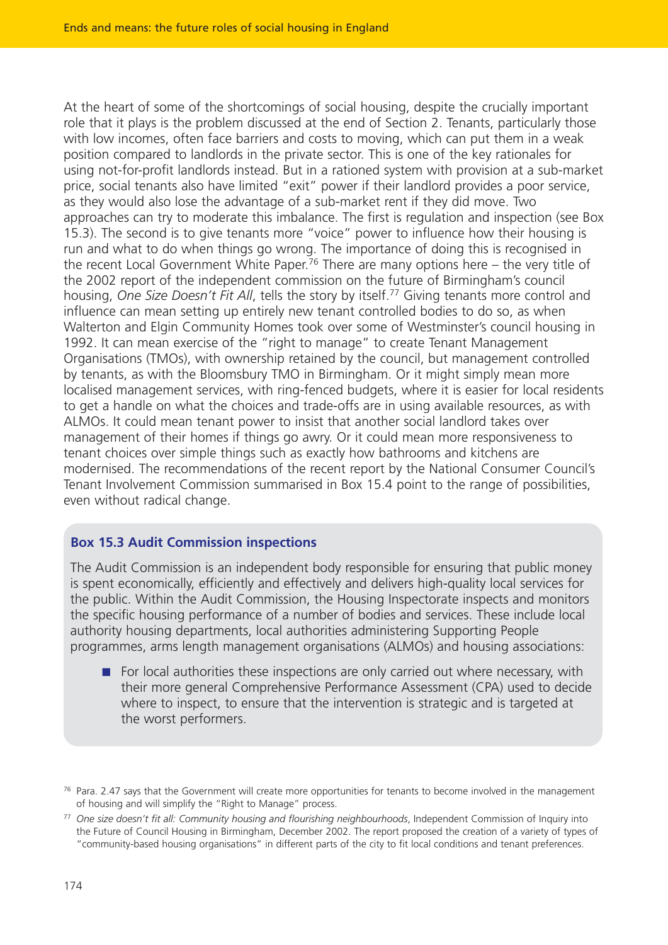At the heart of some of the shortcomings of social housing, despite the crucially important role that it plays is the problem discussed at the end of Section 2. Tenants, particularly those with low incomes, often face barriers and costs to moving, which can put them in a weak position compared to landlords in the private sector. This is one of the key rationales for using not-for-profit landlords instead. But in a rationed system with provision at a sub-market price, social tenants also have limited "exit" power if their landlord provides a poor service, as they would also lose the advantage of a sub-market rent if they did move. Two approaches can try to moderate this imbalance. The first is regulation and inspection (see Box 15.3). The second is to give tenants more "voice" power to influence how their housing is run and what to do when things go wrong. The importance of doing this is recognised in the recent Local Government White Paper.<sup>76</sup> There are many options here – the very title of the 2002 report of the independent commission on the future of Birmingham's council housing, *One Size Doesn't Fit All*, tells the story by itself.77 Giving tenants more control and influence can mean setting up entirely new tenant controlled bodies to do so, as when Walterton and Elgin Community Homes took over some of Westminster's council housing in 1992. It can mean exercise of the "right to manage" to create Tenant Management Organisations (TMOs), with ownership retained by the council, but management controlled by tenants, as with the Bloomsbury TMO in Birmingham. Or it might simply mean more localised management services, with ring-fenced budgets, where it is easier for local residents to get a handle on what the choices and trade-offs are in using available resources, as with ALMOs. It could mean tenant power to insist that another social landlord takes over management of their homes if things go awry. Or it could mean more responsiveness to tenant choices over simple things such as exactly how bathrooms and kitchens are modernised. The recommendations of the recent report by the National Consumer Council's Tenant Involvement Commission summarised in Box 15.4 point to the range of possibilities, even without radical change.

## **Box 15.3 Audit Commission inspections**

The Audit Commission is an independent body responsible for ensuring that public money is spent economically, efficiently and effectively and delivers high-quality local services for the public. Within the Audit Commission, the Housing Inspectorate inspects and monitors the specific housing performance of a number of bodies and services. These include local authority housing departments, local authorities administering Supporting People programmes, arms length management organisations (ALMOs) and housing associations:

■ For local authorities these inspections are only carried out where necessary, with their more general Comprehensive Performance Assessment (CPA) used to decide where to inspect, to ensure that the intervention is strategic and is targeted at the worst performers.

<sup>&</sup>lt;sup>76</sup> Para. 2.47 says that the Government will create more opportunities for tenants to become involved in the management of housing and will simplify the "Right to Manage" process.

<sup>77</sup> *One size doesn't fit all: Community housing and flourishing neighbourhoods*, Independent Commission of Inquiry into the Future of Council Housing in Birmingham, December 2002. The report proposed the creation of a variety of types of "community-based housing organisations" in different parts of the city to fit local conditions and tenant preferences.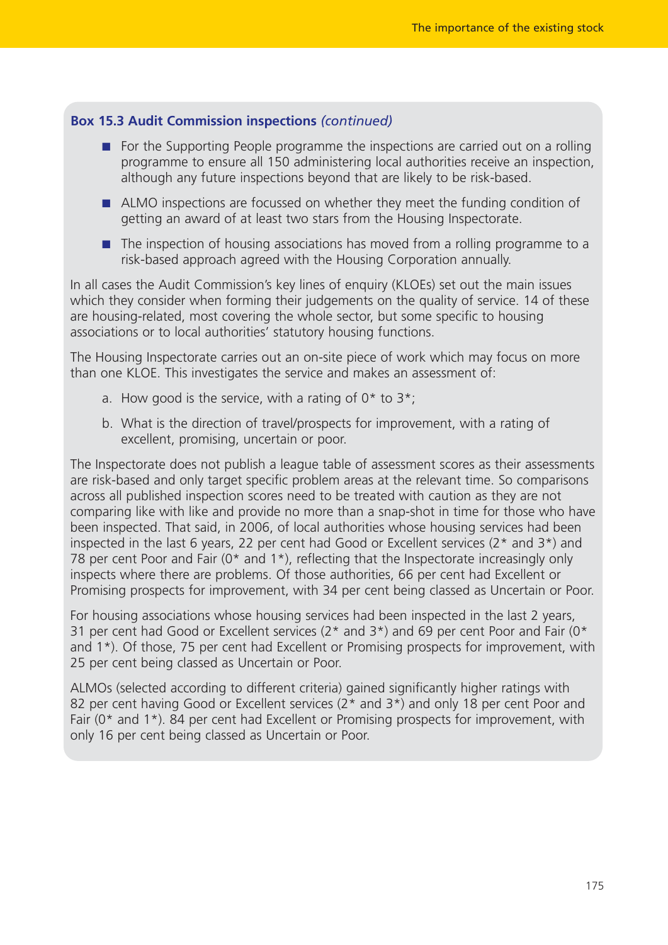## **Box 15.3 Audit Commission inspections** *(continued)*

- For the Supporting People programme the inspections are carried out on a rolling programme to ensure all 150 administering local authorities receive an inspection, although any future inspections beyond that are likely to be risk-based.
- ALMO inspections are focussed on whether they meet the funding condition of getting an award of at least two stars from the Housing Inspectorate.
- The inspection of housing associations has moved from a rolling programme to a risk-based approach agreed with the Housing Corporation annually.

In all cases the Audit Commission's key lines of enquiry (KLOEs) set out the main issues which they consider when forming their judgements on the quality of service. 14 of these are housing-related, most covering the whole sector, but some specific to housing associations or to local authorities' statutory housing functions.

The Housing Inspectorate carries out an on-site piece of work which may focus on more than one KLOE. This investigates the service and makes an assessment of:

- a. How good is the service, with a rating of  $0^*$  to  $3^*$ ;
- b. What is the direction of travel/prospects for improvement, with a rating of excellent, promising, uncertain or poor.

The Inspectorate does not publish a league table of assessment scores as their assessments are risk-based and only target specific problem areas at the relevant time. So comparisons across all published inspection scores need to be treated with caution as they are not comparing like with like and provide no more than a snap-shot in time for those who have been inspected. That said, in 2006, of local authorities whose housing services had been inspected in the last 6 years, 22 per cent had Good or Excellent services (2\* and 3\*) and 78 per cent Poor and Fair (0\* and 1\*), reflecting that the Inspectorate increasingly only inspects where there are problems. Of those authorities, 66 per cent had Excellent or Promising prospects for improvement, with 34 per cent being classed as Uncertain or Poor.

For housing associations whose housing services had been inspected in the last 2 years, 31 per cent had Good or Excellent services ( $2*$  and  $3*$ ) and 69 per cent Poor and Fair ( $0*$ and 1\*). Of those, 75 per cent had Excellent or Promising prospects for improvement, with 25 per cent being classed as Uncertain or Poor.

ALMOs (selected according to different criteria) gained significantly higher ratings with 82 per cent having Good or Excellent services (2<sup>\*</sup> and 3<sup>\*</sup>) and only 18 per cent Poor and Fair  $(0^*$  and  $1^*$ ). 84 per cent had Excellent or Promising prospects for improvement, with only 16 per cent being classed as Uncertain or Poor.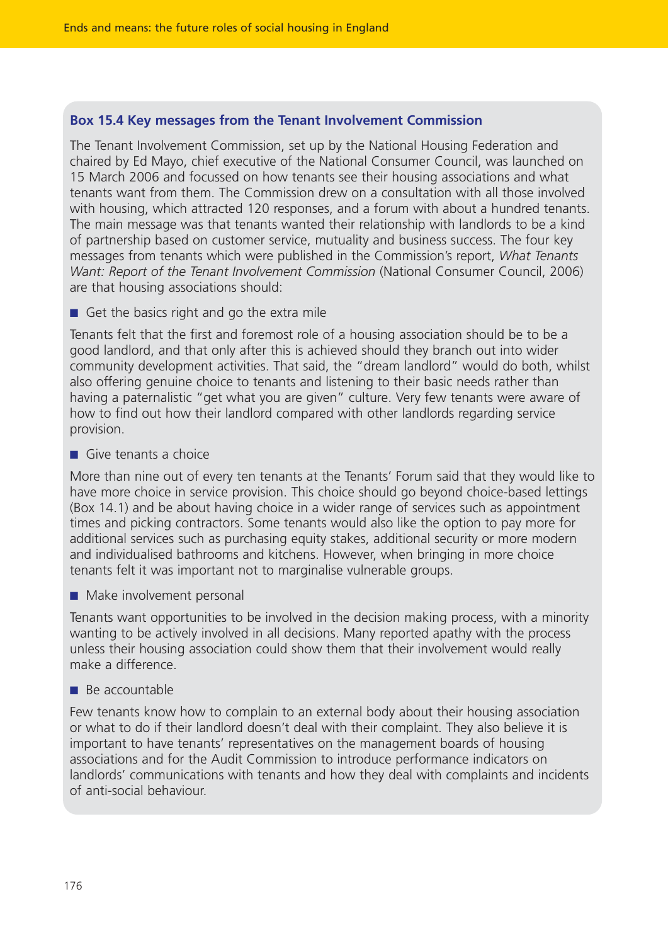## **Box 15.4 Key messages from the Tenant Involvement Commission**

The Tenant Involvement Commission, set up by the National Housing Federation and chaired by Ed Mayo, chief executive of the National Consumer Council, was launched on 15 March 2006 and focussed on how tenants see their housing associations and what tenants want from them. The Commission drew on a consultation with all those involved with housing, which attracted 120 responses, and a forum with about a hundred tenants. The main message was that tenants wanted their relationship with landlords to be a kind of partnership based on customer service, mutuality and business success. The four key messages from tenants which were published in the Commission's report, *What Tenants Want: Report of the Tenant Involvement Commission* (National Consumer Council, 2006) are that housing associations should:

■ Get the basics right and go the extra mile

Tenants felt that the first and foremost role of a housing association should be to be a good landlord, and that only after this is achieved should they branch out into wider community development activities. That said, the "dream landlord" would do both, whilst also offering genuine choice to tenants and listening to their basic needs rather than having a paternalistic "get what you are given" culture. Very few tenants were aware of how to find out how their landlord compared with other landlords regarding service provision.

■ Give tenants a choice

More than nine out of every ten tenants at the Tenants' Forum said that they would like to have more choice in service provision. This choice should go beyond choice-based lettings (Box 14.1) and be about having choice in a wider range of services such as appointment times and picking contractors. Some tenants would also like the option to pay more for additional services such as purchasing equity stakes, additional security or more modern and individualised bathrooms and kitchens. However, when bringing in more choice tenants felt it was important not to marginalise vulnerable groups.

■ Make involvement personal

Tenants want opportunities to be involved in the decision making process, with a minority wanting to be actively involved in all decisions. Many reported apathy with the process unless their housing association could show them that their involvement would really make a difference.

## ■ Be accountable

Few tenants know how to complain to an external body about their housing association or what to do if their landlord doesn't deal with their complaint. They also believe it is important to have tenants' representatives on the management boards of housing associations and for the Audit Commission to introduce performance indicators on landlords' communications with tenants and how they deal with complaints and incidents of anti-social behaviour.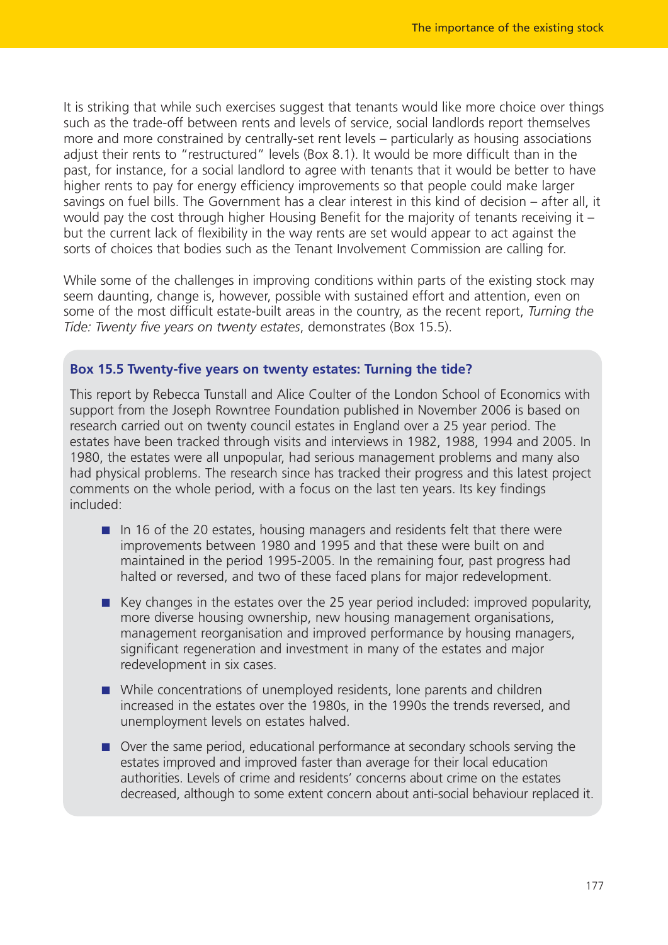It is striking that while such exercises suggest that tenants would like more choice over things such as the trade-off between rents and levels of service, social landlords report themselves more and more constrained by centrally-set rent levels – particularly as housing associations adjust their rents to "restructured" levels (Box 8.1). It would be more difficult than in the past, for instance, for a social landlord to agree with tenants that it would be better to have higher rents to pay for energy efficiency improvements so that people could make larger savings on fuel bills. The Government has a clear interest in this kind of decision – after all, it would pay the cost through higher Housing Benefit for the majority of tenants receiving it – but the current lack of flexibility in the way rents are set would appear to act against the sorts of choices that bodies such as the Tenant Involvement Commission are calling for.

While some of the challenges in improving conditions within parts of the existing stock may seem daunting, change is, however, possible with sustained effort and attention, even on some of the most difficult estate-built areas in the country, as the recent report, *Turning the Tide: Twenty five years on twenty estates*, demonstrates (Box 15.5).

### **Box 15.5 Twenty-five years on twenty estates: Turning the tide?**

This report by Rebecca Tunstall and Alice Coulter of the London School of Economics with support from the Joseph Rowntree Foundation published in November 2006 is based on research carried out on twenty council estates in England over a 25 year period. The estates have been tracked through visits and interviews in 1982, 1988, 1994 and 2005. In 1980, the estates were all unpopular, had serious management problems and many also had physical problems. The research since has tracked their progress and this latest project comments on the whole period, with a focus on the last ten years. Its key findings included:

- In 16 of the 20 estates, housing managers and residents felt that there were improvements between 1980 and 1995 and that these were built on and maintained in the period 1995-2005. In the remaining four, past progress had halted or reversed, and two of these faced plans for major redevelopment.
- Key changes in the estates over the 25 year period included: improved popularity, more diverse housing ownership, new housing management organisations, management reorganisation and improved performance by housing managers, significant regeneration and investment in many of the estates and major redevelopment in six cases.
- While concentrations of unemployed residents, lone parents and children increased in the estates over the 1980s, in the 1990s the trends reversed, and unemployment levels on estates halved.
- Over the same period, educational performance at secondary schools serving the estates improved and improved faster than average for their local education authorities. Levels of crime and residents' concerns about crime on the estates decreased, although to some extent concern about anti-social behaviour replaced it.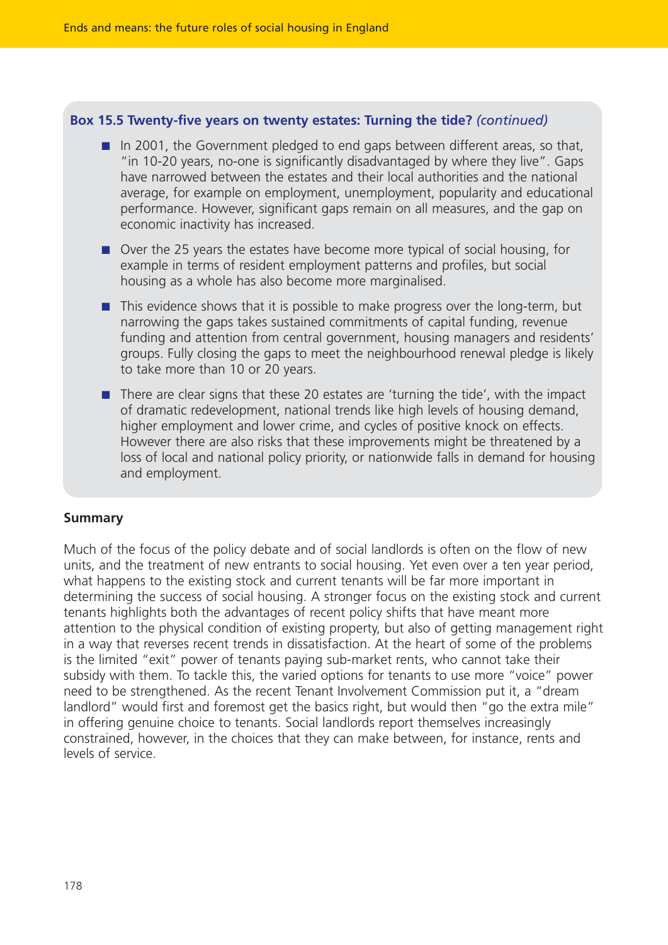## **Box 15.5 Twenty-five years on twenty estates: Turning the tide?** *(continued)*

- In 2001, the Government pledged to end gaps between different areas, so that, "in 10-20 years, no-one is significantly disadvantaged by where they live". Gaps have narrowed between the estates and their local authorities and the national average, for example on employment, unemployment, popularity and educational performance. However, significant gaps remain on all measures, and the gap on economic inactivity has increased.
- Over the 25 years the estates have become more typical of social housing, for example in terms of resident employment patterns and profiles, but social housing as a whole has also become more marginalised.
- This evidence shows that it is possible to make progress over the long-term, but narrowing the gaps takes sustained commitments of capital funding, revenue funding and attention from central government, housing managers and residents' groups. Fully closing the gaps to meet the neighbourhood renewal pledge is likely to take more than 10 or 20 years.
- There are clear signs that these 20 estates are 'turning the tide', with the impact of dramatic redevelopment, national trends like high levels of housing demand, higher employment and lower crime, and cycles of positive knock on effects. However there are also risks that these improvements might be threatened by a loss of local and national policy priority, or nationwide falls in demand for housing and employment.

## **Summary**

Much of the focus of the policy debate and of social landlords is often on the flow of new units, and the treatment of new entrants to social housing. Yet even over a ten year period, what happens to the existing stock and current tenants will be far more important in determining the success of social housing. A stronger focus on the existing stock and current tenants highlights both the advantages of recent policy shifts that have meant more attention to the physical condition of existing property, but also of getting management right in a way that reverses recent trends in dissatisfaction. At the heart of some of the problems is the limited "exit" power of tenants paying sub-market rents, who cannot take their subsidy with them. To tackle this, the varied options for tenants to use more "voice" power need to be strengthened. As the recent Tenant Involvement Commission put it, a "dream landlord" would first and foremost get the basics right, but would then "go the extra mile" in offering genuine choice to tenants. Social landlords report themselves increasingly constrained, however, in the choices that they can make between, for instance, rents and levels of service.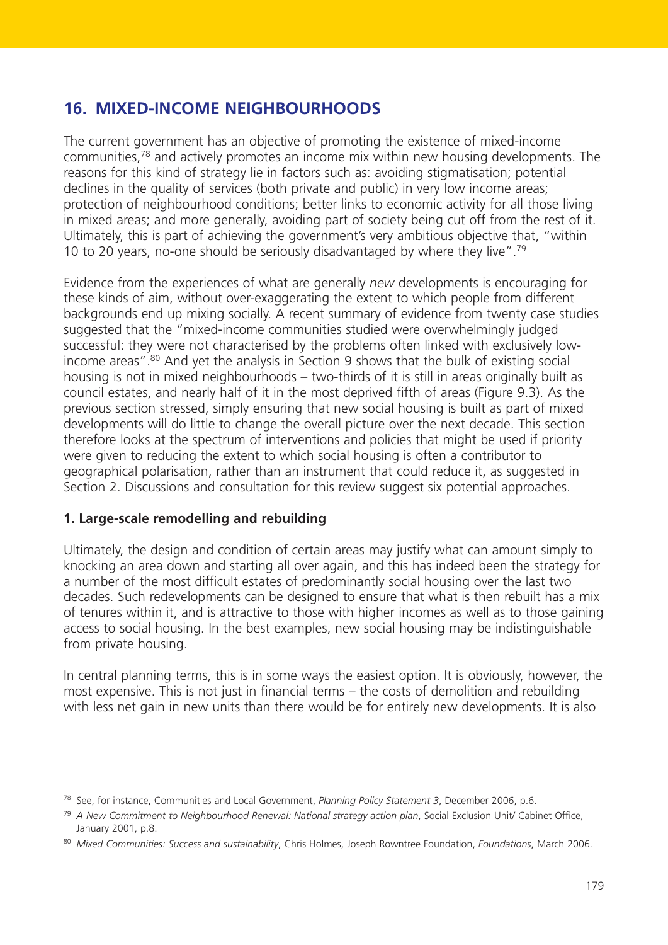# **16. MIXED-INCOME NEIGHBOURHOODS**

The current government has an objective of promoting the existence of mixed-income communities,78 and actively promotes an income mix within new housing developments. The reasons for this kind of strategy lie in factors such as: avoiding stigmatisation; potential declines in the quality of services (both private and public) in very low income areas; protection of neighbourhood conditions; better links to economic activity for all those living in mixed areas; and more generally, avoiding part of society being cut off from the rest of it. Ultimately, this is part of achieving the government's very ambitious objective that, "within 10 to 20 years, no-one should be seriously disadvantaged by where they live".79

Evidence from the experiences of what are generally *new* developments is encouraging for these kinds of aim, without over-exaggerating the extent to which people from different backgrounds end up mixing socially. A recent summary of evidence from twenty case studies suggested that the "mixed-income communities studied were overwhelmingly judged successful: they were not characterised by the problems often linked with exclusively lowincome areas".<sup>80</sup> And yet the analysis in Section 9 shows that the bulk of existing social housing is not in mixed neighbourhoods – two-thirds of it is still in areas originally built as council estates, and nearly half of it in the most deprived fifth of areas (Figure 9.3). As the previous section stressed, simply ensuring that new social housing is built as part of mixed developments will do little to change the overall picture over the next decade. This section therefore looks at the spectrum of interventions and policies that might be used if priority were given to reducing the extent to which social housing is often a contributor to geographical polarisation, rather than an instrument that could reduce it, as suggested in Section 2. Discussions and consultation for this review suggest six potential approaches.

# **1. Large-scale remodelling and rebuilding**

Ultimately, the design and condition of certain areas may justify what can amount simply to knocking an area down and starting all over again, and this has indeed been the strategy for a number of the most difficult estates of predominantly social housing over the last two decades. Such redevelopments can be designed to ensure that what is then rebuilt has a mix of tenures within it, and is attractive to those with higher incomes as well as to those gaining access to social housing. In the best examples, new social housing may be indistinguishable from private housing.

In central planning terms, this is in some ways the easiest option. It is obviously, however, the most expensive. This is not just in financial terms – the costs of demolition and rebuilding with less net gain in new units than there would be for entirely new developments. It is also

<sup>78</sup> See, for instance, Communities and Local Government, *Planning Policy Statement 3*, December 2006, p.6.

<sup>79</sup> *A New Commitment to Neighbourhood Renewal: National strategy action plan*, Social Exclusion Unit/ Cabinet Office, January 2001, p.8.

<sup>80</sup> *Mixed Communities: Success and sustainability*, Chris Holmes, Joseph Rowntree Foundation, *Foundations*, March 2006.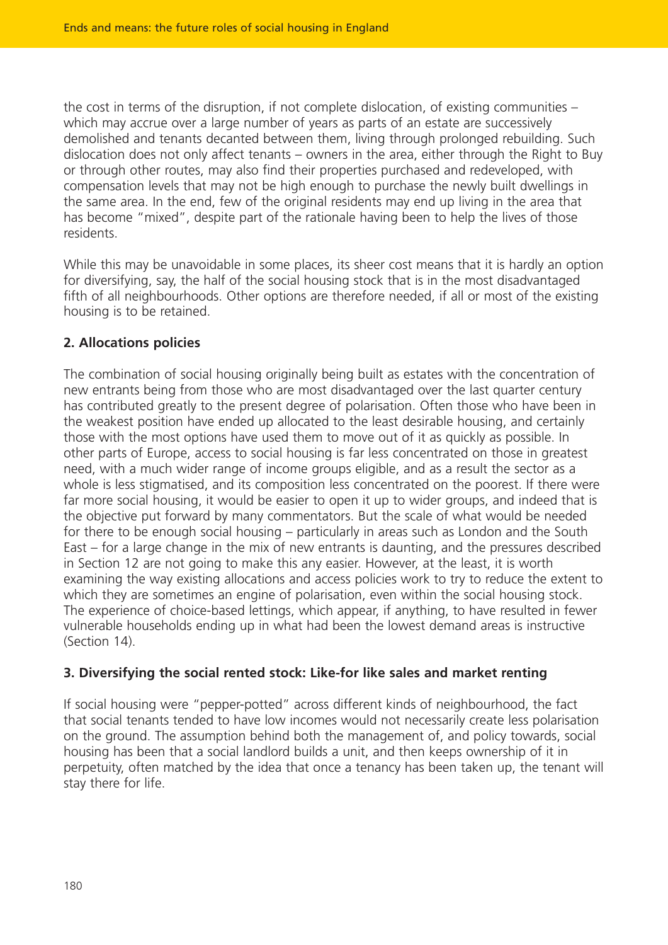the cost in terms of the disruption, if not complete dislocation, of existing communities – which may accrue over a large number of years as parts of an estate are successively demolished and tenants decanted between them, living through prolonged rebuilding. Such dislocation does not only affect tenants – owners in the area, either through the Right to Buy or through other routes, may also find their properties purchased and redeveloped, with compensation levels that may not be high enough to purchase the newly built dwellings in the same area. In the end, few of the original residents may end up living in the area that has become "mixed", despite part of the rationale having been to help the lives of those residents.

While this may be unavoidable in some places, its sheer cost means that it is hardly an option for diversifying, say, the half of the social housing stock that is in the most disadvantaged fifth of all neighbourhoods. Other options are therefore needed, if all or most of the existing housing is to be retained.

## **2. Allocations policies**

The combination of social housing originally being built as estates with the concentration of new entrants being from those who are most disadvantaged over the last quarter century has contributed greatly to the present degree of polarisation. Often those who have been in the weakest position have ended up allocated to the least desirable housing, and certainly those with the most options have used them to move out of it as quickly as possible. In other parts of Europe, access to social housing is far less concentrated on those in greatest need, with a much wider range of income groups eligible, and as a result the sector as a whole is less stigmatised, and its composition less concentrated on the poorest. If there were far more social housing, it would be easier to open it up to wider groups, and indeed that is the objective put forward by many commentators. But the scale of what would be needed for there to be enough social housing – particularly in areas such as London and the South East – for a large change in the mix of new entrants is daunting, and the pressures described in Section 12 are not going to make this any easier. However, at the least, it is worth examining the way existing allocations and access policies work to try to reduce the extent to which they are sometimes an engine of polarisation, even within the social housing stock. The experience of choice-based lettings, which appear, if anything, to have resulted in fewer vulnerable households ending up in what had been the lowest demand areas is instructive (Section 14).

## **3. Diversifying the social rented stock: Like-for like sales and market renting**

If social housing were "pepper-potted" across different kinds of neighbourhood, the fact that social tenants tended to have low incomes would not necessarily create less polarisation on the ground. The assumption behind both the management of, and policy towards, social housing has been that a social landlord builds a unit, and then keeps ownership of it in perpetuity, often matched by the idea that once a tenancy has been taken up, the tenant will stay there for life.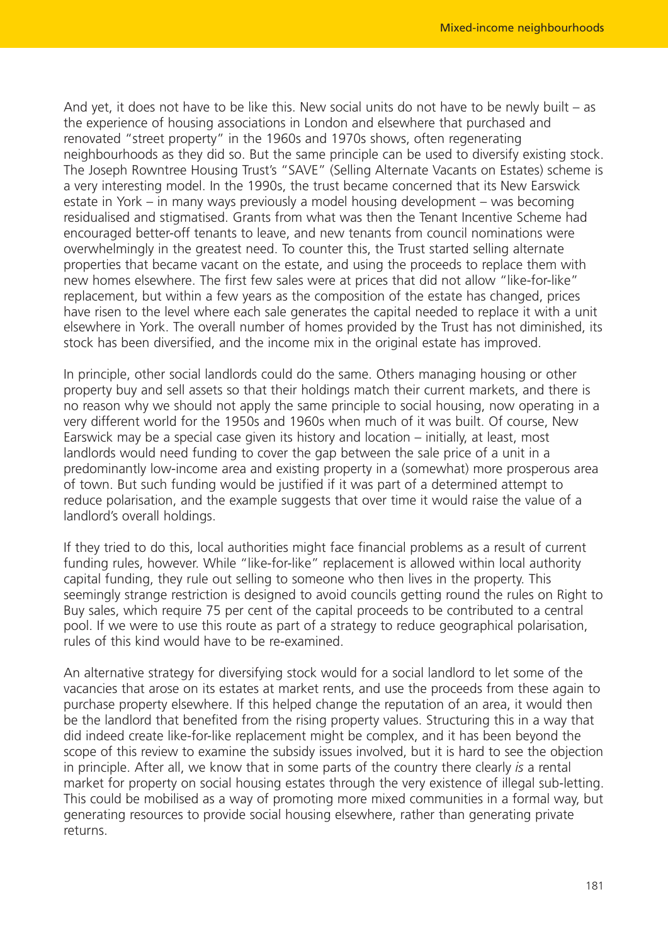And yet, it does not have to be like this. New social units do not have to be newly built – as the experience of housing associations in London and elsewhere that purchased and renovated "street property" in the 1960s and 1970s shows, often regenerating neighbourhoods as they did so. But the same principle can be used to diversify existing stock. The Joseph Rowntree Housing Trust's "SAVE" (Selling Alternate Vacants on Estates) scheme is a very interesting model. In the 1990s, the trust became concerned that its New Earswick estate in York – in many ways previously a model housing development – was becoming residualised and stigmatised. Grants from what was then the Tenant Incentive Scheme had encouraged better-off tenants to leave, and new tenants from council nominations were overwhelmingly in the greatest need. To counter this, the Trust started selling alternate properties that became vacant on the estate, and using the proceeds to replace them with new homes elsewhere. The first few sales were at prices that did not allow "like-for-like" replacement, but within a few years as the composition of the estate has changed, prices have risen to the level where each sale generates the capital needed to replace it with a unit elsewhere in York. The overall number of homes provided by the Trust has not diminished, its stock has been diversified, and the income mix in the original estate has improved.

In principle, other social landlords could do the same. Others managing housing or other property buy and sell assets so that their holdings match their current markets, and there is no reason why we should not apply the same principle to social housing, now operating in a very different world for the 1950s and 1960s when much of it was built. Of course, New Earswick may be a special case given its history and location – initially, at least, most landlords would need funding to cover the gap between the sale price of a unit in a predominantly low-income area and existing property in a (somewhat) more prosperous area of town. But such funding would be justified if it was part of a determined attempt to reduce polarisation, and the example suggests that over time it would raise the value of a landlord's overall holdings.

If they tried to do this, local authorities might face financial problems as a result of current funding rules, however. While "like-for-like" replacement is allowed within local authority capital funding, they rule out selling to someone who then lives in the property. This seemingly strange restriction is designed to avoid councils getting round the rules on Right to Buy sales, which require 75 per cent of the capital proceeds to be contributed to a central pool. If we were to use this route as part of a strategy to reduce geographical polarisation, rules of this kind would have to be re-examined.

An alternative strategy for diversifying stock would for a social landlord to let some of the vacancies that arose on its estates at market rents, and use the proceeds from these again to purchase property elsewhere. If this helped change the reputation of an area, it would then be the landlord that benefited from the rising property values. Structuring this in a way that did indeed create like-for-like replacement might be complex, and it has been beyond the scope of this review to examine the subsidy issues involved, but it is hard to see the objection in principle. After all, we know that in some parts of the country there clearly *is* a rental market for property on social housing estates through the very existence of illegal sub-letting. This could be mobilised as a way of promoting more mixed communities in a formal way, but generating resources to provide social housing elsewhere, rather than generating private returns.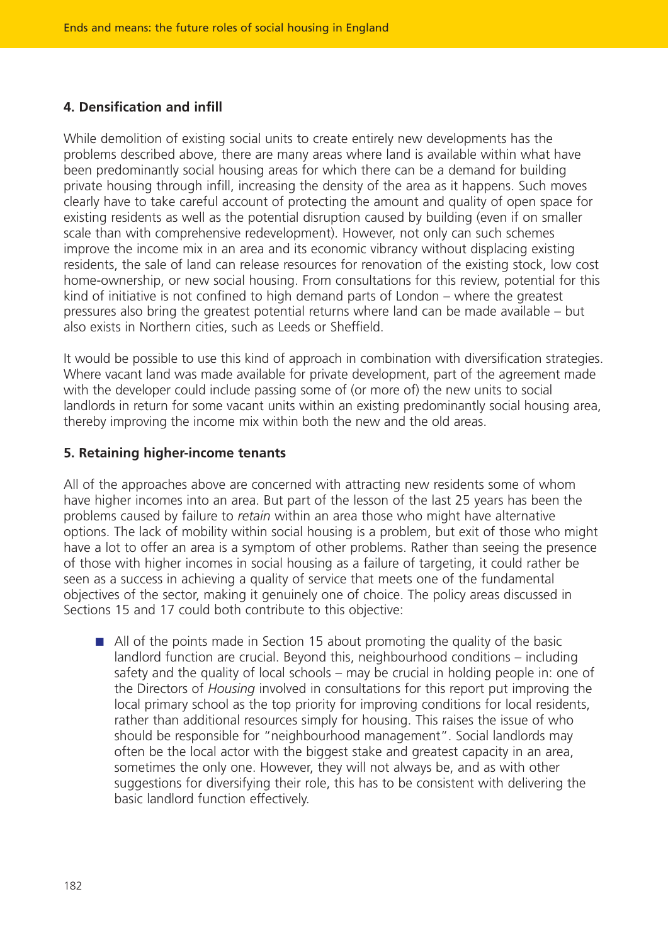# **4. Densification and infill**

While demolition of existing social units to create entirely new developments has the problems described above, there are many areas where land is available within what have been predominantly social housing areas for which there can be a demand for building private housing through infill, increasing the density of the area as it happens. Such moves clearly have to take careful account of protecting the amount and quality of open space for existing residents as well as the potential disruption caused by building (even if on smaller scale than with comprehensive redevelopment). However, not only can such schemes improve the income mix in an area and its economic vibrancy without displacing existing residents, the sale of land can release resources for renovation of the existing stock, low cost home-ownership, or new social housing. From consultations for this review, potential for this kind of initiative is not confined to high demand parts of London – where the greatest pressures also bring the greatest potential returns where land can be made available – but also exists in Northern cities, such as Leeds or Sheffield.

It would be possible to use this kind of approach in combination with diversification strategies. Where vacant land was made available for private development, part of the agreement made with the developer could include passing some of (or more of) the new units to social landlords in return for some vacant units within an existing predominantly social housing area, thereby improving the income mix within both the new and the old areas.

## **5. Retaining higher-income tenants**

All of the approaches above are concerned with attracting new residents some of whom have higher incomes into an area. But part of the lesson of the last 25 years has been the problems caused by failure to *retain* within an area those who might have alternative options. The lack of mobility within social housing is a problem, but exit of those who might have a lot to offer an area is a symptom of other problems. Rather than seeing the presence of those with higher incomes in social housing as a failure of targeting, it could rather be seen as a success in achieving a quality of service that meets one of the fundamental objectives of the sector, making it genuinely one of choice. The policy areas discussed in Sections 15 and 17 could both contribute to this objective:

■ All of the points made in Section 15 about promoting the quality of the basic landlord function are crucial. Beyond this, neighbourhood conditions – including safety and the quality of local schools – may be crucial in holding people in: one of the Directors of *Housing* involved in consultations for this report put improving the local primary school as the top priority for improving conditions for local residents, rather than additional resources simply for housing. This raises the issue of who should be responsible for "neighbourhood management". Social landlords may often be the local actor with the biggest stake and greatest capacity in an area, sometimes the only one. However, they will not always be, and as with other suggestions for diversifying their role, this has to be consistent with delivering the basic landlord function effectively.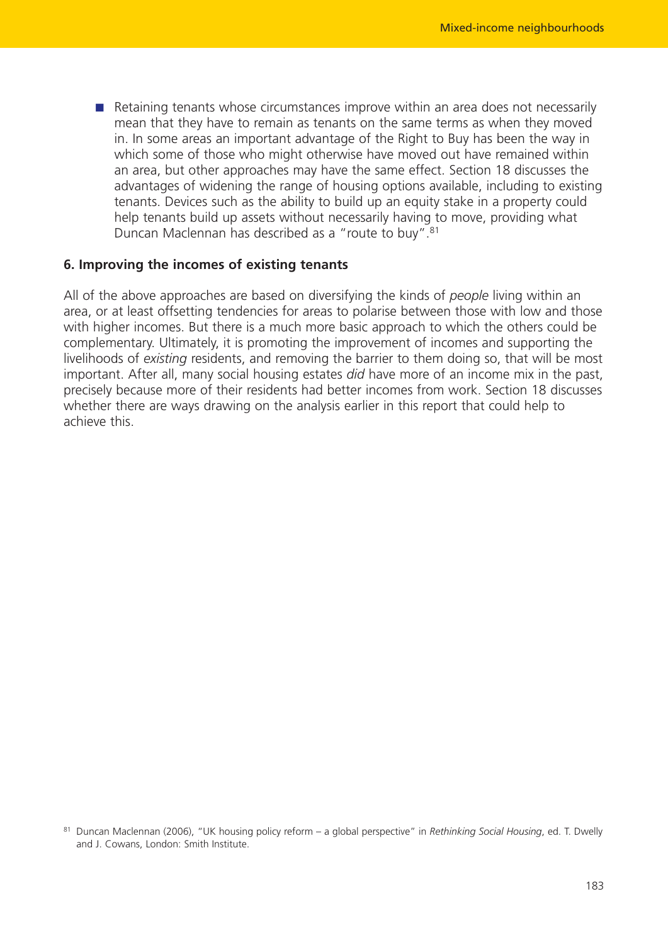■ Retaining tenants whose circumstances improve within an area does not necessarily mean that they have to remain as tenants on the same terms as when they moved in. In some areas an important advantage of the Right to Buy has been the way in which some of those who might otherwise have moved out have remained within an area, but other approaches may have the same effect. Section 18 discusses the advantages of widening the range of housing options available, including to existing tenants. Devices such as the ability to build up an equity stake in a property could help tenants build up assets without necessarily having to move, providing what Duncan Maclennan has described as a "route to buy".81

### **6. Improving the incomes of existing tenants**

All of the above approaches are based on diversifying the kinds of *people* living within an area, or at least offsetting tendencies for areas to polarise between those with low and those with higher incomes. But there is a much more basic approach to which the others could be complementary. Ultimately, it is promoting the improvement of incomes and supporting the livelihoods of *existing* residents, and removing the barrier to them doing so, that will be most important. After all, many social housing estates *did* have more of an income mix in the past, precisely because more of their residents had better incomes from work. Section 18 discusses whether there are ways drawing on the analysis earlier in this report that could help to achieve this.

<sup>81</sup> Duncan Maclennan (2006), "UK housing policy reform – a global perspective" in *Rethinking Social Housing*, ed. T. Dwelly and J. Cowans, London: Smith Institute.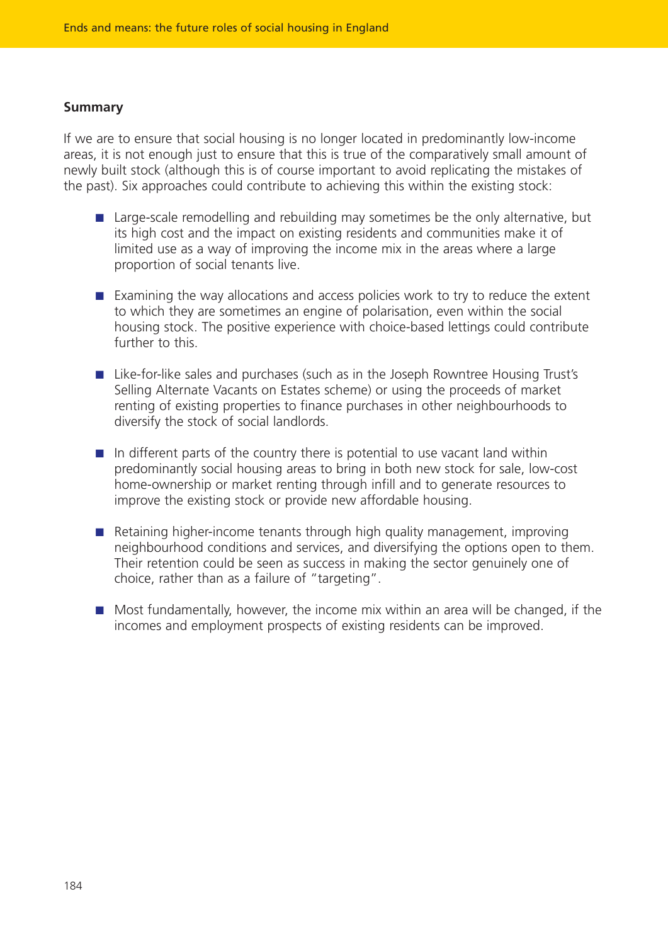## **Summary**

If we are to ensure that social housing is no longer located in predominantly low-income areas, it is not enough just to ensure that this is true of the comparatively small amount of newly built stock (although this is of course important to avoid replicating the mistakes of the past). Six approaches could contribute to achieving this within the existing stock:

- Large-scale remodelling and rebuilding may sometimes be the only alternative, but its high cost and the impact on existing residents and communities make it of limited use as a way of improving the income mix in the areas where a large proportion of social tenants live.
- Examining the way allocations and access policies work to try to reduce the extent to which they are sometimes an engine of polarisation, even within the social housing stock. The positive experience with choice-based lettings could contribute further to this.
- Like-for-like sales and purchases (such as in the Joseph Rowntree Housing Trust's Selling Alternate Vacants on Estates scheme) or using the proceeds of market renting of existing properties to finance purchases in other neighbourhoods to diversify the stock of social landlords.
- In different parts of the country there is potential to use vacant land within predominantly social housing areas to bring in both new stock for sale, low-cost home-ownership or market renting through infill and to generate resources to improve the existing stock or provide new affordable housing.
- Retaining higher-income tenants through high quality management, improving neighbourhood conditions and services, and diversifying the options open to them. Their retention could be seen as success in making the sector genuinely one of choice, rather than as a failure of "targeting".
- Most fundamentally, however, the income mix within an area will be changed, if the incomes and employment prospects of existing residents can be improved.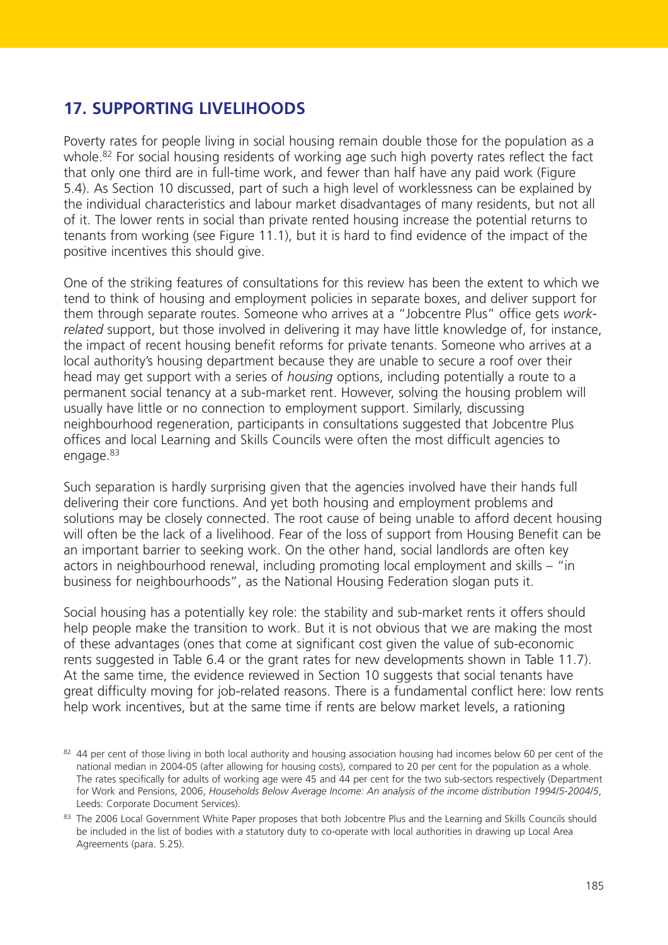# **17. SUPPORTING LIVELIHOODS**

Poverty rates for people living in social housing remain double those for the population as a whole.<sup>82</sup> For social housing residents of working age such high poverty rates reflect the fact that only one third are in full-time work, and fewer than half have any paid work (Figure 5.4). As Section 10 discussed, part of such a high level of worklessness can be explained by the individual characteristics and labour market disadvantages of many residents, but not all of it. The lower rents in social than private rented housing increase the potential returns to tenants from working (see Figure 11.1), but it is hard to find evidence of the impact of the positive incentives this should give.

One of the striking features of consultations for this review has been the extent to which we tend to think of housing and employment policies in separate boxes, and deliver support for them through separate routes. Someone who arrives at a "Jobcentre Plus" office gets *workrelated* support, but those involved in delivering it may have little knowledge of, for instance, the impact of recent housing benefit reforms for private tenants. Someone who arrives at a local authority's housing department because they are unable to secure a roof over their head may get support with a series of *housing* options, including potentially a route to a permanent social tenancy at a sub-market rent. However, solving the housing problem will usually have little or no connection to employment support. Similarly, discussing neighbourhood regeneration, participants in consultations suggested that Jobcentre Plus offices and local Learning and Skills Councils were often the most difficult agencies to engage. 83

Such separation is hardly surprising given that the agencies involved have their hands full delivering their core functions. And yet both housing and employment problems and solutions may be closely connected. The root cause of being unable to afford decent housing will often be the lack of a livelihood. Fear of the loss of support from Housing Benefit can be an important barrier to seeking work. On the other hand, social landlords are often key actors in neighbourhood renewal, including promoting local employment and skills – "in business for neighbourhoods", as the National Housing Federation slogan puts it.

Social housing has a potentially key role: the stability and sub-market rents it offers should help people make the transition to work. But it is not obvious that we are making the most of these advantages (ones that come at significant cost given the value of sub-economic rents suggested in Table 6.4 or the grant rates for new developments shown in Table 11.7). At the same time, the evidence reviewed in Section 10 suggests that social tenants have great difficulty moving for job-related reasons. There is a fundamental conflict here: low rents help work incentives, but at the same time if rents are below market levels, a rationing

<sup>82 44</sup> per cent of those living in both local authority and housing association housing had incomes below 60 per cent of the national median in 2004-05 (after allowing for housing costs), compared to 20 per cent for the population as a whole. The rates specifically for adults of working age were 45 and 44 per cent for the two sub-sectors respectively (Department for Work and Pensions, 2006, *Households Below Average Income: An analysis of the income distribution 1994/5-2004/5*, Leeds: Corporate Document Services).

<sup>&</sup>lt;sup>83</sup> The 2006 Local Government White Paper proposes that both Jobcentre Plus and the Learning and Skills Councils should be included in the list of bodies with a statutory duty to co-operate with local authorities in drawing up Local Area Agreements (para. 5.25).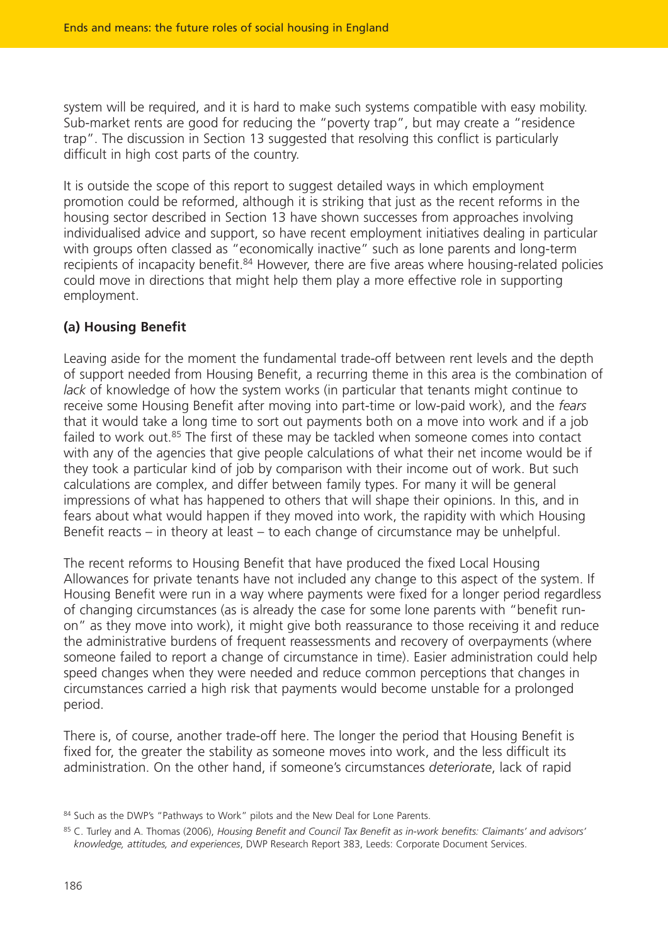system will be required, and it is hard to make such systems compatible with easy mobility. Sub-market rents are good for reducing the "poverty trap", but may create a "residence trap". The discussion in Section 13 suggested that resolving this conflict is particularly difficult in high cost parts of the country.

It is outside the scope of this report to suggest detailed ways in which employment promotion could be reformed, although it is striking that just as the recent reforms in the housing sector described in Section 13 have shown successes from approaches involving individualised advice and support, so have recent employment initiatives dealing in particular with groups often classed as "economically inactive" such as lone parents and long-term recipients of incapacity benefit.<sup>84</sup> However, there are five areas where housing-related policies could move in directions that might help them play a more effective role in supporting employment.

# **(a) Housing Benefit**

Leaving aside for the moment the fundamental trade-off between rent levels and the depth of support needed from Housing Benefit, a recurring theme in this area is the combination of *lack* of knowledge of how the system works (in particular that tenants might continue to receive some Housing Benefit after moving into part-time or low-paid work), and the *fears* that it would take a long time to sort out payments both on a move into work and if a job failed to work out.<sup>85</sup> The first of these may be tackled when someone comes into contact with any of the agencies that give people calculations of what their net income would be if they took a particular kind of job by comparison with their income out of work. But such calculations are complex, and differ between family types. For many it will be general impressions of what has happened to others that will shape their opinions. In this, and in fears about what would happen if they moved into work, the rapidity with which Housing Benefit reacts – in theory at least – to each change of circumstance may be unhelpful.

The recent reforms to Housing Benefit that have produced the fixed Local Housing Allowances for private tenants have not included any change to this aspect of the system. If Housing Benefit were run in a way where payments were fixed for a longer period regardless of changing circumstances (as is already the case for some lone parents with "benefit runon" as they move into work), it might give both reassurance to those receiving it and reduce the administrative burdens of frequent reassessments and recovery of overpayments (where someone failed to report a change of circumstance in time). Easier administration could help speed changes when they were needed and reduce common perceptions that changes in circumstances carried a high risk that payments would become unstable for a prolonged period.

There is, of course, another trade-off here. The longer the period that Housing Benefit is fixed for, the greater the stability as someone moves into work, and the less difficult its administration. On the other hand, if someone's circumstances *deteriorate*, lack of rapid

<sup>84</sup> Such as the DWP's "Pathways to Work" pilots and the New Deal for Lone Parents.

<sup>85</sup> C. Turley and A. Thomas (2006), *Housing Benefit and Council Tax Benefit as in-work benefits: Claimants' and advisors' knowledge, attitudes, and experiences*, DWP Research Report 383, Leeds: Corporate Document Services.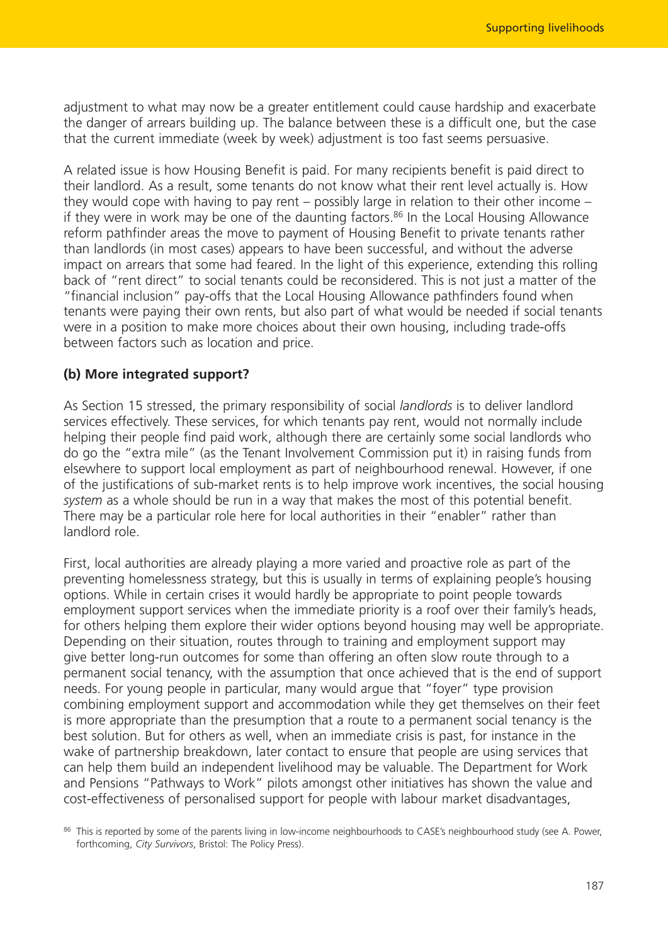adjustment to what may now be a greater entitlement could cause hardship and exacerbate the danger of arrears building up. The balance between these is a difficult one, but the case that the current immediate (week by week) adjustment is too fast seems persuasive.

A related issue is how Housing Benefit is paid. For many recipients benefit is paid direct to their landlord. As a result, some tenants do not know what their rent level actually is. How they would cope with having to pay rent – possibly large in relation to their other income – if they were in work may be one of the daunting factors. $86$  In the Local Housing Allowance reform pathfinder areas the move to payment of Housing Benefit to private tenants rather than landlords (in most cases) appears to have been successful, and without the adverse impact on arrears that some had feared. In the light of this experience, extending this rolling back of "rent direct" to social tenants could be reconsidered. This is not just a matter of the "financial inclusion" pay-offs that the Local Housing Allowance pathfinders found when tenants were paying their own rents, but also part of what would be needed if social tenants were in a position to make more choices about their own housing, including trade-offs between factors such as location and price.

### **(b) More integrated support?**

As Section 15 stressed, the primary responsibility of social *landlords* is to deliver landlord services effectively. These services, for which tenants pay rent, would not normally include helping their people find paid work, although there are certainly some social landlords who do go the "extra mile" (as the Tenant Involvement Commission put it) in raising funds from elsewhere to support local employment as part of neighbourhood renewal. However, if one of the justifications of sub-market rents is to help improve work incentives, the social housing *system* as a whole should be run in a way that makes the most of this potential benefit. There may be a particular role here for local authorities in their "enabler" rather than landlord role.

First, local authorities are already playing a more varied and proactive role as part of the preventing homelessness strategy, but this is usually in terms of explaining people's housing options. While in certain crises it would hardly be appropriate to point people towards employment support services when the immediate priority is a roof over their family's heads, for others helping them explore their wider options beyond housing may well be appropriate. Depending on their situation, routes through to training and employment support may give better long-run outcomes for some than offering an often slow route through to a permanent social tenancy, with the assumption that once achieved that is the end of support needs. For young people in particular, many would argue that "foyer" type provision combining employment support and accommodation while they get themselves on their feet is more appropriate than the presumption that a route to a permanent social tenancy is the best solution. But for others as well, when an immediate crisis is past, for instance in the wake of partnership breakdown, later contact to ensure that people are using services that can help them build an independent livelihood may be valuable. The Department for Work and Pensions "Pathways to Work" pilots amongst other initiatives has shown the value and cost-effectiveness of personalised support for people with labour market disadvantages,

<sup>86</sup> This is reported by some of the parents living in low-income neighbourhoods to CASE's neighbourhood study (see A. Power, forthcoming, *City Survivors*, Bristol: The Policy Press).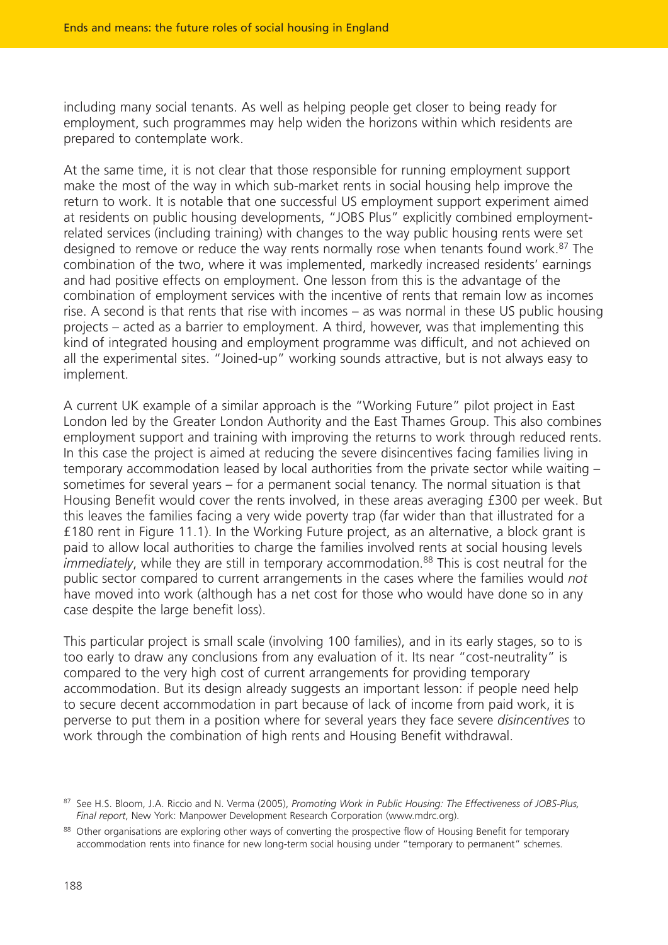including many social tenants. As well as helping people get closer to being ready for employment, such programmes may help widen the horizons within which residents are prepared to contemplate work.

At the same time, it is not clear that those responsible for running employment support make the most of the way in which sub-market rents in social housing help improve the return to work. It is notable that one successful US employment support experiment aimed at residents on public housing developments, "JOBS Plus" explicitly combined employmentrelated services (including training) with changes to the way public housing rents were set designed to remove or reduce the way rents normally rose when tenants found work.<sup>87</sup> The combination of the two, where it was implemented, markedly increased residents' earnings and had positive effects on employment. One lesson from this is the advantage of the combination of employment services with the incentive of rents that remain low as incomes rise. A second is that rents that rise with incomes – as was normal in these US public housing projects – acted as a barrier to employment. A third, however, was that implementing this kind of integrated housing and employment programme was difficult, and not achieved on all the experimental sites. "Joined-up" working sounds attractive, but is not always easy to implement.

A current UK example of a similar approach is the "Working Future" pilot project in East London led by the Greater London Authority and the East Thames Group. This also combines employment support and training with improving the returns to work through reduced rents. In this case the project is aimed at reducing the severe disincentives facing families living in temporary accommodation leased by local authorities from the private sector while waiting – sometimes for several years – for a permanent social tenancy. The normal situation is that Housing Benefit would cover the rents involved, in these areas averaging £300 per week. But this leaves the families facing a very wide poverty trap (far wider than that illustrated for a £180 rent in Figure 11.1). In the Working Future project, as an alternative, a block grant is paid to allow local authorities to charge the families involved rents at social housing levels *immediately*, while they are still in temporary accommodation.<sup>88</sup> This is cost neutral for the public sector compared to current arrangements in the cases where the families would *not* have moved into work (although has a net cost for those who would have done so in any case despite the large benefit loss).

This particular project is small scale (involving 100 families), and in its early stages, so to is too early to draw any conclusions from any evaluation of it. Its near "cost-neutrality" is compared to the very high cost of current arrangements for providing temporary accommodation. But its design already suggests an important lesson: if people need help to secure decent accommodation in part because of lack of income from paid work, it is perverse to put them in a position where for several years they face severe *disincentives* to work through the combination of high rents and Housing Benefit withdrawal.

<sup>87</sup> See H.S. Bloom, J.A. Riccio and N. Verma (2005), *Promoting Work in Public Housing: The Effectiveness of JOBS-Plus, Final report*, New York: Manpower Development Research Corporation (www.mdrc.org).

<sup>88</sup> Other organisations are exploring other ways of converting the prospective flow of Housing Benefit for temporary accommodation rents into finance for new long-term social housing under "temporary to permanent" schemes.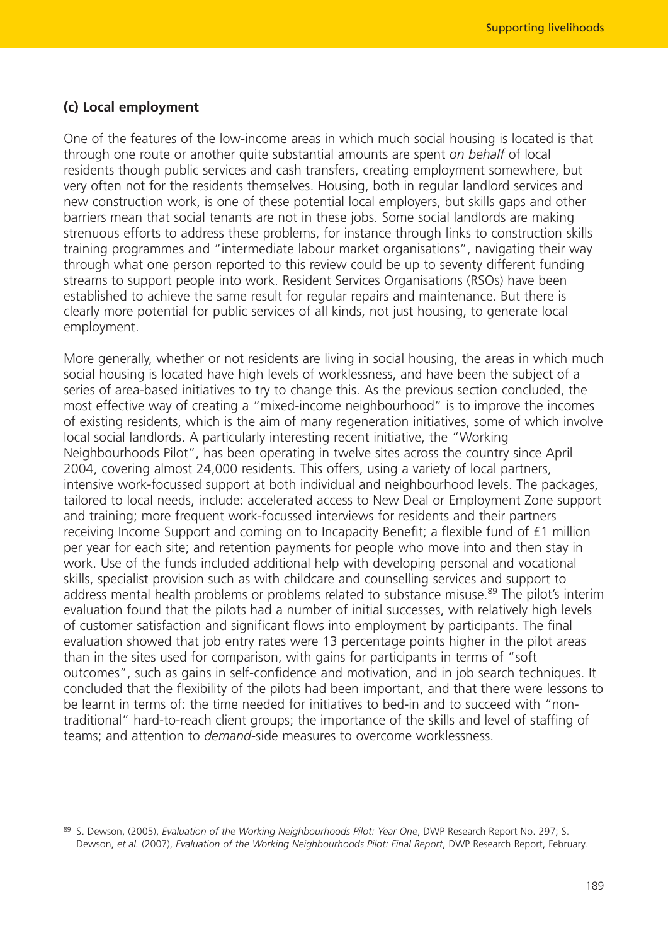## **(c) Local employment**

One of the features of the low-income areas in which much social housing is located is that through one route or another quite substantial amounts are spent *on behalf* of local residents though public services and cash transfers, creating employment somewhere, but very often not for the residents themselves. Housing, both in regular landlord services and new construction work, is one of these potential local employers, but skills gaps and other barriers mean that social tenants are not in these jobs. Some social landlords are making strenuous efforts to address these problems, for instance through links to construction skills training programmes and "intermediate labour market organisations", navigating their way through what one person reported to this review could be up to seventy different funding streams to support people into work. Resident Services Organisations (RSOs) have been established to achieve the same result for regular repairs and maintenance. But there is clearly more potential for public services of all kinds, not just housing, to generate local employment.

More generally, whether or not residents are living in social housing, the areas in which much social housing is located have high levels of worklessness, and have been the subject of a series of area-based initiatives to try to change this. As the previous section concluded, the most effective way of creating a "mixed-income neighbourhood" is to improve the incomes of existing residents, which is the aim of many regeneration initiatives, some of which involve local social landlords. A particularly interesting recent initiative, the "Working Neighbourhoods Pilot", has been operating in twelve sites across the country since April 2004, covering almost 24,000 residents. This offers, using a variety of local partners, intensive work-focussed support at both individual and neighbourhood levels. The packages, tailored to local needs, include: accelerated access to New Deal or Employment Zone support and training; more frequent work-focussed interviews for residents and their partners receiving Income Support and coming on to Incapacity Benefit; a flexible fund of £1 million per year for each site; and retention payments for people who move into and then stay in work. Use of the funds included additional help with developing personal and vocational skills, specialist provision such as with childcare and counselling services and support to address mental health problems or problems related to substance misuse.<sup>89</sup> The pilot's interim evaluation found that the pilots had a number of initial successes, with relatively high levels of customer satisfaction and significant flows into employment by participants. The final evaluation showed that job entry rates were 13 percentage points higher in the pilot areas than in the sites used for comparison, with gains for participants in terms of "soft outcomes", such as gains in self-confidence and motivation, and in job search techniques. It concluded that the flexibility of the pilots had been important, and that there were lessons to be learnt in terms of: the time needed for initiatives to bed-in and to succeed with "nontraditional" hard-to-reach client groups; the importance of the skills and level of staffing of teams; and attention to *demand*-side measures to overcome worklessness.

<sup>89</sup> S. Dewson, (2005), *Evaluation of the Working Neighbourhoods Pilot: Year One*, DWP Research Report No. 297; S. Dewson, *et al.* (2007), *Evaluation of the Working Neighbourhoods Pilot: Final Report*, DWP Research Report, February.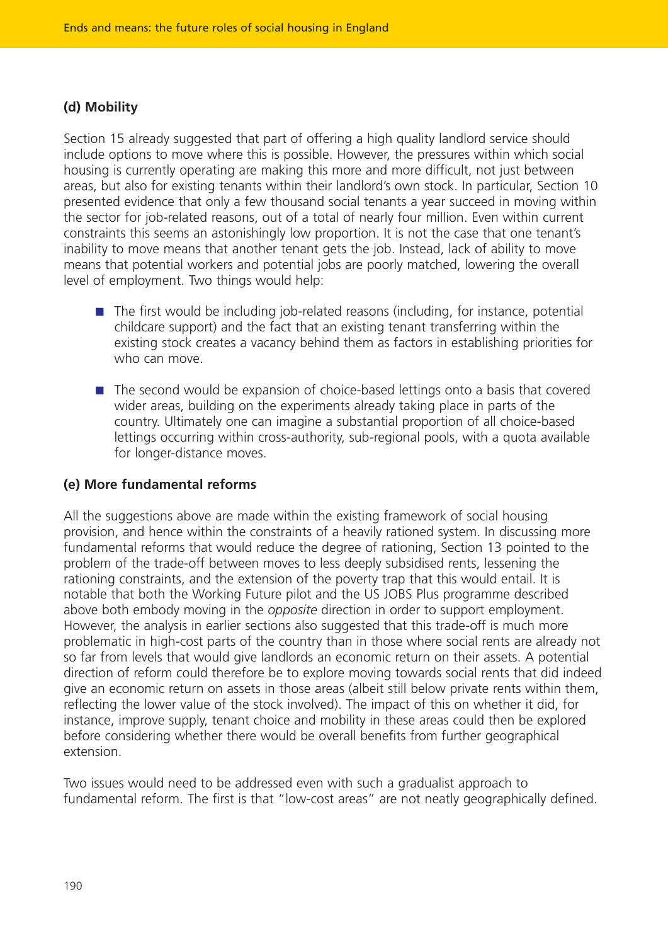# **(d) Mobility**

Section 15 already suggested that part of offering a high quality landlord service should include options to move where this is possible. However, the pressures within which social housing is currently operating are making this more and more difficult, not just between areas, but also for existing tenants within their landlord's own stock. In particular, Section 10 presented evidence that only a few thousand social tenants a year succeed in moving within the sector for job-related reasons, out of a total of nearly four million. Even within current constraints this seems an astonishingly low proportion. It is not the case that one tenant's inability to move means that another tenant gets the job. Instead, lack of ability to move means that potential workers and potential jobs are poorly matched, lowering the overall level of employment. Two things would help:

- The first would be including job-related reasons (including, for instance, potential childcare support) and the fact that an existing tenant transferring within the existing stock creates a vacancy behind them as factors in establishing priorities for who can move.
- The second would be expansion of choice-based lettings onto a basis that covered wider areas, building on the experiments already taking place in parts of the country. Ultimately one can imagine a substantial proportion of all choice-based lettings occurring within cross-authority, sub-regional pools, with a quota available for longer-distance moves.

# **(e) More fundamental reforms**

All the suggestions above are made within the existing framework of social housing provision, and hence within the constraints of a heavily rationed system. In discussing more fundamental reforms that would reduce the degree of rationing, Section 13 pointed to the problem of the trade-off between moves to less deeply subsidised rents, lessening the rationing constraints, and the extension of the poverty trap that this would entail. It is notable that both the Working Future pilot and the US JOBS Plus programme described above both embody moving in the *opposite* direction in order to support employment. However, the analysis in earlier sections also suggested that this trade-off is much more problematic in high-cost parts of the country than in those where social rents are already not so far from levels that would give landlords an economic return on their assets. A potential direction of reform could therefore be to explore moving towards social rents that did indeed give an economic return on assets in those areas (albeit still below private rents within them, reflecting the lower value of the stock involved). The impact of this on whether it did, for instance, improve supply, tenant choice and mobility in these areas could then be explored before considering whether there would be overall benefits from further geographical extension.

Two issues would need to be addressed even with such a gradualist approach to fundamental reform. The first is that "low-cost areas" are not neatly geographically defined.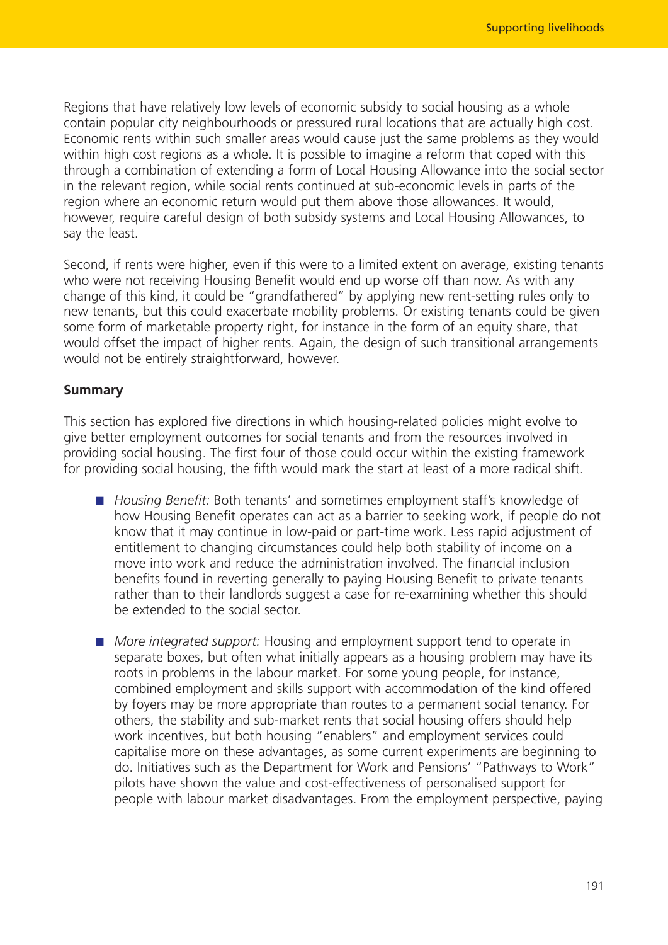Regions that have relatively low levels of economic subsidy to social housing as a whole contain popular city neighbourhoods or pressured rural locations that are actually high cost. Economic rents within such smaller areas would cause just the same problems as they would within high cost regions as a whole. It is possible to imagine a reform that coped with this through a combination of extending a form of Local Housing Allowance into the social sector in the relevant region, while social rents continued at sub-economic levels in parts of the region where an economic return would put them above those allowances. It would, however, require careful design of both subsidy systems and Local Housing Allowances, to say the least.

Second, if rents were higher, even if this were to a limited extent on average, existing tenants who were not receiving Housing Benefit would end up worse off than now. As with any change of this kind, it could be "grandfathered" by applying new rent-setting rules only to new tenants, but this could exacerbate mobility problems. Or existing tenants could be given some form of marketable property right, for instance in the form of an equity share, that would offset the impact of higher rents. Again, the design of such transitional arrangements would not be entirely straightforward, however.

### **Summary**

This section has explored five directions in which housing-related policies might evolve to give better employment outcomes for social tenants and from the resources involved in providing social housing. The first four of those could occur within the existing framework for providing social housing, the fifth would mark the start at least of a more radical shift.

- *Housing Benefit:* Both tenants' and sometimes employment staff's knowledge of how Housing Benefit operates can act as a barrier to seeking work, if people do not know that it may continue in low-paid or part-time work. Less rapid adjustment of entitlement to changing circumstances could help both stability of income on a move into work and reduce the administration involved. The financial inclusion benefits found in reverting generally to paying Housing Benefit to private tenants rather than to their landlords suggest a case for re-examining whether this should be extended to the social sector.
- *More integrated support:* Housing and employment support tend to operate in separate boxes, but often what initially appears as a housing problem may have its roots in problems in the labour market. For some young people, for instance, combined employment and skills support with accommodation of the kind offered by foyers may be more appropriate than routes to a permanent social tenancy. For others, the stability and sub-market rents that social housing offers should help work incentives, but both housing "enablers" and employment services could capitalise more on these advantages, as some current experiments are beginning to do. Initiatives such as the Department for Work and Pensions' "Pathways to Work" pilots have shown the value and cost-effectiveness of personalised support for people with labour market disadvantages. From the employment perspective, paying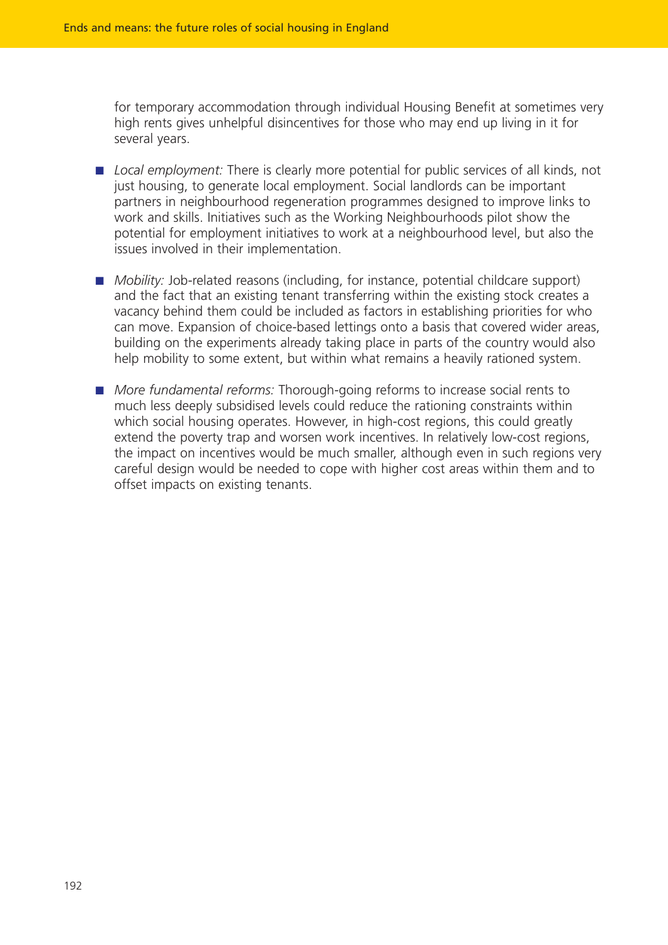for temporary accommodation through individual Housing Benefit at sometimes very high rents gives unhelpful disincentives for those who may end up living in it for several years.

- *Local employment:* There is clearly more potential for public services of all kinds, not just housing, to generate local employment. Social landlords can be important partners in neighbourhood regeneration programmes designed to improve links to work and skills. Initiatives such as the Working Neighbourhoods pilot show the potential for employment initiatives to work at a neighbourhood level, but also the issues involved in their implementation.
- *Mobility:* Job-related reasons (including, for instance, potential childcare support) and the fact that an existing tenant transferring within the existing stock creates a vacancy behind them could be included as factors in establishing priorities for who can move. Expansion of choice-based lettings onto a basis that covered wider areas, building on the experiments already taking place in parts of the country would also help mobility to some extent, but within what remains a heavily rationed system.
- *More fundamental reforms:* Thorough-going reforms to increase social rents to much less deeply subsidised levels could reduce the rationing constraints within which social housing operates. However, in high-cost regions, this could greatly extend the poverty trap and worsen work incentives. In relatively low-cost regions, the impact on incentives would be much smaller, although even in such regions very careful design would be needed to cope with higher cost areas within them and to offset impacts on existing tenants.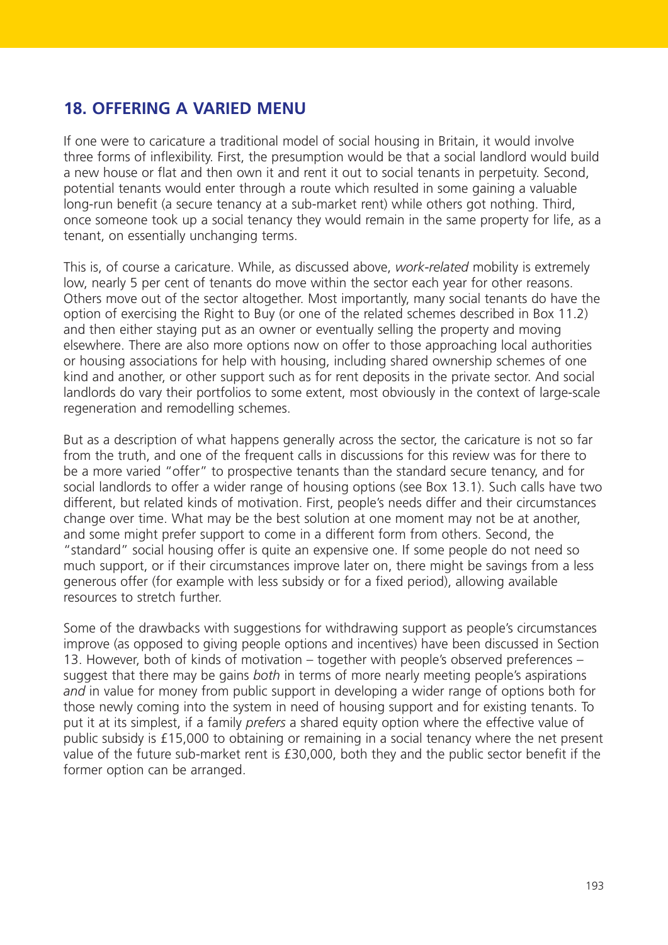# **18. OFFERING A VARIED MENU**

If one were to caricature a traditional model of social housing in Britain, it would involve three forms of inflexibility. First, the presumption would be that a social landlord would build a new house or flat and then own it and rent it out to social tenants in perpetuity. Second, potential tenants would enter through a route which resulted in some gaining a valuable long-run benefit (a secure tenancy at a sub-market rent) while others got nothing. Third, once someone took up a social tenancy they would remain in the same property for life, as a tenant, on essentially unchanging terms.

This is, of course a caricature. While, as discussed above, *work-related* mobility is extremely low, nearly 5 per cent of tenants do move within the sector each year for other reasons. Others move out of the sector altogether. Most importantly, many social tenants do have the option of exercising the Right to Buy (or one of the related schemes described in Box 11.2) and then either staying put as an owner or eventually selling the property and moving elsewhere. There are also more options now on offer to those approaching local authorities or housing associations for help with housing, including shared ownership schemes of one kind and another, or other support such as for rent deposits in the private sector. And social landlords do vary their portfolios to some extent, most obviously in the context of large-scale regeneration and remodelling schemes.

But as a description of what happens generally across the sector, the caricature is not so far from the truth, and one of the frequent calls in discussions for this review was for there to be a more varied "offer" to prospective tenants than the standard secure tenancy, and for social landlords to offer a wider range of housing options (see Box 13.1). Such calls have two different, but related kinds of motivation. First, people's needs differ and their circumstances change over time. What may be the best solution at one moment may not be at another, and some might prefer support to come in a different form from others. Second, the "standard" social housing offer is quite an expensive one. If some people do not need so much support, or if their circumstances improve later on, there might be savings from a less generous offer (for example with less subsidy or for a fixed period), allowing available resources to stretch further.

Some of the drawbacks with suggestions for withdrawing support as people's circumstances improve (as opposed to giving people options and incentives) have been discussed in Section 13. However, both of kinds of motivation – together with people's observed preferences – suggest that there may be gains *both* in terms of more nearly meeting people's aspirations *and* in value for money from public support in developing a wider range of options both for those newly coming into the system in need of housing support and for existing tenants. To put it at its simplest, if a family *prefers* a shared equity option where the effective value of public subsidy is £15,000 to obtaining or remaining in a social tenancy where the net present value of the future sub-market rent is £30,000, both they and the public sector benefit if the former option can be arranged.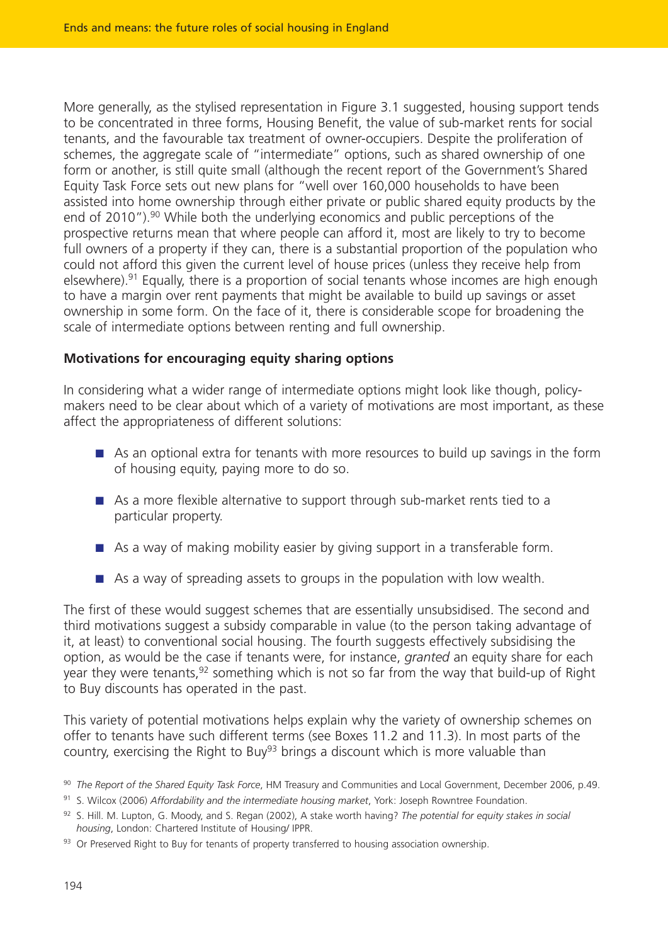More generally, as the stylised representation in Figure 3.1 suggested, housing support tends to be concentrated in three forms, Housing Benefit, the value of sub-market rents for social tenants, and the favourable tax treatment of owner-occupiers. Despite the proliferation of schemes, the aggregate scale of "intermediate" options, such as shared ownership of one form or another, is still quite small (although the recent report of the Government's Shared Equity Task Force sets out new plans for "well over 160,000 households to have been assisted into home ownership through either private or public shared equity products by the end of 2010").<sup>90</sup> While both the underlying economics and public perceptions of the prospective returns mean that where people can afford it, most are likely to try to become full owners of a property if they can, there is a substantial proportion of the population who could not afford this given the current level of house prices (unless they receive help from elsewhere).<sup>91</sup> Equally, there is a proportion of social tenants whose incomes are high enough to have a margin over rent payments that might be available to build up savings or asset ownership in some form. On the face of it, there is considerable scope for broadening the scale of intermediate options between renting and full ownership.

## **Motivations for encouraging equity sharing options**

In considering what a wider range of intermediate options might look like though, policymakers need to be clear about which of a variety of motivations are most important, as these affect the appropriateness of different solutions:

- As an optional extra for tenants with more resources to build up savings in the form of housing equity, paying more to do so.
- As a more flexible alternative to support through sub-market rents tied to a particular property.
- As a way of making mobility easier by giving support in a transferable form.
- As a way of spreading assets to groups in the population with low wealth.

The first of these would suggest schemes that are essentially unsubsidised. The second and third motivations suggest a subsidy comparable in value (to the person taking advantage of it, at least) to conventional social housing. The fourth suggests effectively subsidising the option, as would be the case if tenants were, for instance, *granted* an equity share for each year they were tenants,<sup>92</sup> something which is not so far from the way that build-up of Right to Buy discounts has operated in the past.

This variety of potential motivations helps explain why the variety of ownership schemes on offer to tenants have such different terms (see Boxes 11.2 and 11.3). In most parts of the country, exercising the Right to Buy<sup>93</sup> brings a discount which is more valuable than

<sup>90</sup> *The Report of the Shared Equity Task Force*, HM Treasury and Communities and Local Government, December 2006, p.49.

<sup>91</sup> S. Wilcox (2006) *Affordability and the intermediate housing market*, York: Joseph Rowntree Foundation.

<sup>92</sup> S. Hill. M. Lupton, G. Moody, and S. Regan (2002), A stake worth having? *The potential for equity stakes in social housing*, London: Chartered Institute of Housing/ IPPR.

<sup>93</sup> Or Preserved Right to Buy for tenants of property transferred to housing association ownership.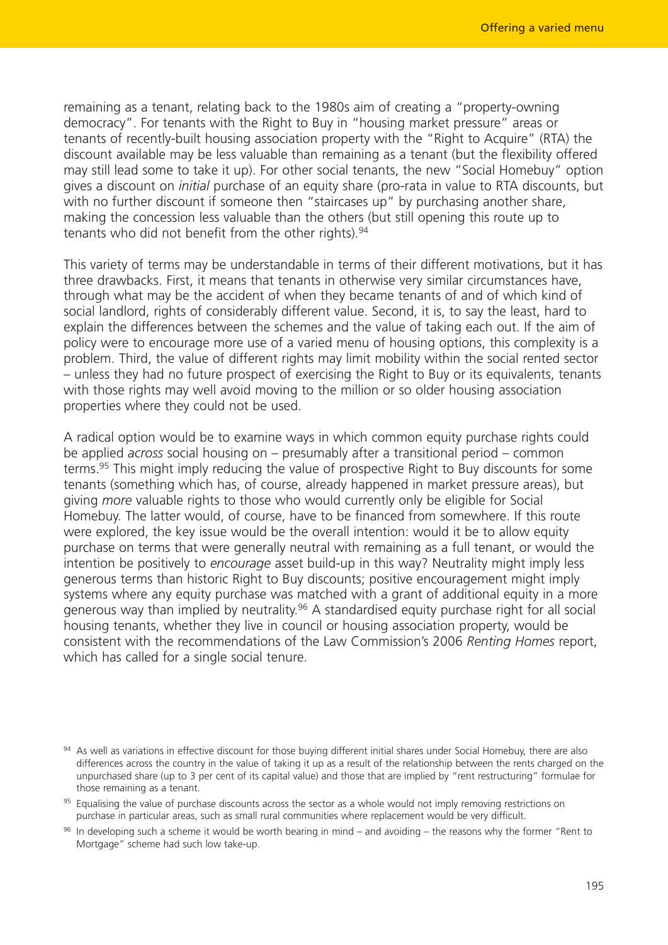remaining as a tenant, relating back to the 1980s aim of creating a "property-owning democracy". For tenants with the Right to Buy in "housing market pressure" areas or tenants of recently-built housing association property with the "Right to Acquire" (RTA) the discount available may be less valuable than remaining as a tenant (but the flexibility offered may still lead some to take it up). For other social tenants, the new "Social Homebuy" option gives a discount on *initial* purchase of an equity share (pro-rata in value to RTA discounts, but with no further discount if someone then "staircases up" by purchasing another share, making the concession less valuable than the others (but still opening this route up to tenants who did not benefit from the other rights).<sup>94</sup>

This variety of terms may be understandable in terms of their different motivations, but it has three drawbacks. First, it means that tenants in otherwise very similar circumstances have, through what may be the accident of when they became tenants of and of which kind of social landlord, rights of considerably different value. Second, it is, to say the least, hard to explain the differences between the schemes and the value of taking each out. If the aim of policy were to encourage more use of a varied menu of housing options, this complexity is a problem. Third, the value of different rights may limit mobility within the social rented sector – unless they had no future prospect of exercising the Right to Buy or its equivalents, tenants with those rights may well avoid moving to the million or so older housing association properties where they could not be used.

A radical option would be to examine ways in which common equity purchase rights could be applied *across* social housing on – presumably after a transitional period – common terms.<sup>95</sup> This might imply reducing the value of prospective Right to Buy discounts for some tenants (something which has, of course, already happened in market pressure areas), but giving *more* valuable rights to those who would currently only be eligible for Social Homebuy. The latter would, of course, have to be financed from somewhere. If this route were explored, the key issue would be the overall intention: would it be to allow equity purchase on terms that were generally neutral with remaining as a full tenant, or would the intention be positively to *encourage* asset build-up in this way? Neutrality might imply less generous terms than historic Right to Buy discounts; positive encouragement might imply systems where any equity purchase was matched with a grant of additional equity in a more generous way than implied by neutrality.96 A standardised equity purchase right for all social housing tenants, whether they live in council or housing association property, would be consistent with the recommendations of the Law Commission's 2006 *Renting Homes* report, which has called for a single social tenure.

<sup>94</sup> As well as variations in effective discount for those buying different initial shares under Social Homebuy, there are also differences across the country in the value of taking it up as a result of the relationship between the rents charged on the unpurchased share (up to 3 per cent of its capital value) and those that are implied by "rent restructuring" formulae for those remaining as a tenant.

<sup>95</sup> Equalising the value of purchase discounts across the sector as a whole would not imply removing restrictions on purchase in particular areas, such as small rural communities where replacement would be very difficult.

 $96$  In developing such a scheme it would be worth bearing in mind – and avoiding – the reasons why the former "Rent to Mortgage" scheme had such low take-up.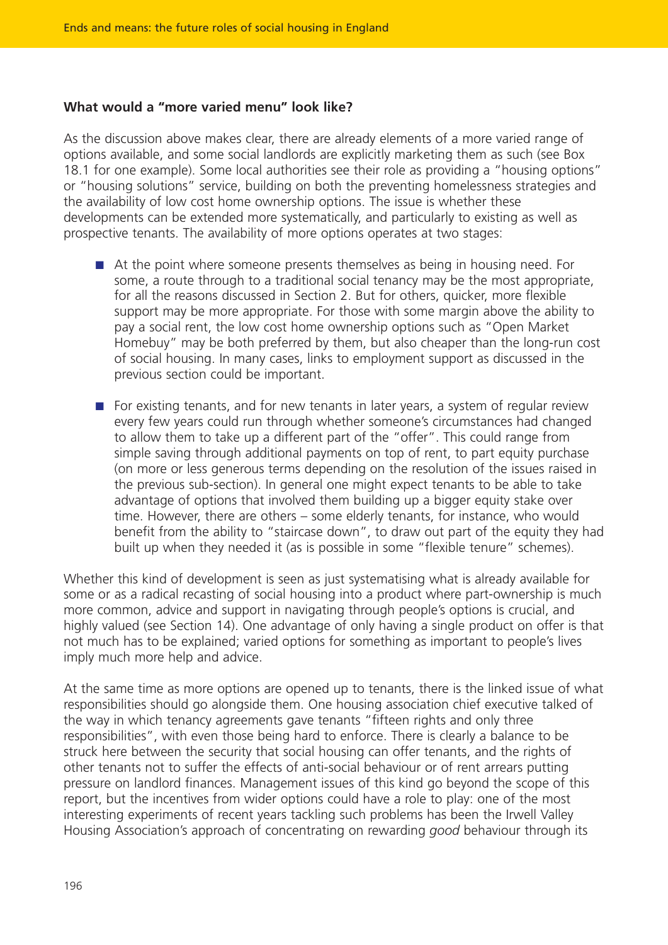### **What would a "more varied menu" look like?**

As the discussion above makes clear, there are already elements of a more varied range of options available, and some social landlords are explicitly marketing them as such (see Box 18.1 for one example). Some local authorities see their role as providing a "housing options" or "housing solutions" service, building on both the preventing homelessness strategies and the availability of low cost home ownership options. The issue is whether these developments can be extended more systematically, and particularly to existing as well as prospective tenants. The availability of more options operates at two stages:

- At the point where someone presents themselves as being in housing need. For some, a route through to a traditional social tenancy may be the most appropriate, for all the reasons discussed in Section 2. But for others, quicker, more flexible support may be more appropriate. For those with some margin above the ability to pay a social rent, the low cost home ownership options such as "Open Market Homebuy" may be both preferred by them, but also cheaper than the long-run cost of social housing. In many cases, links to employment support as discussed in the previous section could be important.
- For existing tenants, and for new tenants in later years, a system of regular review every few years could run through whether someone's circumstances had changed to allow them to take up a different part of the "offer". This could range from simple saving through additional payments on top of rent, to part equity purchase (on more or less generous terms depending on the resolution of the issues raised in the previous sub-section). In general one might expect tenants to be able to take advantage of options that involved them building up a bigger equity stake over time. However, there are others – some elderly tenants, for instance, who would benefit from the ability to "staircase down", to draw out part of the equity they had built up when they needed it (as is possible in some "flexible tenure" schemes).

Whether this kind of development is seen as just systematising what is already available for some or as a radical recasting of social housing into a product where part-ownership is much more common, advice and support in navigating through people's options is crucial, and highly valued (see Section 14). One advantage of only having a single product on offer is that not much has to be explained; varied options for something as important to people's lives imply much more help and advice.

At the same time as more options are opened up to tenants, there is the linked issue of what responsibilities should go alongside them. One housing association chief executive talked of the way in which tenancy agreements gave tenants "fifteen rights and only three responsibilities", with even those being hard to enforce. There is clearly a balance to be struck here between the security that social housing can offer tenants, and the rights of other tenants not to suffer the effects of anti-social behaviour or of rent arrears putting pressure on landlord finances. Management issues of this kind go beyond the scope of this report, but the incentives from wider options could have a role to play: one of the most interesting experiments of recent years tackling such problems has been the Irwell Valley Housing Association's approach of concentrating on rewarding *good* behaviour through its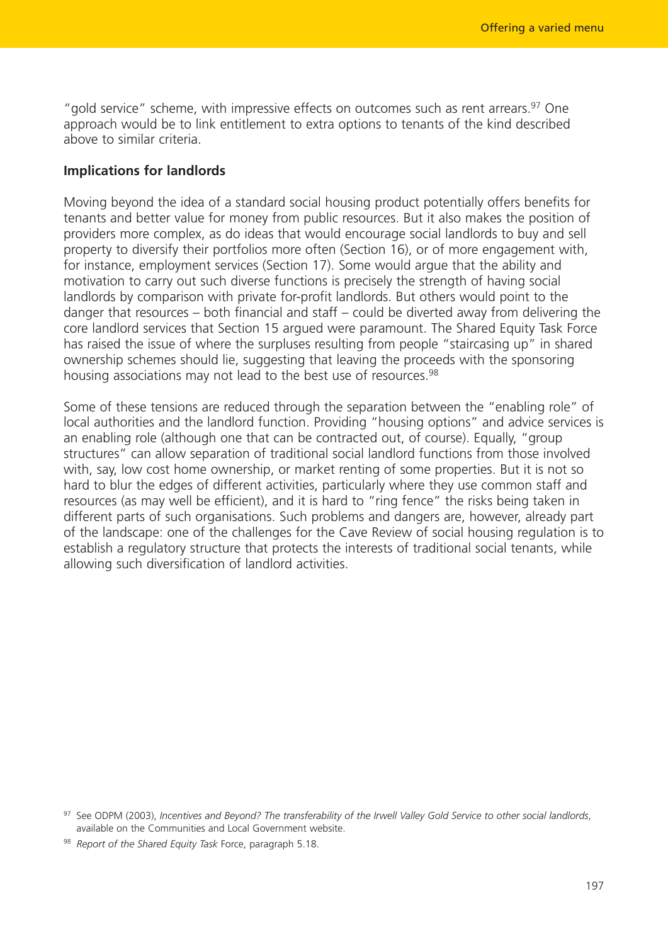" gold service" scheme, with impressive effects on outcomes such as rent arrears.<sup>97</sup> One approach would be to link entitlement to extra options to tenants of the kind described above to similar criteria.

### **Implications for landlords**

Moving beyond the idea of a standard social housing product potentially offers benefits for tenants and better value for money from public resources. But it also makes the position of providers more complex, as do ideas that would encourage social landlords to buy and sell property to diversify their portfolios more often (Section 16), or of more engagement with, for instance, employment services (Section 17). Some would argue that the ability and motivation to carry out such diverse functions is precisely the strength of having social landlords by comparison with private for-profit landlords. But others would point to the danger that resources – both financial and staff – could be diverted away from delivering the core landlord services that Section 15 argued were paramount. The Shared Equity Task Force has raised the issue of where the surpluses resulting from people "staircasing up" in shared ownership schemes should lie, suggesting that leaving the proceeds with the sponsoring housing associations may not lead to the best use of resources.<sup>98</sup>

Some of these tensions are reduced through the separation between the "enabling role" of local authorities and the landlord function. Providing "housing options" and advice services is an enabling role (although one that can be contracted out, of course). Equally, "group structures" can allow separation of traditional social landlord functions from those involved with, say, low cost home ownership, or market renting of some properties. But it is not so hard to blur the edges of different activities, particularly where they use common staff and resources (as may well be efficient), and it is hard to "ring fence" the risks being taken in different parts of such organisations. Such problems and dangers are, however, already part of the landscape: one of the challenges for the Cave Review of social housing regulation is to establish a regulatory structure that protects the interests of traditional social tenants, while allowing such diversification of landlord activities.

<sup>97</sup> See ODPM (2003), *Incentives and Beyond? The transferability of the Irwell Valley Gold Service to other social landlords*, available on the Communities and Local Government website.

<sup>98</sup> *Report of the Shared Equity Task* Force, paragraph 5.18.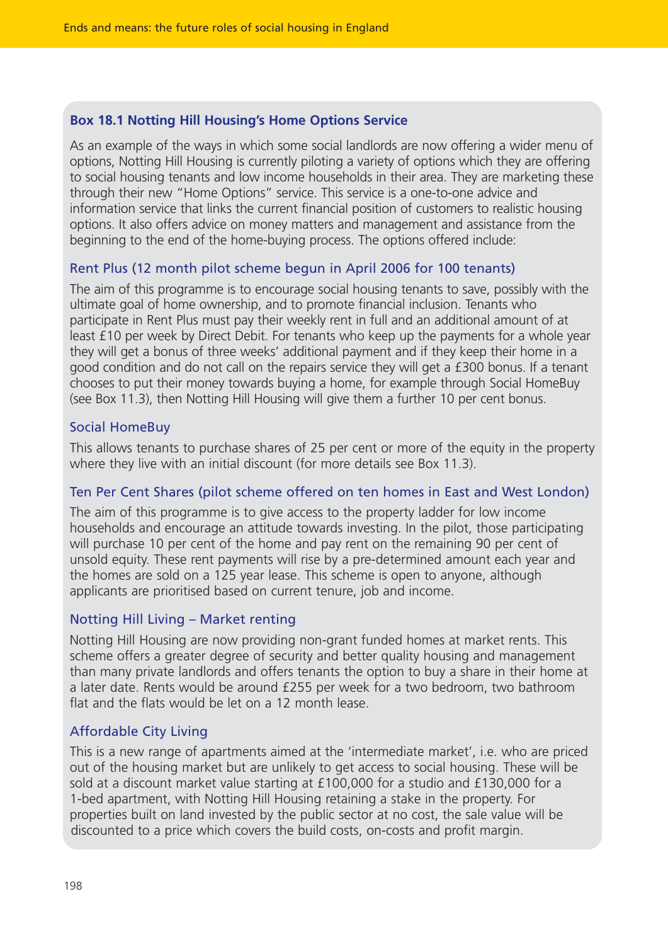# **Box 18.1 Notting Hill Housing's Home Options Service**

As an example of the ways in which some social landlords are now offering a wider menu of options, Notting Hill Housing is currently piloting a variety of options which they are offering to social housing tenants and low income households in their area. They are marketing these through their new "Home Options" service. This service is a one-to-one advice and information service that links the current financial position of customers to realistic housing options. It also offers advice on money matters and management and assistance from the beginning to the end of the home-buying process. The options offered include:

## Rent Plus (12 month pilot scheme begun in April 2006 for 100 tenants)

The aim of this programme is to encourage social housing tenants to save, possibly with the ultimate goal of home ownership, and to promote financial inclusion. Tenants who participate in Rent Plus must pay their weekly rent in full and an additional amount of at least £10 per week by Direct Debit. For tenants who keep up the payments for a whole year they will get a bonus of three weeks' additional payment and if they keep their home in a good condition and do not call on the repairs service they will get a £300 bonus. If a tenant chooses to put their money towards buying a home, for example through Social HomeBuy (see Box 11.3), then Notting Hill Housing will give them a further 10 per cent bonus.

## Social HomeBuy

This allows tenants to purchase shares of 25 per cent or more of the equity in the property where they live with an initial discount (for more details see Box 11.3).

## Ten Per Cent Shares (pilot scheme offered on ten homes in East and West London)

The aim of this programme is to give access to the property ladder for low income households and encourage an attitude towards investing. In the pilot, those participating will purchase 10 per cent of the home and pay rent on the remaining 90 per cent of unsold equity. These rent payments will rise by a pre-determined amount each year and the homes are sold on a 125 year lease. This scheme is open to anyone, although applicants are prioritised based on current tenure, job and income.

## Notting Hill Living – Market renting

Notting Hill Housing are now providing non-grant funded homes at market rents. This scheme offers a greater degree of security and better quality housing and management than many private landlords and offers tenants the option to buy a share in their home at a later date. Rents would be around £255 per week for a two bedroom, two bathroom flat and the flats would be let on a 12 month lease.

## Affordable City Living

This is a new range of apartments aimed at the 'intermediate market', i.e. who are priced out of the housing market but are unlikely to get access to social housing. These will be sold at a discount market value starting at £100,000 for a studio and £130,000 for a 1-bed apartment, with Notting Hill Housing retaining a stake in the property. For properties built on land invested by the public sector at no cost, the sale value will be discounted to a price which covers the build costs, on-costs and profit margin.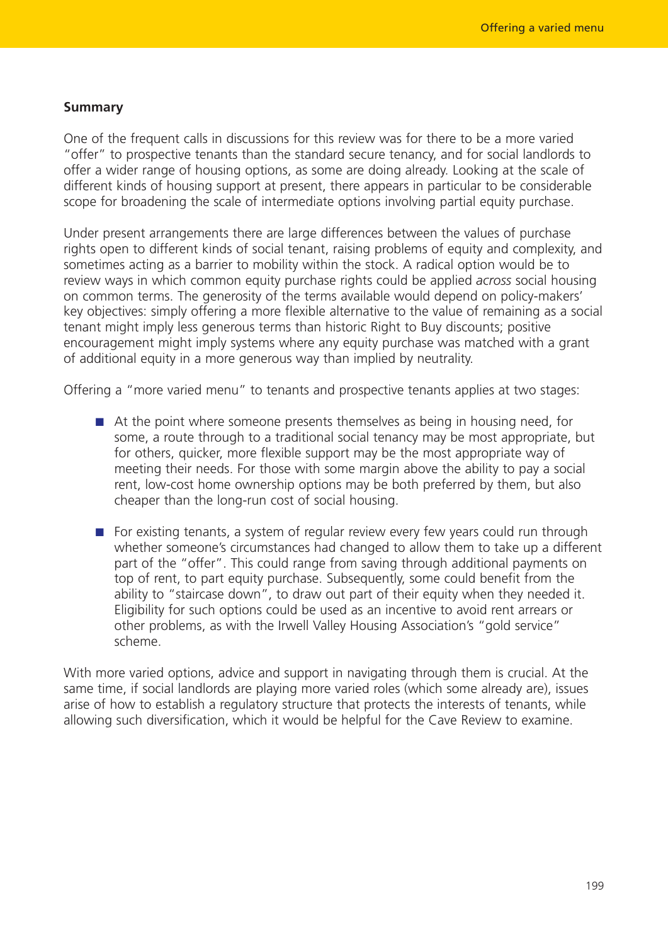#### **Summary**

One of the frequent calls in discussions for this review was for there to be a more varied "offer" to prospective tenants than the standard secure tenancy, and for social landlords to offer a wider range of housing options, as some are doing already. Looking at the scale of different kinds of housing support at present, there appears in particular to be considerable scope for broadening the scale of intermediate options involving partial equity purchase.

Under present arrangements there are large differences between the values of purchase rights open to different kinds of social tenant, raising problems of equity and complexity, and sometimes acting as a barrier to mobility within the stock. A radical option would be to review ways in which common equity purchase rights could be applied *across* social housing on common terms. The generosity of the terms available would depend on policy-makers' key objectives: simply offering a more flexible alternative to the value of remaining as a social tenant might imply less generous terms than historic Right to Buy discounts; positive encouragement might imply systems where any equity purchase was matched with a grant of additional equity in a more generous way than implied by neutrality.

Offering a "more varied menu" to tenants and prospective tenants applies at two stages:

- At the point where someone presents themselves as being in housing need, for some, a route through to a traditional social tenancy may be most appropriate, but for others, quicker, more flexible support may be the most appropriate way of meeting their needs. For those with some margin above the ability to pay a social rent, low-cost home ownership options may be both preferred by them, but also cheaper than the long-run cost of social housing.
- For existing tenants, a system of regular review every few years could run through whether someone's circumstances had changed to allow them to take up a different part of the "offer". This could range from saving through additional payments on top of rent, to part equity purchase. Subsequently, some could benefit from the ability to "staircase down", to draw out part of their equity when they needed it. Eligibility for such options could be used as an incentive to avoid rent arrears or other problems, as with the Irwell Valley Housing Association's "gold service" scheme.

With more varied options, advice and support in navigating through them is crucial. At the same time, if social landlords are playing more varied roles (which some already are), issues arise of how to establish a regulatory structure that protects the interests of tenants, while allowing such diversification, which it would be helpful for the Cave Review to examine.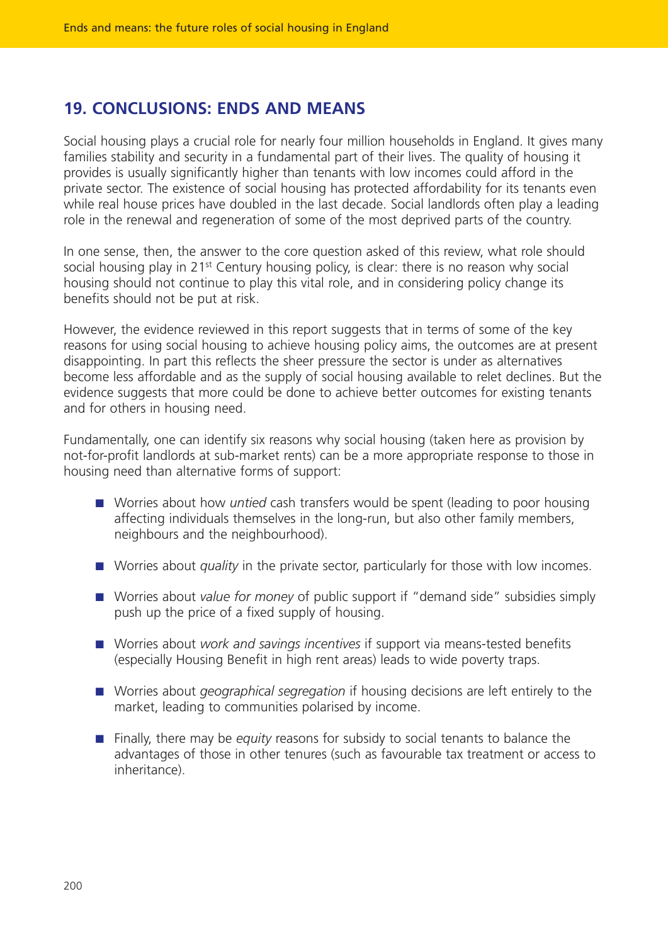# **19. CONCLUSIONS: ENDS AND MEANS**

Social housing plays a crucial role for nearly four million households in England. It gives many families stability and security in a fundamental part of their lives. The quality of housing it provides is usually significantly higher than tenants with low incomes could afford in the private sector. The existence of social housing has protected affordability for its tenants even while real house prices have doubled in the last decade. Social landlords often play a leading role in the renewal and regeneration of some of the most deprived parts of the country.

In one sense, then, the answer to the core question asked of this review, what role should social housing play in 21<sup>st</sup> Century housing policy, is clear: there is no reason why social housing should not continue to play this vital role, and in considering policy change its benefits should not be put at risk.

However, the evidence reviewed in this report suggests that in terms of some of the key reasons for using social housing to achieve housing policy aims, the outcomes are at present disappointing. In part this reflects the sheer pressure the sector is under as alternatives become less affordable and as the supply of social housing available to relet declines. But the evidence suggests that more could be done to achieve better outcomes for existing tenants and for others in housing need.

Fundamentally, one can identify six reasons why social housing (taken here as provision by not-for-profit landlords at sub-market rents) can be a more appropriate response to those in housing need than alternative forms of support:

- Worries about how *untied* cash transfers would be spent (leading to poor housing affecting individuals themselves in the long-run, but also other family members, neighbours and the neighbourhood).
- Worries about *quality* in the private sector, particularly for those with low incomes.
- Worries about *value for money* of public support if "demand side" subsidies simply push up the price of a fixed supply of housing.
- Worries about *work and savings incentives* if support via means-tested benefits (especially Housing Benefit in high rent areas) leads to wide poverty traps.
- Worries about *geographical segregation* if housing decisions are left entirely to the market, leading to communities polarised by income.
- Finally, there may be *equity* reasons for subsidy to social tenants to balance the advantages of those in other tenures (such as favourable tax treatment or access to inheritance).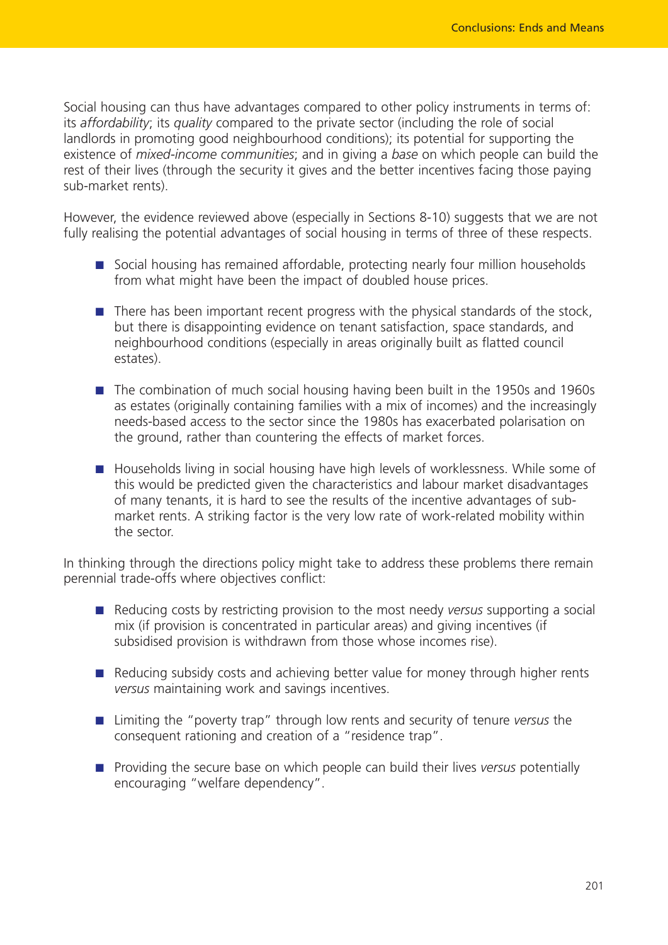Social housing can thus have advantages compared to other policy instruments in terms of: its *affordability*; its *quality* compared to the private sector (including the role of social landlords in promoting good neighbourhood conditions); its potential for supporting the existence of *mixed-income communities*; and in giving a *base* on which people can build the rest of their lives (through the security it gives and the better incentives facing those paying sub-market rents).

However, the evidence reviewed above (especially in Sections 8-10) suggests that we are not fully realising the potential advantages of social housing in terms of three of these respects.

- Social housing has remained affordable, protecting nearly four million households from what might have been the impact of doubled house prices.
- There has been important recent progress with the physical standards of the stock, but there is disappointing evidence on tenant satisfaction, space standards, and neighbourhood conditions (especially in areas originally built as flatted council estates).
- The combination of much social housing having been built in the 1950s and 1960s as estates (originally containing families with a mix of incomes) and the increasingly needs-based access to the sector since the 1980s has exacerbated polarisation on the ground, rather than countering the effects of market forces.
- Households living in social housing have high levels of worklessness. While some of this would be predicted given the characteristics and labour market disadvantages of many tenants, it is hard to see the results of the incentive advantages of submarket rents. A striking factor is the very low rate of work-related mobility within the sector.

In thinking through the directions policy might take to address these problems there remain perennial trade-offs where objectives conflict:

- Reducing costs by restricting provision to the most needy *versus* supporting a social mix (if provision is concentrated in particular areas) and giving incentives (if subsidised provision is withdrawn from those whose incomes rise).
- Reducing subsidy costs and achieving better value for money through higher rents *versus* maintaining work and savings incentives.
- Limiting the "poverty trap" through low rents and security of tenure *versus* the consequent rationing and creation of a "residence trap".
- Providing the secure base on which people can build their lives *versus* potentially encouraging "welfare dependency".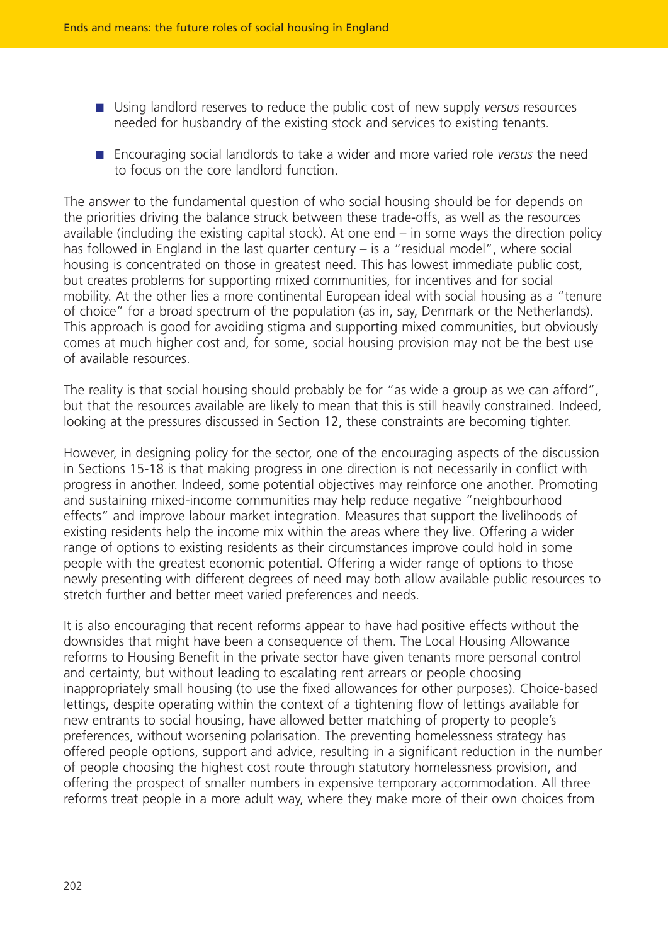- Using landlord reserves to reduce the public cost of new supply *versus* resources needed for husbandry of the existing stock and services to existing tenants.
- Encouraging social landlords to take a wider and more varied role *versus* the need to focus on the core landlord function.

The answer to the fundamental question of who social housing should be for depends on the priorities driving the balance struck between these trade-offs, as well as the resources available (including the existing capital stock). At one end – in some ways the direction policy has followed in England in the last quarter century – is a "residual model", where social housing is concentrated on those in greatest need. This has lowest immediate public cost, but creates problems for supporting mixed communities, for incentives and for social mobility. At the other lies a more continental European ideal with social housing as a "tenure of choice" for a broad spectrum of the population (as in, say, Denmark or the Netherlands). This approach is good for avoiding stigma and supporting mixed communities, but obviously comes at much higher cost and, for some, social housing provision may not be the best use of available resources.

The reality is that social housing should probably be for "as wide a group as we can afford", but that the resources available are likely to mean that this is still heavily constrained. Indeed, looking at the pressures discussed in Section 12, these constraints are becoming tighter.

However, in designing policy for the sector, one of the encouraging aspects of the discussion in Sections 15-18 is that making progress in one direction is not necessarily in conflict with progress in another. Indeed, some potential objectives may reinforce one another. Promoting and sustaining mixed-income communities may help reduce negative "neighbourhood effects" and improve labour market integration. Measures that support the livelihoods of existing residents help the income mix within the areas where they live. Offering a wider range of options to existing residents as their circumstances improve could hold in some people with the greatest economic potential. Offering a wider range of options to those newly presenting with different degrees of need may both allow available public resources to stretch further and better meet varied preferences and needs.

It is also encouraging that recent reforms appear to have had positive effects without the downsides that might have been a consequence of them. The Local Housing Allowance reforms to Housing Benefit in the private sector have given tenants more personal control and certainty, but without leading to escalating rent arrears or people choosing inappropriately small housing (to use the fixed allowances for other purposes). Choice-based lettings, despite operating within the context of a tightening flow of lettings available for new entrants to social housing, have allowed better matching of property to people's preferences, without worsening polarisation. The preventing homelessness strategy has offered people options, support and advice, resulting in a significant reduction in the number of people choosing the highest cost route through statutory homelessness provision, and offering the prospect of smaller numbers in expensive temporary accommodation. All three reforms treat people in a more adult way, where they make more of their own choices from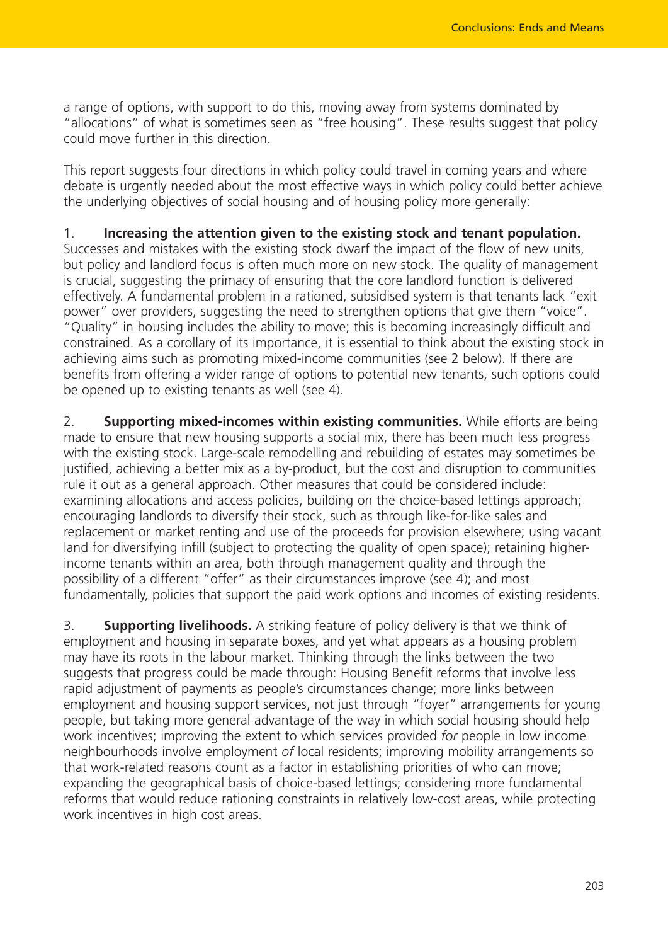a range of options, with support to do this, moving away from systems dominated by "allocations" of what is sometimes seen as "free housing". These results suggest that policy could move further in this direction.

This report suggests four directions in which policy could travel in coming years and where debate is urgently needed about the most effective ways in which policy could better achieve the underlying objectives of social housing and of housing policy more generally:

1. **Increasing the attention given to the existing stock and tenant population.** Successes and mistakes with the existing stock dwarf the impact of the flow of new units,

but policy and landlord focus is often much more on new stock. The quality of management is crucial, suggesting the primacy of ensuring that the core landlord function is delivered effectively. A fundamental problem in a rationed, subsidised system is that tenants lack "exit power" over providers, suggesting the need to strengthen options that give them "voice". "Quality" in housing includes the ability to move; this is becoming increasingly difficult and constrained. As a corollary of its importance, it is essential to think about the existing stock in achieving aims such as promoting mixed-income communities (see 2 below). If there are benefits from offering a wider range of options to potential new tenants, such options could be opened up to existing tenants as well (see 4).

2. **Supporting mixed-incomes within existing communities.** While efforts are being made to ensure that new housing supports a social mix, there has been much less progress with the existing stock. Large-scale remodelling and rebuilding of estates may sometimes be justified, achieving a better mix as a by-product, but the cost and disruption to communities rule it out as a general approach. Other measures that could be considered include: examining allocations and access policies, building on the choice-based lettings approach; encouraging landlords to diversify their stock, such as through like-for-like sales and replacement or market renting and use of the proceeds for provision elsewhere; using vacant land for diversifying infill (subject to protecting the quality of open space); retaining higherincome tenants within an area, both through management quality and through the possibility of a different "offer" as their circumstances improve (see 4); and most fundamentally, policies that support the paid work options and incomes of existing residents.

3. **Supporting livelihoods.** A striking feature of policy delivery is that we think of employment and housing in separate boxes, and yet what appears as a housing problem may have its roots in the labour market. Thinking through the links between the two suggests that progress could be made through: Housing Benefit reforms that involve less rapid adjustment of payments as people's circumstances change; more links between employment and housing support services, not just through "foyer" arrangements for young people, but taking more general advantage of the way in which social housing should help work incentives; improving the extent to which services provided *for* people in low income neighbourhoods involve employment *of* local residents; improving mobility arrangements so that work-related reasons count as a factor in establishing priorities of who can move; expanding the geographical basis of choice-based lettings; considering more fundamental reforms that would reduce rationing constraints in relatively low-cost areas, while protecting work incentives in high cost areas.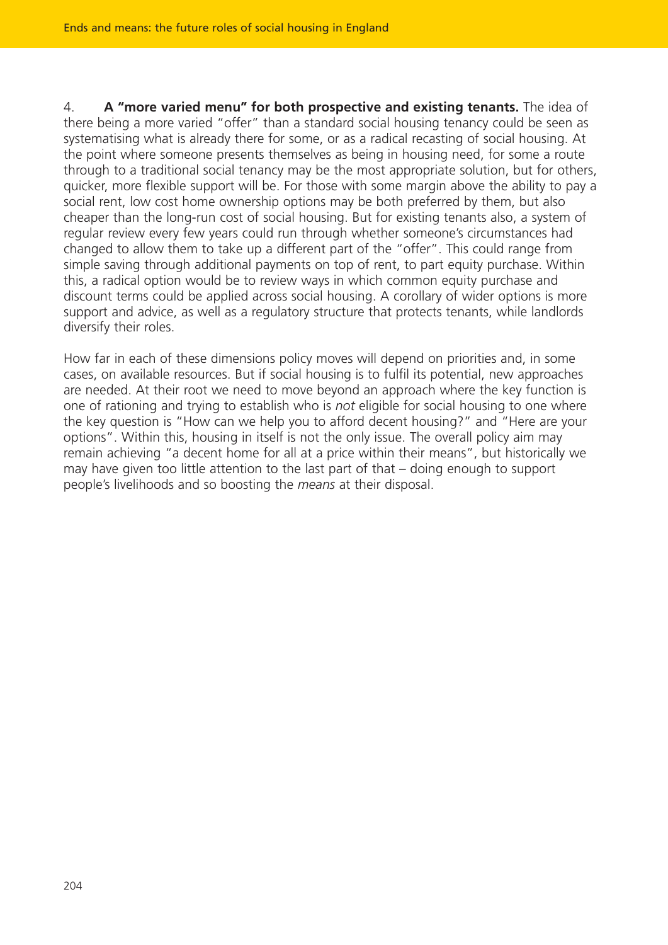4. **A "more varied menu" for both prospective and existing tenants.** The idea of there being a more varied "offer" than a standard social housing tenancy could be seen as systematising what is already there for some, or as a radical recasting of social housing. At the point where someone presents themselves as being in housing need, for some a route through to a traditional social tenancy may be the most appropriate solution, but for others, quicker, more flexible support will be. For those with some margin above the ability to pay a social rent, low cost home ownership options may be both preferred by them, but also cheaper than the long-run cost of social housing. But for existing tenants also, a system of regular review every few years could run through whether someone's circumstances had changed to allow them to take up a different part of the "offer". This could range from simple saving through additional payments on top of rent, to part equity purchase. Within this, a radical option would be to review ways in which common equity purchase and discount terms could be applied across social housing. A corollary of wider options is more support and advice, as well as a regulatory structure that protects tenants, while landlords diversify their roles.

How far in each of these dimensions policy moves will depend on priorities and, in some cases, on available resources. But if social housing is to fulfil its potential, new approaches are needed. At their root we need to move beyond an approach where the key function is one of rationing and trying to establish who is *not* eligible for social housing to one where the key question is "How can we help you to afford decent housing?" and "Here are your options". Within this, housing in itself is not the only issue. The overall policy aim may remain achieving "a decent home for all at a price within their means", but historically we may have given too little attention to the last part of that – doing enough to support people's livelihoods and so boosting the *means* at their disposal.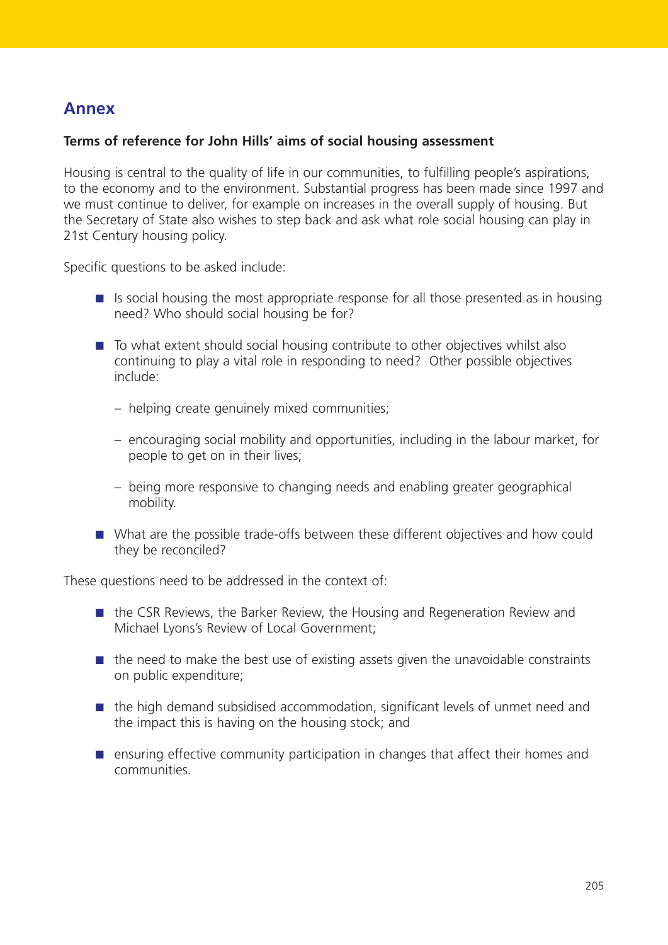## **Annex**

## **Terms of reference for John Hills' aims of social housing assessment**

Housing is central to the quality of life in our communities, to fulfilling people's aspirations, to the economy and to the environment. Substantial progress has been made since 1997 and we must continue to deliver, for example on increases in the overall supply of housing. But the Secretary of State also wishes to step back and ask what role social housing can play in 21st Century housing policy.

Specific questions to be asked include:

- Is social housing the most appropriate response for all those presented as in housing need? Who should social housing be for?
- To what extent should social housing contribute to other objectives whilst also continuing to play a vital role in responding to need? Other possible objectives include:
	- helping create genuinely mixed communities;
	- encouraging social mobility and opportunities, including in the labour market, for people to get on in their lives;
	- being more responsive to changing needs and enabling greater geographical mobility.
- What are the possible trade-offs between these different objectives and how could they be reconciled?

These questions need to be addressed in the context of:

- the CSR Reviews, the Barker Review, the Housing and Regeneration Review and Michael Lyons's Review of Local Government;
- $\blacksquare$  the need to make the best use of existing assets given the unavoidable constraints on public expenditure;
- the high demand subsidised accommodation, significant levels of unmet need and the impact this is having on the housing stock; and
- ensuring effective community participation in changes that affect their homes and communities.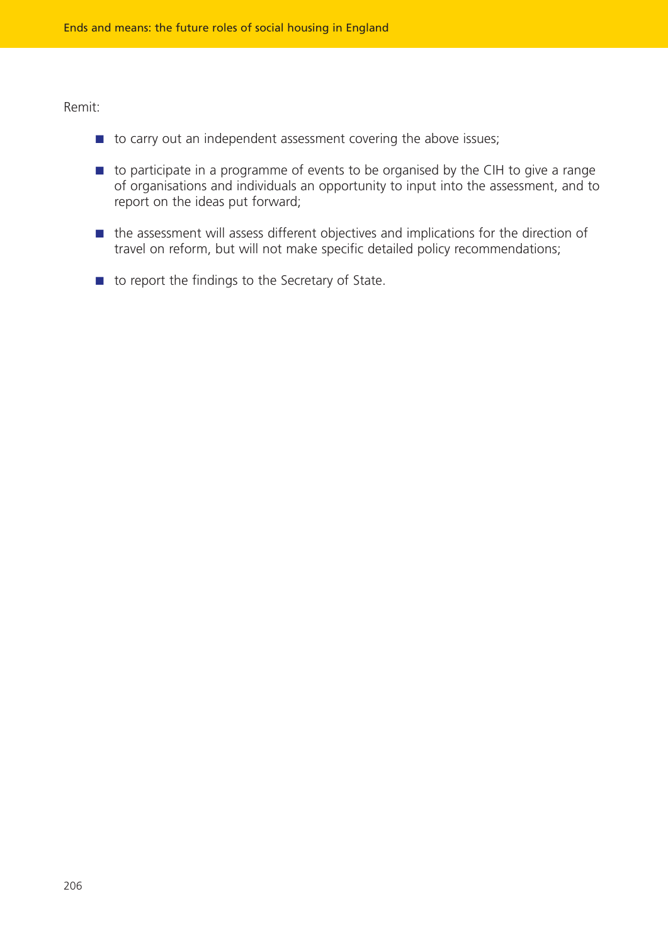Remit:

- to carry out an independent assessment covering the above issues;
- to participate in a programme of events to be organised by the CIH to give a range of organisations and individuals an opportunity to input into the assessment, and to report on the ideas put forward;
- the assessment will assess different objectives and implications for the direction of travel on reform, but will not make specific detailed policy recommendations;
- to report the findings to the Secretary of State.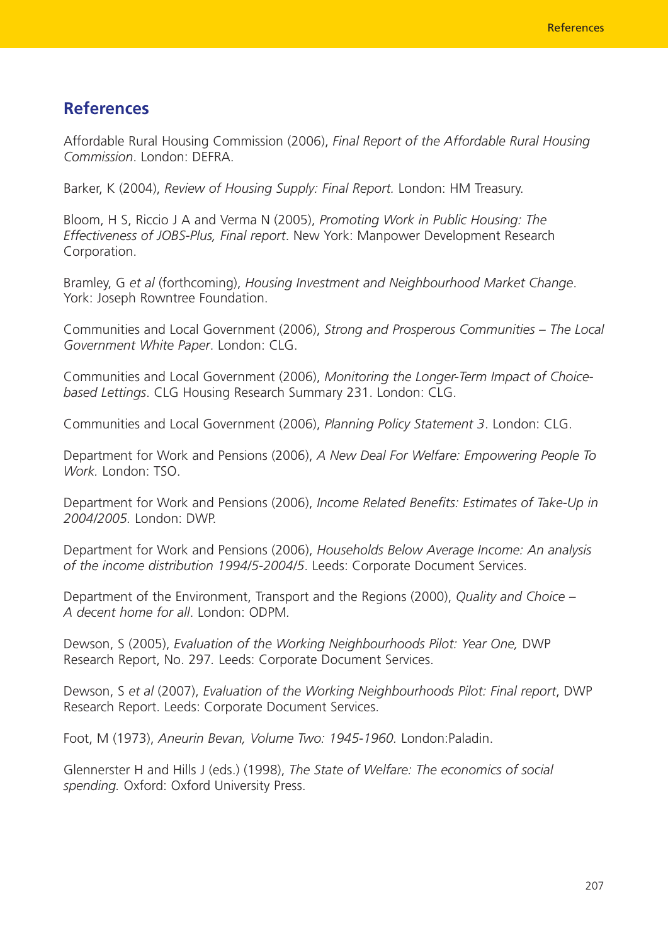## **References**

Affordable Rural Housing Commission (2006), *Final Report of the Affordable Rural Housing Commission*. London: DEFRA.

Barker, K (2004), *Review of Housing Supply: Final Report.* London: HM Treasury.

Bloom, H S, Riccio J A and Verma N (2005), *Promoting Work in Public Housing: The Effectiveness of JOBS-Plus, Final report*. New York: Manpower Development Research Corporation.

Bramley, G *et al* (forthcoming), *Housing Investment and Neighbourhood Market Change*. York: Joseph Rowntree Foundation.

Communities and Local Government (2006), *Strong and Prosperous Communities – The Local Government White Paper*. London: CLG.

Communities and Local Government (2006), *Monitoring the Longer-Term Impact of Choicebased Lettings*. CLG Housing Research Summary 231. London: CLG.

Communities and Local Government (2006), *Planning Policy Statement 3*. London: CLG.

Department for Work and Pensions (2006), *A New Deal For Welfare: Empowering People To Work.* London: TSO.

Department for Work and Pensions (2006), *Income Related Benefits: Estimates of Take-Up in 2004/2005.* London: DWP.

Department for Work and Pensions (2006), *Households Below Average Income: An analysis of the income distribution 1994/5-2004/5*. Leeds: Corporate Document Services.

Department of the Environment, Transport and the Regions (2000), *Quality and Choice – A decent home for all*. London: ODPM*.*

Dewson, S (2005), *Evaluation of the Working Neighbourhoods Pilot: Year One,* DWP Research Report, No. 297*.* Leeds: Corporate Document Services.

Dewson, S *et al* (2007), *Evaluation of the Working Neighbourhoods Pilot: Final report*, DWP Research Report. Leeds: Corporate Document Services.

Foot, M (1973), *Aneurin Bevan, Volume Two: 1945-1960.* London:Paladin.

Glennerster H and Hills J (eds.) (1998), *The State of Welfare: The economics of social spending.* Oxford: Oxford University Press.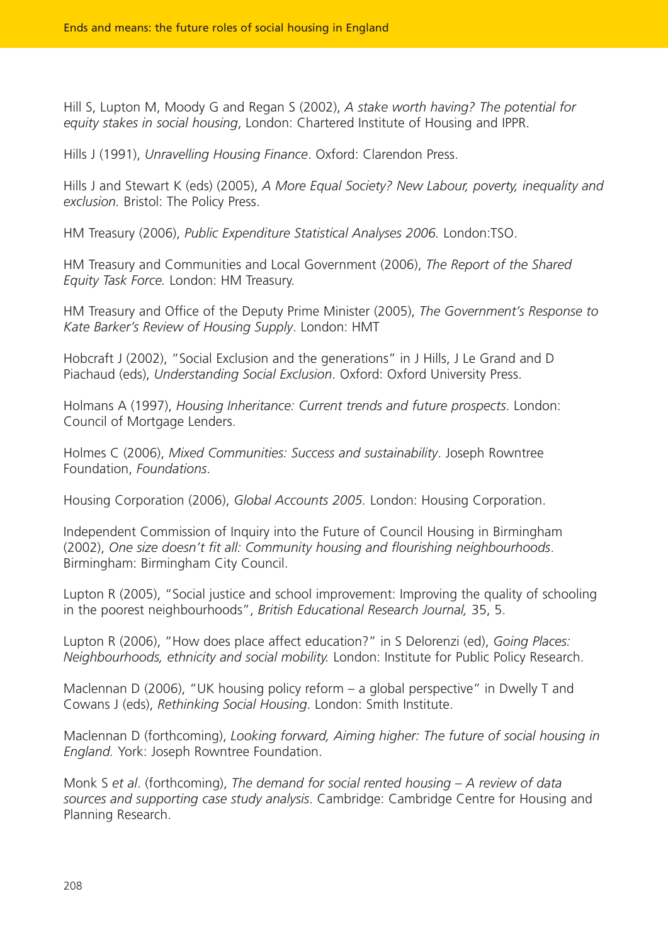Hill S, Lupton M, Moody G and Regan S (2002), *A stake worth having? The potential for equity stakes in social housing*, London: Chartered Institute of Housing and IPPR.

Hills J (1991), *Unravelling Housing Finance*. Oxford: Clarendon Press.

Hills J and Stewart K (eds) (2005), *A More Equal Society? New Labour, poverty, inequality and exclusion.* Bristol: The Policy Press.

HM Treasury (2006), *Public Expenditure Statistical Analyses 2006.* London:TSO.

HM Treasury and Communities and Local Government (2006), *The Report of the Shared Equity Task Force.* London: HM Treasury.

HM Treasury and Office of the Deputy Prime Minister (2005), *The Government's Response to Kate Barker's Review of Housing Supply*. London: HMT

Hobcraft J (2002), "Social Exclusion and the generations" in J Hills, J Le Grand and D Piachaud (eds), *Understanding Social Exclusion*. Oxford: Oxford University Press.

Holmans A (1997), *Housing Inheritance: Current trends and future prospects*. London: Council of Mortgage Lenders.

Holmes C (2006), *Mixed Communities: Success and sustainability*. Joseph Rowntree Foundation, *Foundations*.

Housing Corporation (2006), *Global Accounts 2005.* London: Housing Corporation.

Independent Commission of Inquiry into the Future of Council Housing in Birmingham (2002), *One size doesn't fit all: Community housing and flourishing neighbourhoods*. Birmingham: Birmingham City Council.

Lupton R (2005), "Social justice and school improvement: Improving the quality of schooling in the poorest neighbourhoods", *British Educational Research Journal,* 35, 5.

Lupton R (2006), "How does place affect education?" in S Delorenzi (ed), *Going Places: Neighbourhoods, ethnicity and social mobility.* London: Institute for Public Policy Research.

Maclennan D (2006), "UK housing policy reform – a global perspective" in Dwelly T and Cowans J (eds), *Rethinking Social Housing*. London: Smith Institute.

Maclennan D (forthcoming), *Looking forward, Aiming higher: The future of social housing in England.* York: Joseph Rowntree Foundation.

Monk S *et al*. (forthcoming), *The demand for social rented housing – A review of data sources and supporting case study analysis*. Cambridge: Cambridge Centre for Housing and Planning Research.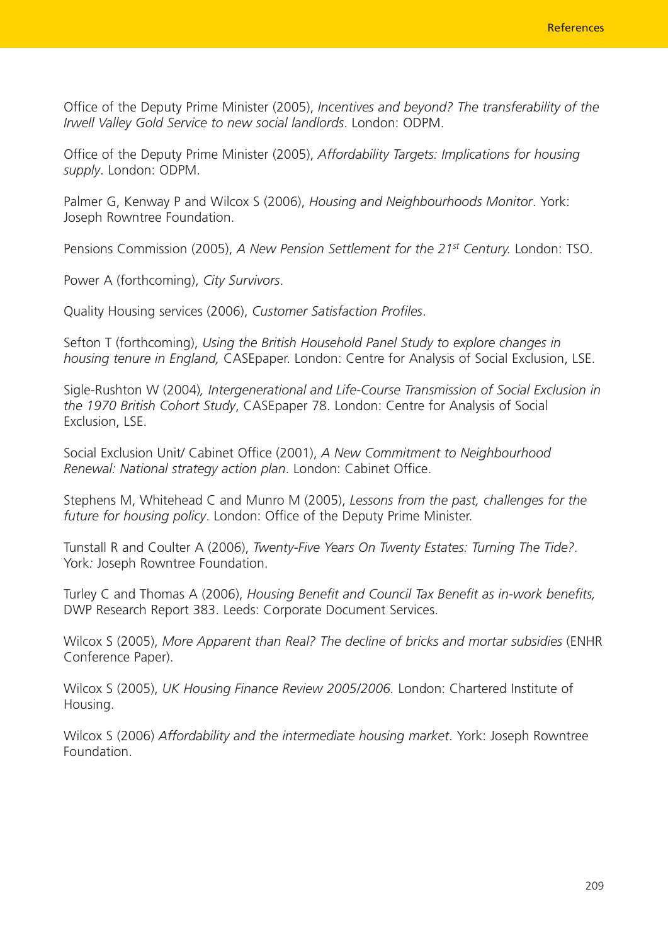Office of the Deputy Prime Minister (2005), *Incentives and beyond? The transferability of the Irwell Valley Gold Service to new social landlords*. London: ODPM.

Office of the Deputy Prime Minister (2005), *Affordability Targets: Implications for housing supply*. London: ODPM.

Palmer G, Kenway P and Wilcox S (2006), *Housing and Neighbourhoods Monitor*. York: Joseph Rowntree Foundation.

Pensions Commission (2005), *A New Pension Settlement for the 21st Century.* London: TSO.

Power A (forthcoming), *City Survivors*.

Quality Housing services (2006), *Customer Satisfaction Profiles*.

Sefton T (forthcoming), *Using the British Household Panel Study to explore changes in housing tenure in England,* CASEpaper. London: Centre for Analysis of Social Exclusion, LSE.

Sigle-Rushton W (2004)*, Intergenerational and Life-Course Transmission of Social Exclusion in the 1970 British Cohort Study*, CASEpaper 78. London: Centre for Analysis of Social Exclusion, LSE.

Social Exclusion Unit/ Cabinet Office (2001), *A New Commitment to Neighbourhood Renewal: National strategy action plan*. London: Cabinet Office.

Stephens M, Whitehead C and Munro M (2005), *Lessons from the past, challenges for the future for housing policy*. London: Office of the Deputy Prime Minister.

Tunstall R and Coulter A (2006), *Twenty-Five Years On Twenty Estates: Turning The Tide?.* York*:* Joseph Rowntree Foundation.

Turley C and Thomas A (2006), *Housing Benefit and Council Tax Benefit as in-work benefits,* DWP Research Report 383. Leeds: Corporate Document Services.

Wilcox S (2005), *More Apparent than Real? The decline of bricks and mortar subsidies* (ENHR Conference Paper).

Wilcox S (2005), *UK Housing Finance Review 2005/2006.* London: Chartered Institute of Housing.

Wilcox S (2006) *Affordability and the intermediate housing market*. York: Joseph Rowntree Foundation.